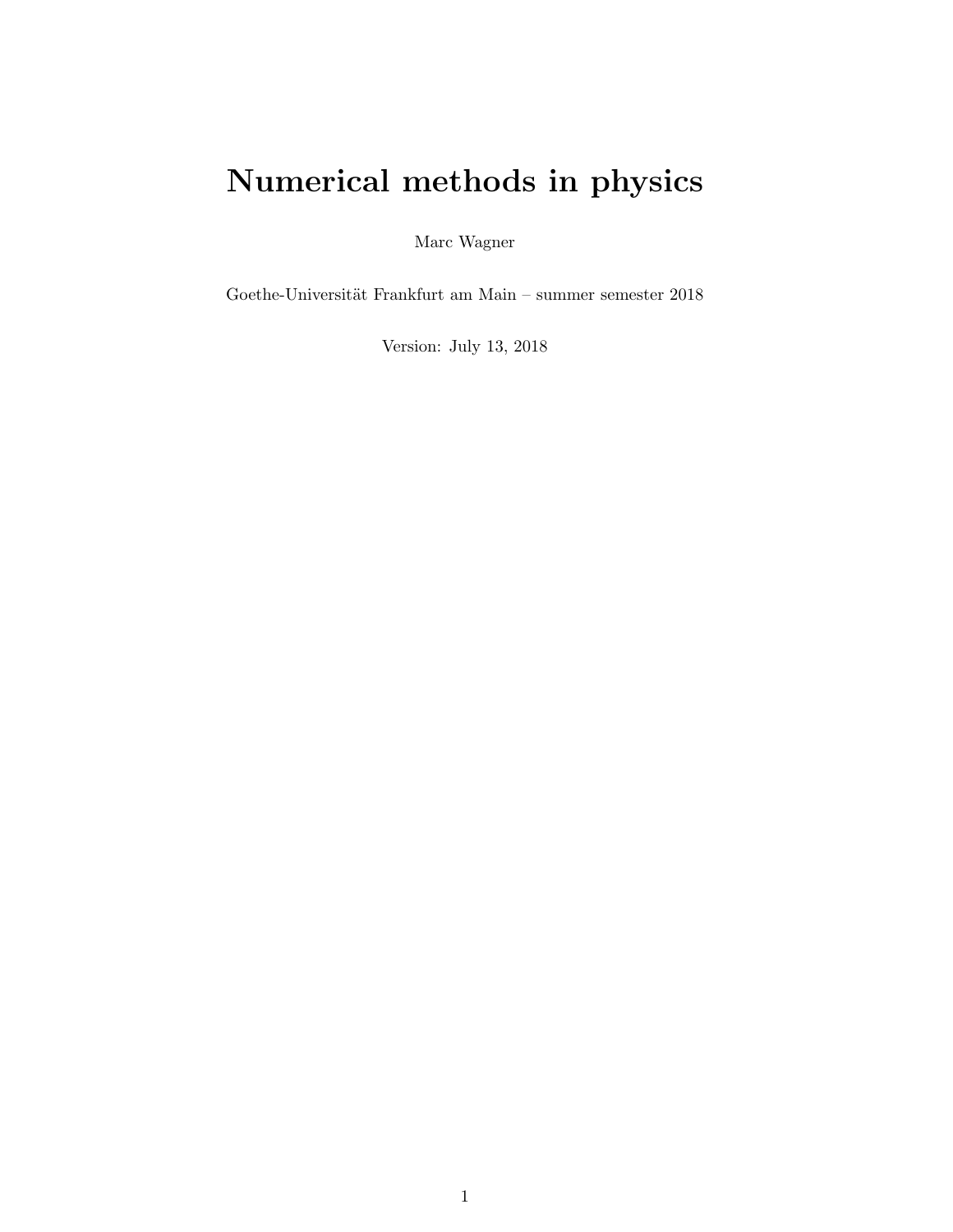# Numerical methods in physics

Marc Wagner

Goethe-Universität Frankfurt am Main – summer semester  $2018$ 

Version: July 13, 2018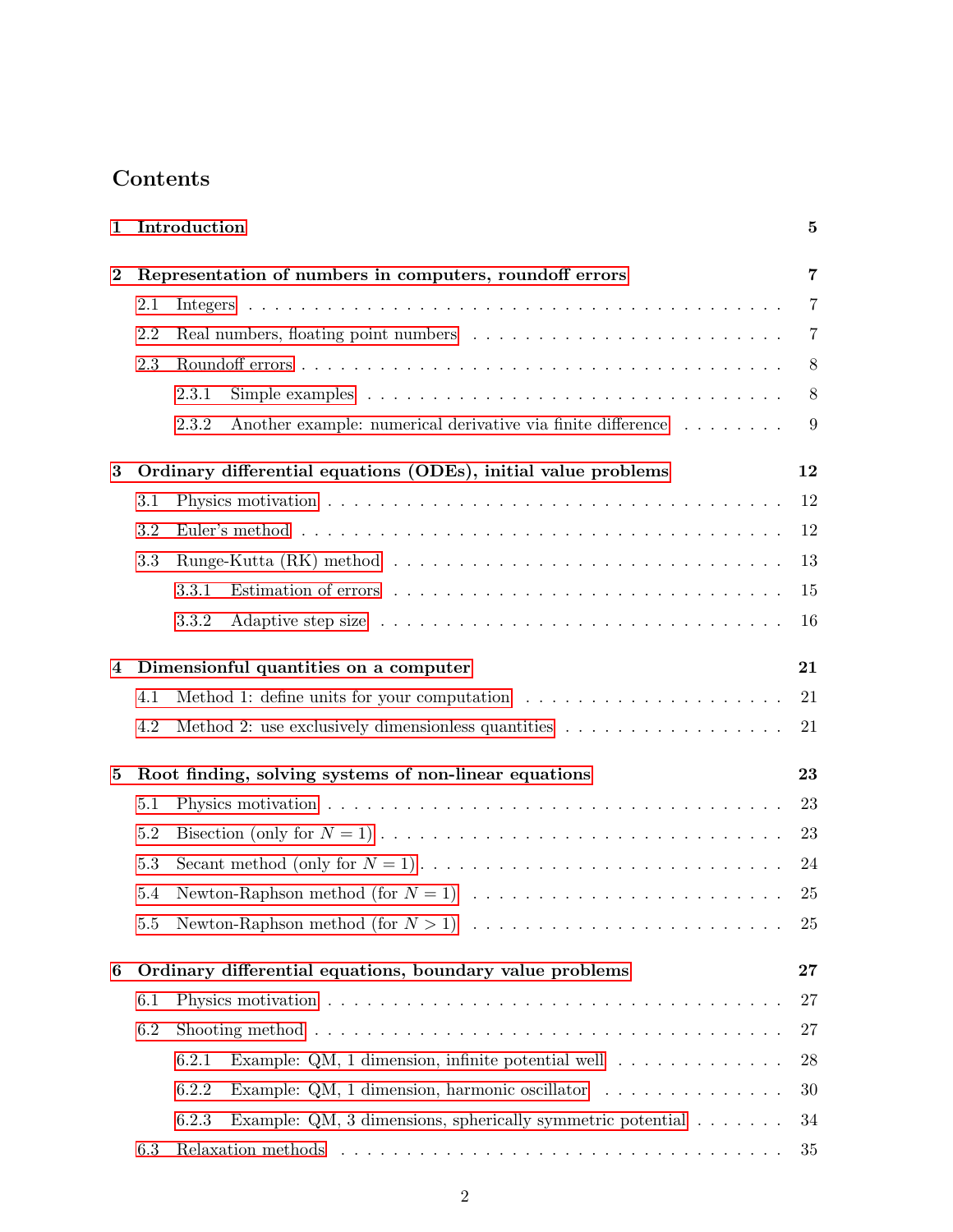## Contents

| $\mathbf 1$             | Introduction                                            |                                                                                                              | $\bf{5}$       |  |
|-------------------------|---------------------------------------------------------|--------------------------------------------------------------------------------------------------------------|----------------|--|
| $\bf{2}$                | Representation of numbers in computers, roundoff errors |                                                                                                              |                |  |
|                         | 2.1                                                     |                                                                                                              | 7              |  |
|                         | 2.2                                                     |                                                                                                              | $\overline{7}$ |  |
|                         | 2.3                                                     |                                                                                                              | 8              |  |
|                         |                                                         | Simple examples $\ldots \ldots \ldots \ldots \ldots \ldots \ldots \ldots \ldots \ldots \ldots$<br>2.3.1      | 8              |  |
|                         |                                                         | Another example: numerical derivative via finite difference<br>2.3.2                                         | 9              |  |
| 3                       |                                                         | Ordinary differential equations (ODEs), initial value problems                                               | 12             |  |
|                         | 3.1                                                     |                                                                                                              | 12             |  |
|                         | 3.2                                                     |                                                                                                              | 12             |  |
|                         | 3.3                                                     |                                                                                                              | 13             |  |
|                         |                                                         | 3.3.1                                                                                                        | 15             |  |
|                         |                                                         | 3.3.2                                                                                                        | 16             |  |
| $\overline{\mathbf{4}}$ | 21<br>Dimensionful quantities on a computer             |                                                                                                              |                |  |
|                         | 4.1                                                     | Method 1: define units for your computation $\dots \dots \dots \dots \dots \dots \dots$                      | 21             |  |
|                         | 4.2                                                     | Method 2: use exclusively dimensionless quantities                                                           | 21             |  |
| 5                       |                                                         | Root finding, solving systems of non-linear equations                                                        | 23             |  |
|                         | 5.1                                                     |                                                                                                              | 23             |  |
|                         | $5.2\,$                                                 |                                                                                                              | 23             |  |
|                         | 5.3                                                     |                                                                                                              | 24             |  |
|                         | 5.4                                                     |                                                                                                              | 25             |  |
|                         | 5.5                                                     |                                                                                                              | 25             |  |
| $\boldsymbol{6}$        |                                                         | Ordinary differential equations, boundary value problems                                                     | 27             |  |
|                         | 6.1                                                     |                                                                                                              | 27             |  |
|                         | 6.2                                                     | Shooting method $\ldots \ldots \ldots \ldots \ldots \ldots \ldots \ldots \ldots \ldots \ldots \ldots \ldots$ | $27\,$         |  |
|                         |                                                         | Example: QM, 1 dimension, infinite potential well $\dots \dots \dots \dots$<br>6.2.1                         | 28             |  |
|                         |                                                         | 6.2.2<br>Example: QM, 1 dimension, harmonic oscillator $\ldots \ldots \ldots \ldots$                         | 30             |  |
|                         |                                                         | Example: QM, 3 dimensions, spherically symmetric potential $\ldots \ldots$<br>6.2.3                          | 34             |  |
|                         | 6.3                                                     |                                                                                                              | 35             |  |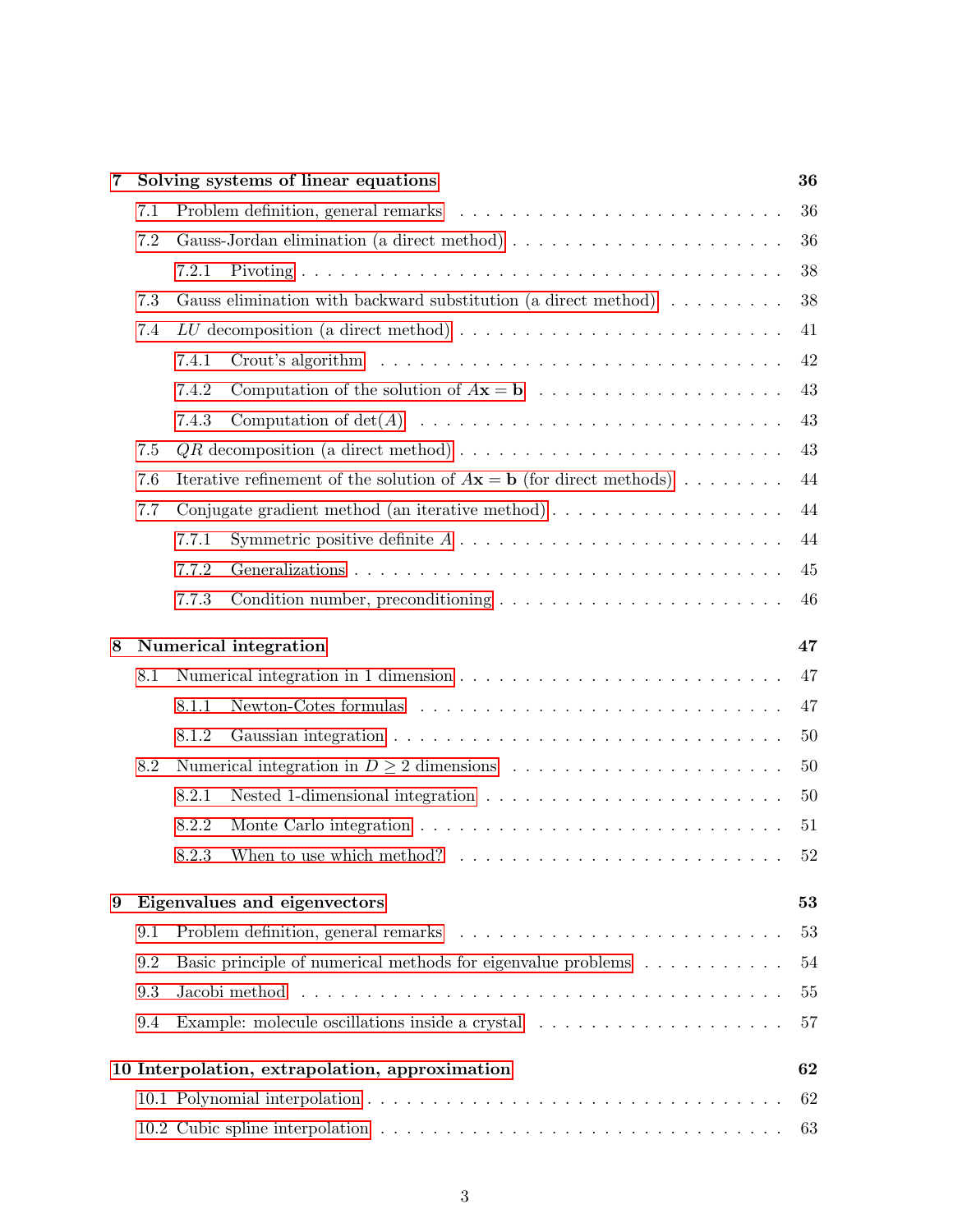| 7 | 36<br>Solving systems of linear equations |                                                                                                                                                                                                                                      |    |  |  |  |
|---|-------------------------------------------|--------------------------------------------------------------------------------------------------------------------------------------------------------------------------------------------------------------------------------------|----|--|--|--|
|   | 7.1                                       |                                                                                                                                                                                                                                      | 36 |  |  |  |
|   | 7.2                                       |                                                                                                                                                                                                                                      | 36 |  |  |  |
|   |                                           | 7.2.1                                                                                                                                                                                                                                | 38 |  |  |  |
|   | 7.3                                       | Gauss elimination with backward substitution (a direct method)                                                                                                                                                                       | 38 |  |  |  |
|   | 7.4                                       |                                                                                                                                                                                                                                      | 41 |  |  |  |
|   |                                           | 7.4.1                                                                                                                                                                                                                                | 42 |  |  |  |
|   |                                           | 7.4.2                                                                                                                                                                                                                                | 43 |  |  |  |
|   |                                           | 7.4.3                                                                                                                                                                                                                                | 43 |  |  |  |
|   | 7.5                                       |                                                                                                                                                                                                                                      | 43 |  |  |  |
|   | 7.6                                       | 44<br>Iterative refinement of the solution of $A\mathbf{x} = \mathbf{b}$ (for direct methods)                                                                                                                                        |    |  |  |  |
|   | 7.7                                       | Conjugate gradient method (an iterative method) $\ldots \ldots \ldots \ldots \ldots \ldots$                                                                                                                                          | 44 |  |  |  |
|   |                                           | Symmetric positive definite $A \ldots \ldots \ldots \ldots \ldots \ldots \ldots \ldots$<br>7.7.1                                                                                                                                     | 44 |  |  |  |
|   |                                           | 7.7.2                                                                                                                                                                                                                                | 45 |  |  |  |
|   |                                           | 7.7.3<br>Condition number, preconditioning $\ldots \ldots \ldots \ldots \ldots \ldots \ldots$                                                                                                                                        | 46 |  |  |  |
| 8 |                                           | Numerical integration<br>47                                                                                                                                                                                                          |    |  |  |  |
|   | 8.1                                       |                                                                                                                                                                                                                                      | 47 |  |  |  |
|   |                                           | Newton-Cotes formulas<br>8.1.1                                                                                                                                                                                                       | 47 |  |  |  |
|   |                                           | 8.1.2                                                                                                                                                                                                                                | 50 |  |  |  |
|   | 8.2                                       |                                                                                                                                                                                                                                      | 50 |  |  |  |
|   |                                           | 8.2.1                                                                                                                                                                                                                                | 50 |  |  |  |
|   |                                           | 8.2.2                                                                                                                                                                                                                                | 51 |  |  |  |
|   |                                           | 8.2.3                                                                                                                                                                                                                                | 52 |  |  |  |
| 9 | Eigenvalues and eigenvectors<br>53        |                                                                                                                                                                                                                                      |    |  |  |  |
|   | 9.1                                       |                                                                                                                                                                                                                                      | 53 |  |  |  |
|   | 9.2                                       | Basic principle of numerical methods for eigenvalue problems<br>54                                                                                                                                                                   |    |  |  |  |
|   | 9.3                                       | Jacobi method response to the service of the service of the service of the service of the service of the service of the service of the service of the service of the service of the service of the service of the service of t<br>55 |    |  |  |  |
|   | 9.4                                       | Example: molecule oscillations inside a crystal $\phantom{a} \ldots \ldots \ldots \ldots \ldots \ldots \ldots \ldots$<br>57                                                                                                          |    |  |  |  |
|   |                                           | 10 Interpolation, extrapolation, approximation                                                                                                                                                                                       | 62 |  |  |  |
|   |                                           |                                                                                                                                                                                                                                      | 62 |  |  |  |
|   |                                           |                                                                                                                                                                                                                                      | 63 |  |  |  |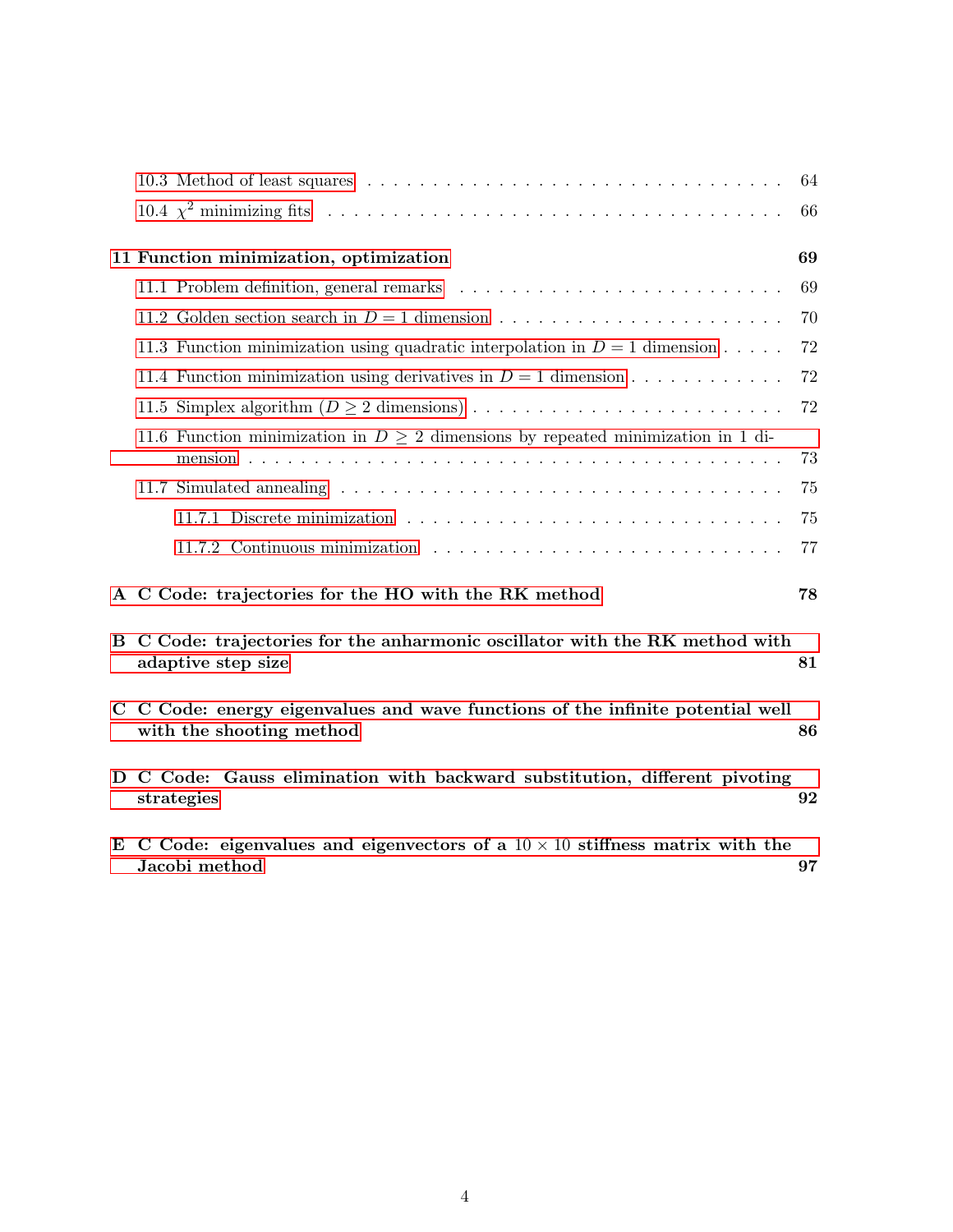|             |                                                                                                                | 64 |  |
|-------------|----------------------------------------------------------------------------------------------------------------|----|--|
|             |                                                                                                                | 66 |  |
|             | 11 Function minimization, optimization                                                                         | 69 |  |
|             |                                                                                                                | 69 |  |
|             |                                                                                                                | 70 |  |
|             | 11.3 Function minimization using quadratic interpolation in $D = 1$ dimension                                  | 72 |  |
|             | 11.4 Function minimization using derivatives in $D = 1$ dimension                                              | 72 |  |
|             |                                                                                                                | 72 |  |
|             | 11.6 Function minimization in $D \geq 2$ dimensions by repeated minimization in 1 di-                          | 73 |  |
|             |                                                                                                                | 75 |  |
|             |                                                                                                                | 75 |  |
|             |                                                                                                                | 77 |  |
|             | A C Code: trajectories for the HO with the RK method                                                           | 78 |  |
|             | B C Code: trajectories for the anharmonic oscillator with the RK method with<br>adaptive step size             | 81 |  |
| $\mathbf C$ | C Code: energy eigenvalues and wave functions of the infinite potential well<br>with the shooting method<br>86 |    |  |
| D           | C Code: Gauss elimination with backward substitution, different pivoting<br>strategies                         | 92 |  |
| E           | C Code: eigenvalues and eigenvectors of a $10 \times 10$ stiffness matrix with the<br>Jacobi method            | 97 |  |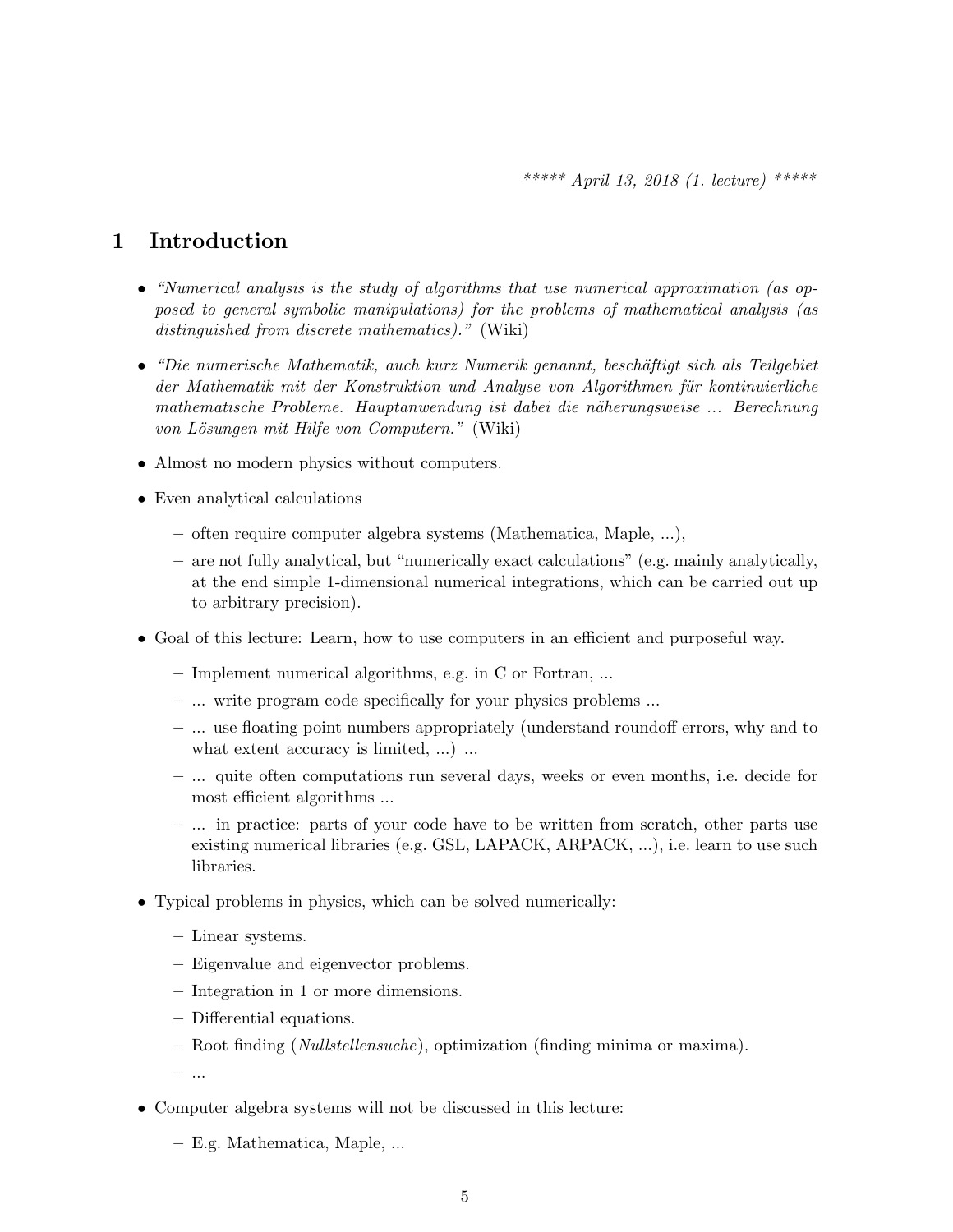## <span id="page-4-0"></span>1 Introduction

- "Numerical analysis is the study of algorithms that use numerical approximation (as opposed to general symbolic manipulations) for the problems of mathematical analysis (as distinguished from discrete mathematics)." (Wiki)
- "Die numerische Mathematik, auch kurz Numerik genannt, beschäftigt sich als Teilgebiet der Mathematik mit der Konstruktion und Analyse von Algorithmen für kontinuierliche mathematische Probleme. Hauptanwendung ist dabei die näherungsweise ... Berechnung von Lösungen mit Hilfe von Computern." (Wiki)
- Almost no modern physics without computers.
- Even analytical calculations
	- often require computer algebra systems (Mathematica, Maple, ...),
	- are not fully analytical, but "numerically exact calculations" (e.g. mainly analytically, at the end simple 1-dimensional numerical integrations, which can be carried out up to arbitrary precision).
- Goal of this lecture: Learn, how to use computers in an efficient and purposeful way.
	- Implement numerical algorithms, e.g. in C or Fortran, ...
	- ... write program code specifically for your physics problems ...
	- ... use floating point numbers appropriately (understand roundoff errors, why and to what extent accuracy is limited, ...) ...
	- ... quite often computations run several days, weeks or even months, i.e. decide for most efficient algorithms ...
	- ... in practice: parts of your code have to be written from scratch, other parts use existing numerical libraries (e.g. GSL, LAPACK, ARPACK, ...), i.e. learn to use such libraries.
- Typical problems in physics, which can be solved numerically:
	- Linear systems.
	- Eigenvalue and eigenvector problems.
	- Integration in 1 or more dimensions.
	- Differential equations.
	- Root finding (Nullstellensuche), optimization (finding minima or maxima).
	- ...
- Computer algebra systems will not be discussed in this lecture:
	- E.g. Mathematica, Maple, ...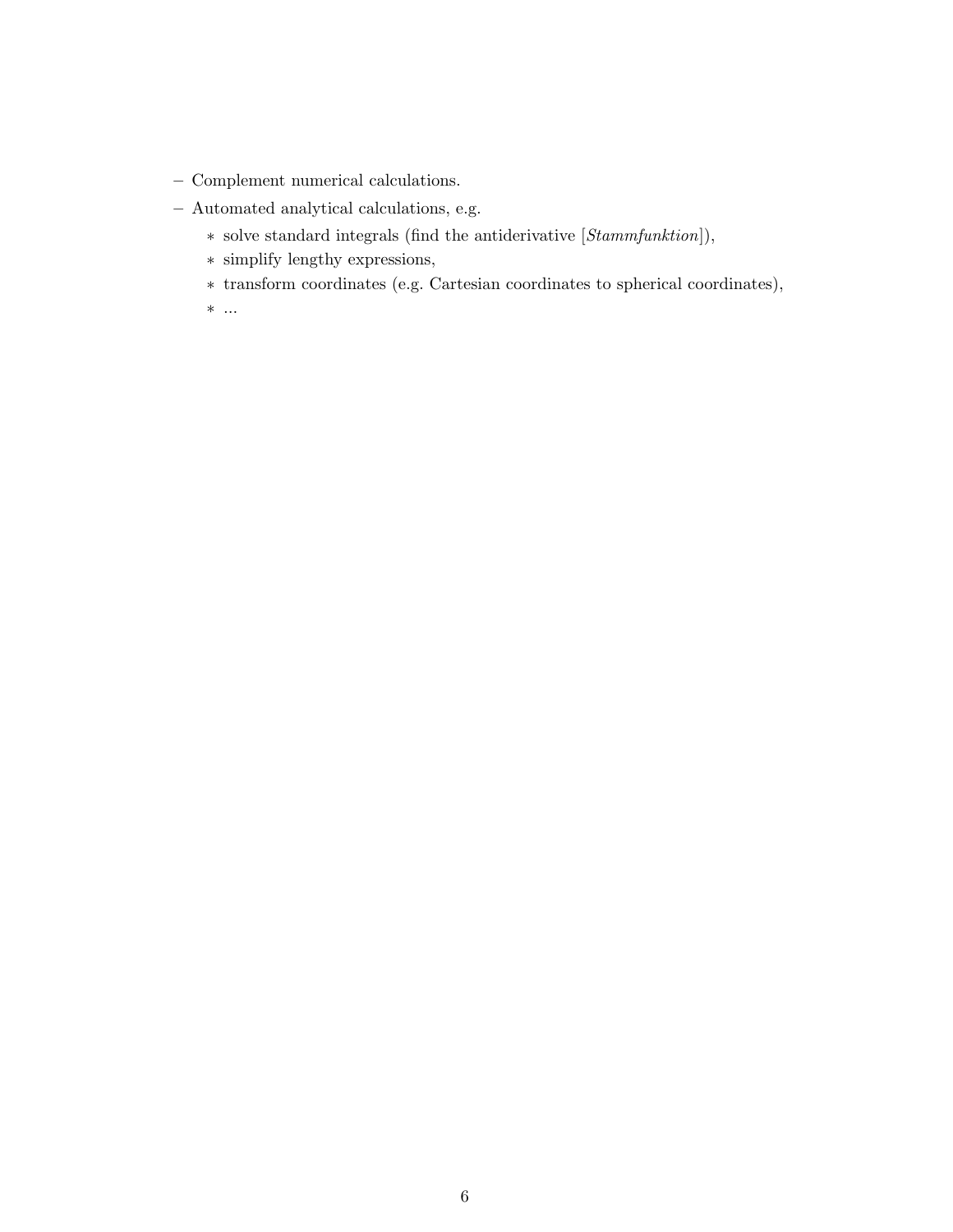- Complement numerical calculations.
- Automated analytical calculations, e.g.
	- ∗ solve standard integrals (find the antiderivative [Stammfunktion]),
	- ∗ simplify lengthy expressions,
	- ∗ transform coordinates (e.g. Cartesian coordinates to spherical coordinates),
	- ∗ ...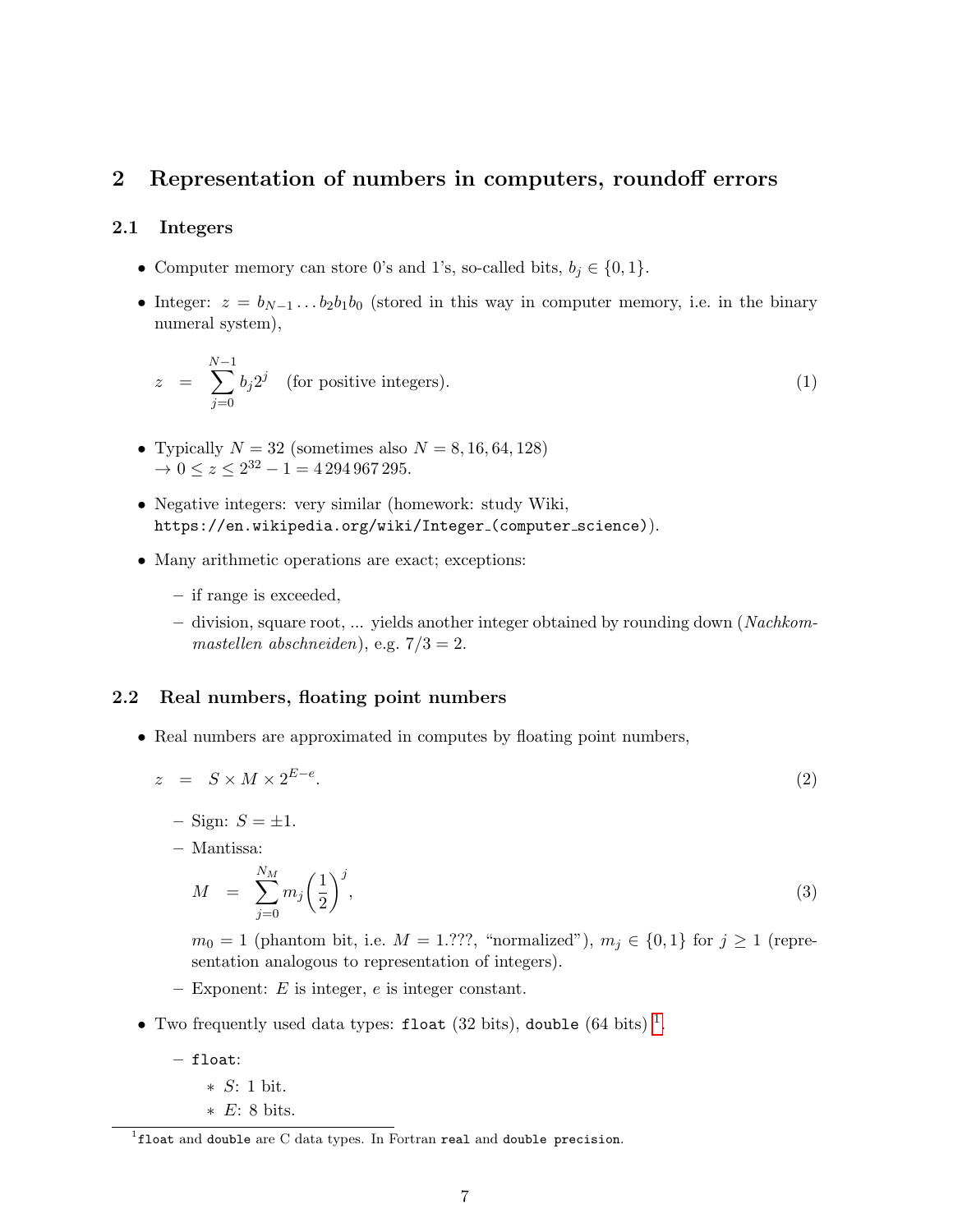## <span id="page-6-0"></span>2 Representation of numbers in computers, roundoff errors

#### <span id="page-6-1"></span>2.1 Integers

- Computer memory can store 0's and 1's, so-called bits,  $b_i \in \{0, 1\}.$
- Integer:  $z = b_{N-1} \dots b_2 b_1 b_0$  (stored in this way in computer memory, i.e. in the binary numeral system),

$$
z = \sum_{j=0}^{N-1} b_j 2^j \quad \text{(for positive integers)}.
$$
 (1)

- Typically  $N = 32$  (sometimes also  $N = 8, 16, 64, 128$ )  $\rightarrow 0 \le z \le 2^{32} - 1 = 4\,294\,967\,295.$
- Negative integers: very similar (homework: study Wiki, https://en.wikipedia.org/wiki/Integer\_(computer\_science)).
- Many arithmetic operations are exact; exceptions:
	- if range is exceeded,
	- $-$  division, square root, ... yields another integer obtained by rounding down (Nachkommastellen abschneiden), e.g.  $7/3 = 2$ .

#### <span id="page-6-2"></span>2.2 Real numbers, floating point numbers

• Real numbers are approximated in computes by floating point numbers,

<span id="page-6-4"></span>
$$
z = S \times M \times 2^{E-e}.\tag{2}
$$

– Sign:  $S = \pm 1$ .

– Mantissa:

$$
M = \sum_{j=0}^{N_M} m_j \left(\frac{1}{2}\right)^j, \tag{3}
$$

 $m_0 = 1$  (phantom bit, i.e.  $M = 1.??$ ?, "normalized"),  $m_j \in \{0,1\}$  for  $j \ge 1$  (representation analogous to representation of integers).

- $-$  Exponent: E is integer, e is integer constant.
- Two frequently used data types: float (32 bits), double (64 bits)<sup>[1](#page-6-3)</sup>.
	- float:
		- ∗ S: 1 bit.
		- ∗ E: 8 bits.

<span id="page-6-3"></span> ${}^{1}$ float and double are C data types. In Fortran real and double precision.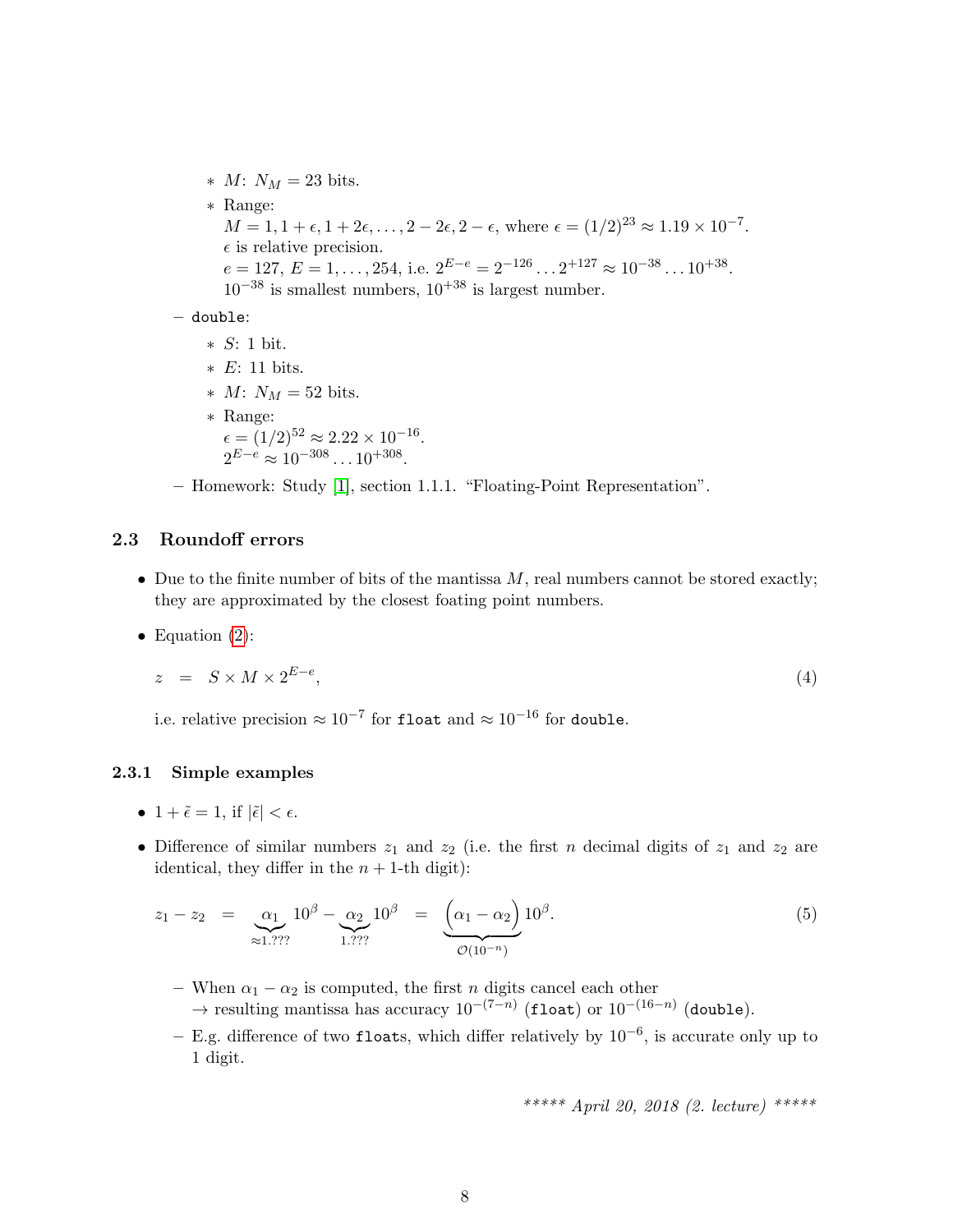$* M: N_M = 23 \text{ bits.}$ ∗ Range:  $M = 1, 1 + \epsilon, 1 + 2\epsilon, \ldots, 2 - 2\epsilon, 2 - \epsilon$ , where  $\epsilon = (1/2)^{23} \approx 1.19 \times 10^{-7}$ .  $\epsilon$  is relative precision.  $e = 127, E = 1, \ldots, 254, i.e. 2^{E-e} = 2^{-126} \ldots 2^{+127} \approx 10^{-38} \ldots 10^{+38}.$  $10^{-38}$  is smallest numbers,  $10^{+38}$  is largest number.

- double:
	- ∗ S: 1 bit.
	- ∗ E: 11 bits.
	- $* M: N_M = 52 \text{ bits.}$
	- ∗ Range:  $\epsilon = (1/2)^{52} \approx 2.22 \times 10^{-16}.$  $2^{E-e} \approx 10^{-308} \dots 10^{+308}.$

– Homework: Study [\[1\]](#page-100-0), section 1.1.1. "Floating-Point Representation".

#### <span id="page-7-0"></span>2.3 Roundoff errors

- Due to the finite number of bits of the mantissa  $M$ , real numbers cannot be stored exactly; they are approximated by the closest foating point numbers.
- Equation  $(2)$ :

$$
z = S \times M \times 2^{E-e}, \tag{4}
$$

i.e. relative precision  $\approx 10^{-7}$  for float and  $\approx 10^{-16}$  for double.

#### <span id="page-7-1"></span>2.3.1 Simple examples

- $1 + \tilde{\epsilon} = 1$ , if  $|\tilde{\epsilon}| < \epsilon$ .
- Difference of similar numbers  $z_1$  and  $z_2$  (i.e. the first n decimal digits of  $z_1$  and  $z_2$  are identical, they differ in the  $n + 1$ -th digit):

$$
z_1 - z_2 = \underset{\approx 1.777}{\alpha_1} 10^\beta - \underset{1.777}{\alpha_2} 10^\beta = \underset{\mathcal{O}(10^{-n})}{\underbrace{\left(\alpha_1 - \alpha_2\right)} 10^\beta}.
$$
\n
$$
(5)
$$

- When  $\alpha_1 \alpha_2$  is computed, the first n digits cancel each other  $\rightarrow$  resulting mantissa has accuracy  $10^{-(7-n)}$  (float) or  $10^{-(16-n)}$  (double).
- E.g. difference of two floats, which differ relatively by 10−<sup>6</sup> , is accurate only up to 1 digit.

$$
**** April 20, 2018 (2. lecture) ***** \\
$$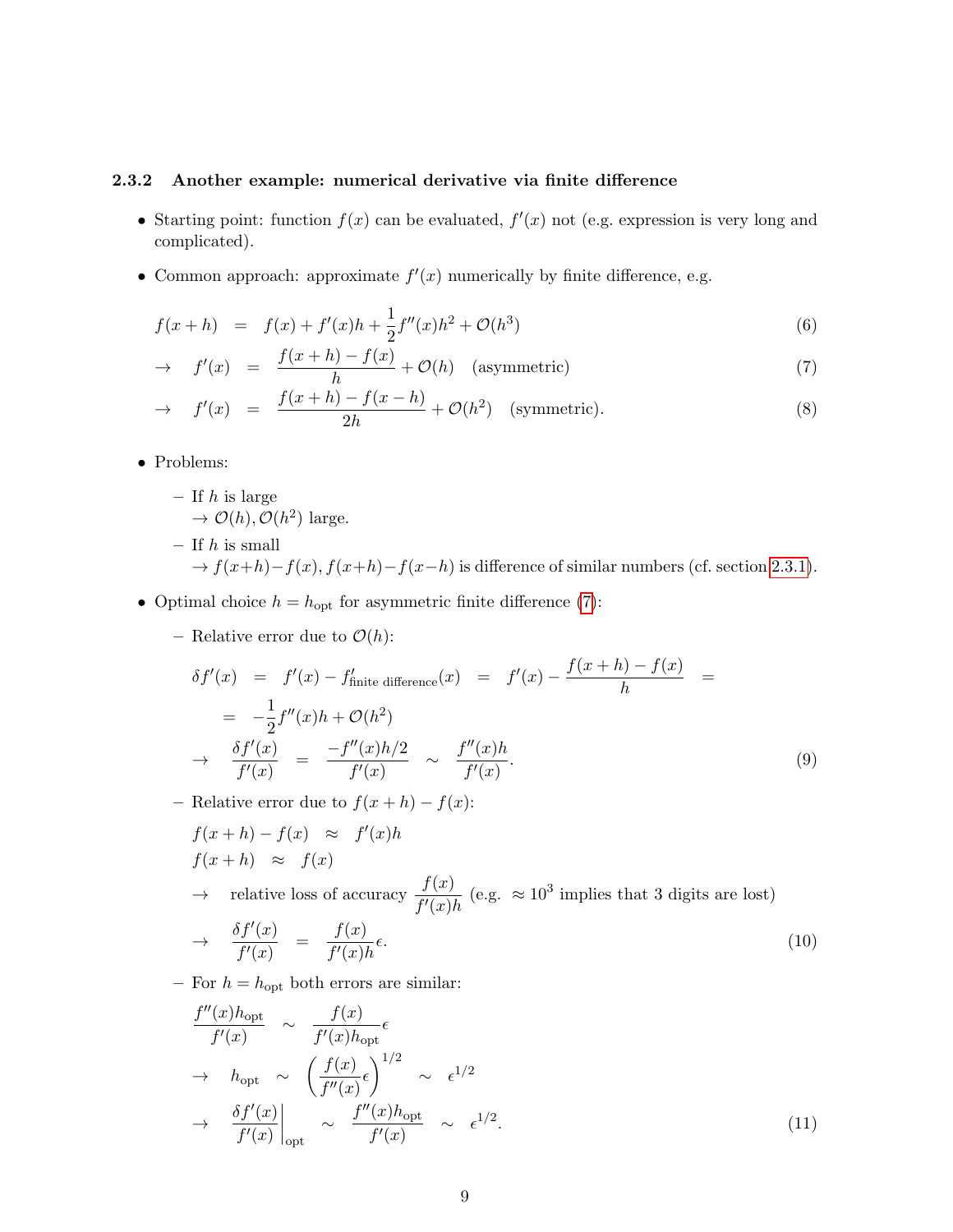#### <span id="page-8-0"></span>2.3.2 Another example: numerical derivative via finite difference

- Starting point: function  $f(x)$  can be evaluated,  $f'(x)$  not (e.g. expression is very long and complicated).
- Common approach: approximate  $f'(x)$  numerically by finite difference, e.g.

<span id="page-8-1"></span>
$$
f(x+h) = f(x) + f'(x)h + \frac{1}{2}f''(x)h^2 + \mathcal{O}(h^3)
$$
\n(6)

$$
\rightarrow f'(x) = \frac{f(x+h) - f(x)}{h} + \mathcal{O}(h) \quad \text{(asymmetric)} \tag{7}
$$

$$
\rightarrow f'(x) = \frac{f(x+h) - f(x-h)}{2h} + \mathcal{O}(h^2) \quad \text{(symmetric)}.
$$
 (8)

• Problems:

- If  $h$  is large
	- $\to \mathcal{O}(h), \mathcal{O}(h^2)$  large.
- If  $h$  is small  $\rightarrow f(x+h)-f(x), f(x+h)-f(x-h)$  is difference of similar numbers (cf. section [2.3.1\)](#page-7-1).
- Optimal choice  $h = h_{\text{opt}}$  for asymmetric finite difference [\(7\)](#page-8-1):
	- Relative error due to  $\mathcal{O}(h)$ :

$$
\delta f'(x) = f'(x) - f'_{\text{finite difference}}(x) = f'(x) - \frac{f(x+h) - f(x)}{h} =
$$
  

$$
= -\frac{1}{2}f''(x)h + \mathcal{O}(h^2)
$$
  

$$
\to \frac{\delta f'(x)}{f'(x)} = \frac{-f''(x)h/2}{f'(x)} \sim \frac{f''(x)h}{f'(x)}.
$$
 (9)

– Relative error due to  $f(x+h) - f(x)$ :

$$
f(x+h) - f(x) \approx f'(x)h
$$
  
\n
$$
f(x+h) \approx f(x)
$$
  
\n
$$
\rightarrow \text{ relative loss of accuracy } \frac{f(x)}{f'(x)h} \text{ (e.g. } \approx 10^3 \text{ implies that 3 digits are lost)}
$$
  
\n
$$
\delta f'(x) = f(x) \tag{10}
$$

$$
\rightarrow \frac{\partial f'(x)}{f'(x)} = \frac{f(x)}{f'(x)h} \epsilon. \tag{10}
$$

– For  $h = h_{\text{opt}}$  both errors are similar:

$$
\frac{f''(x)h_{\text{opt}}}{f'(x)} \sim \frac{f(x)}{f'(x)h_{\text{opt}}} \epsilon
$$
\n
$$
\rightarrow h_{\text{opt}} \sim \left(\frac{f(x)}{f''(x)} \epsilon\right)^{1/2} \sim \epsilon^{1/2}
$$
\n
$$
\rightarrow \frac{\delta f'(x)}{f'(x)}\Big|_{\text{opt}} \sim \frac{f''(x)h_{\text{opt}}}{f'(x)} \sim \epsilon^{1/2}.
$$
\n(11)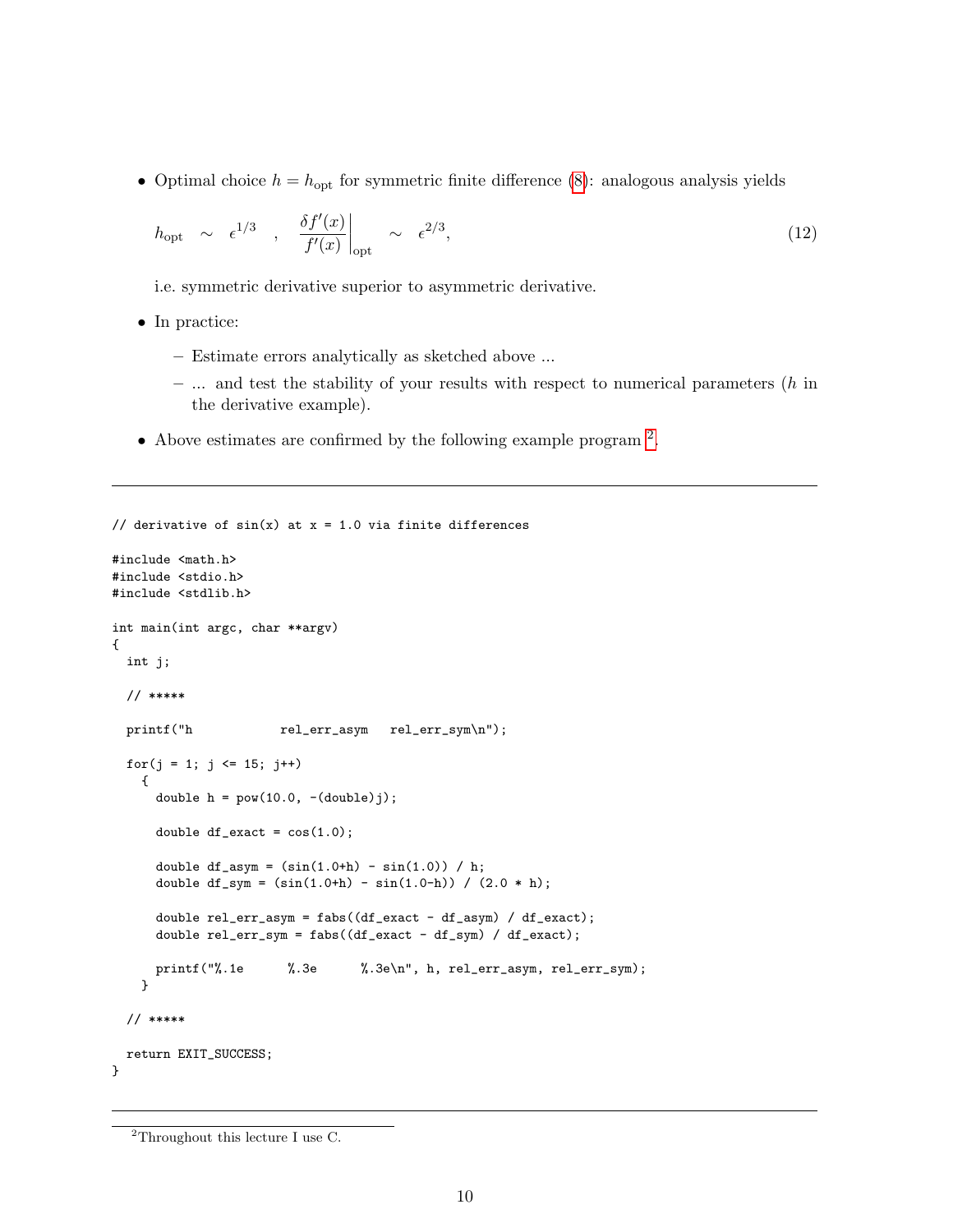• Optimal choice  $h = h_{\text{opt}}$  for symmetric finite difference [\(8\)](#page-8-1): analogous analysis yields

$$
h_{\rm opt} \sim \epsilon^{1/3} , \frac{\delta f'(x)}{f'(x)} \Big|_{\rm opt} \sim \epsilon^{2/3}, \qquad (12)
$$

i.e. symmetric derivative superior to asymmetric derivative.

- In practice:
	- Estimate errors analytically as sketched above ...
	- $-$  ... and test the stability of your results with respect to numerical parameters  $(h \text{ in } I)$ the derivative example).
- Above estimates are confirmed by the following example program  $^2$  $^2$ .

```
// derivative of sin(x) at x = 1.0 via finite differences
#include <math.h>
#include <stdio.h>
#include <stdlib.h>
int main(int argc, char **argv)
{
 int j;
  // *****
 printf("h rel_err_asym rel_err_sym\n");
  for(j = 1; j \le 15; j^{++})
    {
      double h = pow(10.0, -(double)j);double df<sub>exact</sub> = cos(1.0);
      double df_asym = (sin(1.0+h) - sin(1.0)) / h;
      double df_{sym} = (sin(1.0+h) - sin(1.0-h)) / (2.0 * h);double rel_err_asym = fabs((df_exact - df_asym) / df_exact);
      double rel_err_sym = fabs((df_exact - df_sym) / df_exact);
      printf("%.1e %.3e %.3e\n", h, rel_err_asym, rel_err_sym);
    }
  // *****
  return EXIT_SUCCESS;
}
```
<span id="page-9-0"></span><sup>&</sup>lt;sup>2</sup>Throughout this lecture I use C.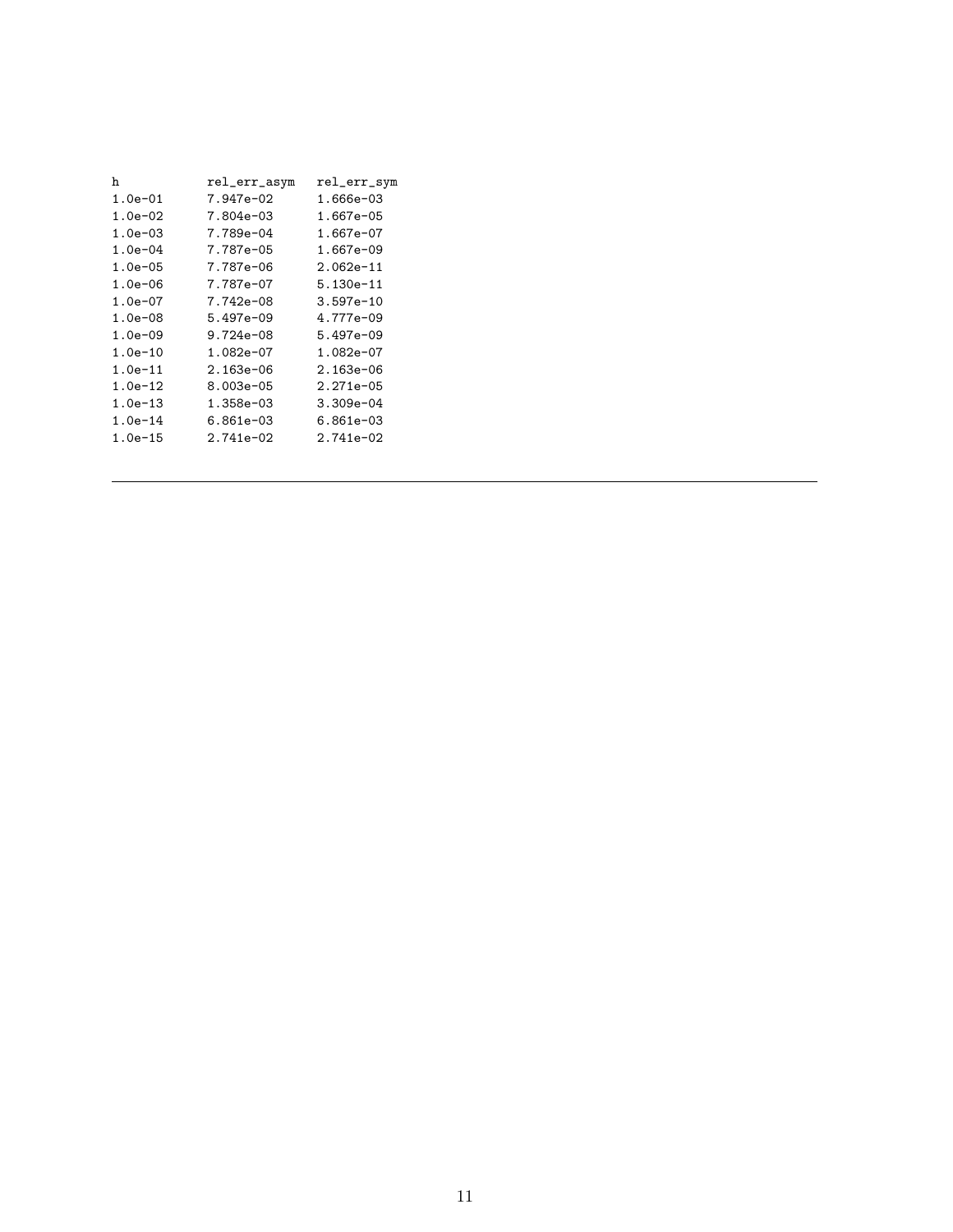| h            | rel_err_asym  | rel_err_sym   |
|--------------|---------------|---------------|
| $1.0e-01$    | 7.947e-02     | 1.666e-03     |
| 1.0e-02      | 7.804e-03     | 1.667e-05     |
| $1.0e-03$    | 7.789e-04     | 1.667e-07     |
| $1.0e-04$    | 7.787e-05     | 1.667e-09     |
| $1.0e - 05$  | 7.787e-06     | $2.062e-11$   |
| $1.0e-06$    | 7.787e-07     | $5.130e - 11$ |
| $1.0e-07$    | 7.742e-08     | $3.597e-10$   |
| 1.0e-08      | 5.497e-09     | 4.777e-09     |
| $1.0e - 0.9$ | $9.724e - 08$ | $5.497e - 09$ |
| $1.0e-10$    | 1.082e-07     | 1.082e-07     |
| 1.0e-11      | 2.163e-06     | 2.163e-06     |
| $1.0e-12$    | $8.003e - 05$ | $2.271e-05$   |
| $1.0e-13$    | 1.358e-03     | 3.309e-04     |
| $1.0e-14$    | 6.861e-03     | 6.861e-03     |
| 1.0e-15      | $2.741e - 02$ | $2.741e - 02$ |
|              |               |               |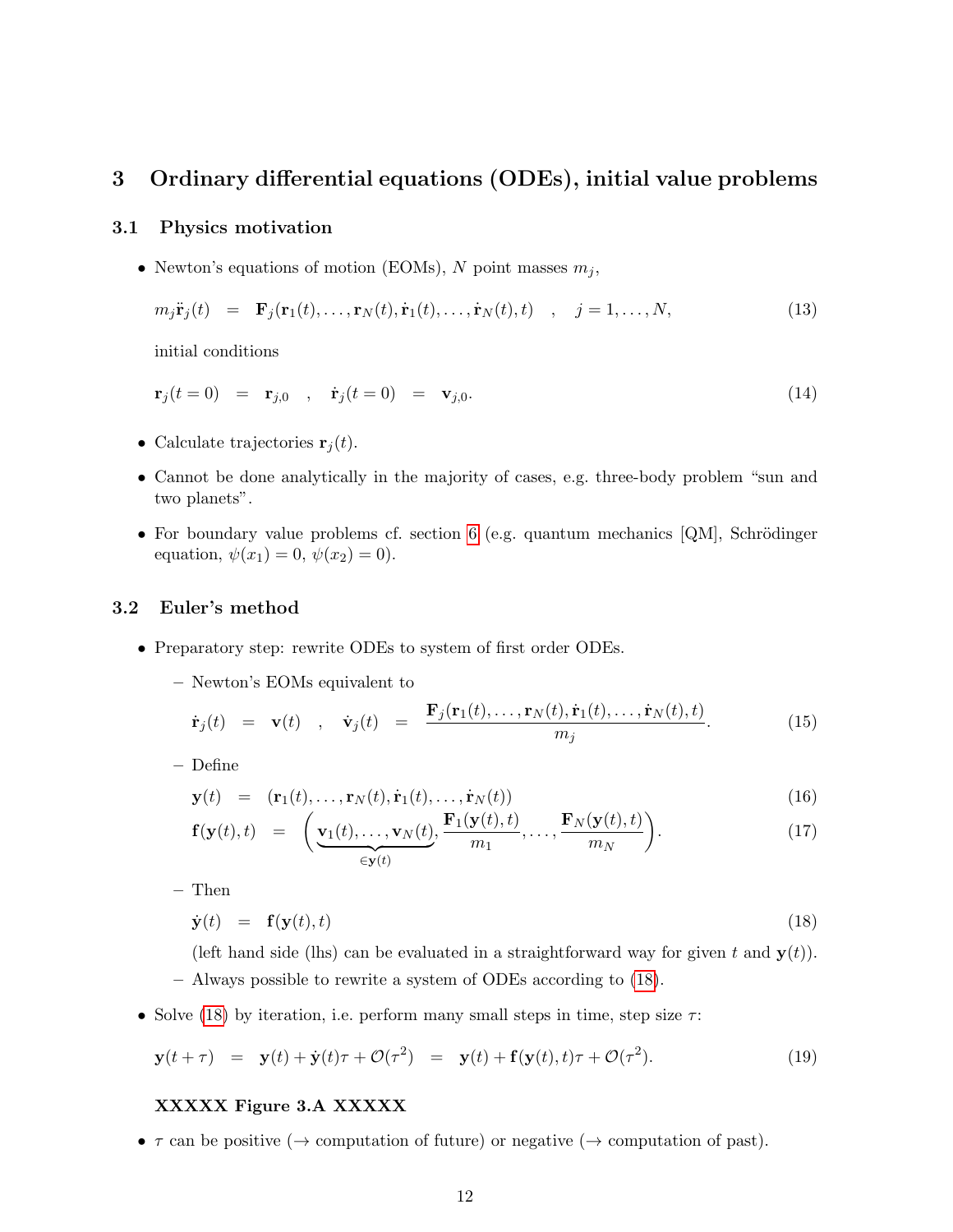## <span id="page-11-0"></span>3 Ordinary differential equations (ODEs), initial value problems

#### <span id="page-11-1"></span>3.1 Physics motivation

• Newton's equations of motion (EOMs), N point masses  $m_i$ ,

$$
m_j \ddot{\mathbf{r}}_j(t) = \mathbf{F}_j(\mathbf{r}_1(t), \dots, \mathbf{r}_N(t), \dot{\mathbf{r}}_1(t), \dots, \dot{\mathbf{r}}_N(t), t) , j = 1, \dots, N,
$$
\n(13)

initial conditions

$$
\mathbf{r}_j(t=0) = \mathbf{r}_{j,0} , \dot{\mathbf{r}}_j(t=0) = \mathbf{v}_{j,0}.
$$
 (14)

- Calculate trajectories  $\mathbf{r}_j(t)$ .
- Cannot be done analytically in the majority of cases, e.g. three-body problem "sun and two planets".
- For boundary value problems cf. section [6](#page-26-0) (e.g. quantum mechanics  $[QM]$ , Schrödinger equation,  $\psi(x_1) = 0, \psi(x_2) = 0$ .

#### <span id="page-11-2"></span>3.2 Euler's method

- Preparatory step: rewrite ODEs to system of first order ODEs.
	- Newton's EOMs equivalent to

$$
\dot{\mathbf{r}}_j(t) = \mathbf{v}(t) , \quad \dot{\mathbf{v}}_j(t) = \frac{\mathbf{F}_j(\mathbf{r}_1(t), \dots, \mathbf{r}_N(t), \dot{\mathbf{r}}_1(t), \dots, \dot{\mathbf{r}}_N(t), t)}{m_j}.
$$
 (15)

– Define

$$
\mathbf{y}(t) = (\mathbf{r}_1(t), \dots, \mathbf{r}_N(t), \dot{\mathbf{r}}_1(t), \dots, \dot{\mathbf{r}}_N(t))
$$
\n(16)

$$
\mathbf{f}(\mathbf{y}(t),t) = \left(\underbrace{\mathbf{v}_1(t),\ldots,\mathbf{v}_N(t)}_{\in \mathbf{y}(t)}, \frac{\mathbf{F}_1(\mathbf{y}(t),t)}{m_1},\ldots,\frac{\mathbf{F}_N(\mathbf{y}(t),t)}{m_N}\right).
$$
(17)

– Then

<span id="page-11-3"></span>
$$
\dot{\mathbf{y}}(t) = \mathbf{f}(\mathbf{y}(t), t) \tag{18}
$$

(left hand side (lhs) can be evaluated in a straightforward way for given t and  $\mathbf{y}(t)$ ). – Always possible to rewrite a system of ODEs according to [\(18\)](#page-11-3).

• Solve [\(18\)](#page-11-3) by iteration, i.e. perform many small steps in time, step size  $\tau$ :

$$
\mathbf{y}(t+\tau) = \mathbf{y}(t) + \dot{\mathbf{y}}(t)\tau + \mathcal{O}(\tau^2) = \mathbf{y}(t) + \mathbf{f}(\mathbf{y}(t), t)\tau + \mathcal{O}(\tau^2). \tag{19}
$$

#### XXXXX Figure 3.A XXXXX

•  $\tau$  can be positive ( $\rightarrow$  computation of future) or negative ( $\rightarrow$  computation of past).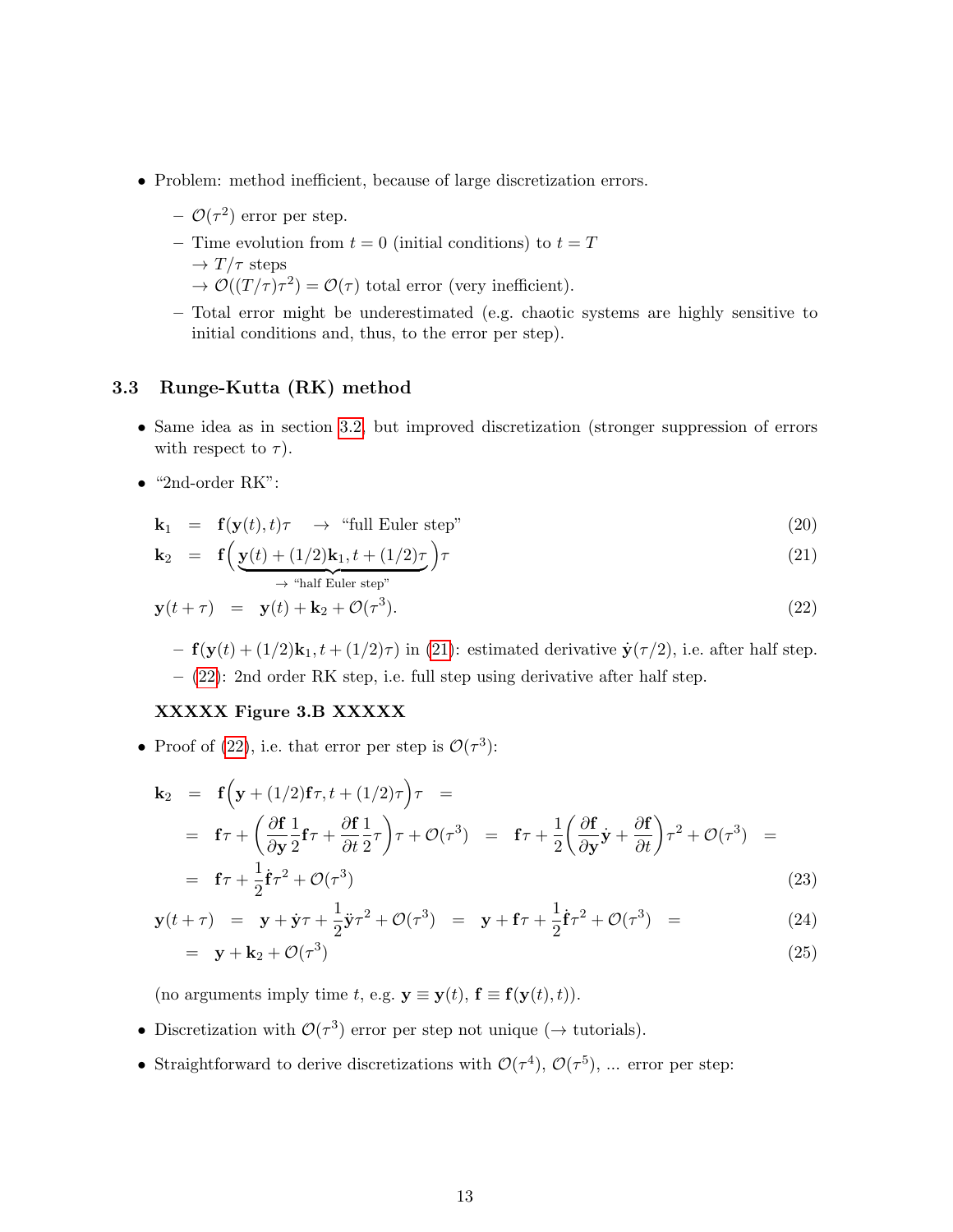- Problem: method inefficient, because of large discretization errors.
	- $\mathcal{O}(\tau^2)$  error per step.
	- Time evolution from  $t = 0$  (initial conditions) to  $t = T$  $\rightarrow T/\tau$  steps
		- $\rightarrow \mathcal{O}((T/\tau)\tau^2) = \mathcal{O}(\tau)$  total error (very inefficient).
	- Total error might be underestimated (e.g. chaotic systems are highly sensitive to initial conditions and, thus, to the error per step).

#### <span id="page-12-0"></span>3.3 Runge-Kutta (RK) method

- Same idea as in section [3.2,](#page-11-2) but improved discretization (stronger suppression of errors with respect to  $\tau$ ).
- $\bullet$  "2nd-order RK":

 $\mathbf{k}_2$ 

<span id="page-12-1"></span>
$$
\mathbf{k}_1 = \mathbf{f}(\mathbf{y}(t), t)\tau \rightarrow \text{``full Euler step''}
$$
\n(20)

$$
= \mathbf{f}\left(\underbrace{\mathbf{y}(t) + (1/2)\mathbf{k}_1, t + (1/2)\tau}_{\rightarrow \text{ "half Euler step"}}\right) \tau
$$
\n(21)

$$
\mathbf{y}(t+\tau) = \mathbf{y}(t) + \mathbf{k}_2 + \mathcal{O}(\tau^3). \tag{22}
$$

 $- f(y(t) + (1/2)k_1, t + (1/2)\tau)$  in [\(21\)](#page-12-1): estimated derivative  $\dot{y}(\tau/2)$ , i.e. after half step. – [\(22\)](#page-12-1): 2nd order RK step, i.e. full step using derivative after half step.

#### XXXXX Figure 3.B XXXXX

• Proof of [\(22\)](#page-12-1), i.e. that error per step is  $\mathcal{O}(\tau^3)$ :

$$
\mathbf{k}_2 = \mathbf{f} \Big( \mathbf{y} + (1/2) \mathbf{f} \tau, t + (1/2) \tau \Big) \tau =
$$
\n
$$
= \mathbf{f} \tau + \left( \frac{\partial \mathbf{f}}{\partial \mathbf{y}} \frac{1}{2} \mathbf{f} \tau + \frac{\partial \mathbf{f}}{\partial t} \frac{1}{2} \tau \right) \tau + \mathcal{O}(\tau^3) = \mathbf{f} \tau + \frac{1}{2} \left( \frac{\partial \mathbf{f}}{\partial \mathbf{y}} \mathbf{y} + \frac{\partial \mathbf{f}}{\partial t} \right) \tau^2 + \mathcal{O}(\tau^3) =
$$
\n
$$
= \mathbf{f} \tau + \frac{1}{2} \dot{\mathbf{f}} \tau^2 + \mathcal{O}(\tau^3) \tag{23}
$$

$$
\mathbf{y}(t+\tau) = \mathbf{y} + \dot{\mathbf{y}}\tau + \frac{1}{2}\ddot{\mathbf{y}}\tau^2 + \mathcal{O}(\tau^3) = \mathbf{y} + \mathbf{f}\tau + \frac{1}{2}\dot{\mathbf{f}}\tau^2 + \mathcal{O}(\tau^3) = \tag{24}
$$

$$
= \mathbf{y} + \mathbf{k}_2 + \mathcal{O}(\tau^3) \tag{25}
$$

(no arguments imply time t, e.g.  $\mathbf{y} \equiv \mathbf{y}(t)$ ,  $\mathbf{f} \equiv \mathbf{f}(\mathbf{y}(t), t)$ ).

- Discretization with  $\mathcal{O}(\tau^3)$  error per step not unique ( $\rightarrow$  tutorials).
- Straightforward to derive discretizations with  $\mathcal{O}(\tau^4)$ ,  $\mathcal{O}(\tau^5)$ , ... error per step: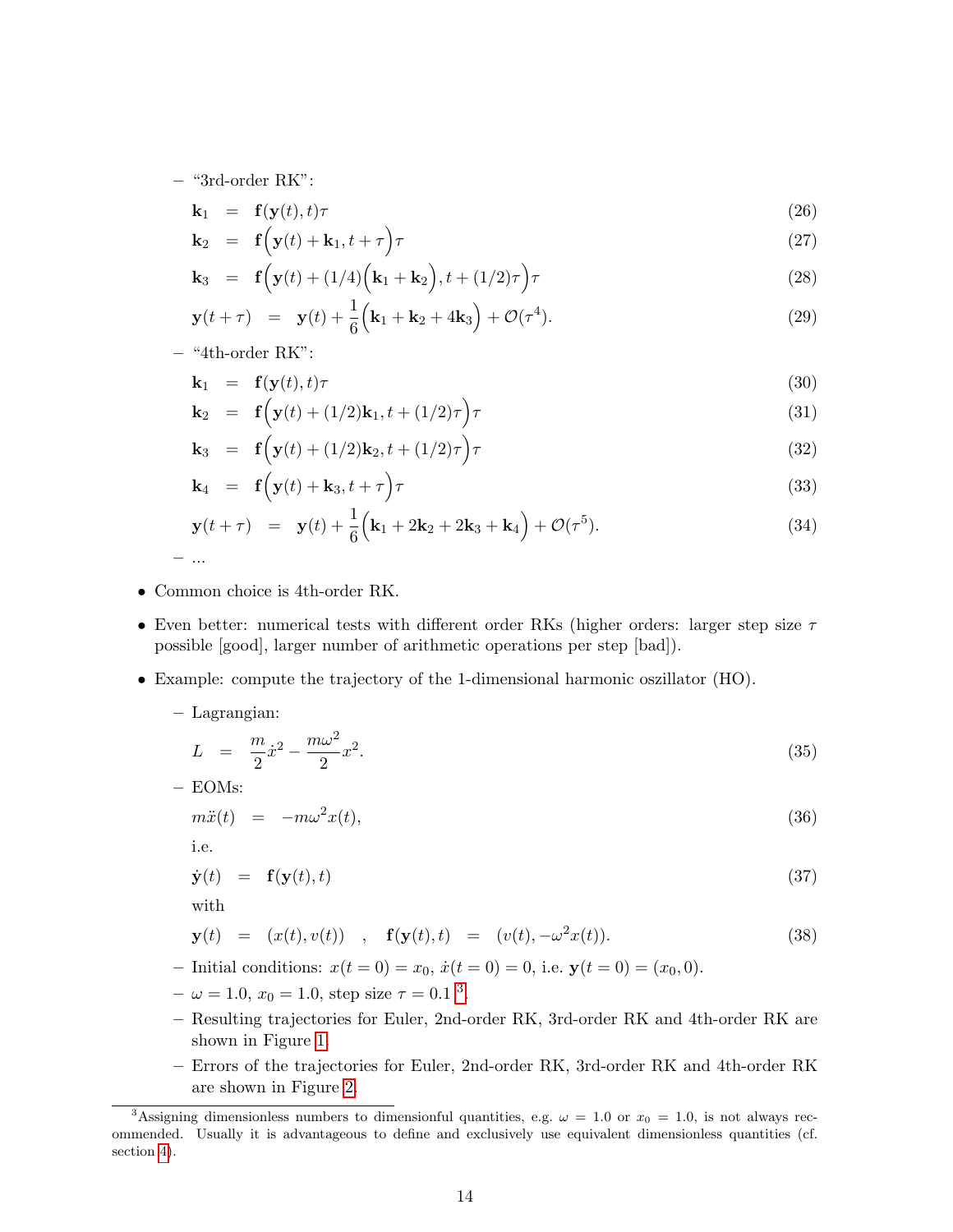– "3rd-order RK":

$$
\mathbf{k}_1 = \mathbf{f}(\mathbf{y}(t), t)\tau \tag{26}
$$

$$
\mathbf{k}_2 = \mathbf{f}\Big(\mathbf{y}(t) + \mathbf{k}_1, t + \tau\Big)\tau\tag{27}
$$

$$
\mathbf{k}_3 = \mathbf{f}\Big(\mathbf{y}(t) + (1/4)\Big(\mathbf{k}_1 + \mathbf{k}_2\Big), t + (1/2)\tau\Big)\tau\tag{28}
$$

$$
\mathbf{y}(t+\tau) = \mathbf{y}(t) + \frac{1}{6} \left( \mathbf{k}_1 + \mathbf{k}_2 + 4 \mathbf{k}_3 \right) + \mathcal{O}(\tau^4). \tag{29}
$$

– "4th-order RK":

$$
\mathbf{k}_1 = \mathbf{f}(\mathbf{y}(t), t)\tau \tag{30}
$$

$$
\mathbf{k}_2 = \mathbf{f}\Big(\mathbf{y}(t) + (1/2)\mathbf{k}_1, t + (1/2)\tau\Big)\tau\tag{31}
$$

$$
\mathbf{k}_3 = \mathbf{f}\left(\mathbf{y}(t) + (1/2)\mathbf{k}_2, t + (1/2)\tau\right)\tau
$$
\n(32)

$$
\mathbf{k}_4 = \mathbf{f}\Big(\mathbf{y}(t) + \mathbf{k}_3, t + \tau\Big)\tau\tag{33}
$$

$$
\mathbf{y}(t+\tau) = \mathbf{y}(t) + \frac{1}{6} \left( \mathbf{k}_1 + 2\mathbf{k}_2 + 2\mathbf{k}_3 + \mathbf{k}_4 \right) + \mathcal{O}(\tau^5). \tag{34}
$$

– ...

- Common choice is 4th-order RK.
- Even better: numerical tests with different order RKs (higher orders: larger step size  $\tau$ possible [good], larger number of arithmetic operations per step [bad]).
- Example: compute the trajectory of the 1-dimensional harmonic oszillator (HO).
	- Lagrangian:

$$
L = \frac{m}{2}\dot{x}^2 - \frac{m\omega^2}{2}x^2.
$$
\n(35)

– EOMs:

$$
m\ddot{x}(t) = -m\omega^2 x(t),\tag{36}
$$

i.e.

$$
\dot{\mathbf{y}}(t) = \mathbf{f}(\mathbf{y}(t), t) \tag{37}
$$

with

$$
\mathbf{y}(t) = (x(t), v(t)) , \mathbf{f}(\mathbf{y}(t), t) = (v(t), -\omega^2 x(t)). \tag{38}
$$

– Initial conditions:  $x(t = 0) = x_0$ ,  $\dot{x}(t = 0) = 0$ , i.e.  $y(t = 0) = (x_0, 0)$ .

- $-\omega = 1.0, x_0 = 1.0$ , step size  $\tau = 0.1$ <sup>[3](#page-13-0)</sup>.
- Resulting trajectories for Euler, 2nd-order RK, 3rd-order RK and 4th-order RK are shown in Figure [1.](#page-14-1)
- Errors of the trajectories for Euler, 2nd-order RK, 3rd-order RK and 4th-order RK are shown in Figure [2.](#page-15-1)

<span id="page-13-0"></span><sup>&</sup>lt;sup>3</sup>Assigning dimensionless numbers to dimensionful quantities, e.g.  $\omega = 1.0$  or  $x_0 = 1.0$ , is not always recommended. Usually it is advantageous to define and exclusively use equivalent dimensionless quantities (cf. section [4\)](#page-20-0).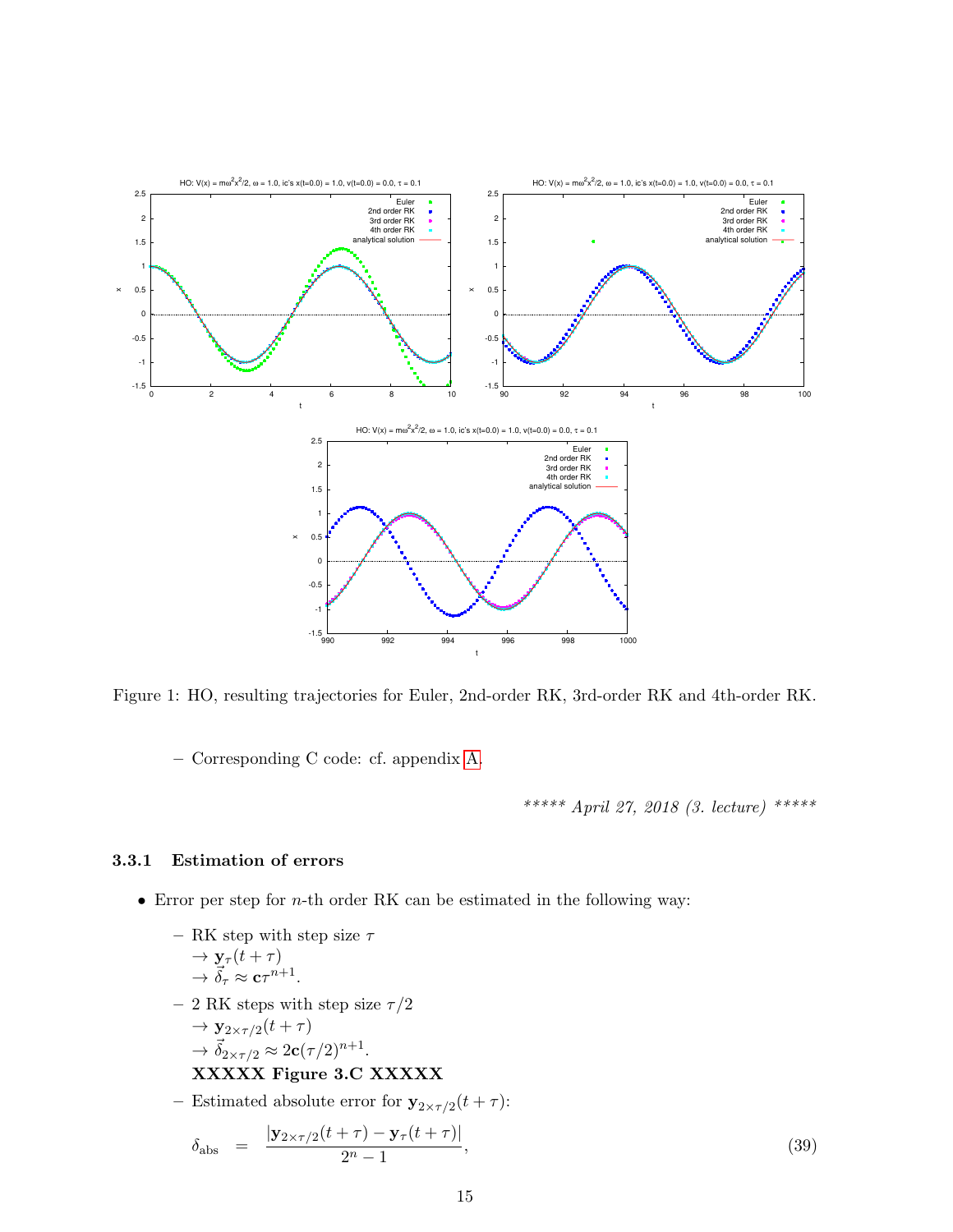

Figure 1: HO, resulting trajectories for Euler, 2nd-order RK, 3rd-order RK and 4th-order RK.

<span id="page-14-1"></span>– Corresponding C code: cf. appendix [A.](#page-77-0)

\*\*\*\*\* April 27, 2018 (3. lecture) \*\*\*\*\*

#### <span id="page-14-0"></span>3.3.1 Estimation of errors

- Error per step for  $n$ -th order RK can be estimated in the following way:
	- RK step with step size  $\tau$  $\rightarrow$   $y_{\tau}(t+\tau)$  $\rightarrow \vec{\delta}_{\tau} \approx \mathbf{c} \tau^{n+1}.$
	- 2 RK steps with step size  $\tau/2$  $\rightarrow \mathbf{v}$  $_{0}(t + \tau)$

$$
\rightarrow \vec{\delta}_{2\times\tau/2}^{2\times\tau/2} \approx 2\mathbf{c}(\tau/2)^{n+1}.
$$

#### XXXXX Figure 3.C XXXXX

- Estimated absolute error for  $y_{2 \times \tau/2}(t+\tau)$ :

$$
\delta_{\text{abs}} = \frac{|\mathbf{y}_{2 \times \tau/2}(t+\tau) - \mathbf{y}_{\tau}(t+\tau)|}{2^n - 1},\tag{39}
$$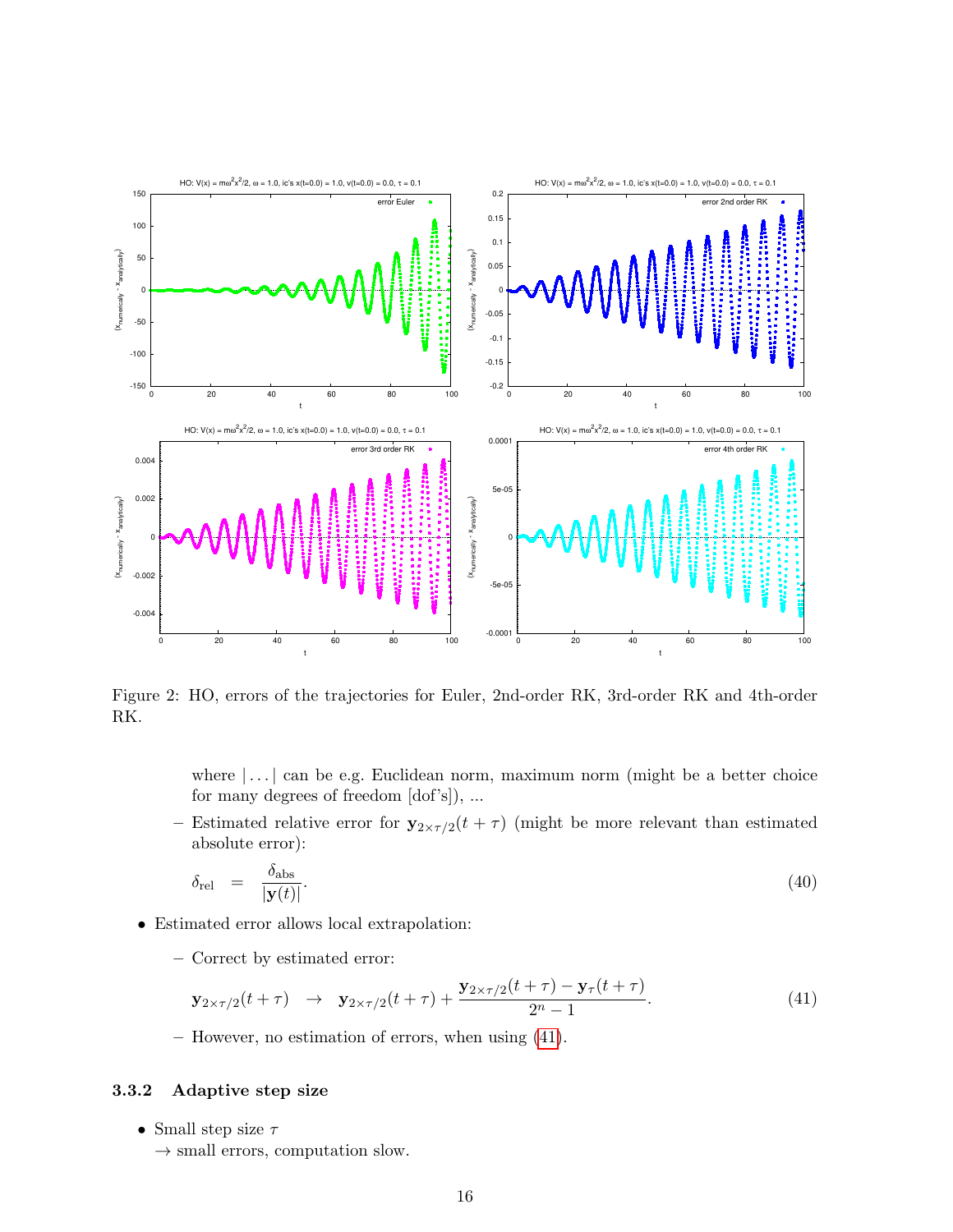

<span id="page-15-1"></span>Figure 2: HO, errors of the trajectories for Euler, 2nd-order RK, 3rd-order RK and 4th-order RK.

where  $\lfloor \dots \rfloor$  can be e.g. Euclidean norm, maximum norm (might be a better choice for many degrees of freedom [dof's]), ...

- Estimated relative error for  $y_{2 \times \tau/2}(t + \tau)$  (might be more relevant than estimated absolute error):

$$
\delta_{\text{rel}} = \frac{\delta_{\text{abs}}}{|\mathbf{y}(t)|}.\tag{40}
$$

- Estimated error allows local extrapolation:
	- Correct by estimated error:

<span id="page-15-2"></span>
$$
\mathbf{y}_{2 \times \tau/2}(t+\tau) \quad \to \quad \mathbf{y}_{2 \times \tau/2}(t+\tau) + \frac{\mathbf{y}_{2 \times \tau/2}(t+\tau) - \mathbf{y}_{\tau}(t+\tau)}{2^n - 1}.\tag{41}
$$

– However, no estimation of errors, when using [\(41\)](#page-15-2).

#### <span id="page-15-0"></span>3.3.2 Adaptive step size

- Small step size  $\tau$ 
	- $\rightarrow$  small errors, computation slow.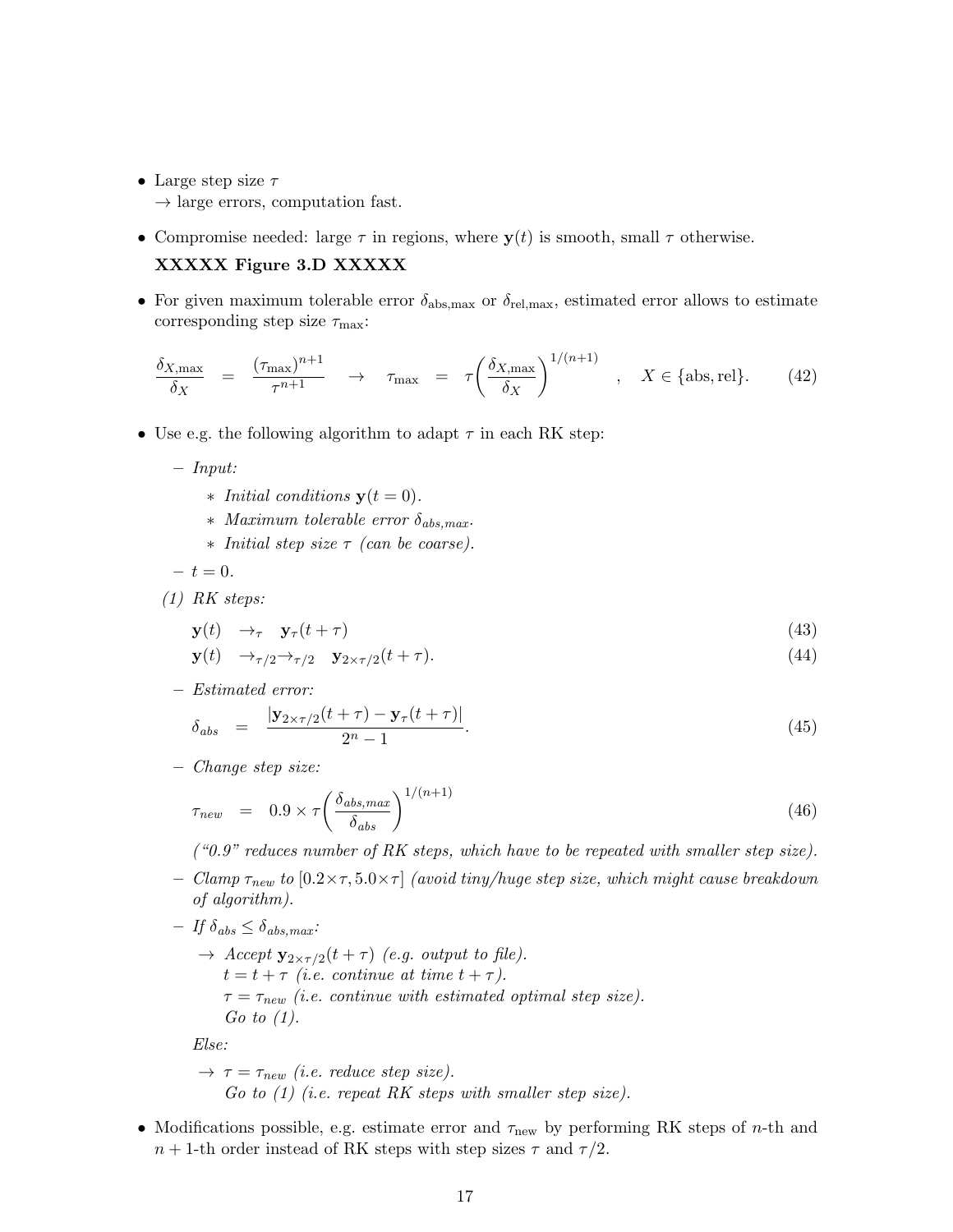- Large step size  $\tau$ 
	- $\rightarrow$  large errors, computation fast.
- Compromise needed: large  $\tau$  in regions, where  $y(t)$  is smooth, small  $\tau$  otherwise.

#### XXXXX Figure 3.D XXXXX

• For given maximum tolerable error  $\delta_{\text{abs,max}}$  or  $\delta_{\text{rel,max}}$ , estimated error allows to estimate corresponding step size  $\tau_{\text{max}}$ :

$$
\frac{\delta_{X,\max}}{\delta_X} = \frac{(\tau_{\max})^{n+1}}{\tau^{n+1}} \to \tau_{\max} = \tau \left(\frac{\delta_{X,\max}}{\delta_X}\right)^{1/(n+1)}, \quad X \in \{\text{abs}, \text{rel}\}. \tag{42}
$$

- Use e.g. the following algorithm to adapt  $\tau$  in each RK step:
	- Input:
		- *∗ Initial conditions*  $y(t = 0)$ *.*
		- $*$  Maximum tolerable error  $\delta_{abs,max}$ .
		- ∗ Initial step size τ (can be coarse).

$$
-t=0.
$$

(1) RK steps:

$$
\mathbf{y}(t) \quad \rightarrow_{\tau} \quad \mathbf{y}_{\tau}(t+\tau) \tag{43}
$$

$$
\mathbf{y}(t) \quad \rightarrow_{\tau/2} \rightarrow_{\tau/2} \quad \mathbf{y}_{2 \times \tau/2}(t+\tau). \tag{44}
$$

– Estimated error:

$$
\delta_{abs} = \frac{|\mathbf{y}_{2 \times \tau/2}(t+\tau) - \mathbf{y}_{\tau}(t+\tau)|}{2^n - 1}.
$$
\n(45)

– Change step size:

$$
\tau_{new} = 0.9 \times \tau \left(\frac{\delta_{abs,max}}{\delta_{abs}}\right)^{1/(n+1)}
$$
\n(46)

 $($  "0.9" reduces number of RK steps, which have to be repeated with smaller step size).

- Clamp  $\tau_{new}$  to  $[0.2 \times \tau, 5.0 \times \tau]$  (avoid tiny/huge step size, which might cause breakdown of algorithm).
- $-$  If  $\delta_{abs} \leq \delta_{abs.max}$ :
	- $\rightarrow$  Accept  $y_{2\times \tau/2}(t+\tau)$  (e.g. output to file).  $t = t + \tau$  (i.e. continue at time  $t + \tau$ ).  $\tau = \tau_{new}$  (i.e. continue with estimated optimal step size). Go to  $(1)$ .

Else:

$$
\rightarrow \tau = \tau_{new} \ (i.e. \ reduce \ step \ size).
$$
  
Go to (1) (i.e. repeat RK steps with smaller step size).

• Modifications possible, e.g. estimate error and  $\tau_{\text{new}}$  by performing RK steps of *n*-th and  $n + 1$ -th order instead of RK steps with step sizes  $\tau$  and  $\tau/2$ .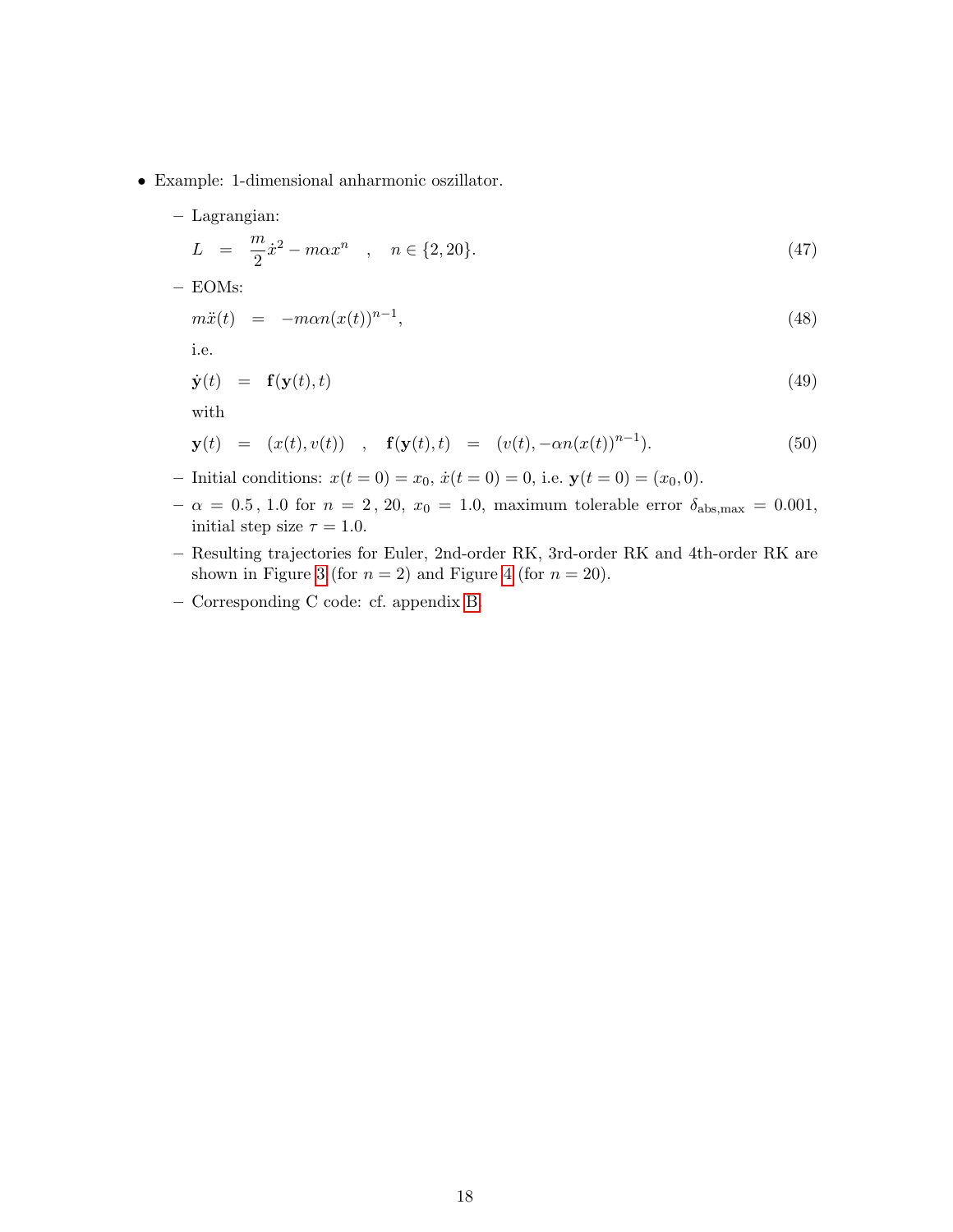- Example: 1-dimensional anharmonic oszillator.
	- Lagrangian:

$$
L = \frac{m}{2}\dot{x}^2 - m\alpha x^n \quad , \quad n \in \{2, 20\}. \tag{47}
$$

– EOMs:

$$
m\ddot{x}(t) = -m\alpha n(x(t))^{n-1},\tag{48}
$$

i.e.

$$
\dot{\mathbf{y}}(t) = \mathbf{f}(\mathbf{y}(t), t) \tag{49}
$$

with

$$
\mathbf{y}(t) = (x(t), v(t)) , \mathbf{f}(\mathbf{y}(t), t) = (v(t), -\alpha n(x(t))^{n-1}). \tag{50}
$$

- Initial conditions:  $x(t = 0) = x_0$ ,  $\dot{x}(t = 0) = 0$ , i.e.  $y(t = 0) = (x_0, 0)$ .
- $-\alpha = 0.5, 1.0$  for  $n = 2, 20, x_0 = 1.0$ , maximum tolerable error  $\delta_{\text{abs,max}} = 0.001$ , initial step size  $\tau = 1.0$ .
- Resulting trajectories for Euler, 2nd-order RK, 3rd-order RK and 4th-order RK are shown in Figure [3](#page-18-0) (for  $n = 2$ ) and Figure [4](#page-19-0) (for  $n = 20$ ).
- Corresponding C code: cf. appendix [B.](#page-80-0)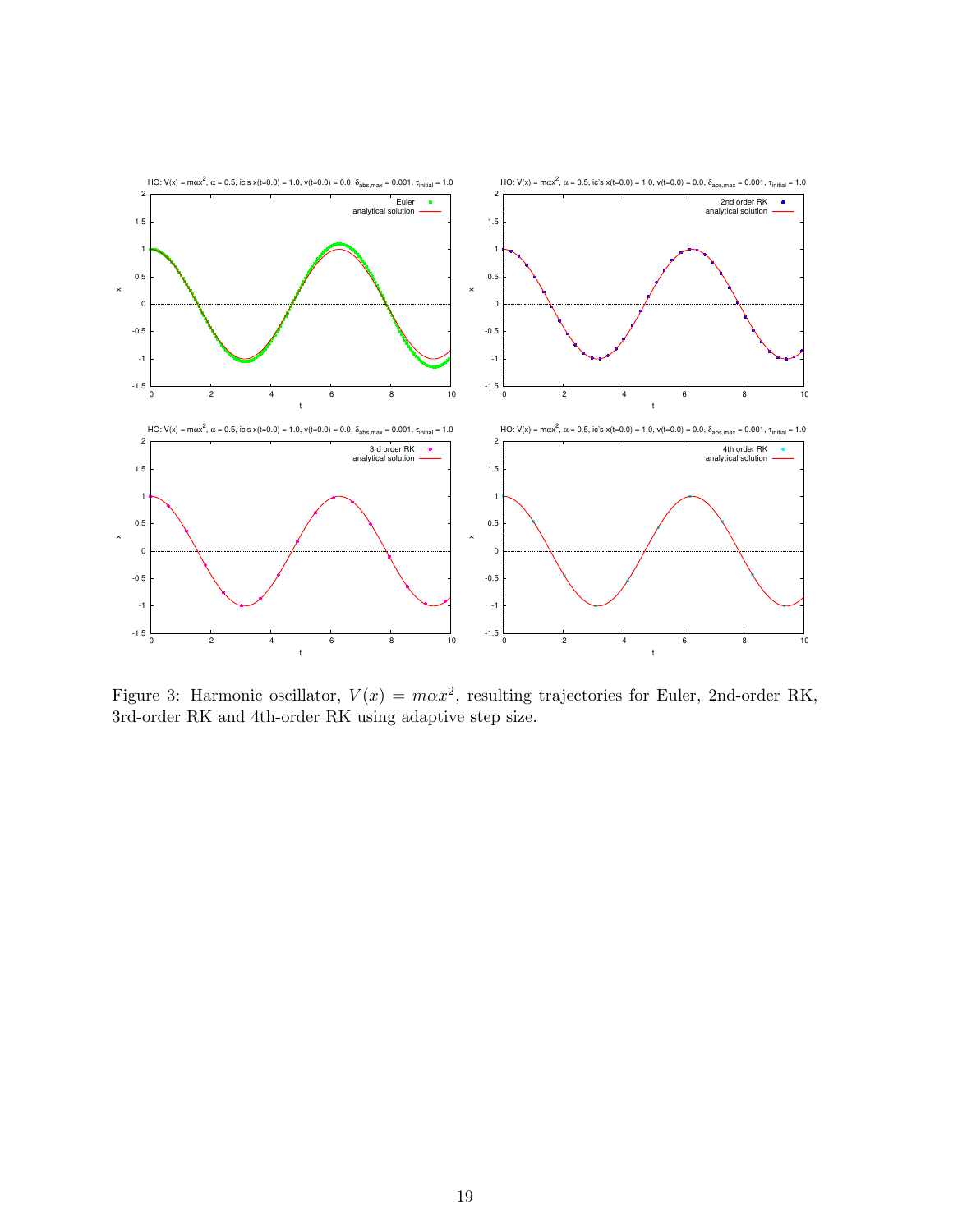

<span id="page-18-0"></span>Figure 3: Harmonic oscillator,  $V(x) = max^2$ , resulting trajectories for Euler, 2nd-order RK, 3rd-order RK and 4th-order RK using adaptive step size.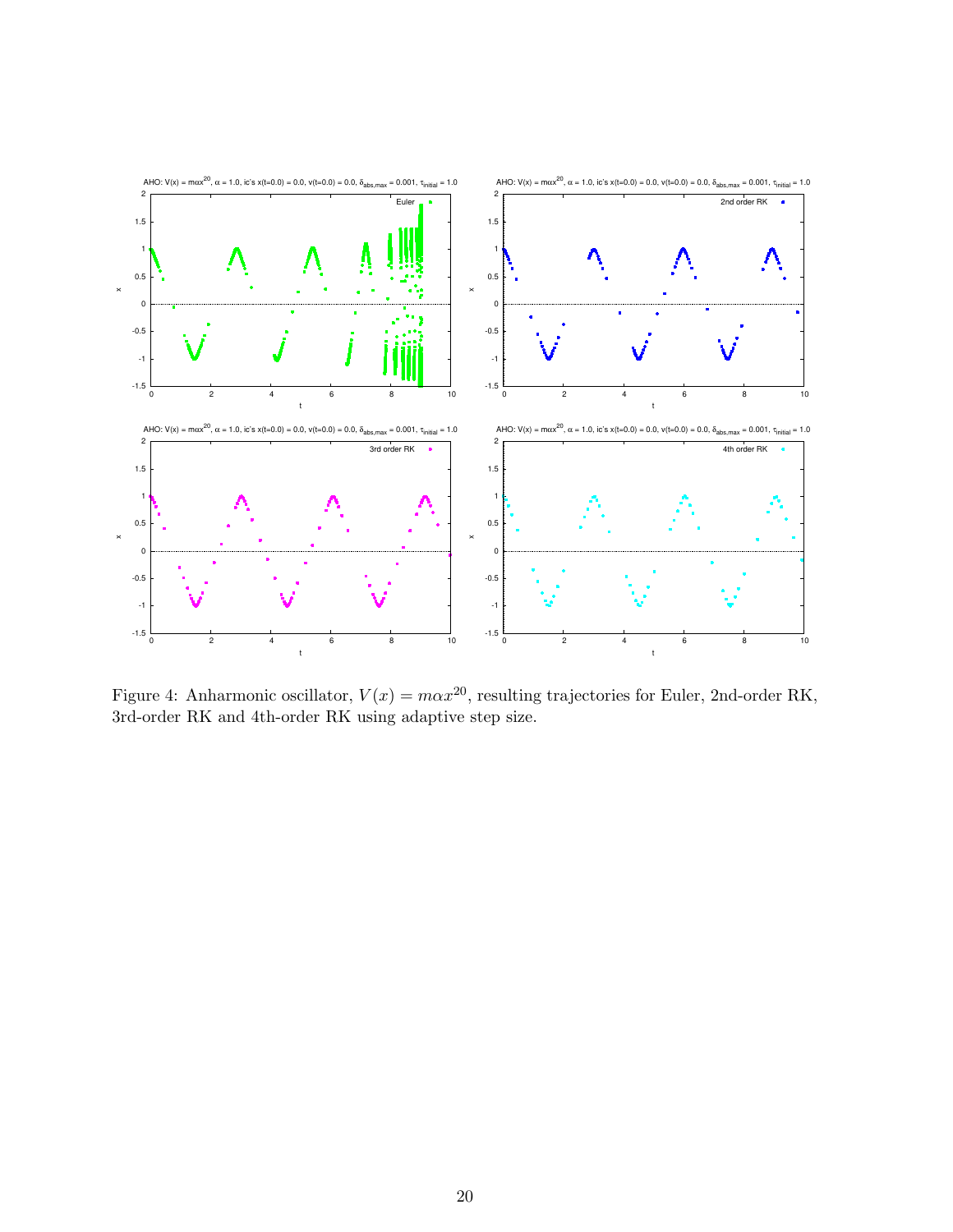

<span id="page-19-0"></span>Figure 4: Anharmonic oscillator,  $V(x) = max^{20}$ , resulting trajectories for Euler, 2nd-order RK, 3rd-order RK and 4th-order RK using adaptive step size.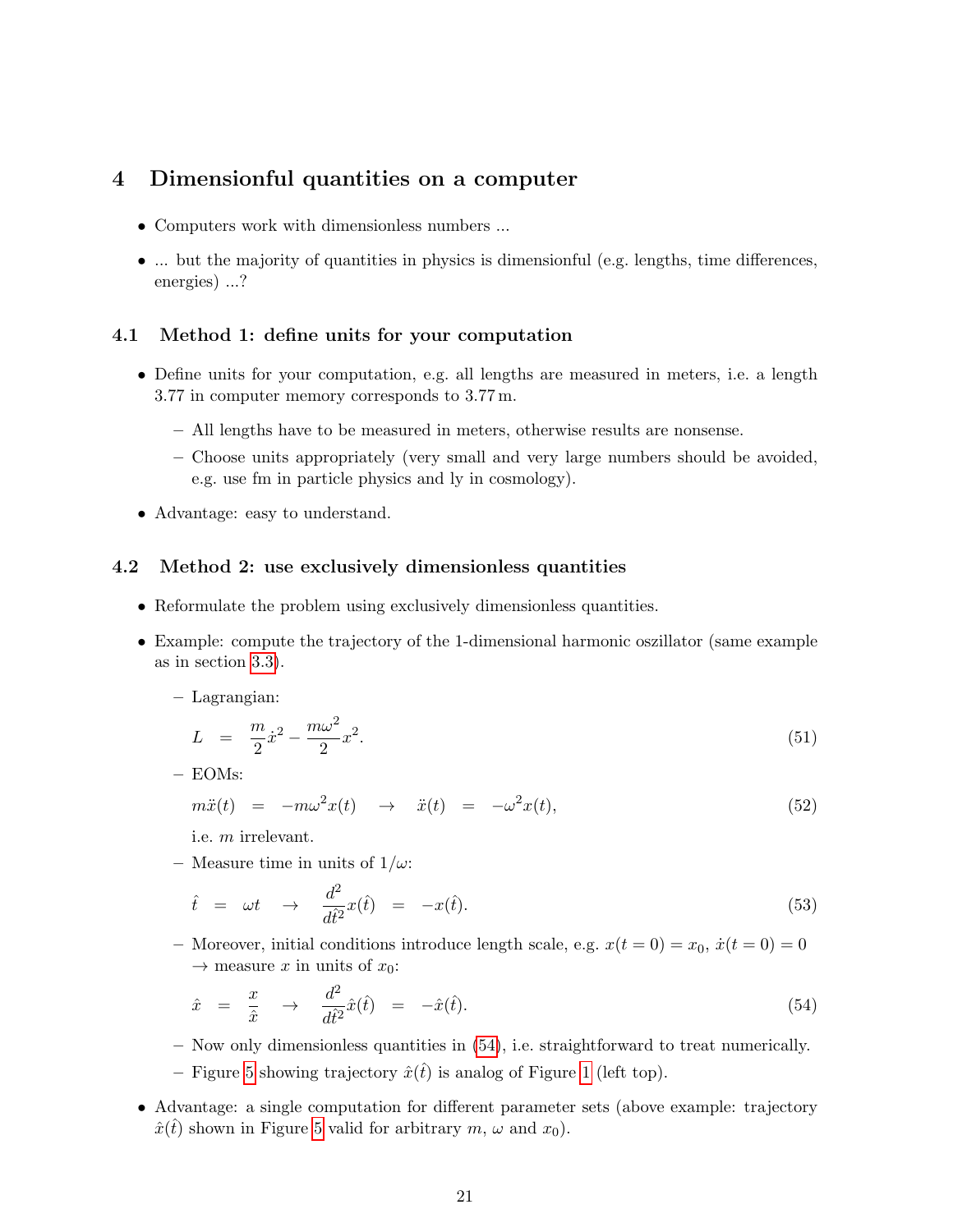## <span id="page-20-0"></span>4 Dimensionful quantities on a computer

- Computers work with dimensionless numbers ...
- ... but the majority of quantities in physics is dimensionful (e.g. lengths, time differences, energies) ...?

#### <span id="page-20-1"></span>4.1 Method 1: define units for your computation

- Define units for your computation, e.g. all lengths are measured in meters, i.e. a length 3.77 in computer memory corresponds to 3.77 m.
	- All lengths have to be measured in meters, otherwise results are nonsense.
	- Choose units appropriately (very small and very large numbers should be avoided, e.g. use fm in particle physics and ly in cosmology).
- Advantage: easy to understand.

#### <span id="page-20-2"></span>4.2 Method 2: use exclusively dimensionless quantities

- Reformulate the problem using exclusively dimensionless quantities.
- Example: compute the trajectory of the 1-dimensional harmonic oszillator (same example as in section [3.3\)](#page-12-0).

#### – Lagrangian:

$$
L = \frac{m}{2}\dot{x}^2 - \frac{m\omega^2}{2}x^2.
$$
\n(51)

– EOMs:

$$
m\ddot{x}(t) = -m\omega^2 x(t) \rightarrow \ddot{x}(t) = -\omega^2 x(t), \qquad (52)
$$

i.e. m irrelevant.

– Measure time in units of  $1/\omega$ :

$$
\hat{t} = \omega t \rightarrow \frac{d^2}{dt^2} x(\hat{t}) = -x(\hat{t}). \tag{53}
$$

– Moreover, initial conditions introduce length scale, e.g.  $x(t = 0) = x_0$ ,  $\dot{x}(t = 0) = 0$  $\rightarrow$  measure x in units of  $x_0$ :

<span id="page-20-3"></span>
$$
\hat{x} = \frac{x}{\hat{x}} \rightarrow \frac{d^2}{d\hat{t}^2}\hat{x}(\hat{t}) = -\hat{x}(\hat{t}).\tag{54}
$$

- Now only dimensionless quantities in [\(54\)](#page-20-3), i.e. straightforward to treat numerically.
- Figure [5](#page-21-0) showing trajectory  $\hat{x}(\hat{t})$  is analog of Figure [1](#page-14-1) (left top).
- Advantage: a single computation for different parameter sets (above example: trajectory  $\hat{x}(\hat{t})$  shown in Figure [5](#page-21-0) valid for arbitrary m,  $\omega$  and  $x_0$ ).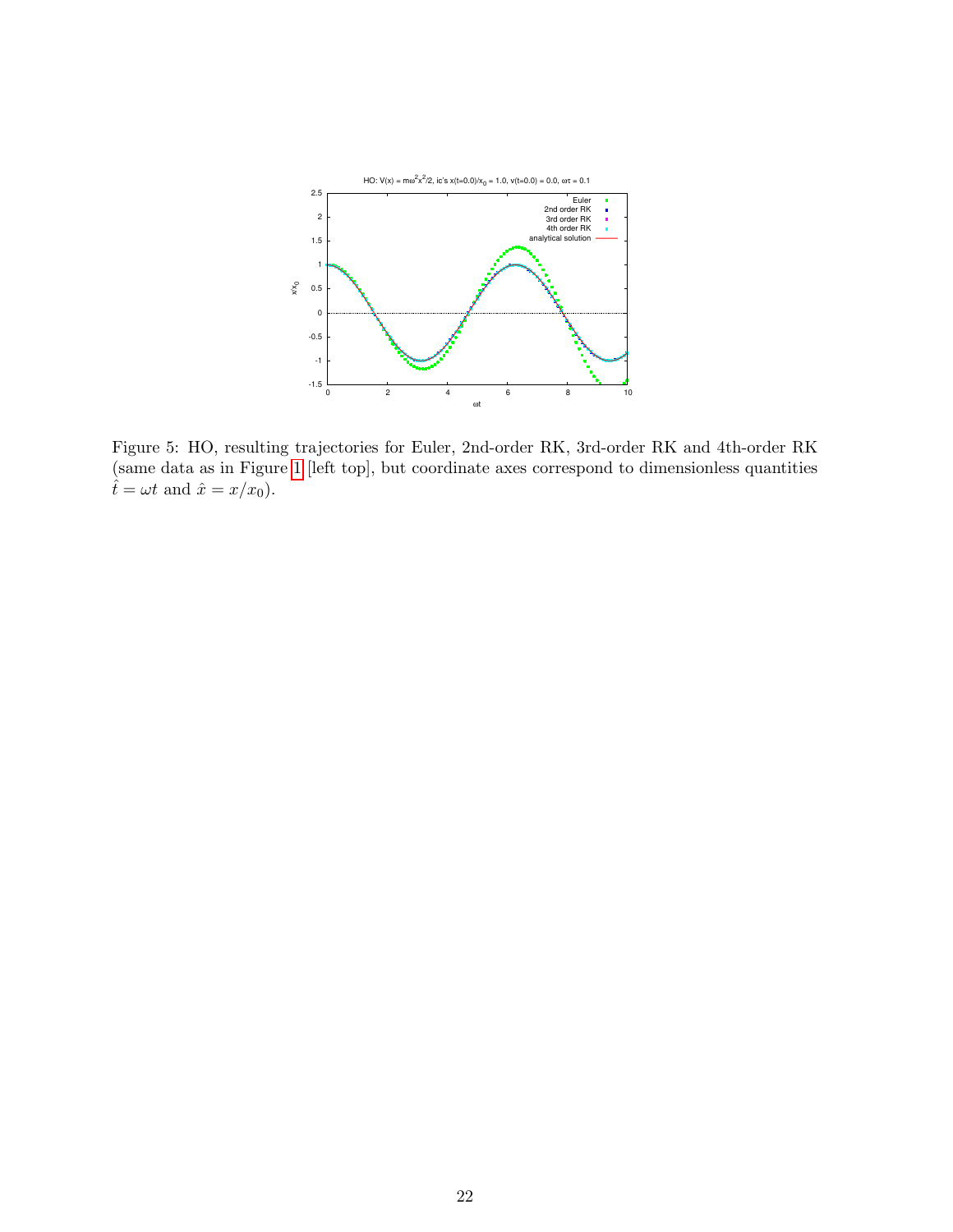

<span id="page-21-0"></span>Figure 5: HO, resulting trajectories for Euler, 2nd-order RK, 3rd-order RK and 4th-order RK (same data as in Figure [1](#page-14-1) [left top], but coordinate axes correspond to dimensionless quantities  $\hat{t} = \omega t$  and  $\hat{x} = x/x_0$ .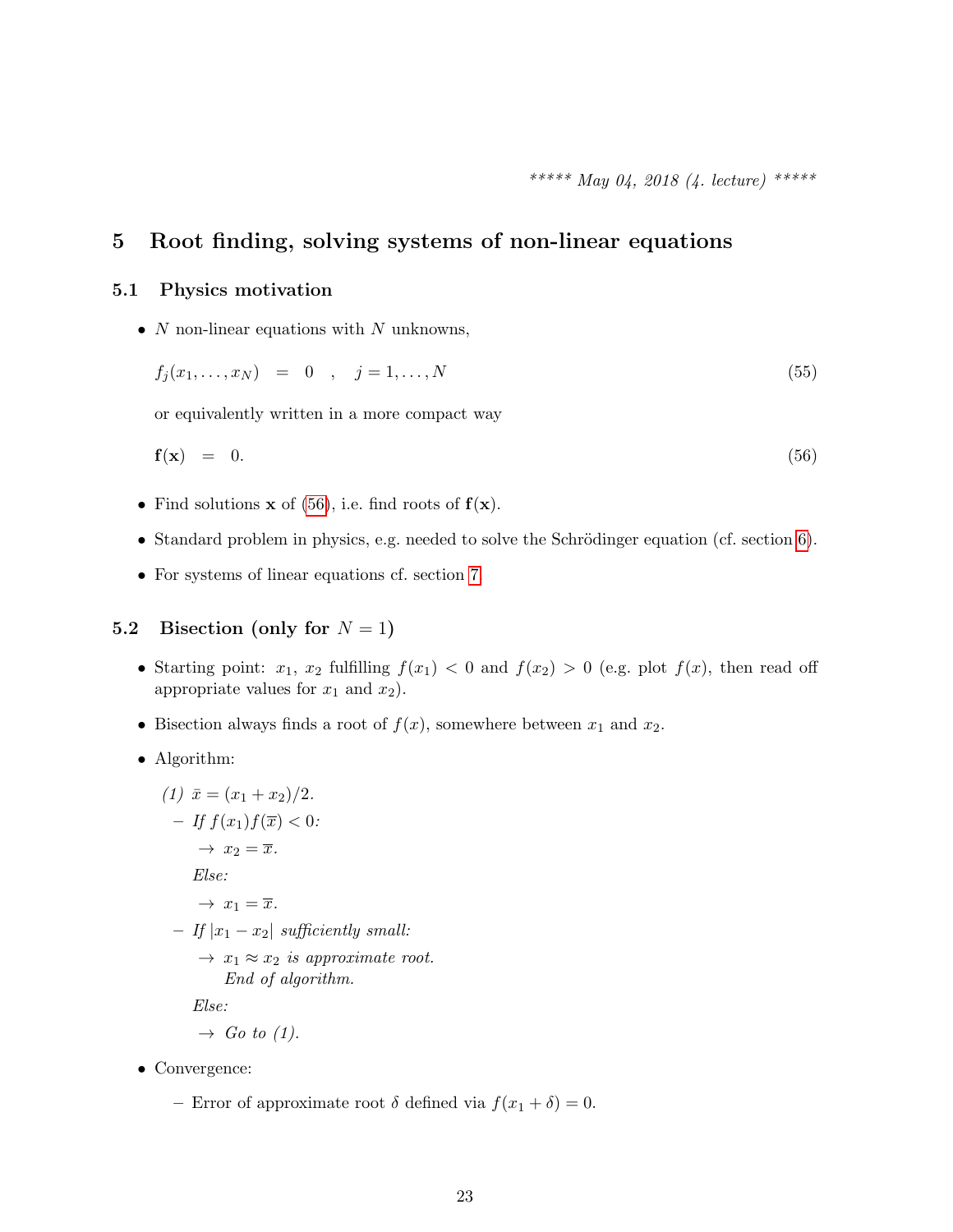## <span id="page-22-0"></span>5 Root finding, solving systems of non-linear equations

#### <span id="page-22-1"></span>5.1 Physics motivation

•  $N$  non-linear equations with  $N$  unknowns,

$$
f_j(x_1, \dots, x_N) = 0 \quad , \quad j = 1, \dots, N \tag{55}
$$

or equivalently written in a more compact way

<span id="page-22-3"></span>
$$
\mathbf{f}(\mathbf{x}) = 0. \tag{56}
$$

- Find solutions **x** of [\(56\)](#page-22-3), i.e. find roots of  $f(x)$ .
- Standard problem in physics, e.g. needed to solve the Schrödinger equation (cf. section  $6$ ).
- For systems of linear equations cf. section [7.](#page-35-0)

#### <span id="page-22-2"></span>5.2 Bisection (only for  $N = 1$ )

- Starting point:  $x_1, x_2$  fulfilling  $f(x_1) < 0$  and  $f(x_2) > 0$  (e.g. plot  $f(x)$ , then read off appropriate values for  $x_1$  and  $x_2$ ).
- Bisection always finds a root of  $f(x)$ , somewhere between  $x_1$  and  $x_2$ .
- Algorithm:

(1) 
$$
\bar{x} = (x_1 + x_2)/2
$$
.  
\n- If  $f(x_1)f(\bar{x}) < 0$ :  
\n $\rightarrow x_2 = \bar{x}$ .  
\nElse:  
\n $\rightarrow x_1 = \bar{x}$ .  
\n- If  $|x_1 - x_2|$  sufficiently small:  
\n $\rightarrow x_1 \approx x_2$  is approximate root.  
\nEnd of algorithm.  
\nElse:  
\n $\rightarrow Go \ to \ (1)$ .

- Convergence:
	- Error of approximate root  $\delta$  defined via  $f(x_1 + \delta) = 0$ .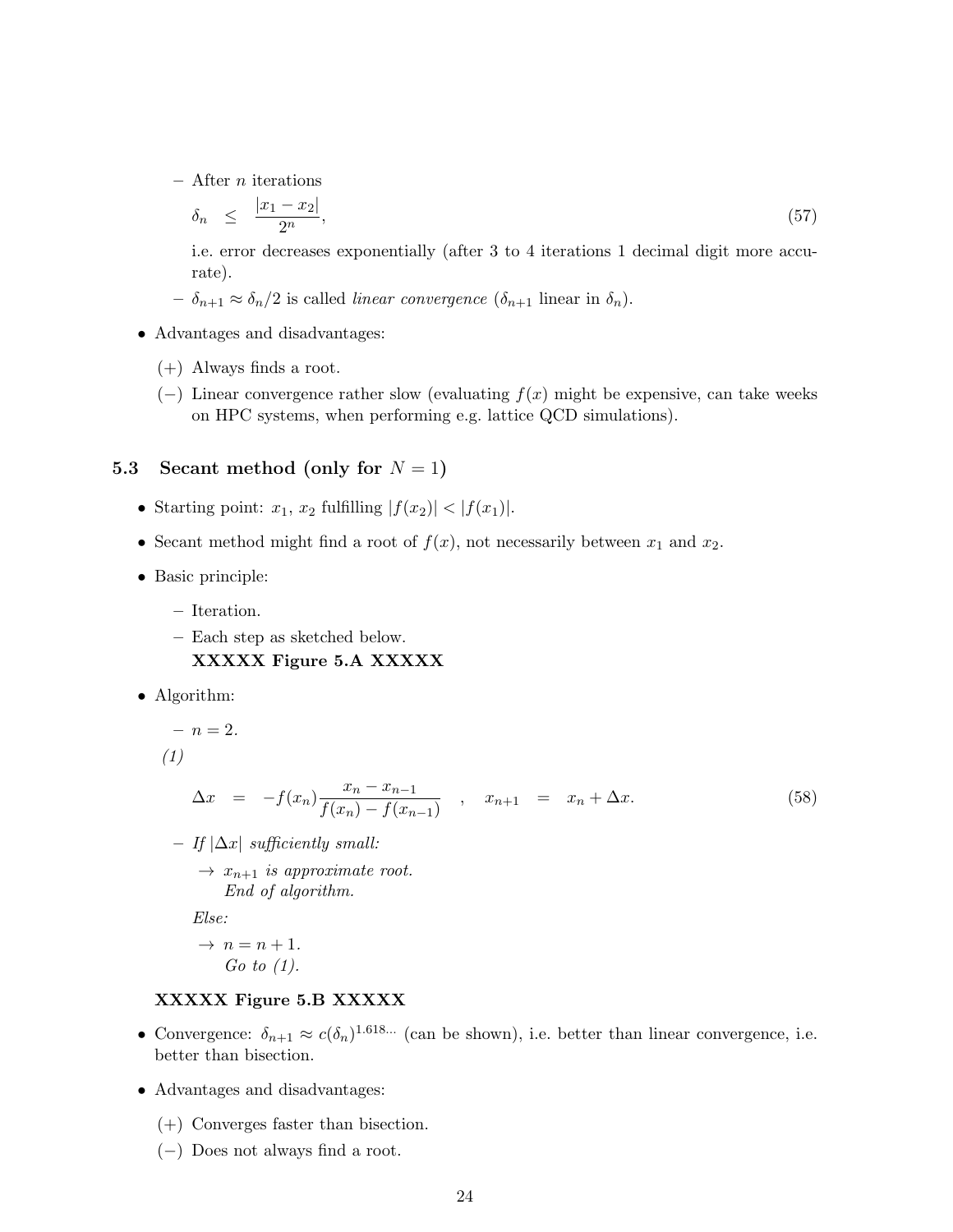$-$  After *n* iterations

$$
\delta_n \le \frac{|x_1 - x_2|}{2^n},\tag{57}
$$

i.e. error decreases exponentially (after 3 to 4 iterations 1 decimal digit more accurate).

- $-\delta_{n+1} \approx \delta_n/2$  is called *linear convergence*  $(\delta_{n+1}$  linear in  $\delta_n$ ).
- Advantages and disadvantages:
	- (+) Always finds a root.
	- $(-)$  Linear convergence rather slow (evaluating  $f(x)$  might be expensive, can take weeks on HPC systems, when performing e.g. lattice QCD simulations).

#### <span id="page-23-0"></span>5.3 Secant method (only for  $N = 1$ )

- Starting point:  $x_1, x_2$  fulfilling  $|f(x_2)| < |f(x_1)|$ .
- Secant method might find a root of  $f(x)$ , not necessarily between  $x_1$  and  $x_2$ .
- Basic principle:
	- Iteration.
	- Each step as sketched below. XXXXX Figure 5.A XXXXX
- Algorithm:

$$
\; - \; n = 2.
$$

(1)

$$
\Delta x = -f(x_n) \frac{x_n - x_{n-1}}{f(x_n) - f(x_{n-1})} , \quad x_{n+1} = x_n + \Delta x.
$$
 (58)

- If |∆x| sufficiently small:
	- $\rightarrow x_{n+1}$  is approximate root. End of algorithm.

Else:

$$
\rightarrow n = n + 1.
$$
  
Go to (1).

#### XXXXX Figure 5.B XXXXX

- Convergence:  $\delta_{n+1} \approx c(\delta_n)^{1.618...}$  (can be shown), i.e. better than linear convergence, i.e. better than bisection.
- Advantages and disadvantages:
	- (+) Converges faster than bisection.
	- (−) Does not always find a root.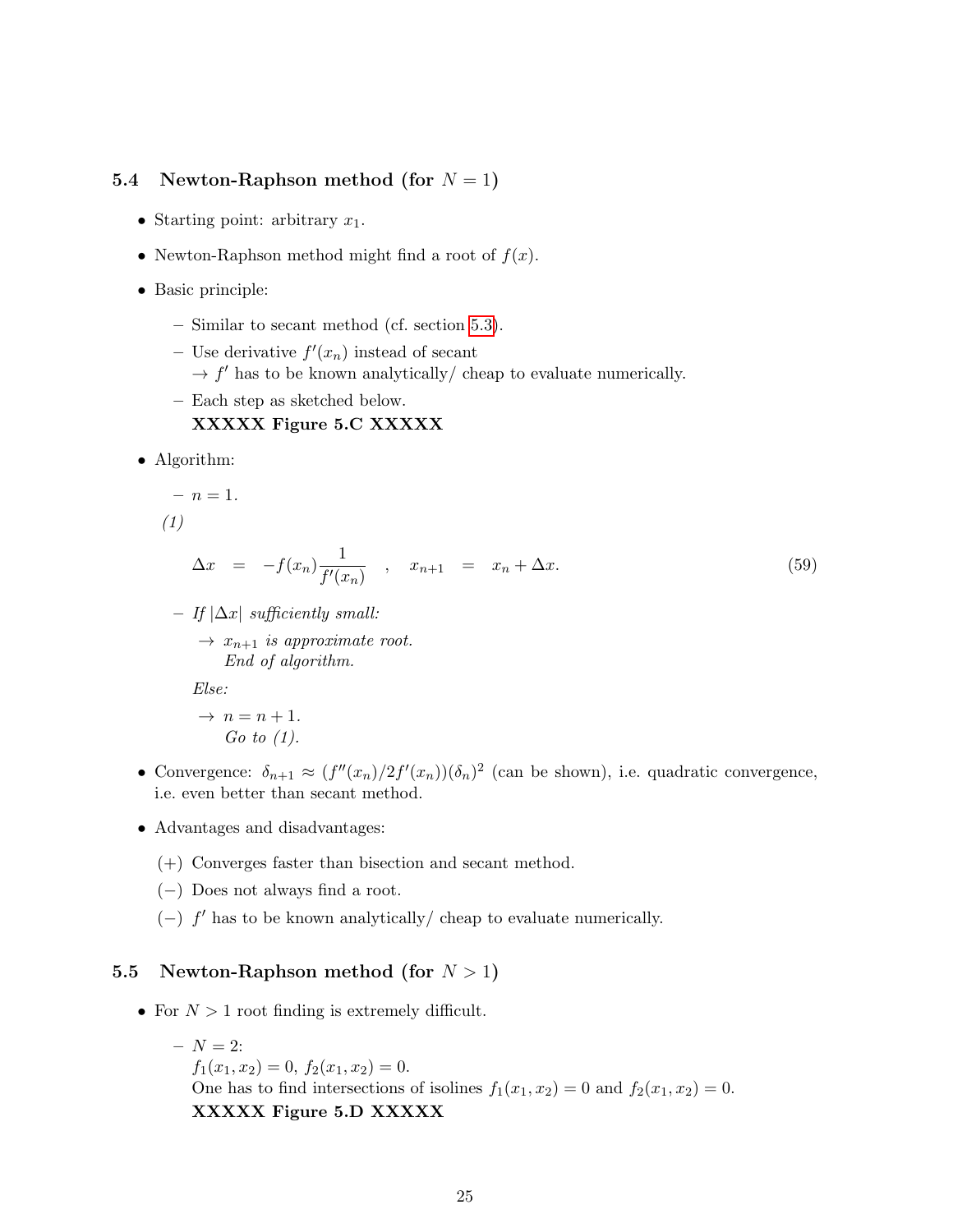#### <span id="page-24-0"></span>5.4 Newton-Raphson method (for  $N = 1$ )

- Starting point: arbitrary  $x_1$ .
- Newton-Raphson method might find a root of  $f(x)$ .
- Basic principle:
	- Similar to secant method (cf. section [5.3\)](#page-23-0).
	- Use derivative  $f'(x_n)$  instead of secant
		- $\rightarrow f'$  has to be known analytically/ cheap to evaluate numerically.
	- Each step as sketched below.

#### XXXXX Figure 5.C XXXXX

• Algorithm:

$$
- \ n = 1.
$$

(1)

<span id="page-24-2"></span>
$$
\Delta x = -f(x_n) \frac{1}{f'(x_n)} , \quad x_{n+1} = x_n + \Delta x.
$$
 (59)

– If |∆x| sufficiently small:

 $\rightarrow x_{n+1}$  is approximate root. End of algorithm.

Else:

$$
\rightarrow n = n + 1.
$$
  
Go to (1).

- Convergence:  $\delta_{n+1} \approx (f''(x_n)/2f'(x_n))(\delta_n)^2$  (can be shown), i.e. quadratic convergence, i.e. even better than secant method.
- Advantages and disadvantages:
	- (+) Converges faster than bisection and secant method.
	- (−) Does not always find a root.
	- $(-)$  f' has to be known analytically/ cheap to evaluate numerically.

#### <span id="page-24-1"></span>5.5 Newton-Raphson method (for  $N > 1$ )

- For  $N > 1$  root finding is extremely difficult.
	- $N = 2:$  $f_1(x_1, x_2) = 0, f_2(x_1, x_2) = 0.$ One has to find intersections of isolines  $f_1(x_1, x_2) = 0$  and  $f_2(x_1, x_2) = 0$ . XXXXX Figure 5.D XXXXX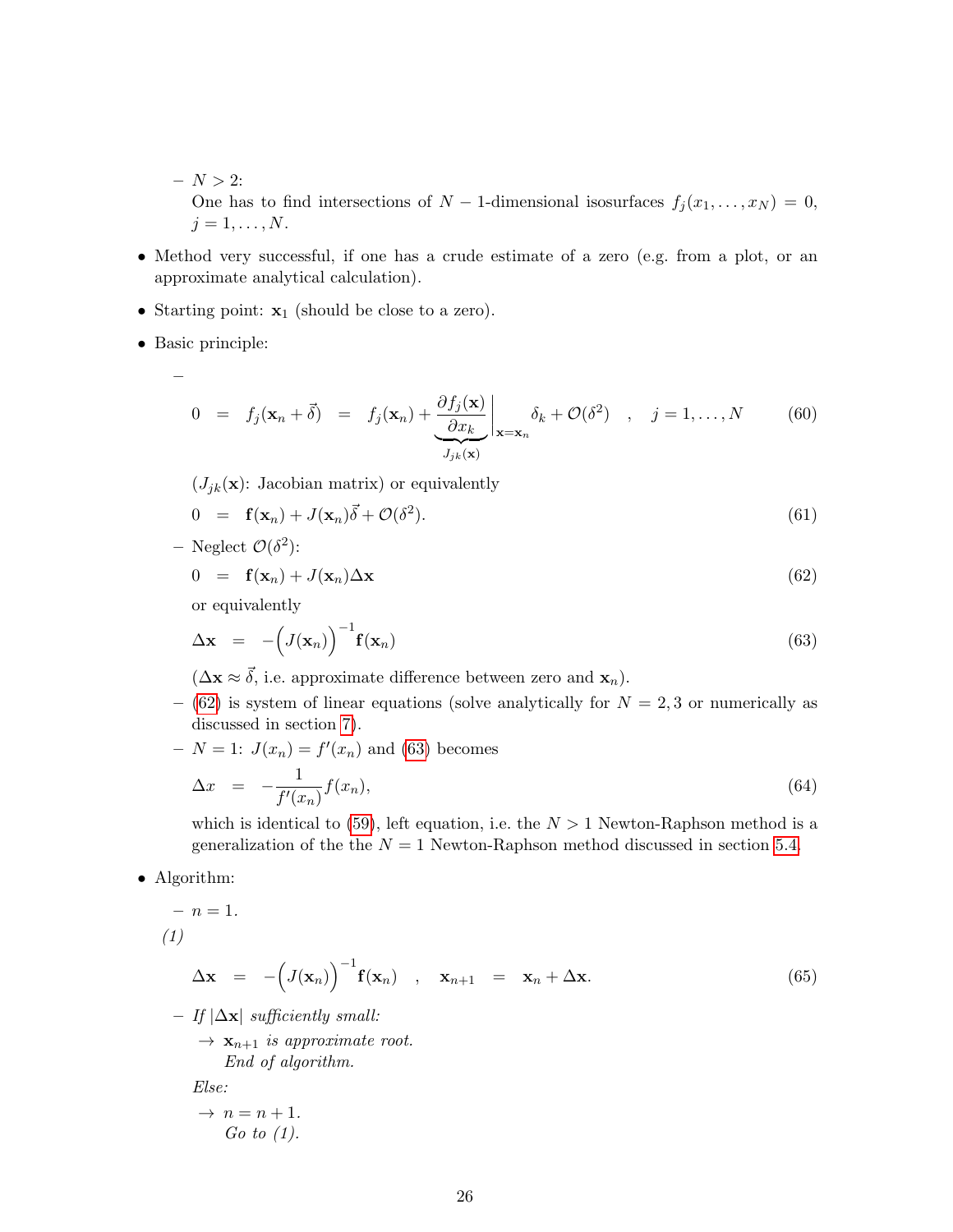- $N > 2:$ One has to find intersections of  $N-1$ -dimensional isosurfaces  $f_j(x_1,\ldots,x_N) = 0$ ,  $j=1,\ldots,N.$
- Method very successful, if one has a crude estimate of a zero (e.g. from a plot, or an approximate analytical calculation).
- Starting point:  $\mathbf{x}_1$  (should be close to a zero).
- Basic principle:
	- –

$$
0 = f_j(\mathbf{x}_n + \vec{\delta}) = f_j(\mathbf{x}_n) + \underbrace{\frac{\partial f_j(\mathbf{x})}{\partial x_k}}_{J_{jk}(\mathbf{x})} \bigg|_{\mathbf{x} = \mathbf{x}_n} \delta_k + \mathcal{O}(\delta^2) , \quad j = 1, ..., N \quad (60)
$$

 $(J_{jk}(\mathbf{x}))$ : Jacobian matrix) or equivalently

$$
0 = \mathbf{f}(\mathbf{x}_n) + J(\mathbf{x}_n)\vec{\delta} + \mathcal{O}(\delta^2). \tag{61}
$$

- Neglect  $\mathcal{O}(\delta^2)$ :

<span id="page-25-0"></span>
$$
0 = \mathbf{f}(\mathbf{x}_n) + J(\mathbf{x}_n) \Delta \mathbf{x} \tag{62}
$$

or equivalently

<span id="page-25-1"></span>
$$
\Delta \mathbf{x} = -\left(J(\mathbf{x}_n)\right)^{-1} \mathbf{f}(\mathbf{x}_n) \tag{63}
$$

- $(\Delta x \approx \vec{\delta}, i.e.$  approximate difference between zero and  $x_n$ ).
- [\(62\)](#page-25-0) is system of linear equations (solve analytically for  $N = 2, 3$  or numerically as discussed in section [7\)](#page-35-0).
- $N = 1: J(x_n) = f'(x_n)$  and [\(63\)](#page-25-1) becomes

$$
\Delta x = -\frac{1}{f'(x_n)} f(x_n), \tag{64}
$$

which is identical to [\(59\)](#page-24-2), left equation, i.e. the  $N > 1$  Newton-Raphson method is a generalization of the the  $N = 1$  Newton-Raphson method discussed in section [5.4.](#page-24-0)

• Algorithm:

$$
- n = 1.
$$
\n
$$
(1)
$$
\n
$$
\Delta \mathbf{x} = -\left(J(\mathbf{x}_n)\right)^{-1} \mathbf{f}(\mathbf{x}_n) , \mathbf{x}_{n+1} = \mathbf{x}_n + \Delta \mathbf{x}.
$$
\n
$$
(65)
$$
\n
$$
- If |\Delta \mathbf{x}| sufficiently small: \rightarrow \mathbf{x}_{n+1} is approximate root.
$$

End of algorithm.

Else:

$$
\rightarrow n = n + 1.
$$
  
Go to (1).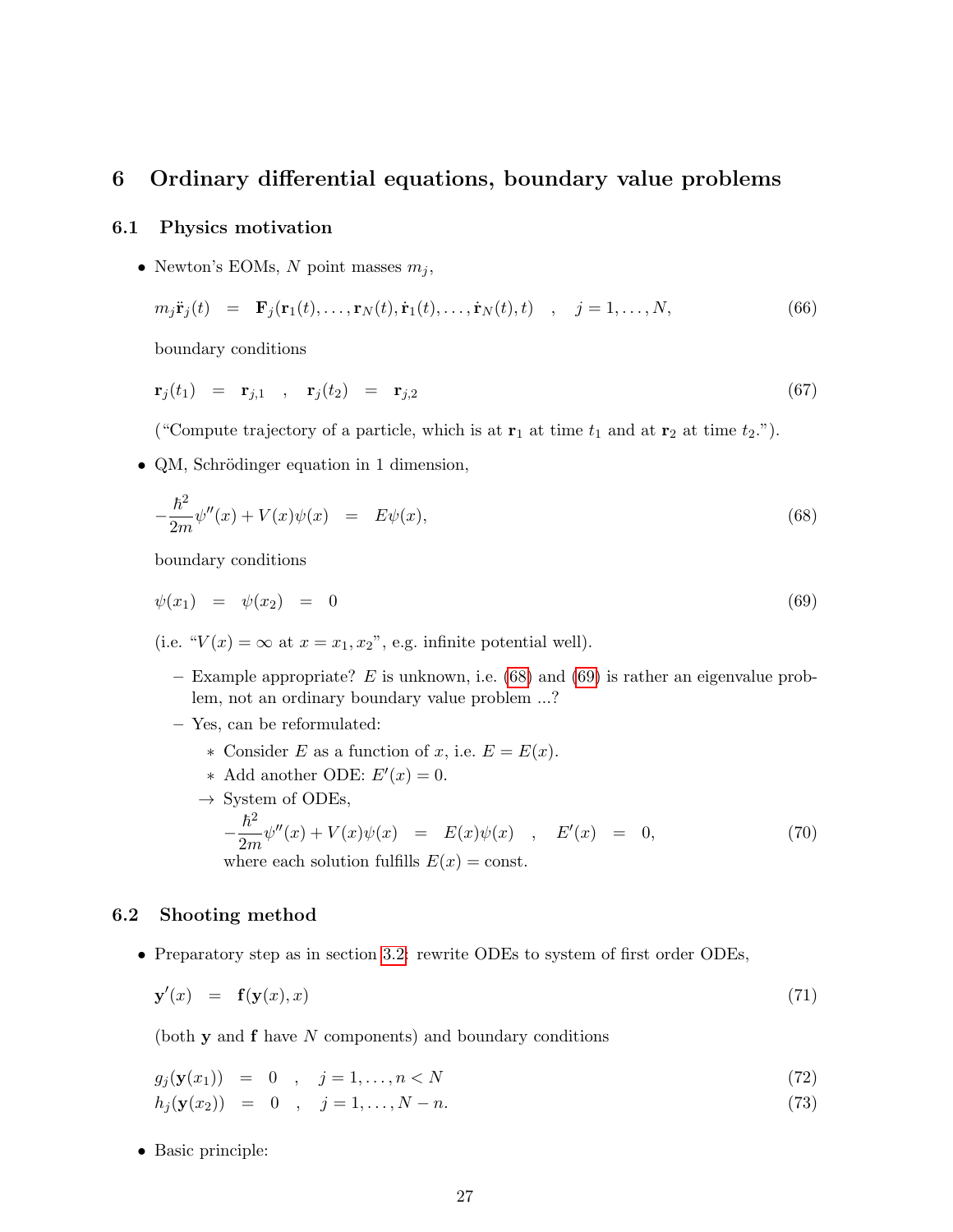### <span id="page-26-0"></span>6 Ordinary differential equations, boundary value problems

#### <span id="page-26-1"></span>6.1 Physics motivation

• Newton's EOMs, N point masses  $m_i$ ,

$$
m_j \ddot{\mathbf{r}}_j(t) = \mathbf{F}_j(\mathbf{r}_1(t), \dots, \mathbf{r}_N(t), \dot{\mathbf{r}}_1(t), \dots, \dot{\mathbf{r}}_N(t), t) , j = 1, \dots, N,
$$
\n(66)

boundary conditions

$$
\mathbf{r}_j(t_1) = \mathbf{r}_{j,1} , \mathbf{r}_j(t_2) = \mathbf{r}_{j,2} \tag{67}
$$

("Compute trajectory of a particle, which is at  $\mathbf{r}_1$  at time  $t_1$  and at  $\mathbf{r}_2$  at time  $t_2$ .").

• QM, Schrödinger equation in 1 dimension,

<span id="page-26-3"></span>
$$
-\frac{\hbar^2}{2m}\psi''(x) + V(x)\psi(x) = E\psi(x),\tag{68}
$$

boundary conditions

<span id="page-26-4"></span>
$$
\psi(x_1) = \psi(x_2) = 0 \tag{69}
$$

(i.e. " $V(x) = \infty$  at  $x = x_1, x_2$ ", e.g. infinite potential well).

- Example appropriate? E is unknown, i.e.  $(68)$  and  $(69)$  is rather an eigenvalue problem, not an ordinary boundary value problem ...?
- Yes, can be reformulated:
	- ∗ Consider E as a function of x, i.e. E = E(x).
	- \* Add another ODE:  $E'(x) = 0$ .
	- $\rightarrow$  System of ODEs,

$$
-\frac{\hbar^2}{2m}\psi''(x) + V(x)\psi(x) = E(x)\psi(x) , E'(x) = 0,
$$
  
where each solution fulfills  $E(x) = \text{const.}$  (70)

#### <span id="page-26-2"></span>6.2 Shooting method

• Preparatory step as in section [3.2:](#page-11-2) rewrite ODEs to system of first order ODEs,

$$
\mathbf{y}'(x) = \mathbf{f}(\mathbf{y}(x), x) \tag{71}
$$

(both  $y$  and  $f$  have  $N$  components) and boundary conditions

$$
g_j(\mathbf{y}(x_1)) = 0 , \quad j = 1, \dots, n < N \tag{72}
$$

$$
h_j(\mathbf{y}(x_2)) = 0 , \quad j = 1, \dots, N - n. \tag{73}
$$

• Basic principle: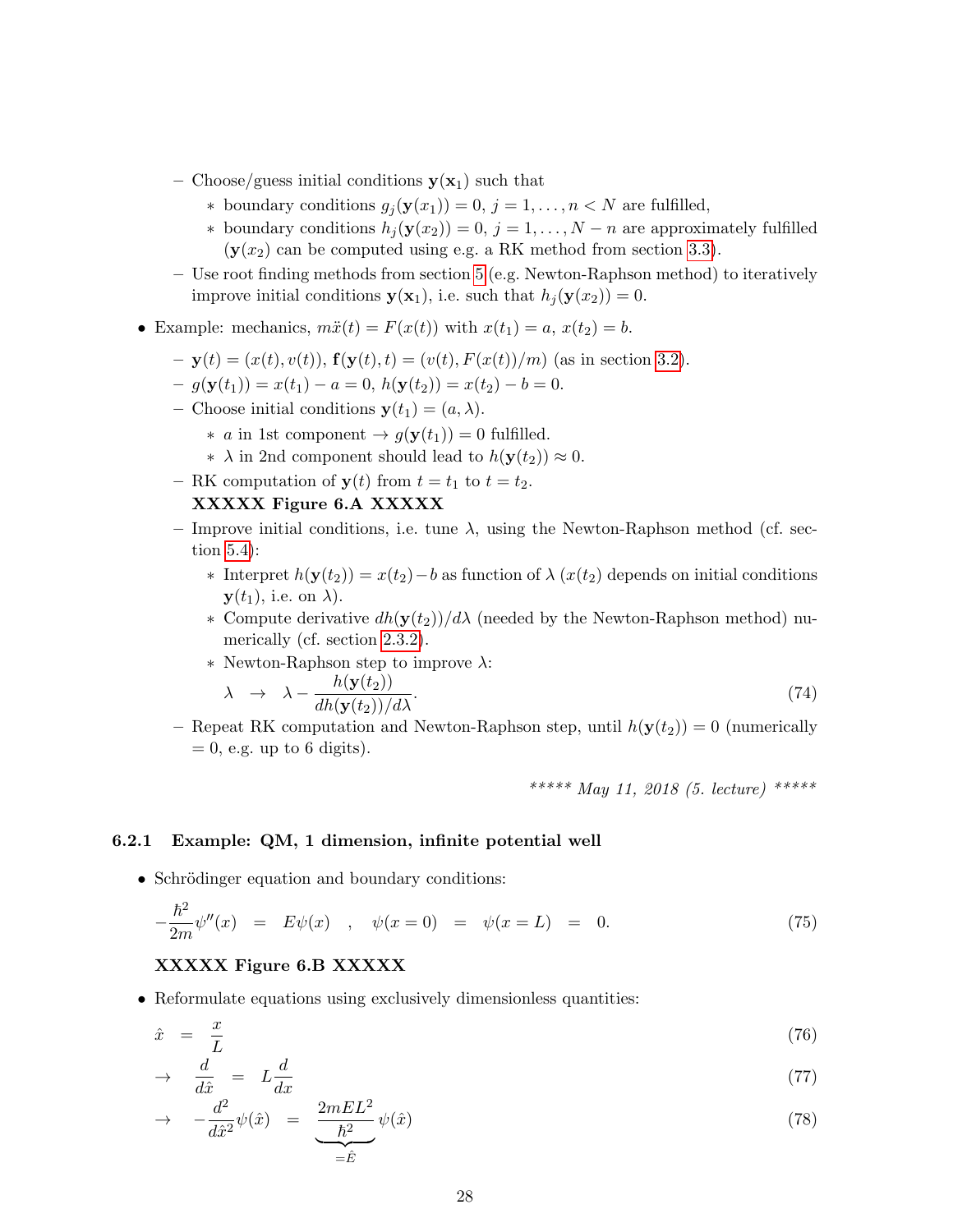- Choose/guess initial conditions  $y(x_1)$  such that
	- ∗ boundary conditions  $g_i(\mathbf{y}(x_1)) = 0, j = 1, \ldots, n \lt N$  are fulfilled,
	- ∗ boundary conditions  $h_j$  ( $y(x_2)$ ) = 0, j = 1, . . . , N − n are approximately fulfilled  $(y(x_2)$  can be computed using e.g. a RK method from section [3.3\)](#page-12-0).
- Use root finding methods from section [5](#page-22-0) (e.g. Newton-Raphson method) to iteratively improve initial conditions  $y(x_1)$ , i.e. such that  $h_j(y(x_2)) = 0$ .
- Example: mechanics,  $m\ddot{x}(t) = F(x(t))$  with  $x(t_1) = a, x(t_2) = b$ .
	- $-$  **y**(t) = (x(t), v(t)), **f**(**y**(t), t) = (v(t),  $F(x(t))/m$ ) (as in section [3.2\)](#page-11-2).
	- $-g(\mathbf{y}(t_1)) = x(t_1) a = 0, h(\mathbf{y}(t_2)) = x(t_2) b = 0.$
	- Choose initial conditions  $\mathbf{y}(t_1) = (a, \lambda)$ .
		- $∗ a$  in 1st component  $→ g(y(t_1)) = 0$  fulfilled.
		- ∗  $\lambda$  in 2nd component should lead to  $h(\mathbf{y}(t_2)) \approx 0$ .
	- RK computation of  $y(t)$  from  $t = t_1$  to  $t = t_2$ .

#### XXXXX Figure 6.A XXXXX

- Improve initial conditions, i.e. tune  $\lambda$ , using the Newton-Raphson method (cf. section [5.4\)](#page-24-0):
	- $∗$  Interpret  $h(y(t_2)) = x(t_2) b$  as function of  $\lambda(x(t_2))$  depends on initial conditions  $\mathbf{y}(t_1)$ , i.e. on  $\lambda$ ).
	- $∗$  Compute derivative  $dh(y(t<sub>2</sub>))/dλ$  (needed by the Newton-Raphson method) numerically (cf. section [2.3.2\)](#page-8-0).
	- ∗ Newton-Raphson step to improve λ:

$$
\lambda \rightarrow \lambda - \frac{h(\mathbf{y}(t_2))}{dh(\mathbf{y}(t_2))/d\lambda}.
$$
\n(74)

– Repeat RK computation and Newton-Raphson step, until  $h(\mathbf{y}(t_2)) = 0$  (numerically  $= 0$ , e.g. up to 6 digits).

\*\*\*\*\* May 11, 2018 (5. lecture) \*\*\*\*\*

#### <span id="page-27-0"></span>6.2.1 Example: QM, 1 dimension, infinite potential well

• Schrödinger equation and boundary conditions:

$$
-\frac{\hbar^2}{2m}\psi''(x) = E\psi(x) , \quad \psi(x=0) = \psi(x=L) = 0.
$$
 (75)

#### XXXXX Figure 6.B XXXXX

• Reformulate equations using exclusively dimensionless quantities:

$$
\hat{x} = \frac{x}{L} \tag{76}
$$

$$
\rightarrow \quad \frac{d}{d\hat{x}} = L\frac{d}{dx} \tag{77}
$$

$$
\rightarrow -\frac{d^2}{d\hat{x}^2}\psi(\hat{x}) = \underbrace{\frac{2mEL^2}{\hbar^2}}_{=\hat{E}}\psi(\hat{x})
$$
\n(78)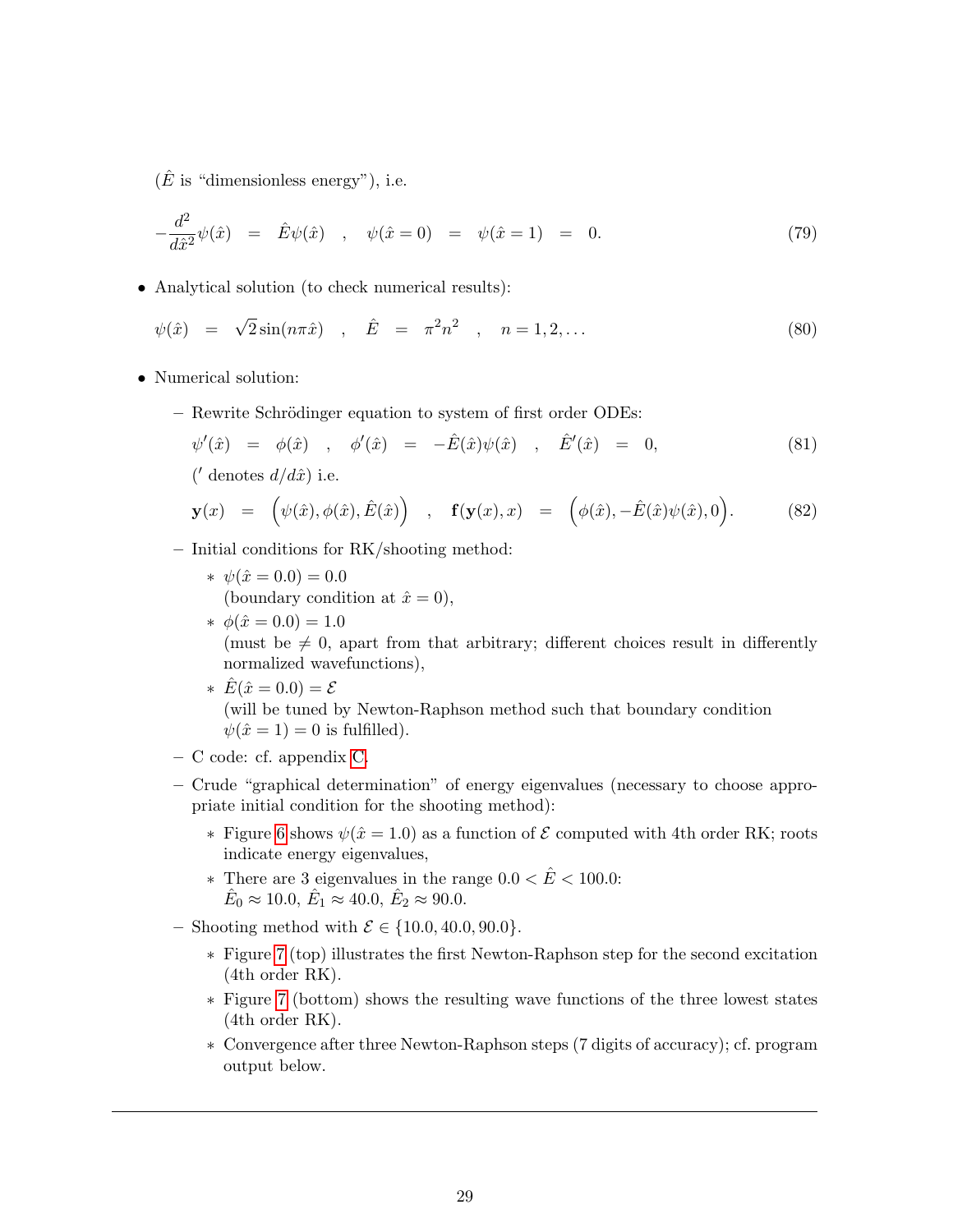$(\hat{E}$  is "dimensionless energy"), i.e.

$$
-\frac{d^2}{d\hat{x}^2}\psi(\hat{x}) = \hat{E}\psi(\hat{x}) , \quad \psi(\hat{x} = 0) = \psi(\hat{x} = 1) = 0.
$$
 (79)

• Analytical solution (to check numerical results):

$$
\psi(\hat{x}) = \sqrt{2}\sin(n\pi\hat{x})
$$
,  $\hat{E} = \pi^2 n^2$ ,  $n = 1, 2, ...$ \n(80)

- Numerical solution:
	- Rewrite Schrödinger equation to system of first order ODEs:

$$
\psi'(\hat{x}) = \phi(\hat{x}) \quad , \quad \phi'(\hat{x}) = -\hat{E}(\hat{x})\psi(\hat{x}) \quad , \quad \hat{E}'(\hat{x}) = 0, \tag{81}
$$

 $('$  denotes  $d/d\hat{x})$  i.e.

$$
\mathbf{y}(x) = (\psi(\hat{x}), \phi(\hat{x}), \hat{E}(\hat{x})) , \mathbf{f}(\mathbf{y}(x), x) = (\phi(\hat{x}), -\hat{E}(\hat{x})\psi(\hat{x}), 0).
$$
 (82)

- Initial conditions for RK/shooting method:
	- $* \psi(\hat{x} = 0.0) = 0.0$ (boundary condition at  $\hat{x} = 0$ ),
	- $\ast \phi(\hat{x} = 0.0) = 1.0$ (must be  $\neq 0$ , apart from that arbitrary; different choices result in differently normalized wavefunctions), \*  $\hat{E}(\hat{x} = 0.0) = \mathcal{E}$ 
		- (will be tuned by Newton-Raphson method such that boundary condition  $\psi(\hat{x}=1)=0$  is fulfilled).
- C code: cf. appendix [C.](#page-85-0)
- Crude "graphical determination" of energy eigenvalues (necessary to choose appropriate initial condition for the shooting method):
	- $∗$  Figure [6](#page-29-1) shows  $ψ(x = 1.0)$  as a function of  $E$  computed with 4th order RK; roots indicate energy eigenvalues,
	- ∗ There are 3 eigenvalues in the range  $0.0 < \hat{E} < 100.0$ :  $\hat{E}_0 \approx 10.0, \,\hat{E}_1 \approx 40.0, \,\hat{E}_2 \approx 90.0.$
- Shooting method with  $\mathcal{E}$  ∈ {10.0, 40.0, 90.0}.
	- ∗ Figure [7](#page-30-0) (top) illustrates the first Newton-Raphson step for the second excitation (4th order RK).
	- ∗ Figure [7](#page-30-0) (bottom) shows the resulting wave functions of the three lowest states (4th order RK).
	- ∗ Convergence after three Newton-Raphson steps (7 digits of accuracy); cf. program output below.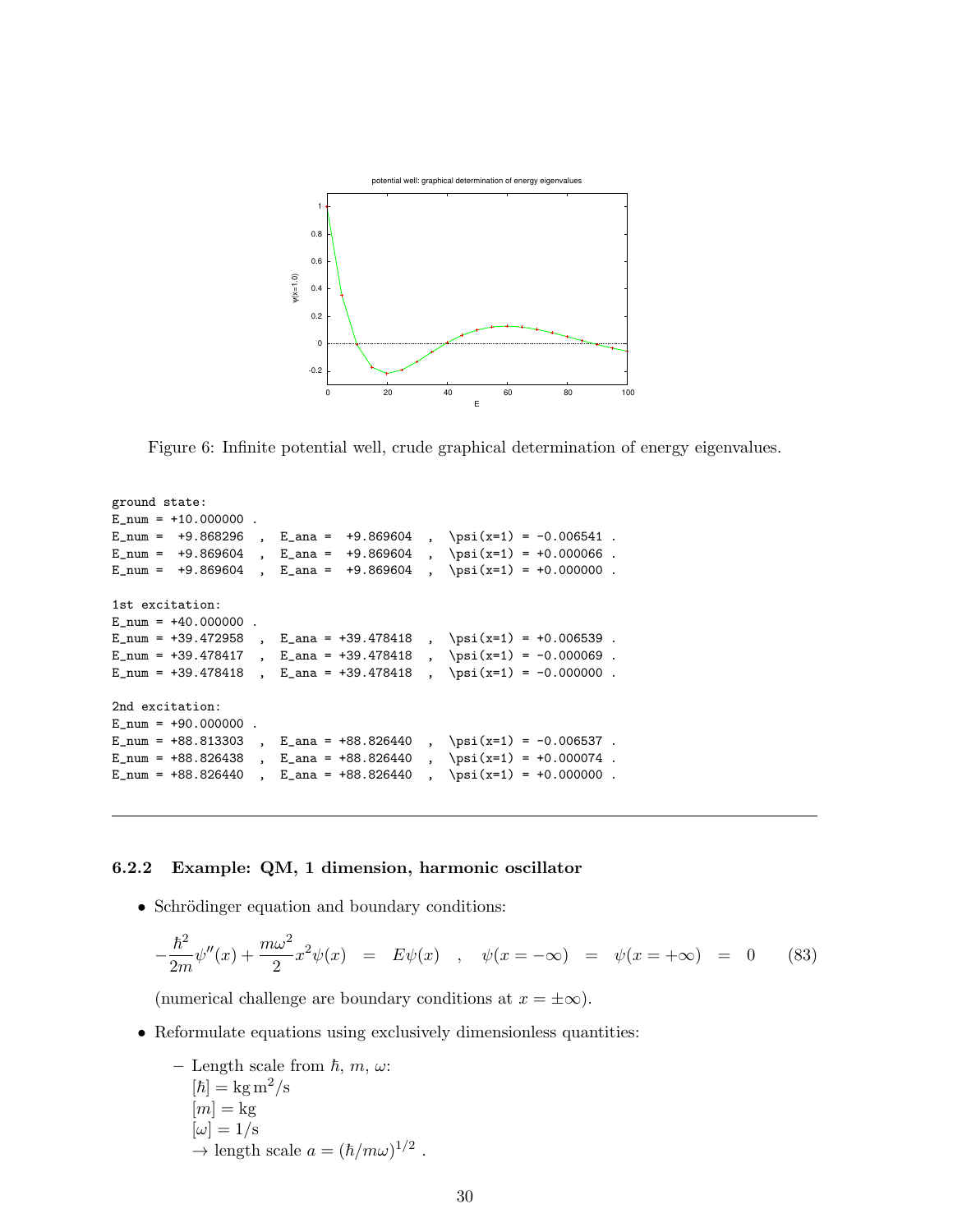

<span id="page-29-1"></span>Figure 6: Infinite potential well, crude graphical determination of energy eigenvalues.

```
ground state:
E_{num} = +10.000000.
E_num = +9.868296, E_ana = +9.869604, \psi(x=1) = -0.006541.
E_num = +9.869604, E_ana = +9.869604, \psi(x=1) = +0.000066.
E_num = +9.869604, E_ana = +9.869604, \psi(x=1) = +0.000000.
1st excitation:
E num = +40.000000.
E_num = +39.472958, E_ana = +39.478418, \psi(x=1) = +0.006539.
E_num = +39.478417, E_ana = +39.478418, \psi(x=1) = -0.000069.
E_num = +39.478418, E_ana = +39.478418, \psi(x=1) = -0.000000 .
2nd excitation:
E_nnum = +90.000000.
E_num = +88.813303, E_ana = +88.826440, \psi(x=1) = -0.006537.
E_num = +88.826438, E_ana = +88.826440, \psi(x=1) = +0.000074.
E_num = +88.826440, E_ana = +88.826440, \psi(x=1) = +0.000000.
```
#### <span id="page-29-0"></span>6.2.2 Example: QM, 1 dimension, harmonic oscillator

• Schrödinger equation and boundary conditions:

$$
-\frac{\hbar^2}{2m}\psi''(x) + \frac{m\omega^2}{2}x^2\psi(x) = E\psi(x) , \quad \psi(x = -\infty) = \psi(x = +\infty) = 0
$$
 (83)

(numerical challenge are boundary conditions at  $x = \pm \infty$ ).

• Reformulate equations using exclusively dimensionless quantities:

- Length scale from *h*, *m*, *ω*:  
\n[*h*] = kg m<sup>2</sup>/s  
\n[m] = kg  
\n[*ω*] = 1/s  
\n→ length scale 
$$
a = (\hbar/mω)^{1/2}
$$
.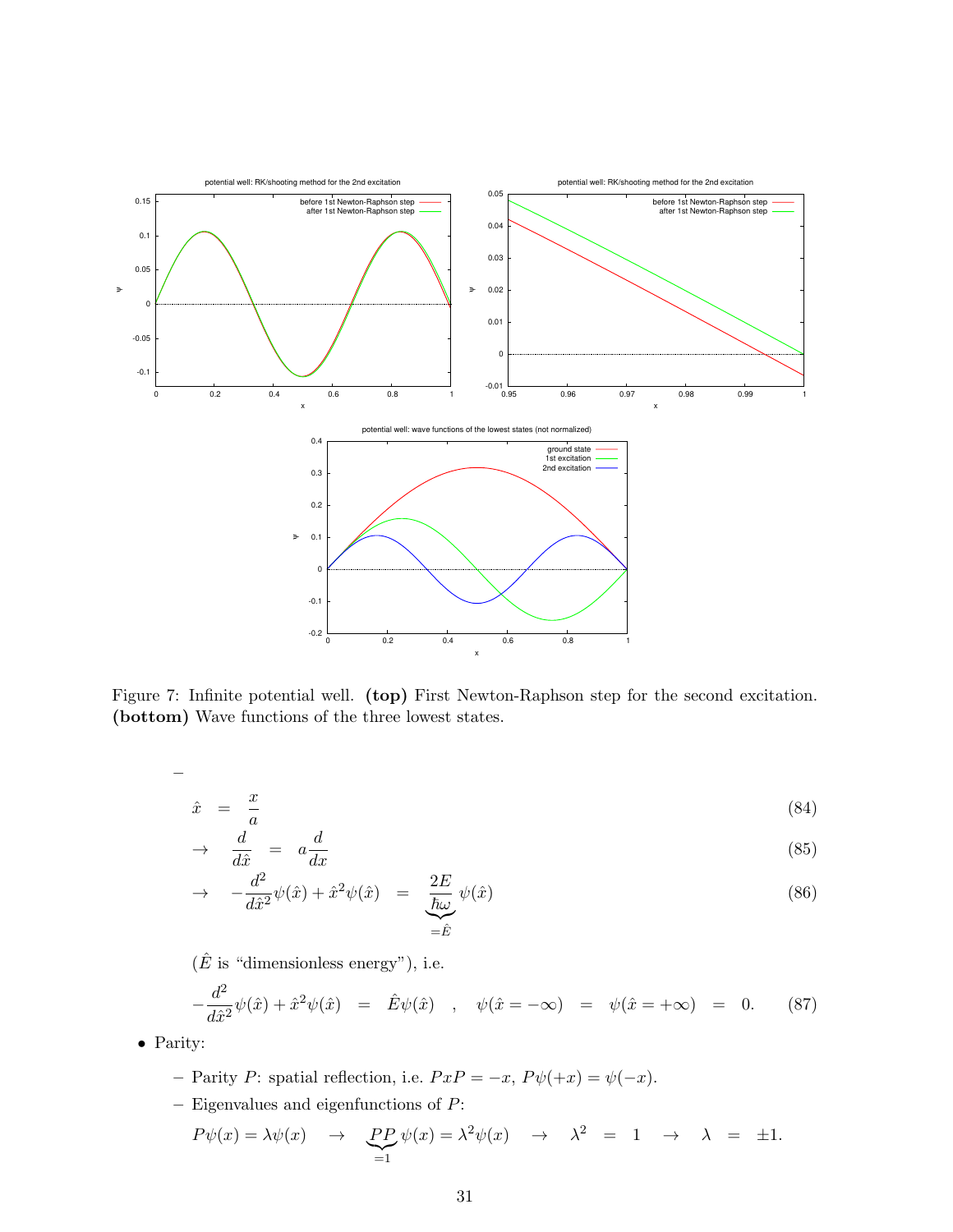

<span id="page-30-0"></span>Figure 7: Infinite potential well. (top) First Newton-Raphson step for the second excitation. (bottom) Wave functions of the three lowest states.

$$
\frac{1}{\alpha} \, \frac{1}{\alpha}
$$

$$
\hat{x} = \frac{x}{a} \tag{84}
$$

$$
\rightarrow \frac{d}{d\hat{x}} = a\frac{d}{dx} \tag{85}
$$

$$
\rightarrow -\frac{d^2}{d\hat{x}^2}\psi(\hat{x}) + \hat{x}^2\psi(\hat{x}) = \underbrace{\frac{2E}{\hbar\omega}}_{=\hat{E}}\psi(\hat{x})
$$
\n(86)

 $(\hat{E}$  is "dimensionless energy"), i.e.

<span id="page-30-1"></span>
$$
-\frac{d^2}{d\hat{x}^2}\psi(\hat{x}) + \hat{x}^2\psi(\hat{x}) = \hat{E}\psi(\hat{x}) , \quad \psi(\hat{x} = -\infty) = \psi(\hat{x} = +\infty) = 0.
$$
 (87)

- Parity:
	- Parity P: spatial reflection, i.e.  $PxP = -x$ ,  $P\psi(+x) = \psi(-x)$ .
	- Eigenvalues and eigenfunctions of  $P$ :

$$
P\psi(x) = \lambda \psi(x) \quad \to \quad \underbrace{PP}_{=1} \psi(x) = \lambda^2 \psi(x) \quad \to \quad \lambda^2 \quad = \quad 1 \quad \to \quad \lambda \quad = \quad \pm 1.
$$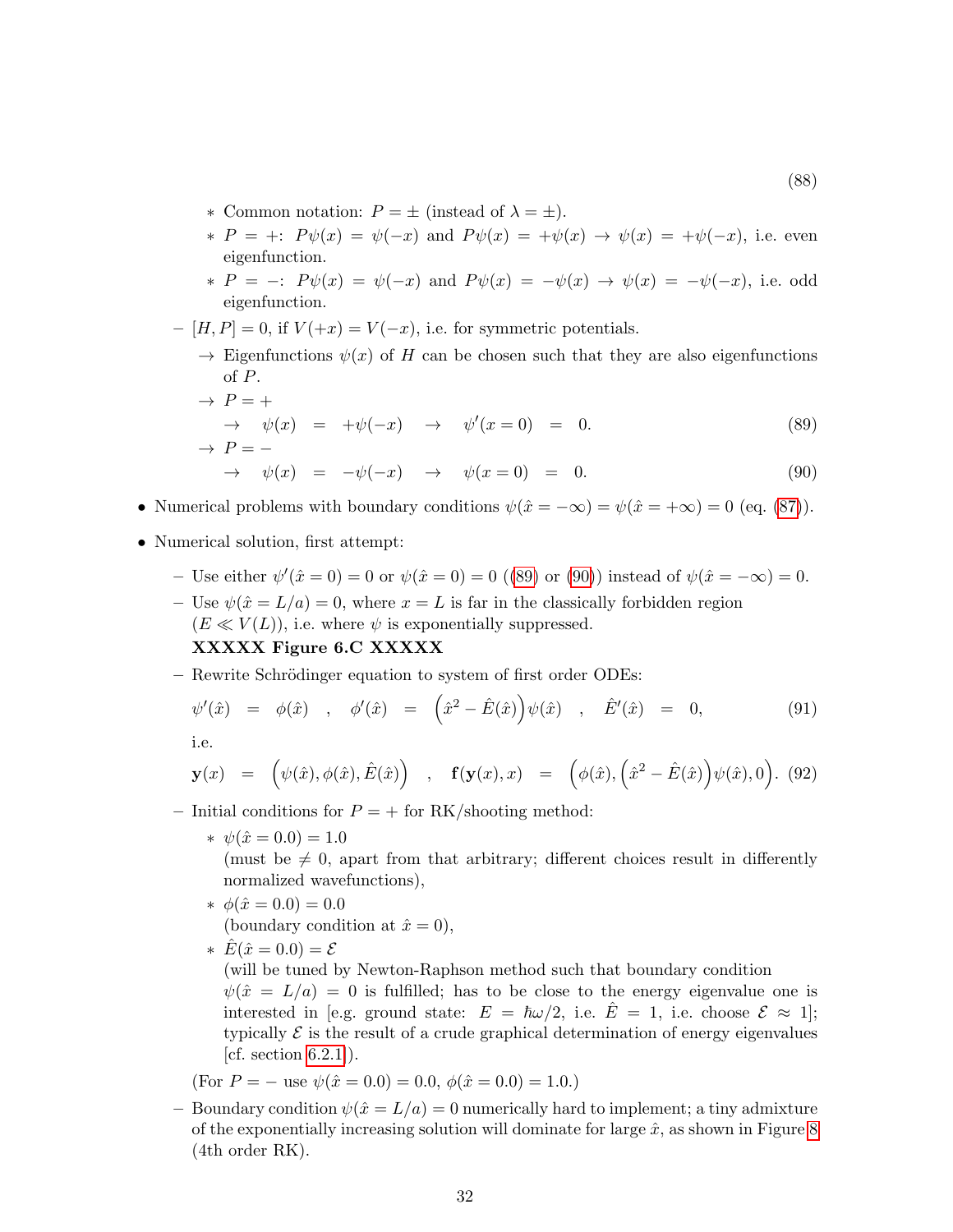- ∗ Common notation: P = ± (instead of λ = ±).
- \*  $P = +: P\psi(x) = \psi(-x)$  and  $P\psi(x) = +\psi(x) \rightarrow \psi(x) = +\psi(-x)$ , i.e. even eigenfunction.
- \*  $P = -: P\psi(x) = \psi(-x)$  and  $P\psi(x) = -\psi(x) \rightarrow \psi(x) = -\psi(-x)$ , i.e. odd eigenfunction.
- [H, P] = 0, if  $V(+x) = V(-x)$ , i.e. for symmetric potentials.
	- $\rightarrow$  Eigenfunctions  $\psi(x)$  of H can be chosen such that they are also eigenfunctions of P.

<span id="page-31-0"></span>
$$
\rightarrow P = +
$$
  
\n
$$
\rightarrow \psi(x) = +\psi(-x) \rightarrow \psi'(x = 0) = 0.
$$
 (89)  
\n
$$
\rightarrow P = -
$$
 (89)

<span id="page-31-1"></span>
$$
\rightarrow \psi(x) = -\psi(-x) \rightarrow \psi(x=0) = 0. \tag{90}
$$

- Numerical problems with boundary conditions  $\psi(\hat{x} = -\infty) = \psi(\hat{x} = +\infty) = 0$  (eq. [\(87\)](#page-30-1)).
- Numerical solution, first attempt:
	- Use either  $\psi'(\hat{x} = 0) = 0$  or  $\psi(\hat{x} = 0) = 0$  ([\(89\)](#page-31-0) or [\(90\)](#page-31-1)) instead of  $\psi(\hat{x} = -\infty) = 0$ .
	- Use  $\psi(\hat{x} = L/a) = 0$ , where  $x = L$  is far in the classically forbidden region  $(E \ll V(L))$ , i.e. where  $\psi$  is exponentially suppressed. XXXXX Figure 6.C XXXXX
	- Rewrite Schrödinger equation to system of first order ODEs:

$$
\psi'(\hat{x}) = \phi(\hat{x}) , \quad \phi'(\hat{x}) = (\hat{x}^2 - \hat{E}(\hat{x})) \psi(\hat{x}) , \quad \hat{E}'(\hat{x}) = 0, \quad (91)
$$

i.e.

$$
\mathbf{y}(x) = (\psi(\hat{x}), \phi(\hat{x}), \hat{E}(\hat{x})) , \mathbf{f}(\mathbf{y}(x), x) = (\phi(\hat{x}), (\hat{x}^2 - \hat{E}(\hat{x})) \psi(\hat{x}), 0). \tag{92}
$$

- Initial conditions for  $P = +$  for RK/shooting method:
	- $\star \psi(\hat{x} = 0.0) = 1.0$

(must be  $\neq 0$ , apart from that arbitrary; different choices result in differently normalized wavefunctions),

- $\star \phi(\hat{x} = 0.0) = 0.0$ (boundary condition at  $\hat{x} = 0$ ),
- \*  $\hat{E}(\hat{x} = 0.0) = \mathcal{E}$

(will be tuned by Newton-Raphson method such that boundary condition  $\psi(\hat{x} = L/a) = 0$  is fulfilled; has to be close to the energy eigenvalue one is interested in [e.g. ground state:  $E = \hbar \omega/2$ , i.e.  $\hat{E} = 1$ , i.e. choose  $\mathcal{E} \approx 1$ ]; typically  $\mathcal E$  is the result of a crude graphical determination of energy eigenvalues  $[cf. section 6.2.1]$  $[cf. section 6.2.1]$ .

(For  $P = -$  use  $\psi(\hat{x} = 0.0) = 0.0, \ \phi(\hat{x} = 0.0) = 1.0.$ )

– Boundary condition  $\psi(\hat{x} = L/a) = 0$  numerically hard to implement; a tiny admixture of the exponentially increasing solution will dominate for large  $\hat{x}$ , as shown in Figure [8](#page-32-0) (4th order RK).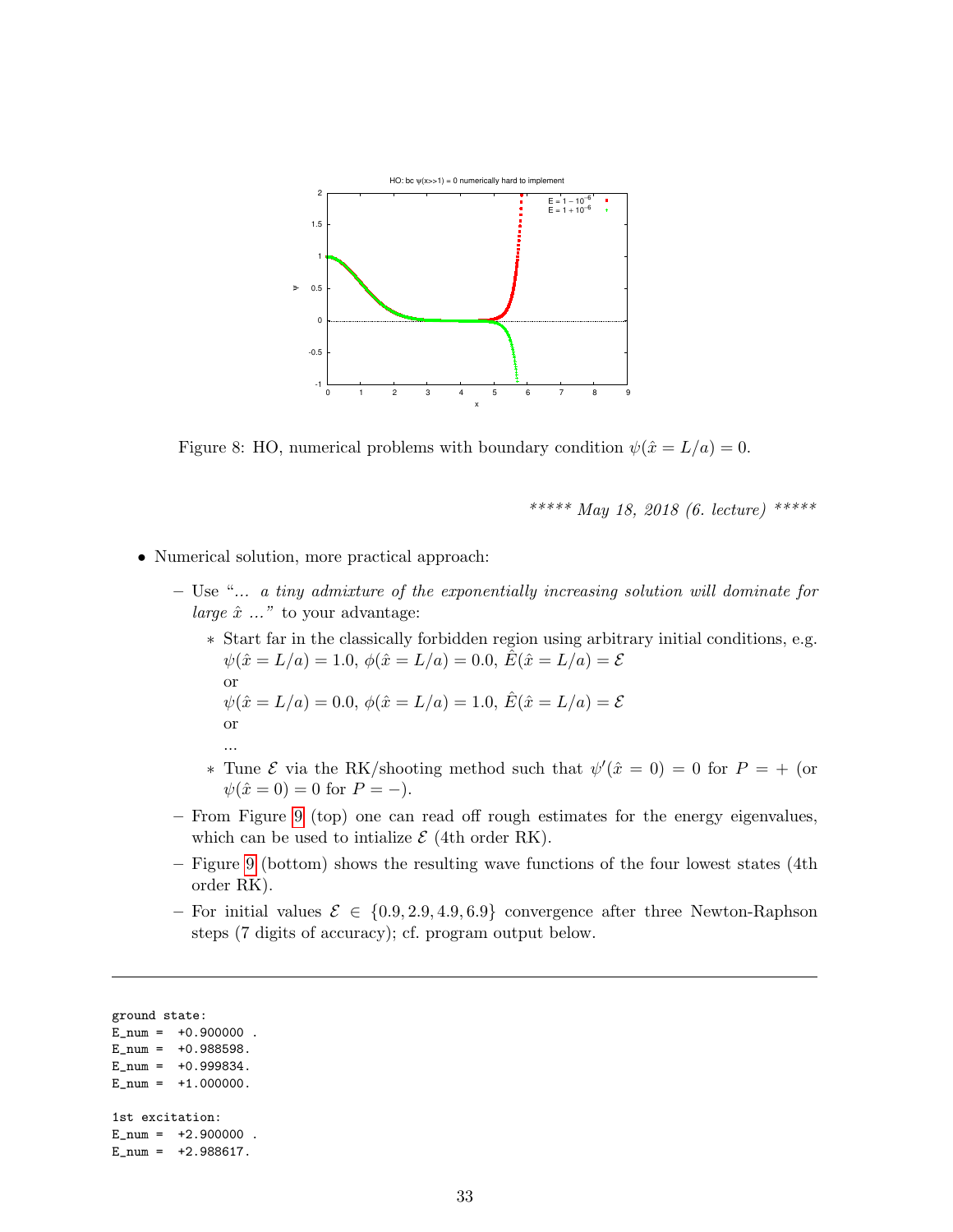

<span id="page-32-0"></span>Figure 8: HO, numerical problems with boundary condition  $\psi(\hat{x} = L/a) = 0$ .

\*\*\*\*\* May 18, 2018 (6. lecture) \*\*\*\*\*

- Numerical solution, more practical approach:
	- Use "... a tiny admixture of the exponentially increasing solution will dominate for large  $\hat{x}$  ..." to your advantage:
		- ∗ Start far in the classically forbidden region using arbitrary initial conditions, e.g.  $\psi(\hat{x} = L/a) = 1.0, \ \phi(\hat{x} = L/a) = 0.0, \ \hat{E}(\hat{x} = L/a) = \mathcal{E}$ or  $\psi(\hat{x} = L/a) = 0.0, \, \phi(\hat{x} = L/a) = 1.0, \, \hat{E}(\hat{x} = L/a) = \mathcal{E}$ or ...
		- \* Tune  $\mathcal E$  via the RK/shooting method such that  $\psi'(\hat x = 0) = 0$  for  $P = +$  (or  $\psi(\hat{x} = 0) = 0$  for  $P = -$ ).
	- From Figure [9](#page-33-1) (top) one can read off rough estimates for the energy eigenvalues, which can be used to initialize  $\mathcal{E}$  (4th order RK).
	- Figure [9](#page-33-1) (bottom) shows the resulting wave functions of the four lowest states (4th order RK).
	- For initial values  $\mathcal{E} \in \{0.9, 2.9, 4.9, 6.9\}$  convergence after three Newton-Raphson steps (7 digits of accuracy); cf. program output below.

ground state:  $E_{num} = +0.900000$ .  $E_{num} = +0.988598.$  $E_{num} = +0.999834.$  $E_n$ num = +1.000000. 1st excitation:  $E_nnum = +2.900000$ .  $E_{num} = +2.988617.$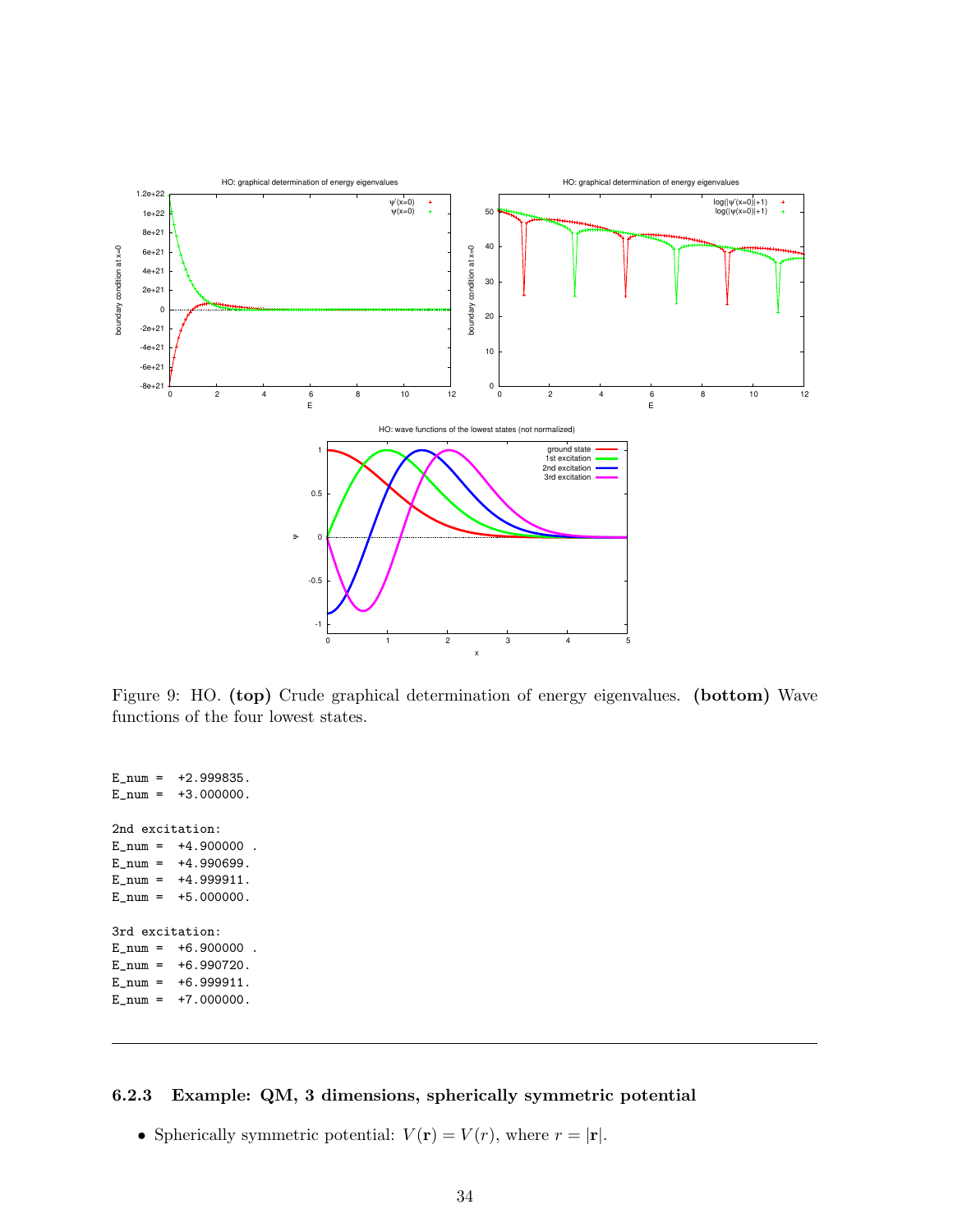

<span id="page-33-1"></span>Figure 9: HO. (top) Crude graphical determination of energy eigenvalues. (bottom) Wave functions of the four lowest states.

 $E_{num} = +2.999835.$  $E_{\text{num}} = +3.000000$ . 2nd excitation:  $E_{num} = +4.900000$ .  $E_{num} = +4.990699$ .  $E_{num} = +4.999911.$  $E_{num} = +5.000000$ . 3rd excitation:  $E_{num} = +6.900000$ .  $E_n$ num =  $+6.990720$ .  $E_{num} = +6.999911.$  $E_{\text{num}} = +7.000000$ .

#### <span id="page-33-0"></span>6.2.3 Example: QM, 3 dimensions, spherically symmetric potential

• Spherically symmetric potential:  $V(\mathbf{r}) = V(r)$ , where  $r = |\mathbf{r}|$ .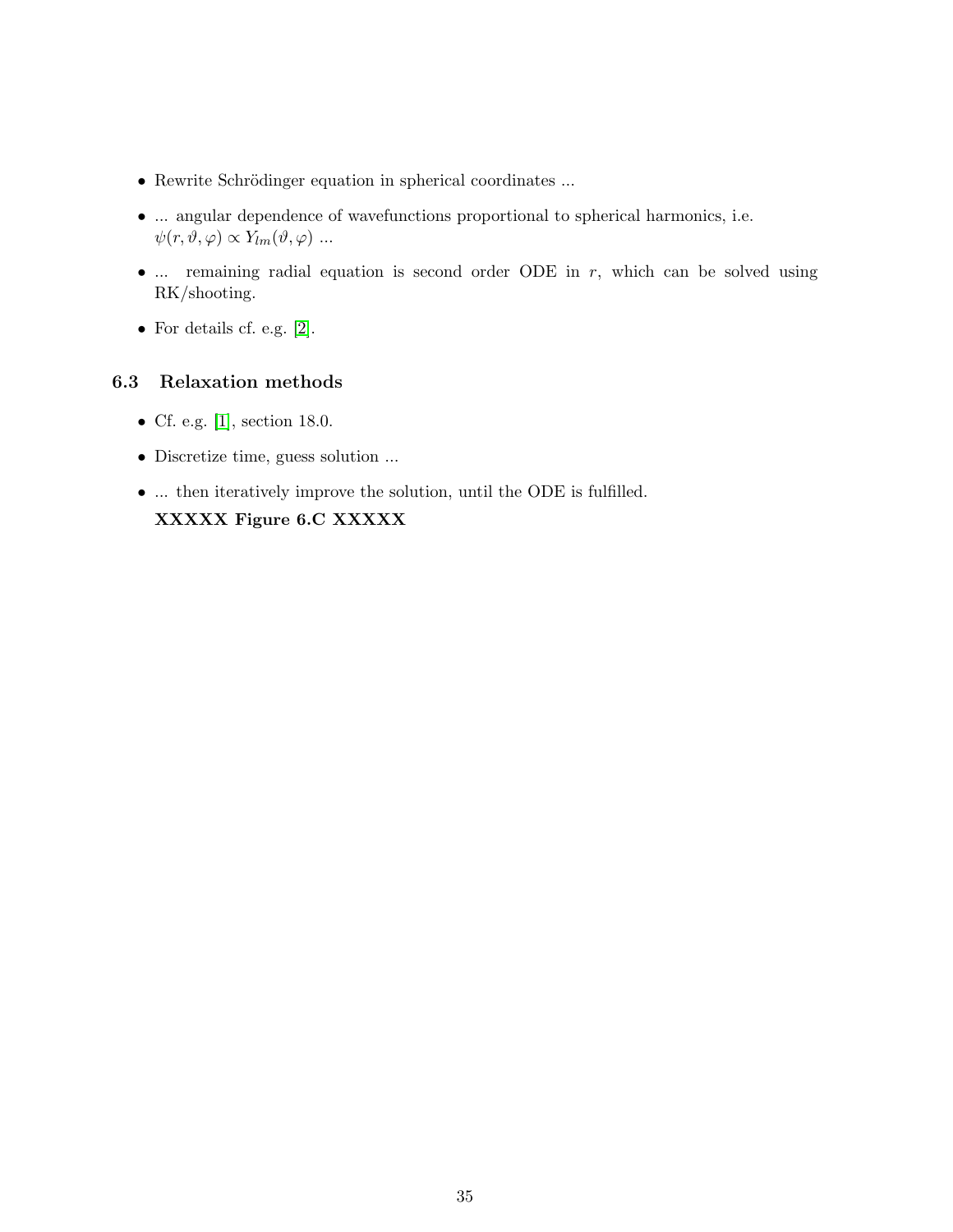- Rewrite Schrödinger equation in spherical coordinates ...
- ... angular dependence of wavefunctions proportional to spherical harmonics, i.e.  $\psi(r, \vartheta, \varphi) \propto Y_{lm}(\vartheta, \varphi) \dots$
- $\ldots$  remaining radial equation is second order ODE in  $r$ , which can be solved using RK/shooting.
- For details cf. e.g. [\[2\]](#page-100-1).

## <span id="page-34-0"></span>6.3 Relaxation methods

- Cf. e.g. [\[1\]](#page-100-0), section 18.0.
- Discretize time, guess solution ...
- ... then iteratively improve the solution, until the ODE is fulfilled. XXXXX Figure 6.C XXXXX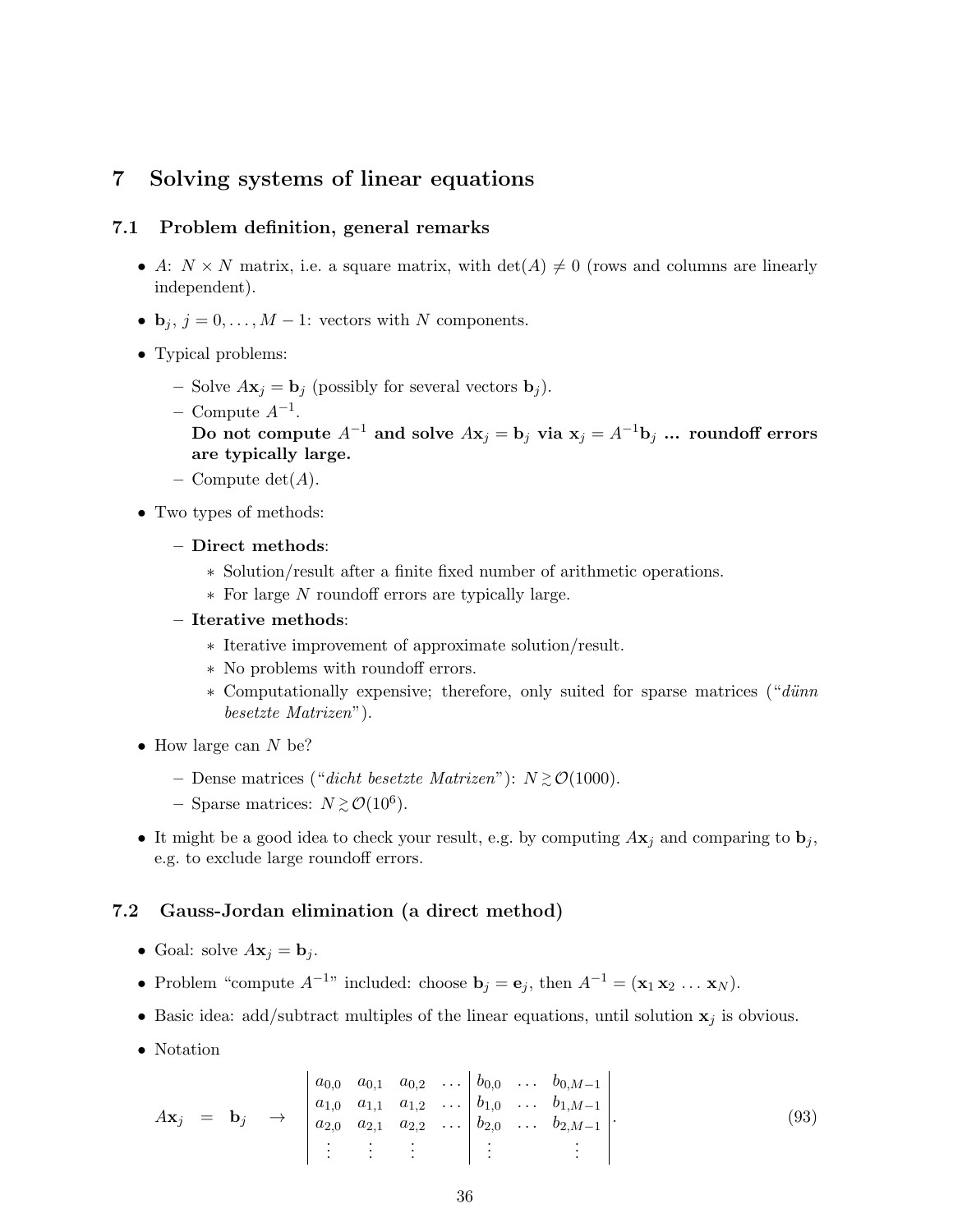## <span id="page-35-0"></span>7 Solving systems of linear equations

#### <span id="page-35-1"></span>7.1 Problem definition, general remarks

- A:  $N \times N$  matrix, i.e. a square matrix, with  $\det(A) \neq 0$  (rows and columns are linearly independent).
- $\mathbf{b}_j$ ,  $j = 0, \ldots, M 1$ : vectors with N components.
- Typical problems:
	- Solve  $A\mathbf{x}_i = \mathbf{b}_i$  (possibly for several vectors  $\mathbf{b}_i$ ).
	- $-$  Compute  $A^{-1}$ .

Do not compute  $A^{-1}$  and solve  $A\mathbf{x}_j = \mathbf{b}_j$  via  $\mathbf{x}_j = A^{-1}\mathbf{b}_j$  ... roundoff errors are typically large.

- Compute  $\det(A)$ .
- Two types of methods:
	- Direct methods:
		- ∗ Solution/result after a finite fixed number of arithmetic operations.
		- ∗ For large N roundoff errors are typically large.

#### – Iterative methods:

- ∗ Iterative improvement of approximate solution/result.
- ∗ No problems with roundoff errors.
- ∗ Computationally expensive; therefore, only suited for sparse matrices ("d¨unn besetzte Matrizen").
- How large can  $N$  be?
	- − Dense matrices ("dicht besetzte Matrizen"):  $N \gtrsim \mathcal{O}(1000)$ .
	- − Sparse matrices:  $N \gtrsim \mathcal{O}(10^6)$ .
- It might be a good idea to check your result, e.g. by computing  $A\mathbf{x}_j$  and comparing to  $\mathbf{b}_j$ , e.g. to exclude large roundoff errors.

#### <span id="page-35-2"></span>7.2 Gauss-Jordan elimination (a direct method)

- Goal: solve  $A\mathbf{x}_i = \mathbf{b}_i$ .
- Problem "compute  $A^{-1}$ " included: choose  $\mathbf{b}_j = \mathbf{e}_j$ , then  $A^{-1} = (\mathbf{x}_1 \mathbf{x}_2 \dots \mathbf{x}_N)$ .
- Basic idea: add/subtract multiples of the linear equations, until solution  $x_j$  is obvious.
- Notation

$$
A\mathbf{x}_{j} = \mathbf{b}_{j} \rightarrow \begin{bmatrix} a_{0,0} & a_{0,1} & a_{0,2} & \dots & b_{0,0} & \dots & b_{0,M-1} \\ a_{1,0} & a_{1,1} & a_{1,2} & \dots & b_{1,0} & \dots & b_{1,M-1} \\ a_{2,0} & a_{2,1} & a_{2,2} & \dots & b_{2,0} & \dots & b_{2,M-1} \\ \vdots & \vdots & \vdots & \vdots & \vdots & \vdots \end{bmatrix}.
$$
 (93)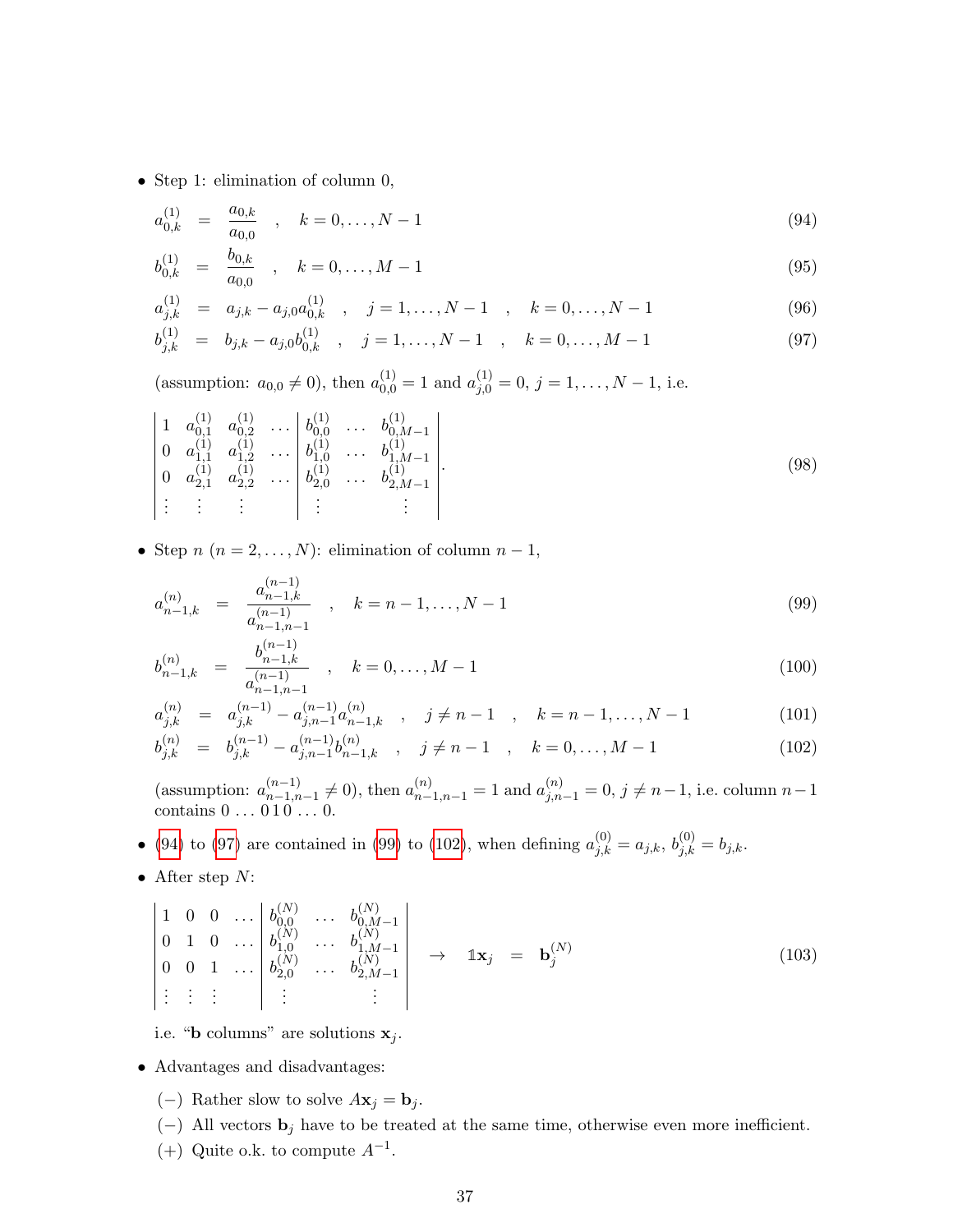• Step 1: elimination of column 0,

<span id="page-36-0"></span>
$$
a_{0,k}^{(1)} = \frac{a_{0,k}}{a_{0,0}}, \quad k = 0, \dots, N-1
$$
\n(94)

$$
b_{0,k}^{(1)} = \frac{b_{0,k}}{a_{0,0}}, \quad k = 0, \dots, M-1
$$
\n(95)

$$
a_{j,k}^{(1)} = a_{j,k} - a_{j,0} a_{0,k}^{(1)}, \quad j = 1, \dots, N-1, \quad k = 0, \dots, N-1
$$
 (96)

$$
b_{j,k}^{(1)} = b_{j,k} - a_{j,0}b_{0,k}^{(1)}, \quad j = 1, ..., N-1, \quad k = 0, ..., M-1
$$
 (97)

(assumption:  $a_{0,0} \neq 0$ ), then  $a_{0,0}^{(1)} = 1$  and  $a_{j,0}^{(1)} = 0$ ,  $j = 1, \ldots, N - 1$ , i.e.

$$
\begin{vmatrix}\n1 & a_{0,1}^{(1)} & a_{0,2}^{(1)} & \cdots & b_{0,0}^{(1)} & \cdots & b_{0,M-1}^{(1)} \\
0 & a_{1,1}^{(1)} & a_{1,2}^{(1)} & \cdots & b_{1,0}^{(1)} & \cdots & b_{1,M-1}^{(1)} \\
0 & a_{2,1}^{(1)} & a_{2,2}^{(1)} & \cdots & b_{2,0}^{(1)} & \cdots & b_{2,M-1}^{(1)} \\
\vdots & \vdots & \vdots & \vdots & \vdots & \vdots\n\end{vmatrix}.
$$
\n(98)

• Step  $n (n = 2, ..., N)$ : elimination of column  $n - 1$ ,

<span id="page-36-1"></span>
$$
a_{n-1,k}^{(n)} = \frac{a_{n-1,k}^{(n-1)}}{a_{n-1,n-1}^{(n-1)}} , \quad k = n-1, \dots, N-1
$$
\n(99)

$$
b_{n-1,k}^{(n)} = \frac{b_{n-1,k}^{(n-1)}}{a_{n-1,n-1}^{(n-1)}} , \quad k = 0, \dots, M-1
$$
 (100)

$$
a_{j,k}^{(n)} = a_{j,k}^{(n-1)} - a_{j,n-1}^{(n-1)} a_{n-1,k}^{(n)}, \quad j \neq n-1, \quad k = n-1, \dots, N-1
$$
 (101)

$$
b_{j,k}^{(n)} = b_{j,k}^{(n-1)} - a_{j,n-1}^{(n-1)} b_{n-1,k}^{(n)}, \quad j \neq n-1 \quad , \quad k = 0, \dots, M-1 \tag{102}
$$

(assumption:  $a_{n-1,n}^{(n-1)}$  $\binom{n-1}{n-1,n-1}$  ≠ 0), then  $a_{n-1,n-1}^{(n)} = 1$  and  $a_{j,n-1}^{(n)} = 0$ ,  $j \neq n-1$ , i.e. column  $n-1$ contains  $0 \ldots 010 \ldots 0$ .

• [\(94\)](#page-36-0) to [\(97\)](#page-36-0) are contained in [\(99\)](#page-36-1) to [\(102\)](#page-36-1), when defining  $a_{j,k}^{(0)} = a_{j,k}, b_{j,k}^{(0)} = b_{j,k}$ .

• After step  $N$ :

$$
\begin{vmatrix}\n1 & 0 & 0 & \dots & b_{0,0}^{(N)} & \dots & b_{0,M-1}^{(N)} \\
0 & 1 & 0 & \dots & b_{1,0}^{(N)} & \dots & b_{1,M-1}^{(N)} \\
0 & 0 & 1 & \dots & b_{2,0}^{(N)} & \dots & b_{2,M-1}^{(N)} \\
\vdots & \vdots & \vdots & \vdots & \vdots\n\end{vmatrix} \rightarrow \mathbf{1} \mathbf{x}_{j} = \mathbf{b}_{j}^{(N)}
$$
\n(103)

i.e. "**b** columns" are solutions  $x_j$ .

- Advantages and disadvantages:
	- (−) Rather slow to solve  $A\mathbf{x}_j = \mathbf{b}_j$ .
	- (−) All vectors  $\mathbf{b}_j$  have to be treated at the same time, otherwise even more inefficient.
	- $(+)$  Quite o.k. to compute  $A^{-1}$ .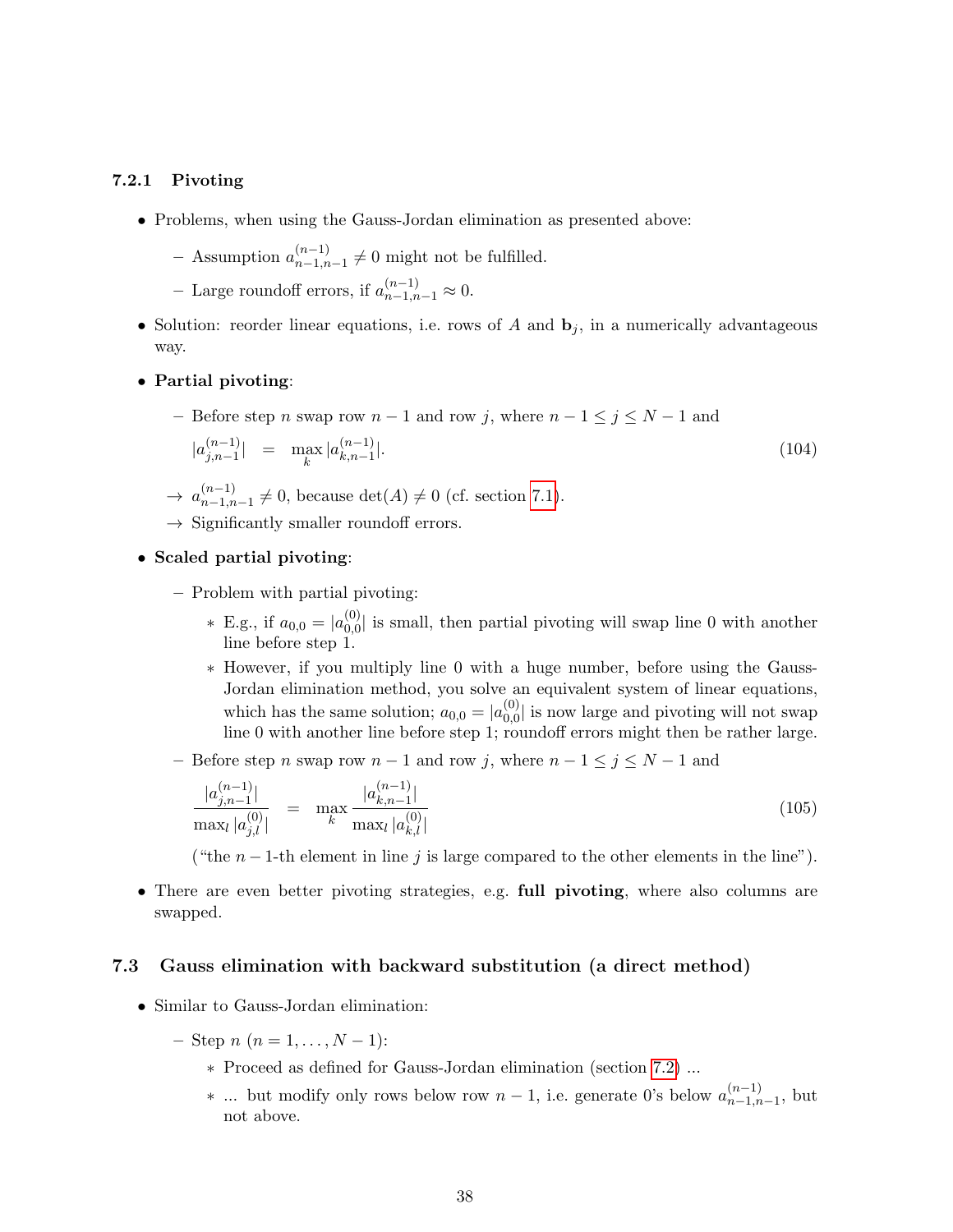#### <span id="page-37-0"></span>7.2.1 Pivoting

- Problems, when using the Gauss-Jordan elimination as presented above:
	- $-$  Assumption  $a_{n-1,n}^{(n-1)}$  $\binom{n-1}{n-1,n-1} \neq 0$  might not be fulfilled.
	- Large roundoff errors, if  $a_{n-1,n-1}^{(n-1)} \approx 0$ .
- Solution: reorder linear equations, i.e. rows of A and  $\mathbf{b}_i$ , in a numerically advantageous way.
- Partial pivoting:
	- Before step n swap row  $n-1$  and row j, where  $n-1 \leq j \leq N-1$  and  $|a_{i\,n-1}^{(n-1)}\rangle$  $\begin{array}{rcl} (n-1) \\ j, n-1 \end{array} = \max_{k} |a_{k,n-1}^{(n-1)}|$  $_{k,n-1}$  $\vert$ . (104)
	- $\rightarrow a_{n-1,n}^{(n-1)}$  $\binom{n-1}{n-1,n-1}$  ≠ 0, because det(A) ≠ 0 (cf. section [7.1\)](#page-35-0).
	- $\rightarrow$  Significantly smaller roundoff errors.
- Scaled partial pivoting:
	- Problem with partial pivoting:
		- \* E.g., if  $a_{0,0} = |a_{0,0}^{(0)}|$  $\binom{0}{0,0}$  is small, then partial pivoting will swap line 0 with another line before step 1.
		- ∗ However, if you multiply line 0 with a huge number, before using the Gauss-Jordan elimination method, you solve an equivalent system of linear equations, which has the same solution;  $a_{0,0} = |a_{0,0}^{(0)}|$  $\binom{0}{0,0}$  is now large and pivoting will not swap line 0 with another line before step 1; roundoff errors might then be rather large.
	- Before step n swap row  $n-1$  and row j, where  $n-1 \le j \le N-1$  and

$$
\frac{|a_{j,n-1}^{(n-1)}|}{\max_{l} |a_{j,l}^{(0)}|} = \max_{k} \frac{|a_{k,n-1}^{(n-1)}|}{\max_{l} |a_{k,l}^{(0)}|}
$$
\n(105)

("the  $n-1$ -th element in line j is large compared to the other elements in the line").

• There are even better pivoting strategies, e.g. full pivoting, where also columns are swapped.

## <span id="page-37-1"></span>7.3 Gauss elimination with backward substitution (a direct method)

- Similar to Gauss-Jordan elimination:
	- $-$  Step n  $(n = 1, \ldots, N 1)$ :
		- ∗ Proceed as defined for Gauss-Jordan elimination (section [7.2\)](#page-35-1) ...
		- $*$  ... but modify only rows below row  $n-1$ , i.e. generate 0's below  $a_{n-1,n}^{(n-1)}$  $\binom{n-1}{n-1,n-1}$ , but not above.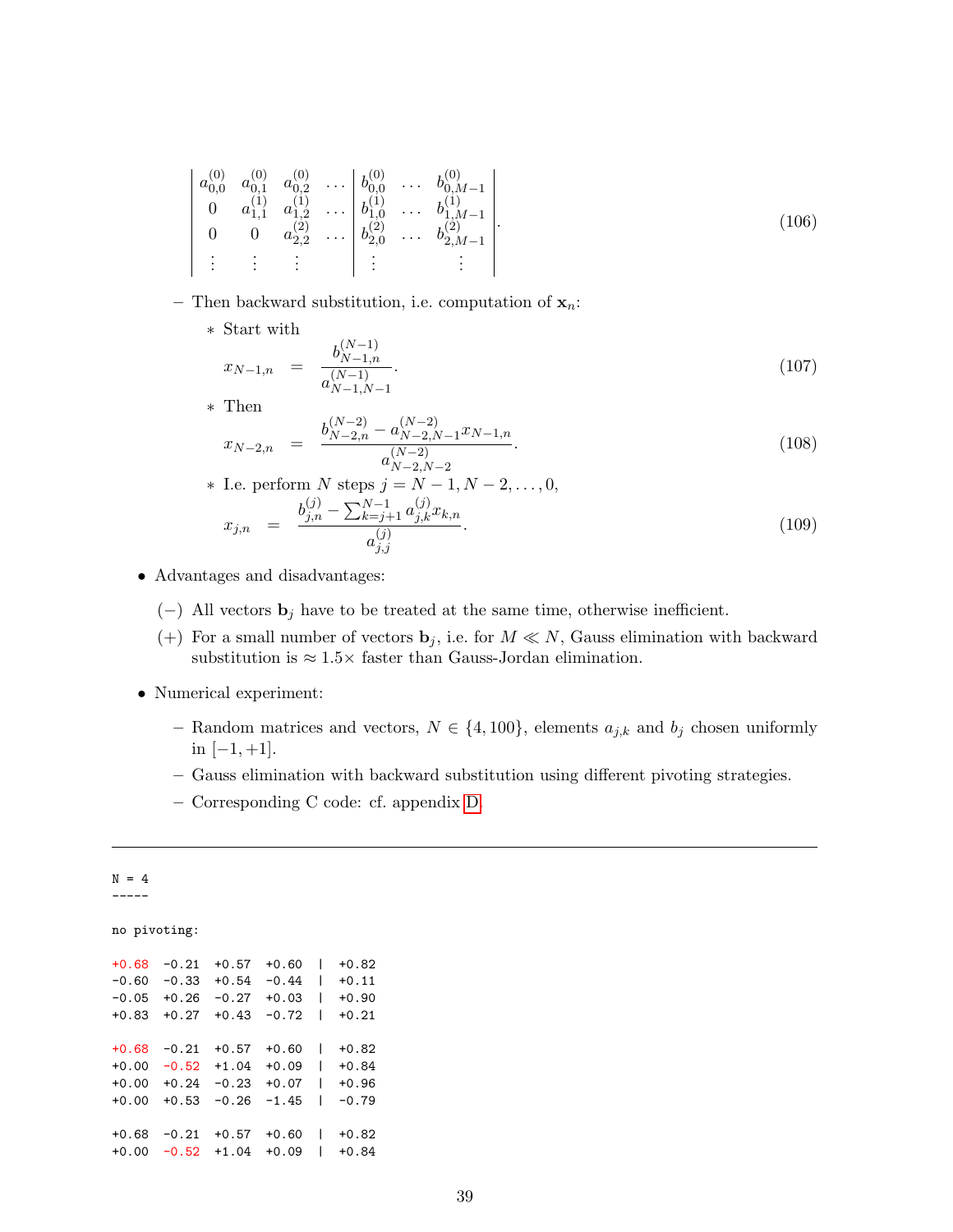$$
\begin{vmatrix} a_{0,0}^{(0)} & a_{0,1}^{(0)} & a_{0,2}^{(0)} & \dots & b_{0,0}^{(0)} & \dots & b_{0,M-1}^{(0)} \\ 0 & a_{1,1}^{(1)} & a_{1,2}^{(1)} & \dots & b_{1,0}^{(1)} & \dots & b_{1,M-1}^{(1)} \\ 0 & 0 & a_{2,2}^{(2)} & \dots & b_{2,0}^{(2)} & \dots & b_{2,M-1}^{(2)} \\ \vdots & \vdots & \vdots & \vdots & \vdots & \vdots & \end{vmatrix} . \tag{106}
$$

- Then backward substitution, i.e. computation of  $x_n$ :
	- ∗ Start with

$$
x_{N-1,n} = \frac{b_{N-1,n}^{(N-1)}}{a_{N-1,N-1}^{(N-1)}}.
$$
\n(107)

∗ Then

$$
x_{N-2,n} = \frac{b_{N-2,n}^{(N-2)} - a_{N-2,N-1}^{(N-2)} x_{N-1,n}}{a_{N-2,N-2}^{(N-2)}}.
$$
\n(108)

\* I.e. perform N steps 
$$
j = N - 1, N - 2, ..., 0,
$$
  
\n
$$
x_{j,n} = \frac{b_{j,n}^{(j)} - \sum_{k=j+1}^{N-1} a_{j,k}^{(j)} x_{k,n}}{a_{j,j}^{(j)}}.
$$
\n(109)

- Advantages and disadvantages:
	- (−) All vectors  $\mathbf{b}_j$  have to be treated at the same time, otherwise inefficient.
	- (+) For a small number of vectors  $\mathbf{b}_j$ , i.e. for  $M \ll N$ , Gauss elimination with backward substitution is  $\approx 1.5 \times$  faster than Gauss-Jordan elimination.
- Numerical experiment:
	- Random matrices and vectors,  $N \in \{4, 100\}$ , elements  $a_{j,k}$  and  $b_j$  chosen uniformly in [−1, +1].
	- Gauss elimination with backward substitution using different pivoting strategies.
	- Corresponding C code: cf. appendix [D.](#page-91-0)

| $N = 4$      |         |         |         |   |         |
|--------------|---------|---------|---------|---|---------|
|              |         |         |         |   |         |
|              |         |         |         |   |         |
| no pivoting: |         |         |         |   |         |
|              |         |         |         |   |         |
| $+0.68$      | $-0.21$ | $+0.57$ | $+0.60$ |   | $+0.82$ |
| $-0.60$      | $-0.33$ | $+0.54$ | $-0.44$ |   | $+0.11$ |
| $-0.05$      | $+0.26$ | $-0.27$ | $+0.03$ | I | $+0.90$ |
| $+0.83$      | $+0.27$ | $+0.43$ | $-0.72$ |   | $+0.21$ |
|              |         |         |         |   |         |
| $+0.68$      | $-0.21$ | $+0.57$ | $+0.60$ |   | $+0.82$ |
| $+0.00$      | $-0.52$ | $+1.04$ | $+0.09$ |   | +0.84   |
| $+0.00$      | $+0.24$ | $-0.23$ | $+0.07$ |   | $+0.96$ |
| $+0.00$      | $+0.53$ | $-0.26$ | $-1.45$ |   | $-0.79$ |
|              |         |         |         |   |         |
| $+0.68$      | -0.21   | $+0.57$ | $+0.60$ |   | +0.82   |
| $+0.00$      | $-0.52$ | $+1.04$ | $+0.09$ |   | +0.84   |
|              |         |         |         |   |         |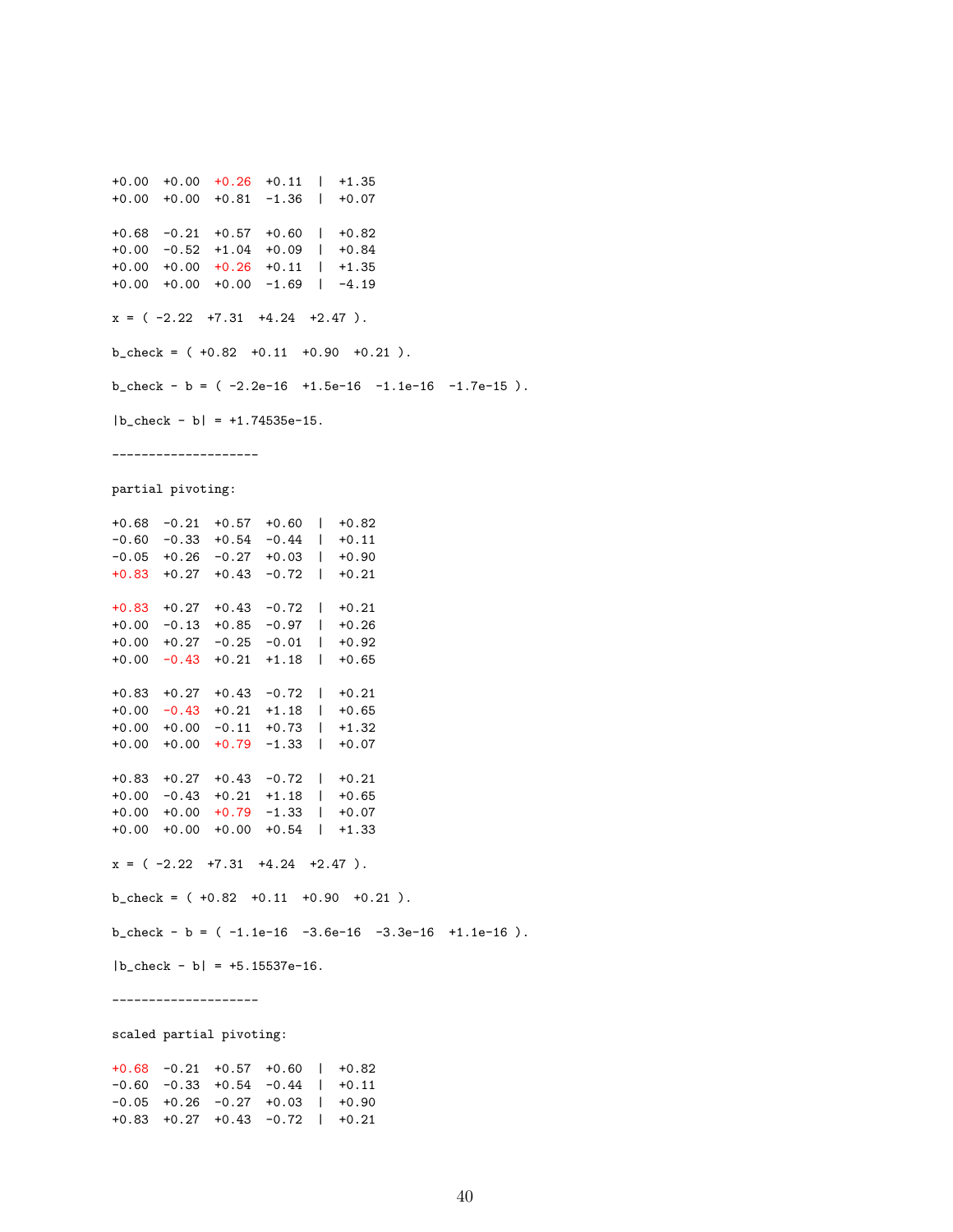+0.00 +0.00 +0.26 +0.11 | +1.35 +0.00 +0.00 +0.81 -1.36 | +0.07 +0.68 -0.21 +0.57 +0.60 | +0.82 +0.00 -0.52 +1.04 +0.09 | +0.84 +0.00 +0.00 +0.26 +0.11 | +1.35 +0.00 +0.00 +0.00 -1.69 | -4.19  $x = (-2.22 +7.31 +4.24 +2.47).$  $b_{\text{c}}$ check = ( +0.82 +0.11 +0.90 +0.21).  $b_{\text{check}} - b = (-2.2e-16 + 1.5e-16 - 1.1e-16 - 1.7e-15).$  $|b_{\text{c}}|$ check - b $| = +1.74535e-15$ . ------------------- partial pivoting: +0.68 -0.21 +0.57 +0.60 | +0.82 -0.60 -0.33 +0.54 -0.44 | +0.11 -0.05 +0.26 -0.27 +0.03 | +0.90 +0.83 +0.27 +0.43 -0.72 | +0.21 +0.83 +0.27 +0.43 -0.72 | +0.21 +0.00 -0.13 +0.85 -0.97 | +0.26 +0.00 +0.27 -0.25 -0.01 | +0.92 +0.00 -0.43 +0.21 +1.18 | +0.65 +0.83 +0.27 +0.43 -0.72 | +0.21 +0.00 -0.43 +0.21 +1.18 | +0.65 +0.00 +0.00 -0.11 +0.73 | +1.32 +0.00 +0.00 +0.79 -1.33 | +0.07 +0.83 +0.27 +0.43 -0.72 | +0.21 +0.00 -0.43 +0.21 +1.18 | +0.65 +0.00 +0.00 +0.79 -1.33 | +0.07 +0.00 +0.00 +0.00 +0.54 | +1.33  $x = (-2.22 +7.31 +4.24 +2.47).$  $b_{\text{check}} = ( +0.82 +0.11 +0.90 +0.21 ).$  $b_{\text{check}} - b = (-1.1e^{-16} - 3.6e^{-16} - 3.3e^{-16} + 1.1e^{-16}).$  $|b_{\text{c}}|$ check - b $| = +5.15537e-16$ . --------------------

scaled partial pivoting:

+0.68 -0.21 +0.57 +0.60 | +0.82 -0.60 -0.33 +0.54 -0.44 | +0.11 -0.05 +0.26 -0.27 +0.03 | +0.90 +0.83 +0.27 +0.43 -0.72 | +0.21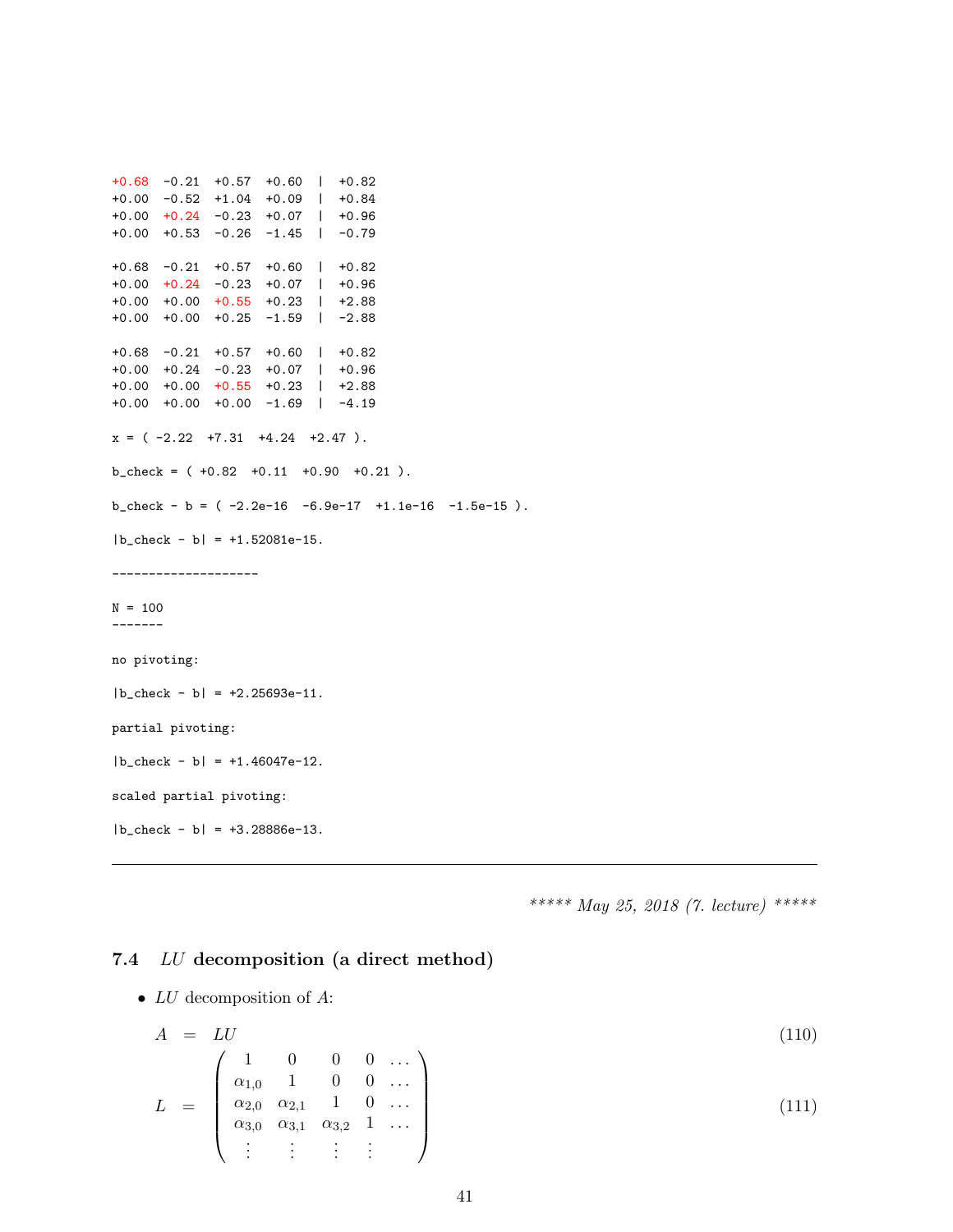```
+0.68 -0.21 +0.57 +0.60 | +0.82
+0.00 -0.52 +1.04 +0.09 | +0.84
+0.00 +0.24 -0.23 +0.07 | +0.96
+0.00 +0.53 -0.26 -1.45 | -0.79
+0.68 -0.21 +0.57 +0.60 | +0.82
+0.00 +0.24 -0.23 +0.07 | +0.96
+0.00 +0.00 +0.55 +0.23 | +2.88
+0.00 +0.00 +0.25 -1.59 | -2.88
+0.68 -0.21 +0.57 +0.60 | +0.82
+0.00 +0.24 -0.23 +0.07 | +0.96
+0.00 +0.00 +0.55 +0.23 | +2.88
+0.00 +0.00 +0.00 -1.69 | -4.19
x = (-2.22 +7.31 +4.24 +2.47).b_{\text{c}}check = ( +0.82 +0.11 +0.90 +0.21).
b_{\text{check}} - b = (-2.2e-16 -6.9e-17 +1.1e-16 -1.5e-15).|b_{\text{check}} - b| = +1.52081e-15.--------------------
N = 100-------
no pivoting:
|b_check - b| = +2.25693e-11.
partial pivoting:
|b_check - b| = +1.46047e-12.
scaled partial pivoting:
|b_check - b| = +3.28886e-13.
```
\*\*\*\*\* May 25, 2018 (7. lecture) \*\*\*\*\*

## 7.4 LU decomposition (a direct method)

•  $LU$  decomposition of  $A$ :

$$
A = LU
$$
\n
$$
L = \begin{pmatrix}\n1 & 0 & 0 & 0 & \dots \\
\alpha_{1,0} & 1 & 0 & 0 & \dots \\
\alpha_{2,0} & \alpha_{2,1} & 1 & 0 & \dots \\
\alpha_{3,0} & \alpha_{3,1} & \alpha_{3,2} & 1 & \dots \\
\vdots & \vdots & \vdots & \vdots & \vdots\n\end{pmatrix}
$$
\n(110)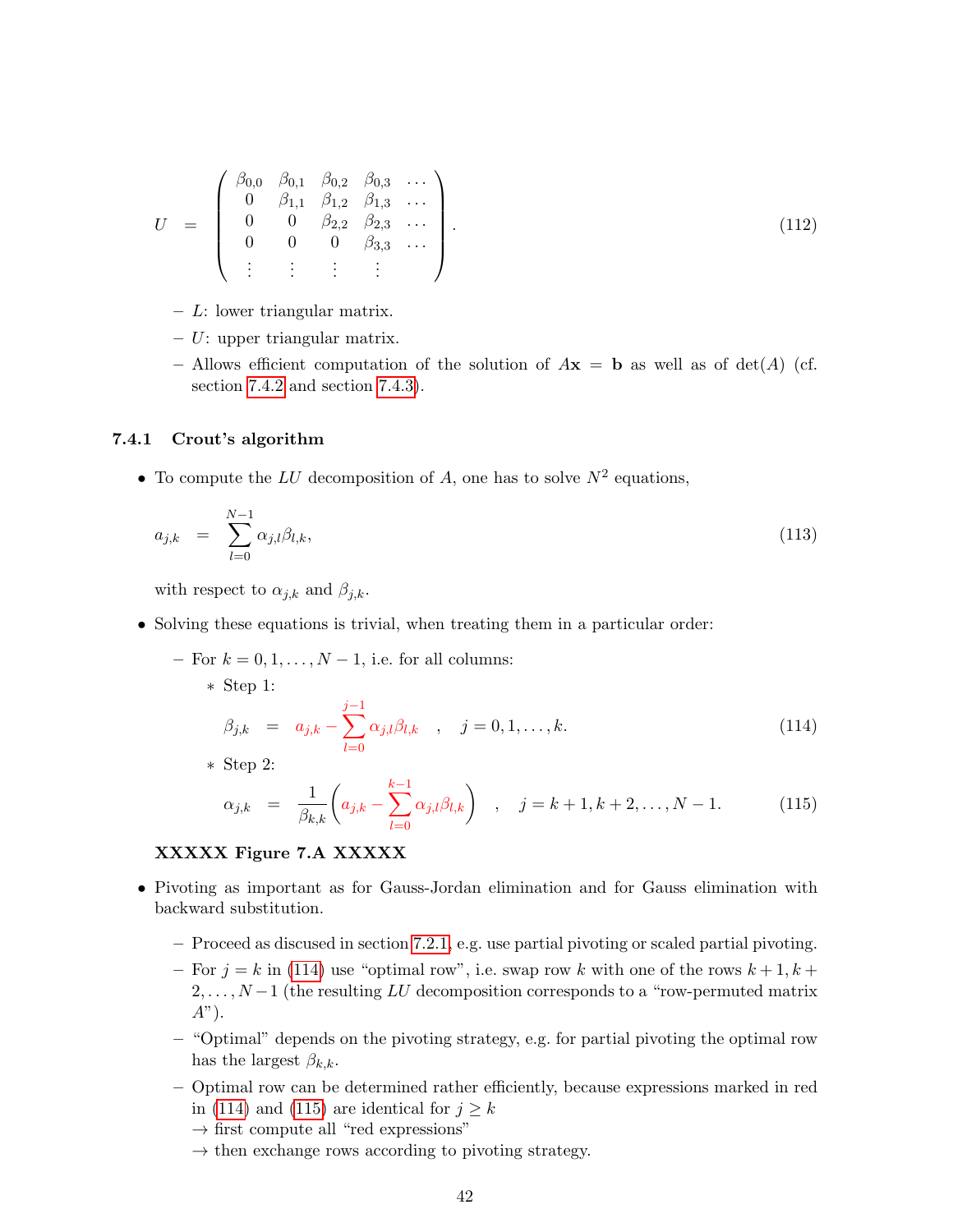$$
U = \begin{pmatrix} \beta_{0,0} & \beta_{0,1} & \beta_{0,2} & \beta_{0,3} & \dots \\ 0 & \beta_{1,1} & \beta_{1,2} & \beta_{1,3} & \dots \\ 0 & 0 & \beta_{2,2} & \beta_{2,3} & \dots \\ 0 & 0 & 0 & \beta_{3,3} & \dots \\ \vdots & \vdots & \vdots & \vdots & \ddots \end{pmatrix} . \tag{112}
$$

 $- L$ : lower triangular matrix.

 $- U$ : upper triangular matrix.

– Allows efficient computation of the solution of  $A\mathbf{x} = \mathbf{b}$  as well as of det(A) (cf. section [7.4.2](#page-42-0) and section [7.4.3\)](#page-42-1).

#### 7.4.1 Crout's algorithm

• To compute the LU decomposition of A, one has to solve  $N^2$  equations,

$$
a_{j,k} = \sum_{l=0}^{N-1} \alpha_{j,l} \beta_{l,k}, \qquad (113)
$$

with respect to  $\alpha_{j,k}$  and  $\beta_{j,k}$ .

- Solving these equations is trivial, when treating them in a particular order:
	- For  $k = 0, 1, \ldots, N 1$ , i.e. for all columns:
		- ∗ Step 1:

<span id="page-41-0"></span>
$$
\beta_{j,k} = a_{j,k} - \sum_{l=0}^{j-1} \alpha_{j,l} \beta_{l,k} , \quad j = 0, 1, ..., k.
$$
\n(114)

∗ Step 2:

<span id="page-41-1"></span>
$$
\alpha_{j,k} = \frac{1}{\beta_{k,k}} \left( a_{j,k} - \sum_{l=0}^{k-1} \alpha_{j,l} \beta_{l,k} \right) , \quad j = k+1, k+2, \dots, N-1.
$$
 (115)

## XXXXX Figure 7.A XXXXX

- Pivoting as important as for Gauss-Jordan elimination and for Gauss elimination with backward substitution.
	- Proceed as discused in section [7.2.1,](#page-37-0) e.g. use partial pivoting or scaled partial pivoting.
	- For  $j = k$  in [\(114\)](#page-41-0) use "optimal row", i.e. swap row k with one of the rows  $k + 1, k + 1$  $2, \ldots, N-1$  (the resulting LU decomposition corresponds to a "row-permuted matrix  $A$ ").
	- "Optimal" depends on the pivoting strategy, e.g. for partial pivoting the optimal row has the largest  $\beta_{k,k}$ .
	- Optimal row can be determined rather efficiently, because expressions marked in red in [\(114\)](#page-41-0) and [\(115\)](#page-41-1) are identical for  $j \geq k$ 
		- $\rightarrow$  first compute all "red expressions"
		- $\rightarrow$  then exchange rows according to pivoting strategy.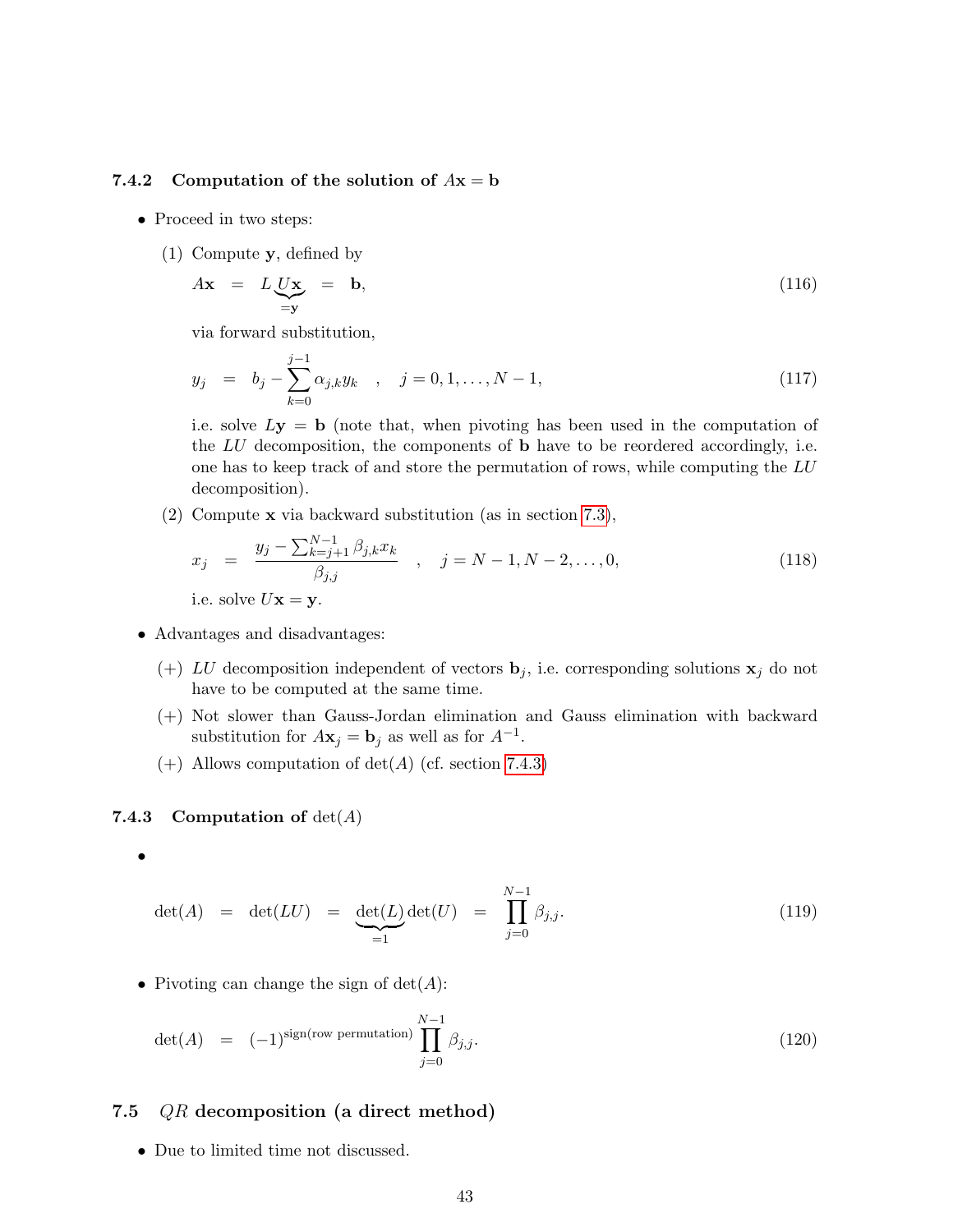### <span id="page-42-0"></span>7.4.2 Computation of the solution of  $Ax = b$

- Proceed in two steps:
	- (1) Compute y, defined by

$$
A\mathbf{x} = L\underbrace{U\mathbf{x}}_{=\mathbf{y}} = \mathbf{b},\tag{116}
$$

via forward substitution,

$$
y_j = b_j - \sum_{k=0}^{j-1} \alpha_{j,k} y_k , \quad j = 0, 1, ..., N-1,
$$
 (117)

i.e. solve  $Ly = b$  (note that, when pivoting has been used in the computation of the  $LU$  decomposition, the components of  $\bf{b}$  have to be reordered accordingly, i.e. one has to keep track of and store the permutation of rows, while computing the LU decomposition).

(2) Compute x via backward substitution (as in section [7.3\)](#page-37-1),

$$
x_j = \frac{y_j - \sum_{k=j+1}^{N-1} \beta_{j,k} x_k}{\beta_{j,j}}, \quad j = N-1, N-2, ..., 0,
$$
  
i.e. solve  $U \mathbf{x} = \mathbf{y}.$  (118)

- Advantages and disadvantages:
	- (+) LU decomposition independent of vectors  $\mathbf{b}_j$ , i.e. corresponding solutions  $\mathbf{x}_j$  do not have to be computed at the same time.
	- (+) Not slower than Gauss-Jordan elimination and Gauss elimination with backward substitution for  $A\mathbf{x}_j = \mathbf{b}_j$  as well as for  $A^{-1}$ .
	- $(+)$  Allows computation of  $det(A)$  (cf. section [7.4.3\)](#page-42-1)

#### <span id="page-42-1"></span>7.4.3 Computation of  $det(A)$

•

$$
\det(A) = \det(LU) = \underbrace{\det(L)}_{=1} \det(U) = \prod_{j=0}^{N-1} \beta_{j,j}.
$$
 (119)

• Pivoting can change the sign of  $det(A)$ :

$$
\det(A) = (-1)^{\text{sign}(\text{row permutation})} \prod_{j=0}^{N-1} \beta_{j,j}.
$$
 (120)

## 7.5  $QR$  decomposition (a direct method)

• Due to limited time not discussed.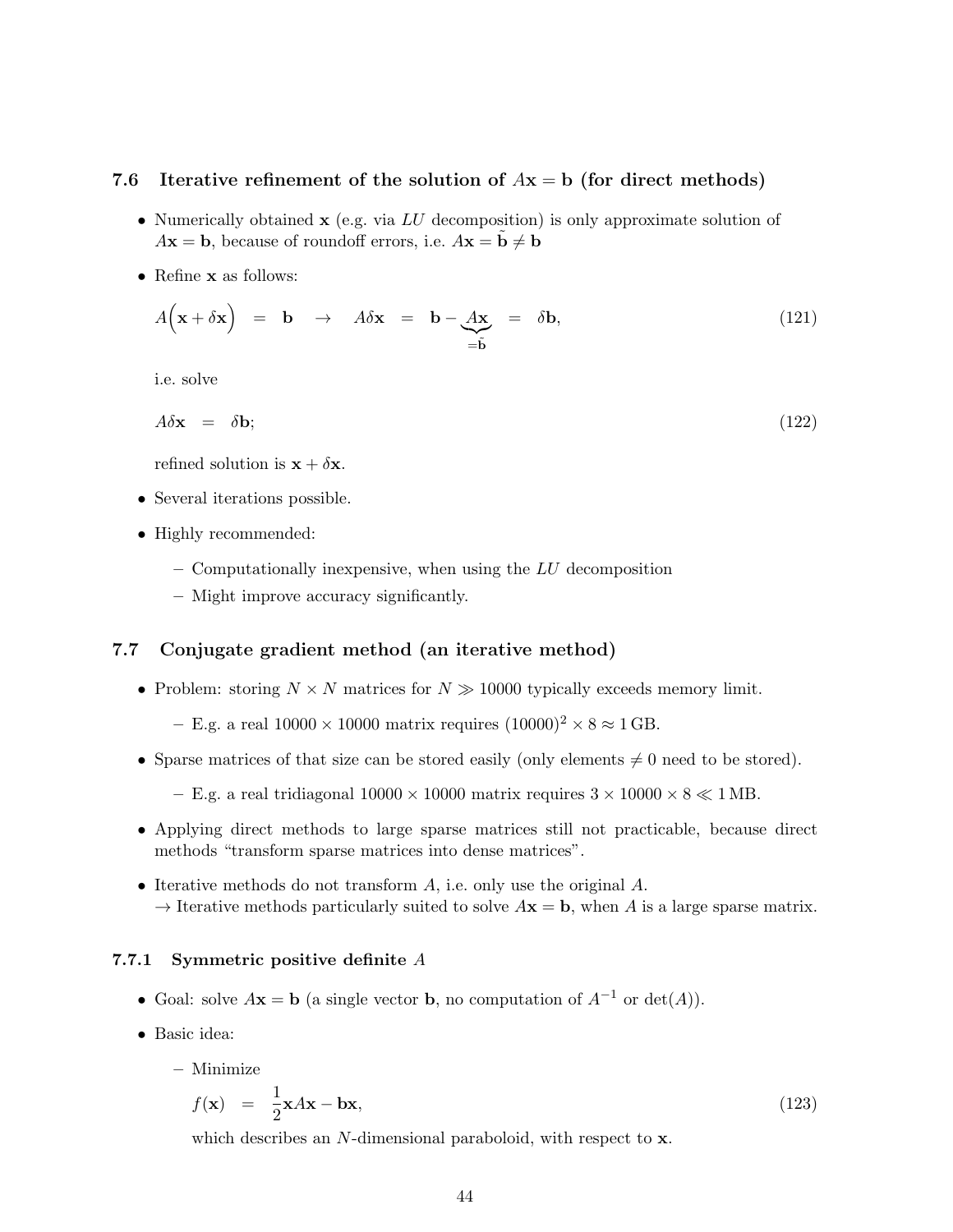### 7.6 Iterative refinement of the solution of  $Ax = b$  (for direct methods)

- Numerically obtained  $x$  (e.g. via LU decomposition) is only approximate solution of  $A\mathbf{x} = \mathbf{b}$ , because of roundoff errors, i.e.  $A\mathbf{x} = \tilde{\mathbf{b}} \neq \mathbf{b}$
- Refine x as follows:

$$
A(\mathbf{x} + \delta \mathbf{x}) = \mathbf{b} \rightarrow A \delta \mathbf{x} = \mathbf{b} - \underbrace{A \mathbf{x}}_{= \tilde{\mathbf{b}}} = \delta \mathbf{b}, \qquad (121)
$$

i.e. solve

$$
A\delta \mathbf{x} = \delta \mathbf{b};\tag{122}
$$

refined solution is  $\mathbf{x} + \delta \mathbf{x}$ .

- Several iterations possible.
- Highly recommended:
	- $-$  Computationally inexpensive, when using the  $LU$  decomposition
	- Might improve accuracy significantly.

## 7.7 Conjugate gradient method (an iterative method)

• Problem: storing  $N \times N$  matrices for  $N \gg 10000$  typically exceeds memory limit.

– E.g. a real  $10000 \times 10000$  matrix requires  $(10000)^2 \times 8 \approx 1$  GB.

• Sparse matrices of that size can be stored easily (only elements  $\neq 0$  need to be stored).

– E.g. a real tridiagonal  $10000 \times 10000$  matrix requires  $3 \times 10000 \times 8 \ll 1$  MB.

- Applying direct methods to large sparse matrices still not practicable, because direct methods "transform sparse matrices into dense matrices".
- Iterative methods do not transform  $A$ , i.e. only use the original  $A$ .  $\rightarrow$  Iterative methods particularly suited to solve  $A\mathbf{x} = \mathbf{b}$ , when A is a large sparse matrix.

#### <span id="page-43-0"></span>7.7.1 Symmetric positive definite A

- Goal: solve  $A\mathbf{x} = \mathbf{b}$  (a single vector  $\mathbf{b}$ , no computation of  $A^{-1}$  or  $\det(A)$ ).
- Basic idea:
	- Minimize

$$
f(\mathbf{x}) = \frac{1}{2}\mathbf{x}A\mathbf{x} - \mathbf{b}\mathbf{x},\tag{123}
$$

which describes an N-dimensional paraboloid, with respect to x.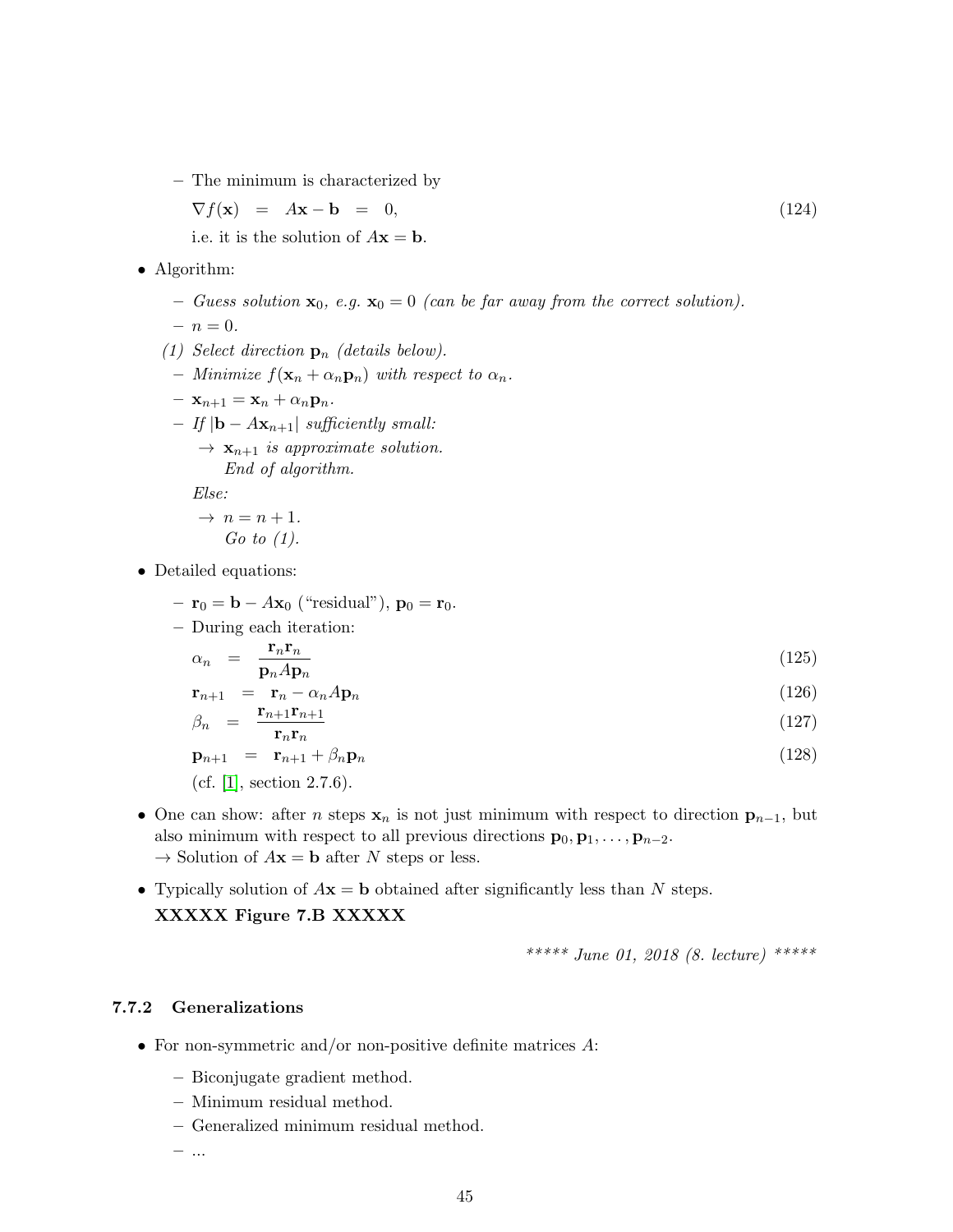– The minimum is characterized by

$$
\nabla f(\mathbf{x}) = A\mathbf{x} - \mathbf{b} = 0, \tag{124}
$$

i.e. it is the solution of  $A\mathbf{x} = \mathbf{b}$ .

- Algorithm:
	- Guess solution  $\mathbf{x}_0$ , e.g.  $\mathbf{x}_0 = 0$  (can be far away from the correct solution).

$$
- n = 0.
$$

- (1) Select direction  $\mathbf{p}_n$  (details below).
- Minimize  $f(\mathbf{x}_n + \alpha_n \mathbf{p}_n)$  with respect to  $\alpha_n$ .
- $\mathbf{x}_{n+1} = \mathbf{x}_n + \alpha_n \mathbf{p}_n.$
- If  $|**b** A**x**<sub>n+1</sub>|$  sufficiently small:  $\rightarrow$   $\mathbf{x}_{n+1}$  is approximate solution.

End of algorithm.

Else:

$$
\rightarrow n = n + 1.
$$
  
Go to (1).

- Detailed equations:
	- $\mathbf{r}_0 = \mathbf{b} A\mathbf{x}_0$  ("residual"),  $\mathbf{p}_0 = \mathbf{r}_0$ .
	- During each iteration:

$$
\alpha_n = \frac{\mathbf{r}_n \mathbf{r}_n}{\mathbf{p}_n A \mathbf{p}_n} \tag{125}
$$

$$
\mathbf{r}_{n+1} = \mathbf{r}_n - \alpha_n A \mathbf{p}_n \tag{126}
$$

$$
\beta_n = \frac{\mathbf{r}_{n+1}\mathbf{r}_{n+1}}{\mathbf{r}_n\mathbf{r}_n} \tag{127}
$$

$$
\mathbf{p}_{n+1} = \mathbf{r}_{n+1} + \beta_n \mathbf{p}_n \tag{128}
$$

(cf. [\[1\]](#page-100-0), section  $2.7.6$ ).

- One can show: after *n* steps  $x_n$  is not just minimum with respect to direction  $p_{n-1}$ , but also minimum with respect to all previous directions  $\mathbf{p}_0, \mathbf{p}_1, \ldots, \mathbf{p}_{n-2}$ .  $\rightarrow$  Solution of  $A\mathbf{x} = \mathbf{b}$  after N steps or less.
- Typically solution of  $A\mathbf{x} = \mathbf{b}$  obtained after significantly less than N steps. XXXXX Figure 7.B XXXXX

$$
**** June 01, 2018 (8. lecture) ***
$$

## <span id="page-44-0"></span>7.7.2 Generalizations

- For non-symmetric and/or non-positive definite matrices  $A$ :
	- Biconjugate gradient method.
	- Minimum residual method.
	- Generalized minimum residual method.

– ...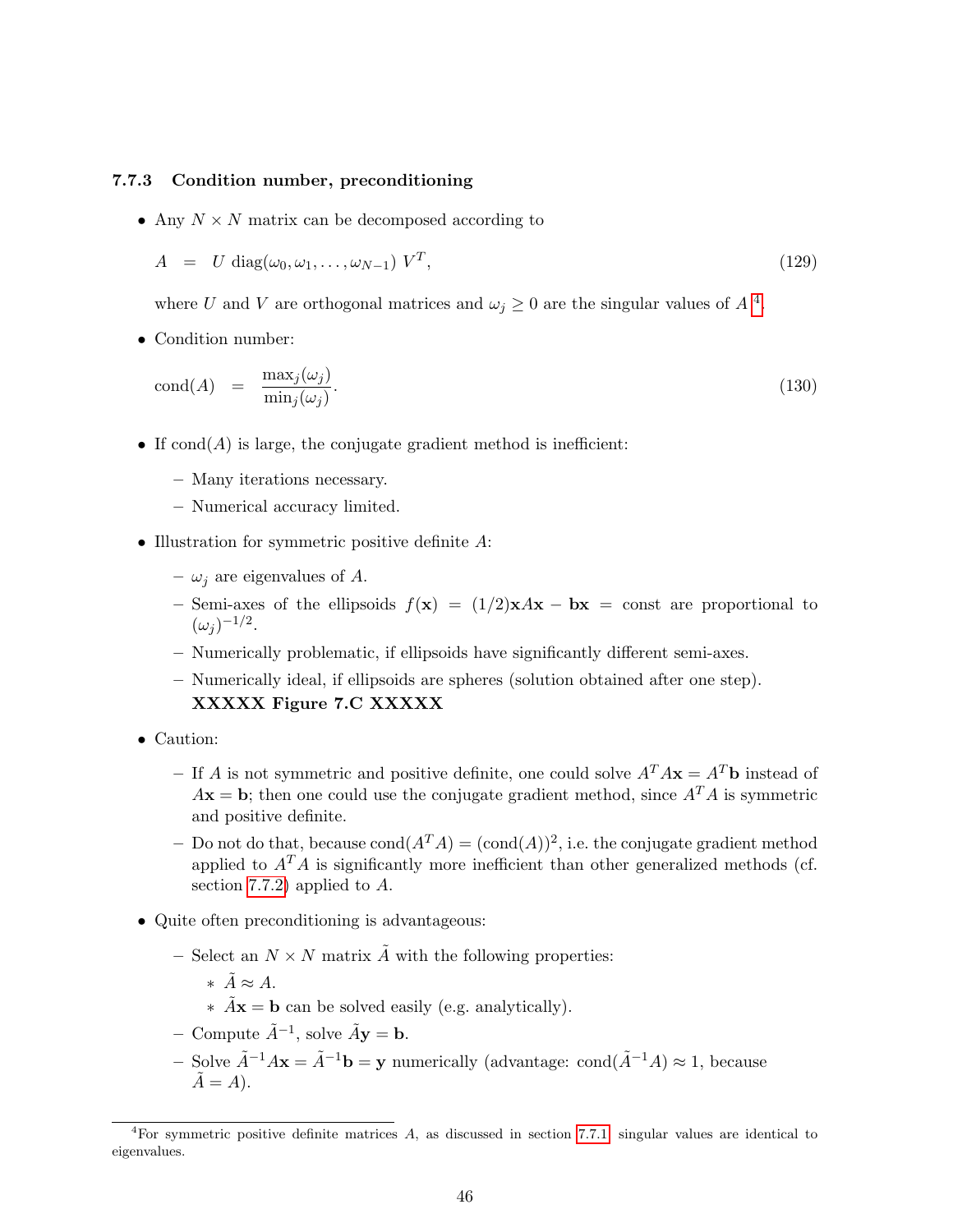#### 7.7.3 Condition number, preconditioning

• Any  $N \times N$  matrix can be decomposed according to

$$
A = U \operatorname{diag}(\omega_0, \omega_1, \dots, \omega_{N-1}) V^T,
$$
\n(129)

where U and V are orthogonal matrices and  $\omega_j \geq 0$  are the singular values of  $A^4$  $A^4$ .

• Condition number:

$$
cond(A) = \frac{\max_j(\omega_j)}{\min_j(\omega_j)}.
$$
\n(130)

- If  $\text{cond}(A)$  is large, the conjugate gradient method is inefficient:
	- Many iterations necessary.
	- Numerical accuracy limited.
- Illustration for symmetric positive definite A:
	- $\omega_i$  are eigenvalues of A.
	- Semi-axes of the ellipsoids  $f(x) = (1/2)xAx bx = const$  are proportional to  $(\omega_j)^{-1/2}.$
	- Numerically problematic, if ellipsoids have significantly different semi-axes.
	- Numerically ideal, if ellipsoids are spheres (solution obtained after one step).

### XXXXX Figure 7.C XXXXX

- Caution:
	- If A is not symmetric and positive definite, one could solve  $A^T A \mathbf{x} = A^T \mathbf{b}$  instead of  $A\mathbf{x} = \mathbf{b}$ ; then one could use the conjugate gradient method, since  $A^T A$  is symmetric and positive definite.
	- Do not do that, because  $\text{cond}(A^T A) = (\text{cond}(A))^2$ , i.e. the conjugate gradient method applied to  $A<sup>T</sup>A$  is significantly more inefficient than other generalized methods (cf. section [7.7.2\)](#page-44-0) applied to A.
- Quite often preconditioning is advantageous:
	- Select an  $N \times N$  matrix  $\tilde{A}$  with the following properties:
		- ∗  $\tilde{A} \approx A$ .
		- $\hat{A}$ **x** = **b** can be solved easily (e.g. analytically).
	- Compute  $\tilde{A}^{-1}$ , solve  $\tilde{A}$ **y** = **b**.
	- Solve  $\tilde{A}^{-1}A\mathbf{x} = \tilde{A}^{-1}\mathbf{b} = \mathbf{y}$  numerically (advantage: cond( $\tilde{A}^{-1}A$ ) ≈ 1, because  $\ddot{A} = A$ ).

<span id="page-45-0"></span><sup>&</sup>lt;sup>4</sup>For symmetric positive definite matrices A, as discussed in section [7.7.1,](#page-43-0) singular values are identical to eigenvalues.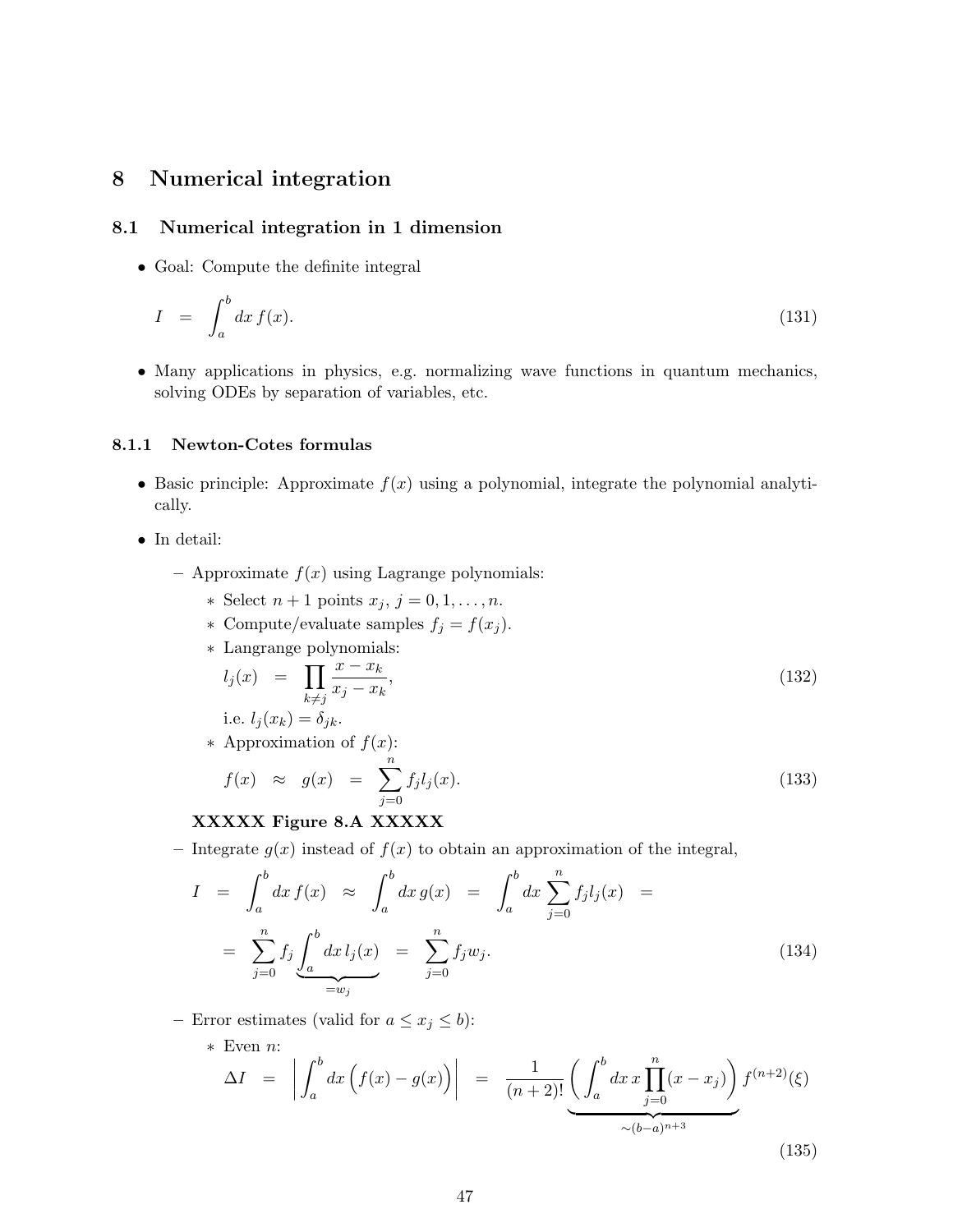# 8 Numerical integration

## <span id="page-46-1"></span>8.1 Numerical integration in 1 dimension

• Goal: Compute the definite integral

$$
I = \int_{a}^{b} dx f(x). \tag{131}
$$

• Many applications in physics, e.g. normalizing wave functions in quantum mechanics, solving ODEs by separation of variables, etc.

## <span id="page-46-2"></span>8.1.1 Newton-Cotes formulas

- Basic principle: Approximate  $f(x)$  using a polynomial, integrate the polynomial analytically.
- In detail:
	- Approximate  $f(x)$  using Lagrange polynomials:
		- \* Select  $n+1$  points  $x_j$ ,  $j=0,1,\ldots,n$ .
		- ∗ Compute/evaluate samples  $f_j = f(x_j)$ .
		- ∗ Langrange polynomials:

$$
l_j(x) = \prod_{k \neq j} \frac{x - x_k}{x_j - x_k},
$$
\n
$$
i \in J_i(x) - \delta_{ij}
$$
\n(132)

i.e. 
$$
i_j(x_k) = 0jk
$$
.  
\n\* Approximation of  $f(x)$ .

$$
f(x) \approx g(x) = \sum_{i=1}^{n} f_i l_i(x).
$$

$$
f(x) \approx g(x) = \sum_{j=0} f_j l_j(x). \tag{133}
$$

## XXXXX Figure 8.A XXXXX

– Integrate  $g(x)$  instead of  $f(x)$  to obtain an approximation of the integral,

<span id="page-46-0"></span>
$$
I = \int_{a}^{b} dx f(x) \approx \int_{a}^{b} dx g(x) = \int_{a}^{b} dx \sum_{j=0}^{n} f_{j} l_{j}(x) =
$$
  

$$
= \sum_{j=0}^{n} f_{j} \underbrace{\int_{a}^{b} dx l_{j}(x)}_{=w_{j}} = \sum_{j=0}^{n} f_{j} w_{j}.
$$
 (134)

– Error estimates (valid for  $a \leq x_j \leq b$ ):

\* Even *n*:  
\n
$$
\Delta I = \left| \int_{a}^{b} dx \left( f(x) - g(x) \right) \right| = \frac{1}{(n+2)!} \underbrace{\left( \int_{a}^{b} dx \, x \prod_{j=0}^{n} (x - x_j) \right)}_{\sim (b-a)^{n+3}} f^{(n+2)}(\xi)
$$
\n(135)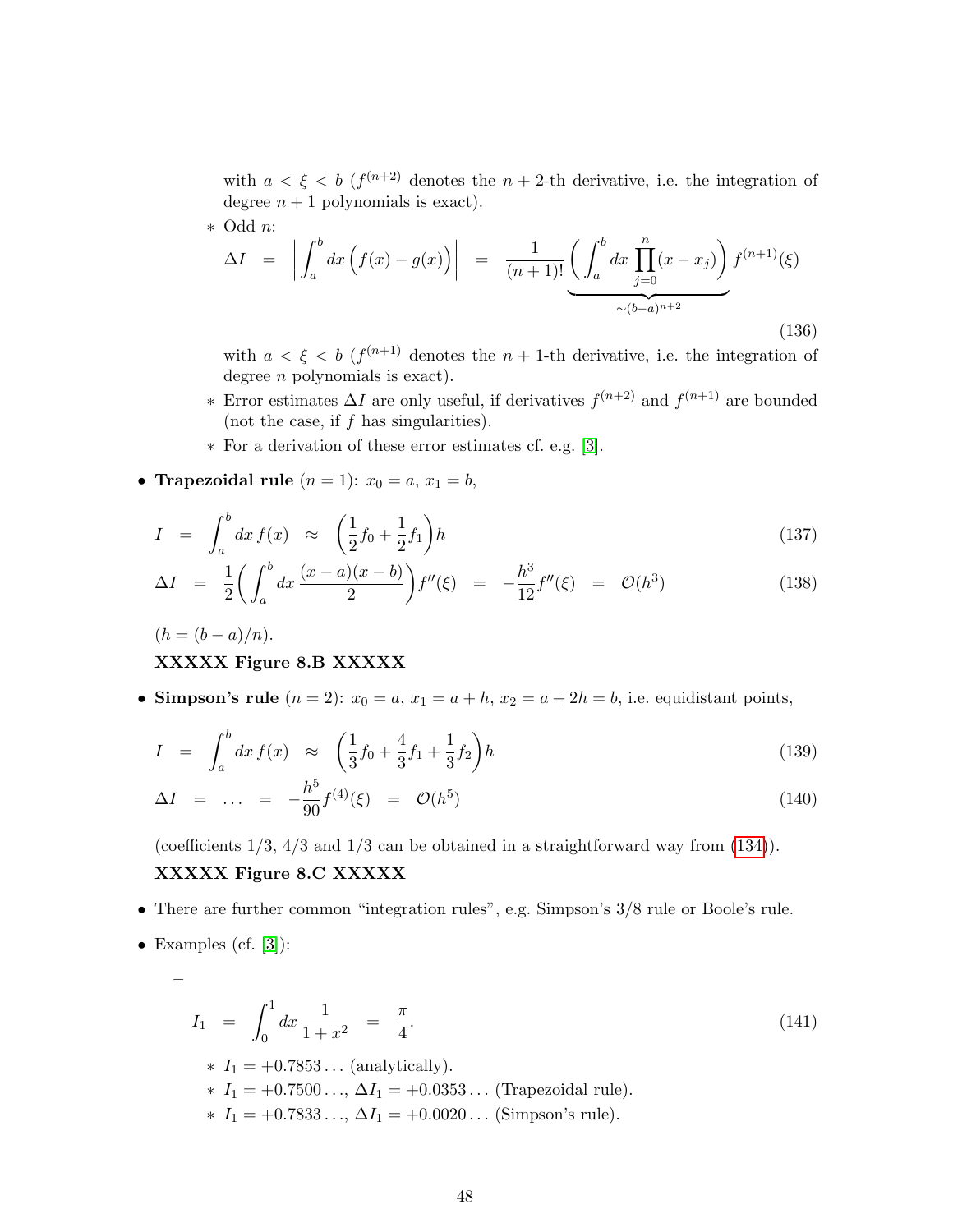with  $a < \xi < b$  ( $f^{(n+2)}$ ) denotes the  $n+2$ -th derivative, i.e. the integration of degree  $n + 1$  polynomials is exact).

\* Odd *n*:  
\n
$$
\Delta I = \left| \int_{a}^{b} dx \left( f(x) - g(x) \right) \right| = \frac{1}{(n+1)!} \underbrace{\left( \int_{a}^{b} dx \prod_{j=0}^{n} (x - x_{j}) \right)}_{\sim (b-a)^{n+2}} f^{(n+1)}(\xi)
$$
\n(136)

with  $a < \xi < b$  ( $f^{(n+1)}$ ) denotes the  $n+1$ -th derivative, i.e. the integration of degree *n* polynomials is exact).

- $\ast$  Error estimates ΔI are only useful, if derivatives  $f^{(n+2)}$  and  $f^{(n+1)}$  are bounded (not the case, if  $f$  has singularities).
- ∗ For a derivation of these error estimates cf. e.g. [\[3\]](#page-100-1).
- Trapezoidal rule  $(n = 1)$ :  $x_0 = a, x_1 = b$ ,

$$
I = \int_{a}^{b} dx f(x) \approx \left(\frac{1}{2}f_0 + \frac{1}{2}f_1\right)h
$$
 (137)

$$
\Delta I = \frac{1}{2} \left( \int_a^b dx \, \frac{(x-a)(x-b)}{2} \right) f''(\xi) = -\frac{h^3}{12} f''(\xi) = \mathcal{O}(h^3) \tag{138}
$$

$$
(h = (b - a)/n).
$$

## XXXXX Figure 8.B XXXXX

• Simpson's rule  $(n = 2)$ :  $x_0 = a$ ,  $x_1 = a + h$ ,  $x_2 = a + 2h = b$ , i.e. equidistant points,

$$
I = \int_{a}^{b} dx f(x) \approx \left(\frac{1}{3}f_0 + \frac{4}{3}f_1 + \frac{1}{3}f_2\right)h \tag{139}
$$

$$
\Delta I = \dots = -\frac{h^5}{90} f^{(4)}(\xi) = \mathcal{O}(h^5) \tag{140}
$$

(coefficients 1/3, 4/3 and 1/3 can be obtained in a straightforward way from [\(134\)](#page-46-0)).

### XXXXX Figure 8.C XXXXX

- There are further common "integration rules", e.g. Simpson's  $3/8$  rule or Boole's rule.
- Examples (cf.  $[3]$ ):

–

$$
I_1 = \int_0^1 dx \frac{1}{1+x^2} = \frac{\pi}{4}.
$$
\n
$$
* I_1 = +0.7853... \text{ (analytically)}.
$$
\n
$$
* I_1 = +0.7500..., \Delta I_1 = +0.0353... \text{ (Trapezoidal rule)}.
$$
\n
$$
* I_1 = +0.7833..., \Delta I_1 = +0.0020... \text{ (Simpson's rule)}.
$$
\n(141)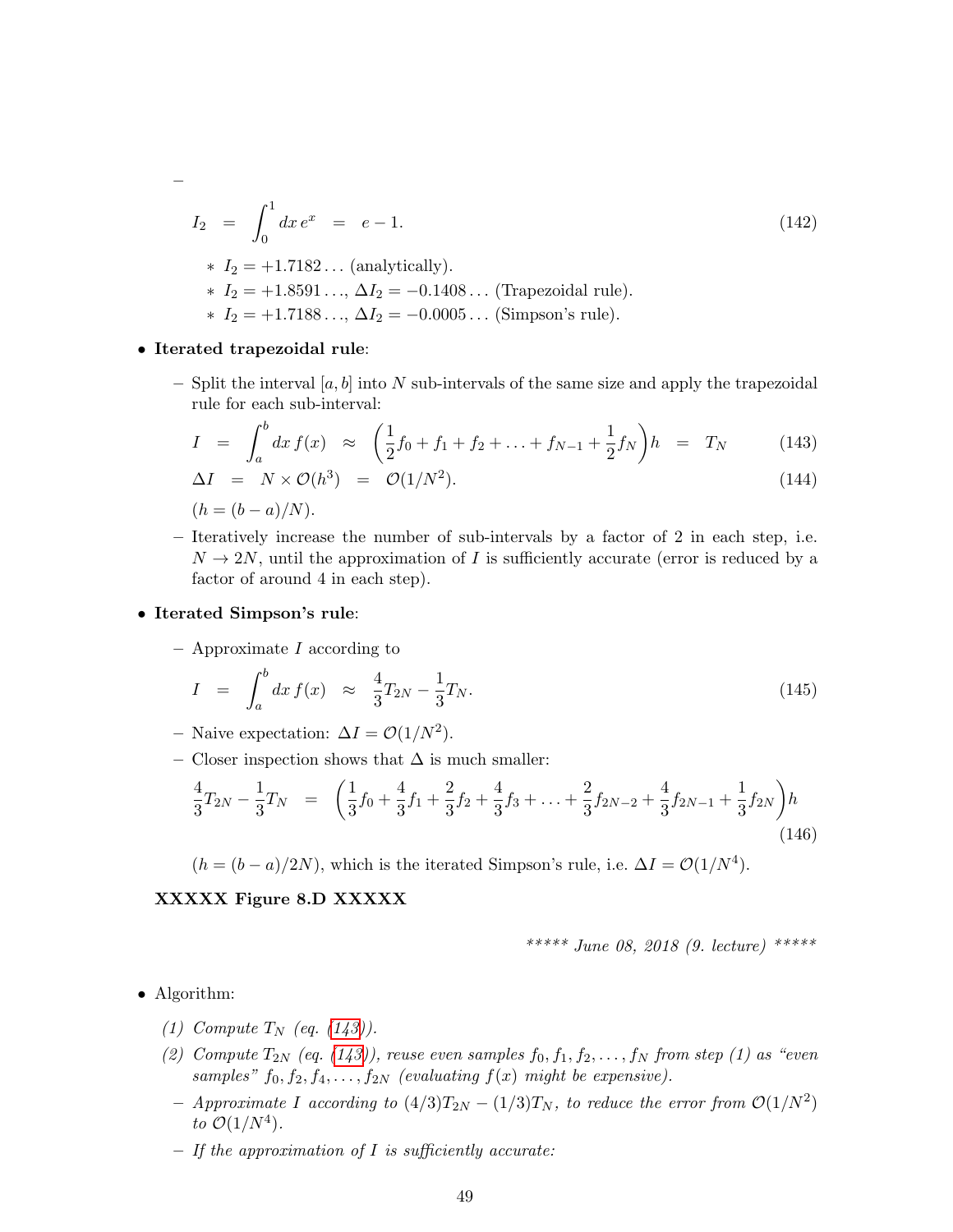$$
I_2 = \int_0^1 dx e^x = e - 1.
$$
\n
$$
I_2 = +1.7182 \dots \text{(analytically)}.
$$
\n
$$
I_1 = +1.7182 \dots \text{(analytically)}.
$$
\n
$$
I_2 = +1.8591 \dots, \Delta I_2 = -0.1408 \dots \text{(Trapezoidal rule)}.
$$
\n
$$
I_1 = +1.7188 \dots, \Delta I_2 = -0.0005 \dots \text{ (Simpson's rule)}.
$$
\n(142)

#### • Iterated trapezoidal rule:

–

– Split the interval  $[a, b]$  into N sub-intervals of the same size and apply the trapezoidal rule for each sub-interval:

<span id="page-48-0"></span>
$$
I = \int_{a}^{b} dx f(x) \approx \left(\frac{1}{2}f_0 + f_1 + f_2 + \ldots + f_{N-1} + \frac{1}{2}f_N\right)h = T_N \tag{143}
$$

$$
\Delta I = N \times \mathcal{O}(h^3) = \mathcal{O}(1/N^2). \tag{144}
$$

 $(h = (b - a)/N)$ .

– Iteratively increase the number of sub-intervals by a factor of 2 in each step, i.e.  $N \to 2N$ , until the approximation of I is sufficiently accurate (error is reduced by a factor of around 4 in each step).

#### • Iterated Simpson's rule:

 $-$  Approximate I according to

$$
I = \int_{a}^{b} dx f(x) \approx \frac{4}{3} T_{2N} - \frac{1}{3} T_N. \tag{145}
$$

- Naive expectation:  $\Delta I = \mathcal{O}(1/N^2)$ .
- Closer inspection shows that  $\Delta$  is much smaller:

$$
\frac{4}{3}T_{2N} - \frac{1}{3}T_N = \left(\frac{1}{3}f_0 + \frac{4}{3}f_1 + \frac{2}{3}f_2 + \frac{4}{3}f_3 + \dots + \frac{2}{3}f_{2N-2} + \frac{4}{3}f_{2N-1} + \frac{1}{3}f_{2N}\right)h\tag{146}
$$

 $(h = (b - a)/2N)$ , which is the iterated Simpson's rule, i.e.  $\Delta I = \mathcal{O}(1/N^4)$ .

## XXXXX Figure 8.D XXXXX

\*\*\*\*\* June 08, 2018 (9. lecture) \*\*\*\*\*

- Algorithm:
	- (1) Compute  $T_N$  (eq. [\(143\)](#page-48-0)).
	- (2) Compute  $T_{2N}$  (eq. [\(143\)](#page-48-0)), reuse even samples  $f_0, f_1, f_2, \ldots, f_N$  from step (1) as "even samples"  $f_0, f_2, f_4, \ldots, f_{2N}$  (evaluating  $f(x)$  might be expensive).
		- $-$  Approximate I according to  $(4/3)T_{2N} (1/3)T_N$ , to reduce the error from  $\mathcal{O}(1/N^2)$ to  $\mathcal{O}(1/N^4)$ .
		- $-$  If the approximation of I is sufficiently accurate: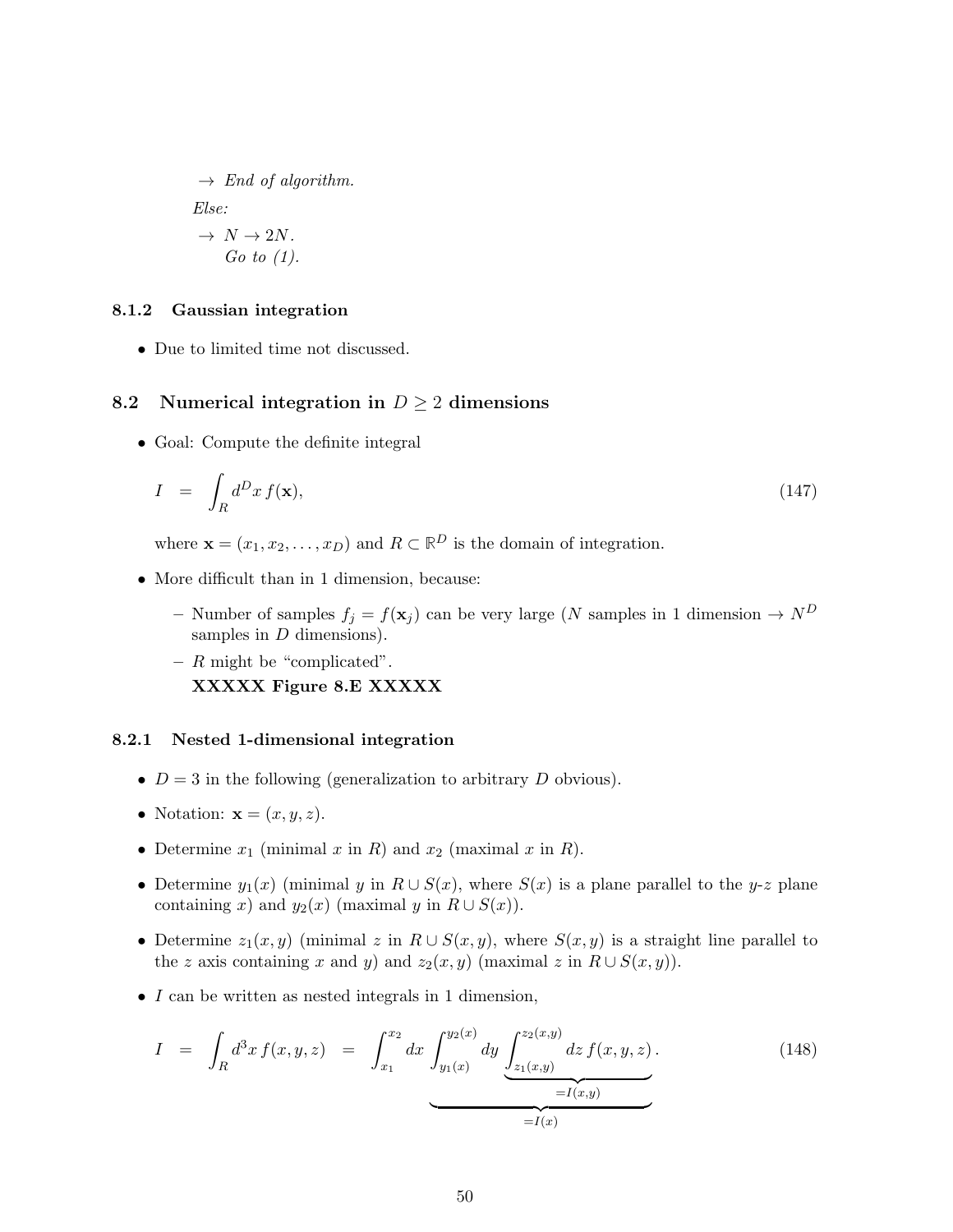$$
\rightarrow End of algorithm.
$$
  
Else:  

$$
\rightarrow N \rightarrow 2N.
$$
  
Go to (1).

#### 8.1.2 Gaussian integration

• Due to limited time not discussed.

## 8.2 Numerical integration in  $D \geq 2$  dimensions

• Goal: Compute the definite integral

$$
I = \int_{R} d^{D}x f(\mathbf{x}), \qquad (147)
$$

where  $\mathbf{x} = (x_1, x_2, \dots, x_D)$  and  $R \subset \mathbb{R}^D$  is the domain of integration.

- More difficult than in 1 dimension, because:
	- Number of samples  $f_j = f(\mathbf{x}_j)$  can be very large (N samples in 1 dimension  $\rightarrow N^D$ samples in  $D$  dimensions).
	- $-$  R might be "complicated". XXXXX Figure 8.E XXXXX

### 8.2.1 Nested 1-dimensional integration

- $D = 3$  in the following (generalization to arbitrary D obvious).
- Notation:  $\mathbf{x} = (x, y, z)$ .
- Determine  $x_1$  (minimal x in R) and  $x_2$  (maximal x in R).
- Determine  $y_1(x)$  (minimal y in  $R \cup S(x)$ , where  $S(x)$  is a plane parallel to the y-z plane containing x) and  $y_2(x)$  (maximal y in  $R \cup S(x)$ ).
- Determine  $z_1(x, y)$  (minimal z in  $R \cup S(x, y)$ , where  $S(x, y)$  is a straight line parallel to the z axis containing x and y) and  $z_2(x, y)$  (maximal z in  $R \cup S(x, y)$ ).
- I can be written as nested integrals in 1 dimension,

$$
I = \int_{R} d^{3}x f(x, y, z) = \int_{x_{1}}^{x_{2}} dx \underbrace{\int_{y_{1}(x)}^{y_{2}(x)} dy \underbrace{\int_{z_{1}(x, y)}^{z_{2}(x, y)} dz f(x, y, z)}_{=I(x, y)}}_{=I(x)}.
$$
 (148)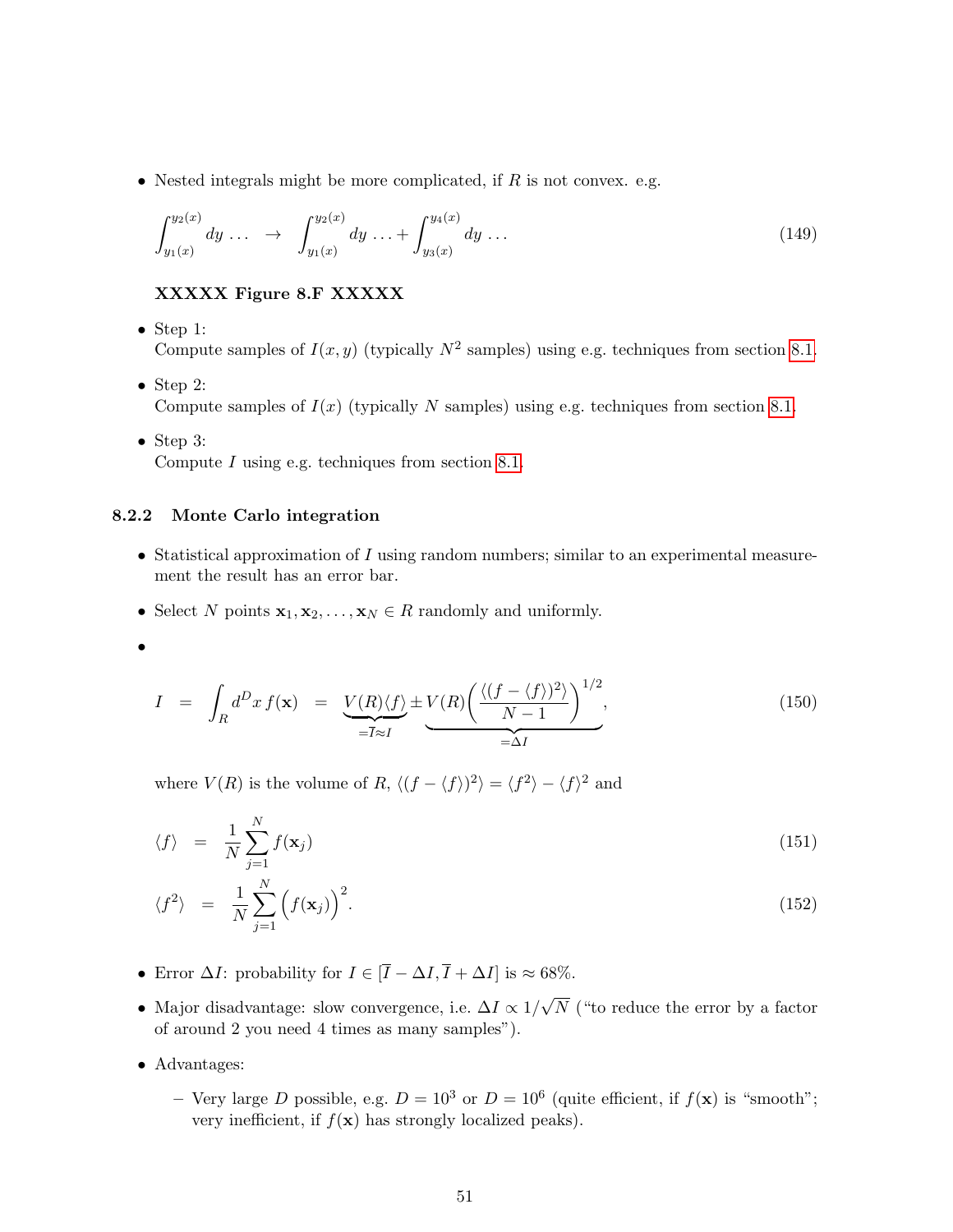• Nested integrals might be more complicated, if  $R$  is not convex. e.g.

$$
\int_{y_1(x)}^{y_2(x)} dy \dots \quad \to \quad \int_{y_1(x)}^{y_2(x)} dy \dots + \int_{y_3(x)}^{y_4(x)} dy \dots \tag{149}
$$

## XXXXX Figure 8.F XXXXX

- Step 1: Compute samples of  $I(x, y)$  (typically  $N^2$  samples) using e.g. techniques from section [8.1.](#page-46-1)
- Step 2: Compute samples of  $I(x)$  (typically N samples) using e.g. techniques from section [8.1.](#page-46-1)
- Step 3: Compute  $I$  using e.g. techniques from section [8.1.](#page-46-1)

#### 8.2.2 Monte Carlo integration

- Statistical approximation of  $I$  using random numbers; similar to an experimental measurement the result has an error bar.
- Select N points  $\mathbf{x}_1, \mathbf{x}_2, \ldots, \mathbf{x}_N \in R$  randomly and uniformly.
- •

$$
I = \int_{R} d^{D}x f(\mathbf{x}) = \underbrace{V(R)\langle f \rangle}_{=\overline{I} \approx I} \pm \underbrace{V(R)\left(\frac{\langle (f - \langle f \rangle)^{2} \rangle}{N - 1}\right)^{1/2}}_{=\Delta I},
$$
(150)

where  $V(R)$  is the volume of R,  $\langle (f - \langle f \rangle)^2 \rangle = \langle f^2 \rangle - \langle f \rangle^2$  and

$$
\langle f \rangle = \frac{1}{N} \sum_{j=1}^{N} f(\mathbf{x}_j) \tag{151}
$$

$$
\langle f^2 \rangle = \frac{1}{N} \sum_{j=1}^N \left( f(\mathbf{x}_j) \right)^2.
$$
 (152)

- Error  $\Delta I$ : probability for  $I \in [\overline{I} \Delta I, \overline{I} + \Delta I]$  is ≈ 68%.
- Major disadvantage: slow convergence, i.e.  $\Delta I \propto 1/$ √ N ("to reduce the error by a factor of around 2 you need 4 times as many samples").
- Advantages:
	- Very large D possible, e.g.  $D = 10^3$  or  $D = 10^6$  (quite efficient, if  $f(\mathbf{x})$  is "smooth"; very inefficient, if  $f(\mathbf{x})$  has strongly localized peaks).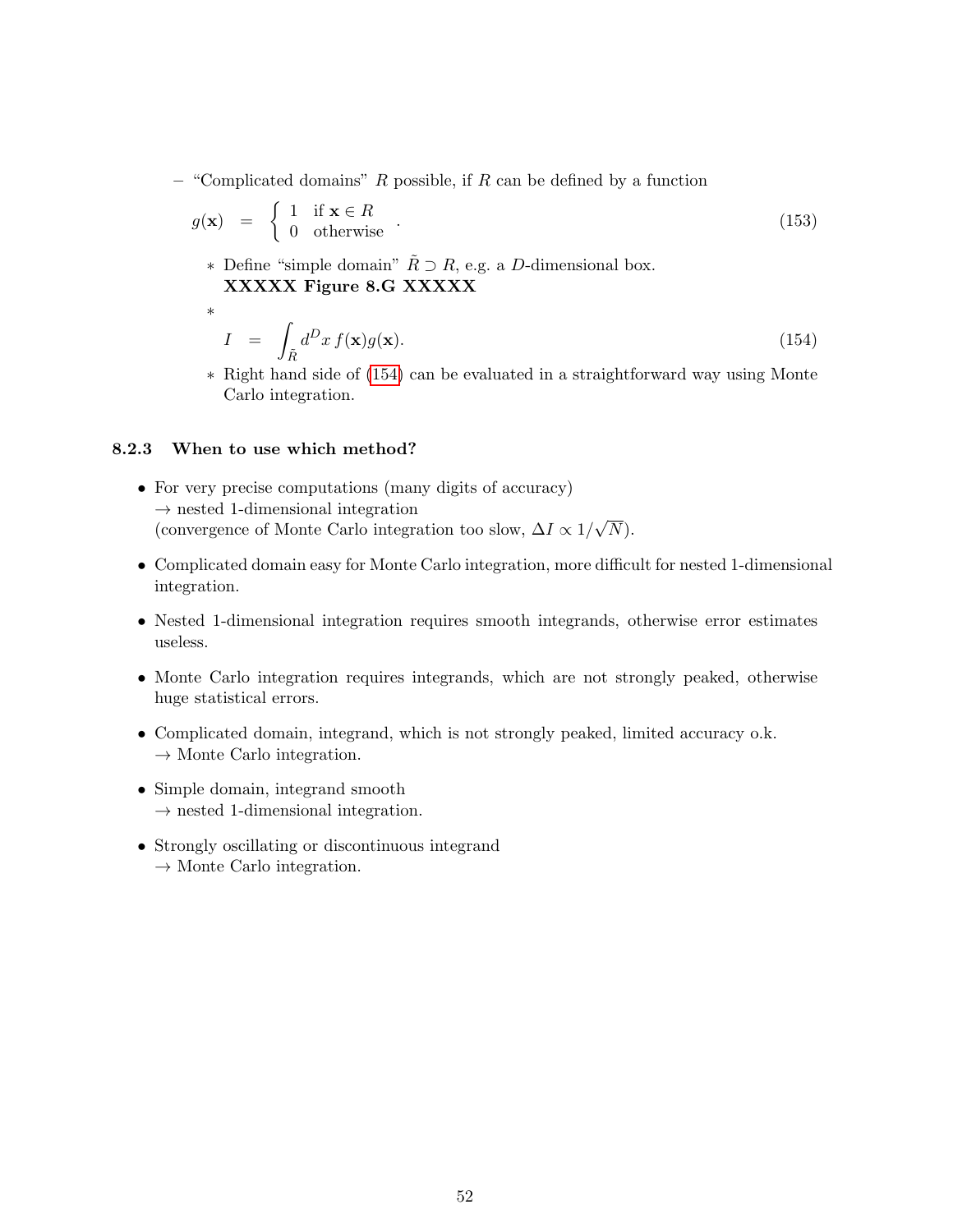– "Complicated domains"  $R$  possible, if  $R$  can be defined by a function

$$
g(\mathbf{x}) = \begin{cases} 1 & \text{if } \mathbf{x} \in R \\ 0 & \text{otherwise} \end{cases} \tag{153}
$$

∗ Define "simple domain"  $\tilde{R} \supset R$ , e.g. a D-dimensional box. XXXXX Figure 8.G XXXXX

<span id="page-51-0"></span>
$$
I = \int_{\tilde{R}} d^D x f(\mathbf{x}) g(\mathbf{x}). \tag{154}
$$

∗ Right hand side of [\(154\)](#page-51-0) can be evaluated in a straightforward way using Monte Carlo integration.

#### 8.2.3 When to use which method?

∗

- For very precise computations (many digits of accuracy)  $\rightarrow$  nested 1-dimensional integration (convergence of Monte Carlo integration too slow,  $\Delta I \propto 1/$ √  $N).$
- Complicated domain easy for Monte Carlo integration, more difficult for nested 1-dimensional integration.
- Nested 1-dimensional integration requires smooth integrands, otherwise error estimates useless.
- Monte Carlo integration requires integrands, which are not strongly peaked, otherwise huge statistical errors.
- Complicated domain, integrand, which is not strongly peaked, limited accuracy o.k.  $\rightarrow$  Monte Carlo integration.
- Simple domain, integrand smooth  $\rightarrow$  nested 1-dimensional integration.
- Strongly oscillating or discontinuous integrand  $\rightarrow$  Monte Carlo integration.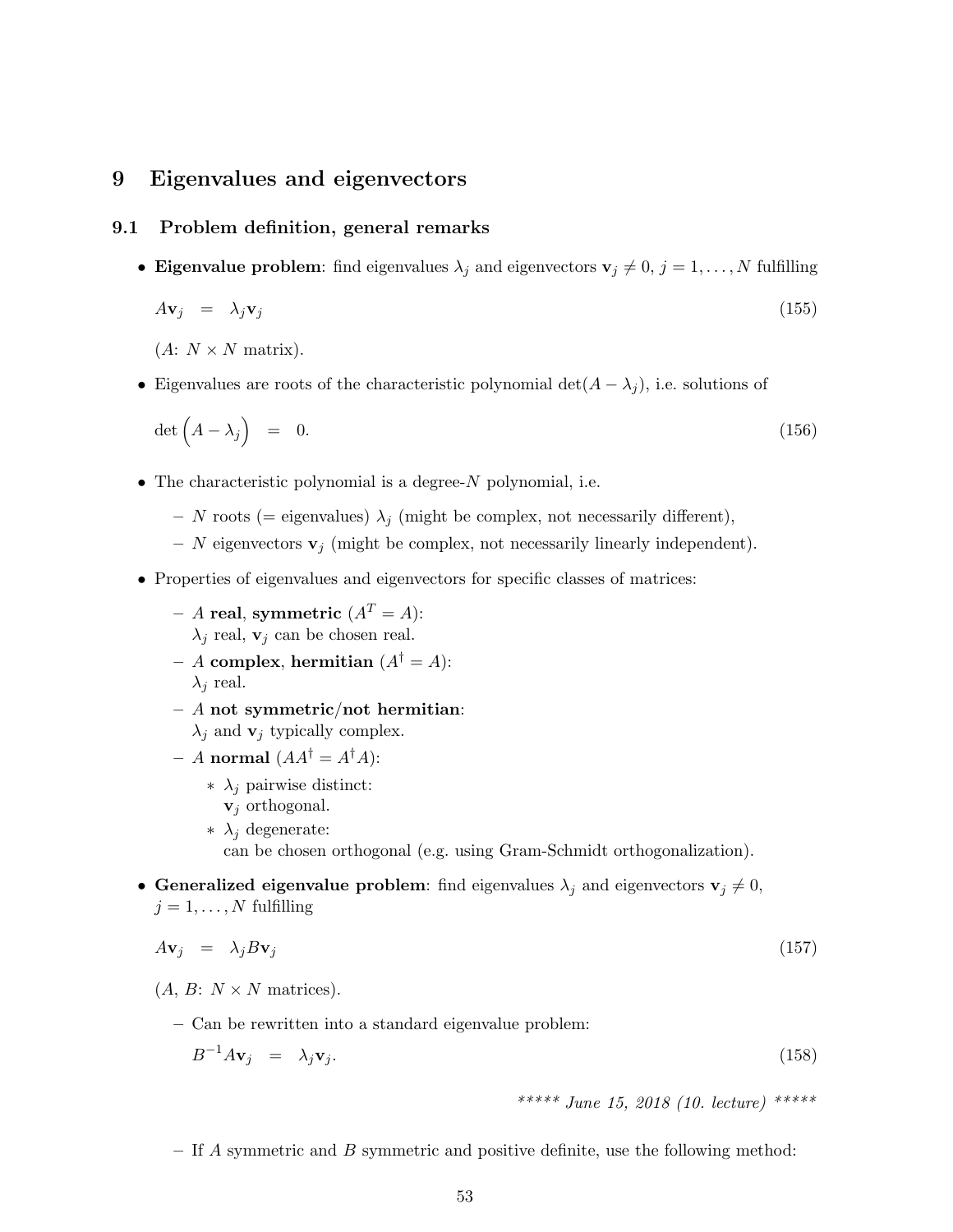## 9 Eigenvalues and eigenvectors

## 9.1 Problem definition, general remarks

• Eigenvalue problem: find eigenvalues  $\lambda_j$  and eigenvectors  $\mathbf{v}_j \neq 0, j = 1, \ldots, N$  fulfilling

$$
A\mathbf{v}_j = \lambda_j \mathbf{v}_j \tag{155}
$$

 $(A: N \times N \text{ matrix}).$ 

• Eigenvalues are roots of the characteristic polynomial det( $A - \lambda_j$ ), i.e. solutions of

$$
\det\left(A-\lambda_j\right) = 0. \tag{156}
$$

- The characteristic polynomial is a degree- $N$  polynomial, i.e.
	- N roots (= eigenvalues)  $\lambda_j$  (might be complex, not necessarily different),
	- N eigenvectors  $\mathbf{v}_j$  (might be complex, not necessarily linearly independent).
- Properties of eigenvalues and eigenvectors for specific classes of matrices:
	- A real, symmetric  $(A^T = A)$ :  $\lambda_i$  real,  $\mathbf{v}_i$  can be chosen real.
	- A complex, hermitian  $(A^{\dagger} = A)$ :  $\lambda_j$  real.
	- $A$  not symmetric/not hermitian:  $\lambda_j$  and  $\mathbf{v}_j$  typically complex.
	- A normal  $(AA^{\dagger} = A^{\dagger}A)$ :
		- ∗ λ<sup>j</sup> pairwise distinct:  $v_j$  orthogonal.
		- ∗ λ<sup>j</sup> degenerate: can be chosen orthogonal (e.g. using Gram-Schmidt orthogonalization).
- Generalized eigenvalue problem: find eigenvalues  $\lambda_j$  and eigenvectors  $\mathbf{v}_j \neq 0$ ,  $j = 1, \ldots, N$  fulfilling

$$
A\mathbf{v}_j = \lambda_j B\mathbf{v}_j \tag{157}
$$

- $(A, B: N \times N \text{ matrices}).$ 
	- Can be rewritten into a standard eigenvalue problem:

<span id="page-52-0"></span>
$$
B^{-1}A\mathbf{v}_j = \lambda_j \mathbf{v}_j. \tag{158}
$$

\*\*\*\*\* June 15, 2018 (10. lecture) \*\*\*\*\*

– If  $\vec{A}$  symmetric and  $\vec{B}$  symmetric and positive definite, use the following method: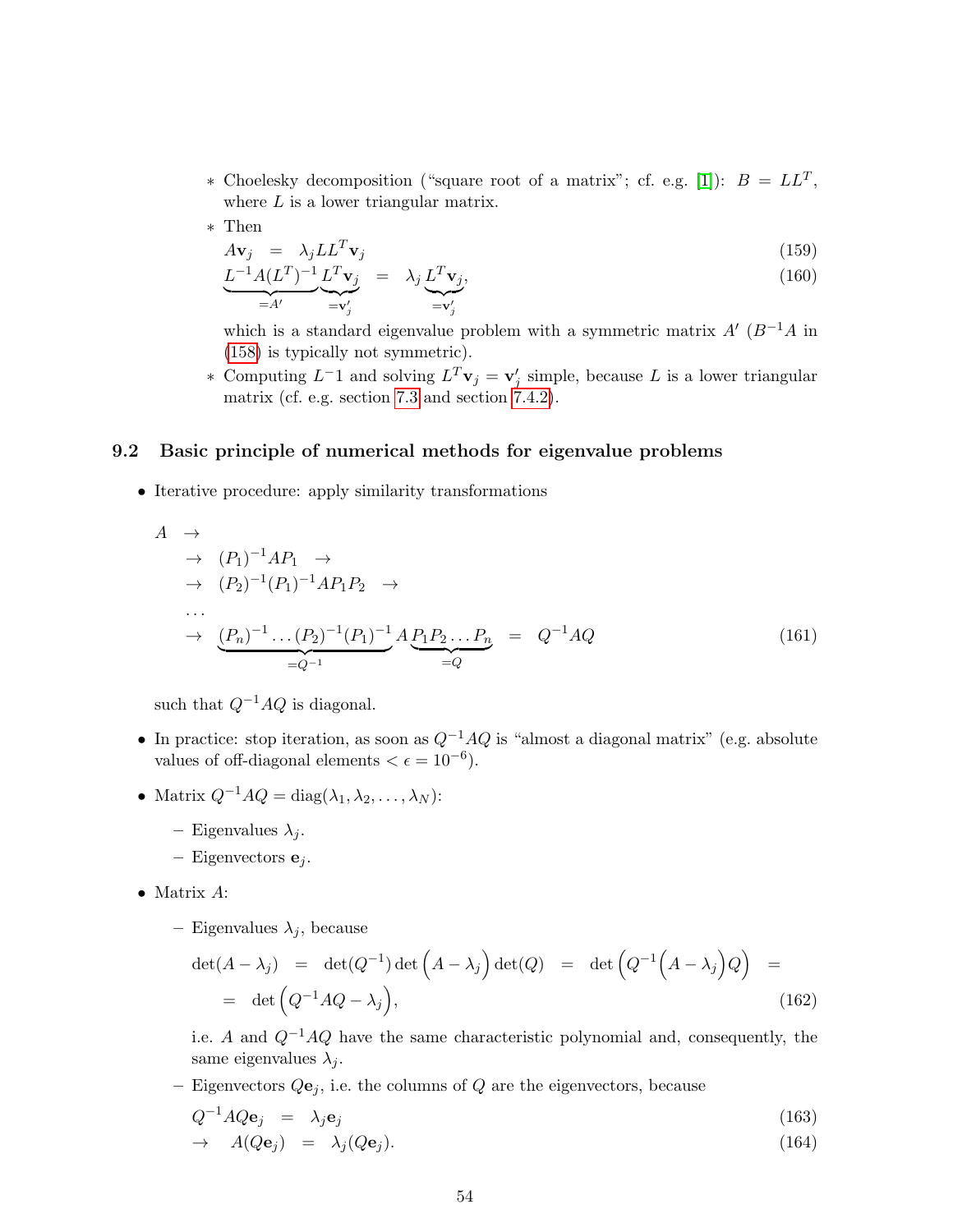- \* Choelesky decomposition ("square root of a matrix"; cf. e.g. [\[1\]](#page-100-0)):  $B = LL^T$ , where  $L$  is a lower triangular matrix.
- ∗ Then

$$
A\mathbf{v}_j = \lambda_j L L^T \mathbf{v}_j \tag{159}
$$

$$
\underbrace{L^{-1}A(L^T)^{-1}}_{=A'}\underbrace{L^T\mathbf{v}_j}_{=\mathbf{v}'_j} = \lambda_j \underbrace{L^T\mathbf{v}_j}_{=\mathbf{v}'_j},\tag{160}
$$

which is a standard eigenvalue problem with a symmetric matrix  $A'(B^{-1}A)$  in [\(158\)](#page-52-0) is typically not symmetric).

∗ Computing  $L^{-1}$  and solving  $L^{T}\mathbf{v}_j = \mathbf{v}'_j$  simple, because L is a lower triangular matrix (cf. e.g. section [7.3](#page-37-1) and section [7.4.2\)](#page-42-0).

#### 9.2 Basic principle of numerical methods for eigenvalue problems

• Iterative procedure: apply similarity transformations

$$
A \rightarrow
$$
  
\n
$$
\rightarrow (P_1)^{-1}AP_1 \rightarrow
$$
  
\n
$$
\rightarrow (P_2)^{-1}(P_1)^{-1}AP_1P_2 \rightarrow
$$
  
\n...  
\n
$$
\rightarrow (P_n)^{-1} \dots (P_2)^{-1}(P_1)^{-1}AP_1P_2 \dots P_n = Q^{-1}AQ
$$
  
\n
$$
=Q^{-1}
$$
 (161)

such that  $Q^{-1}AQ$  is diagonal.

- In practice: stop iteration, as soon as  $Q^{-1}AQ$  is "almost a diagonal matrix" (e.g. absolute values of off-diagonal elements  $\lt \epsilon = 10^{-6}$ .
- Matrix  $Q^{-1}AQ = \text{diag}(\lambda_1, \lambda_2, \ldots, \lambda_N)$ :
	- Eigenvalues  $\lambda_i$ .
	- Eigenvectors  $e_j$ .
- Matrix A:
	- Eigenvalues  $\lambda_j$ , because

$$
\det(A - \lambda_j) = \det(Q^{-1}) \det(A - \lambda_j) \det(Q) = \det(Q^{-1}(A - \lambda_j)Q) =
$$
  
= det  $(Q^{-1}AQ - \lambda_j)$ , (162)

i.e. A and  $Q^{-1}AQ$  have the same characteristic polynomial and, consequently, the same eigenvalues  $\lambda_i$ .

– Eigenvectors  $Q\mathbf{e}_i$ , i.e. the columns of  $Q$  are the eigenvectors, because

$$
Q^{-1}AQ\mathbf{e}_j = \lambda_j \mathbf{e}_j \tag{163}
$$

$$
\rightarrow \quad A(Q\mathbf{e}_j) = \lambda_j(Q\mathbf{e}_j). \tag{164}
$$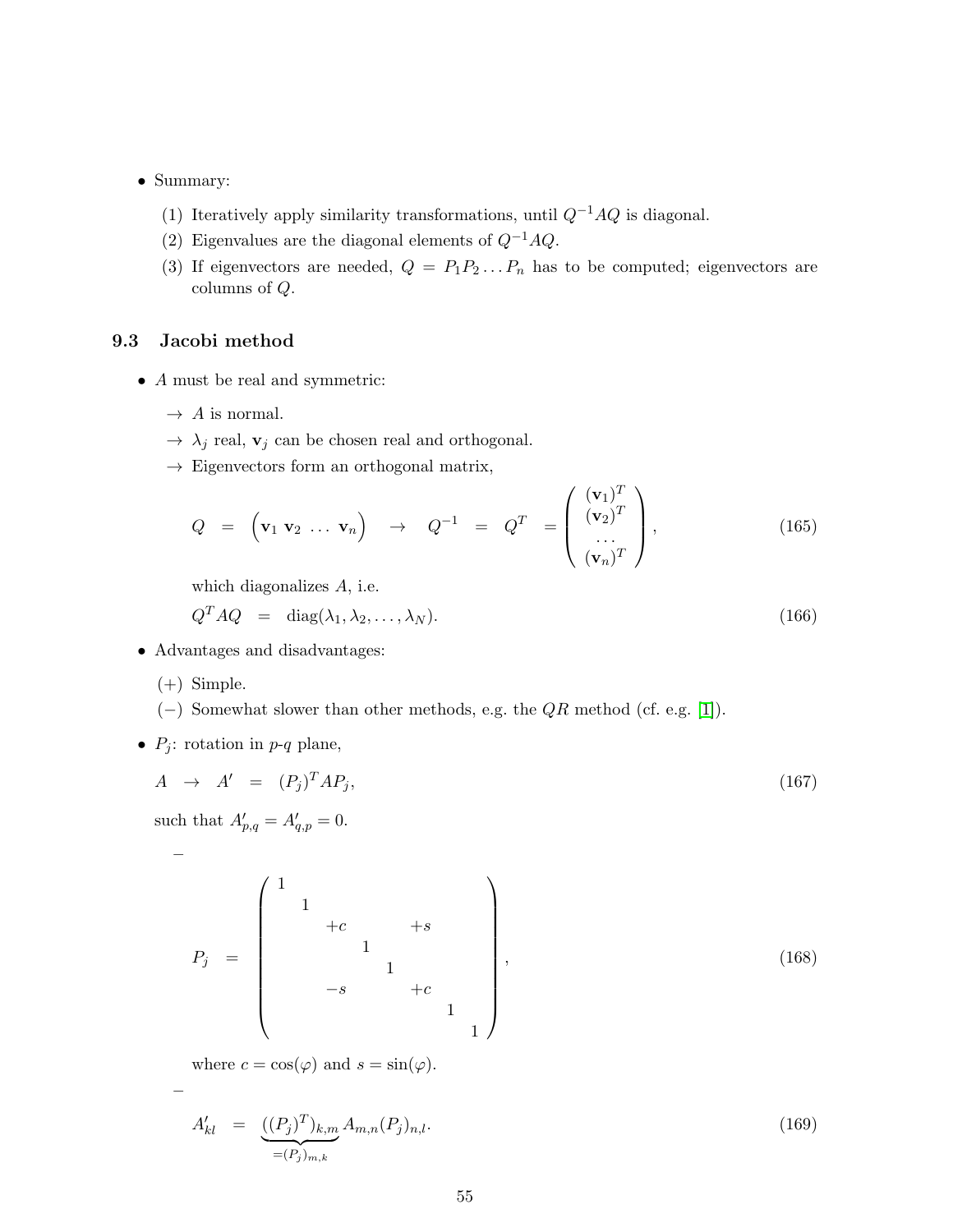- Summary:
	- (1) Iteratively apply similarity transformations, until  $Q^{-1}AQ$  is diagonal.
	- (2) Eigenvalues are the diagonal elements of  $Q^{-1}AQ$ .
	- (3) If eigenvectors are needed,  $Q = P_1 P_2 ... P_n$  has to be computed; eigenvectors are columns of Q.

## 9.3 Jacobi method

- A must be real and symmetric:
	- $\rightarrow$  A is normal.
	- $\rightarrow \ \lambda_j$  real,  ${\bf v}_j$  can be chosen real and orthogonal.
	- $\rightarrow$  Eigenvectors form an orthogonal matrix,

$$
Q = (\mathbf{v}_1 \mathbf{v}_2 \dots \mathbf{v}_n) \rightarrow Q^{-1} = Q^T = \begin{pmatrix} (\mathbf{v}_1)^T \\ (\mathbf{v}_2)^T \\ \dots \\ (\mathbf{v}_n)^T \end{pmatrix},
$$
(165)

which diagonalizes A, i.e.

$$
Q^T A Q = \text{diag}(\lambda_1, \lambda_2, \dots, \lambda_N). \tag{166}
$$

- Advantages and disadvantages:
	- (+) Simple.

–

–

- (−) Somewhat slower than other methods, e.g. the QR method (cf. e.g. [\[1\]](#page-100-0)).
- $P_i$ : rotation in  $p-q$  plane,

<span id="page-54-0"></span>
$$
A \rightarrow A' = (P_j)^T A P_j, \qquad (167)
$$

such that  $A'_{p,q} = A'_{q,p} = 0$ .

P<sup>j</sup> = 1 1 +c +s 1 1 −s +c 1 1 , (168)

where  $c = \cos(\varphi)$  and  $s = \sin(\varphi)$ .

$$
A'_{kl} = \underbrace{((P_j)^T)_{k,m}}_{=(P_j)_{m,k}} A_{m,n}(P_j)_{n,l}.
$$
\n(169)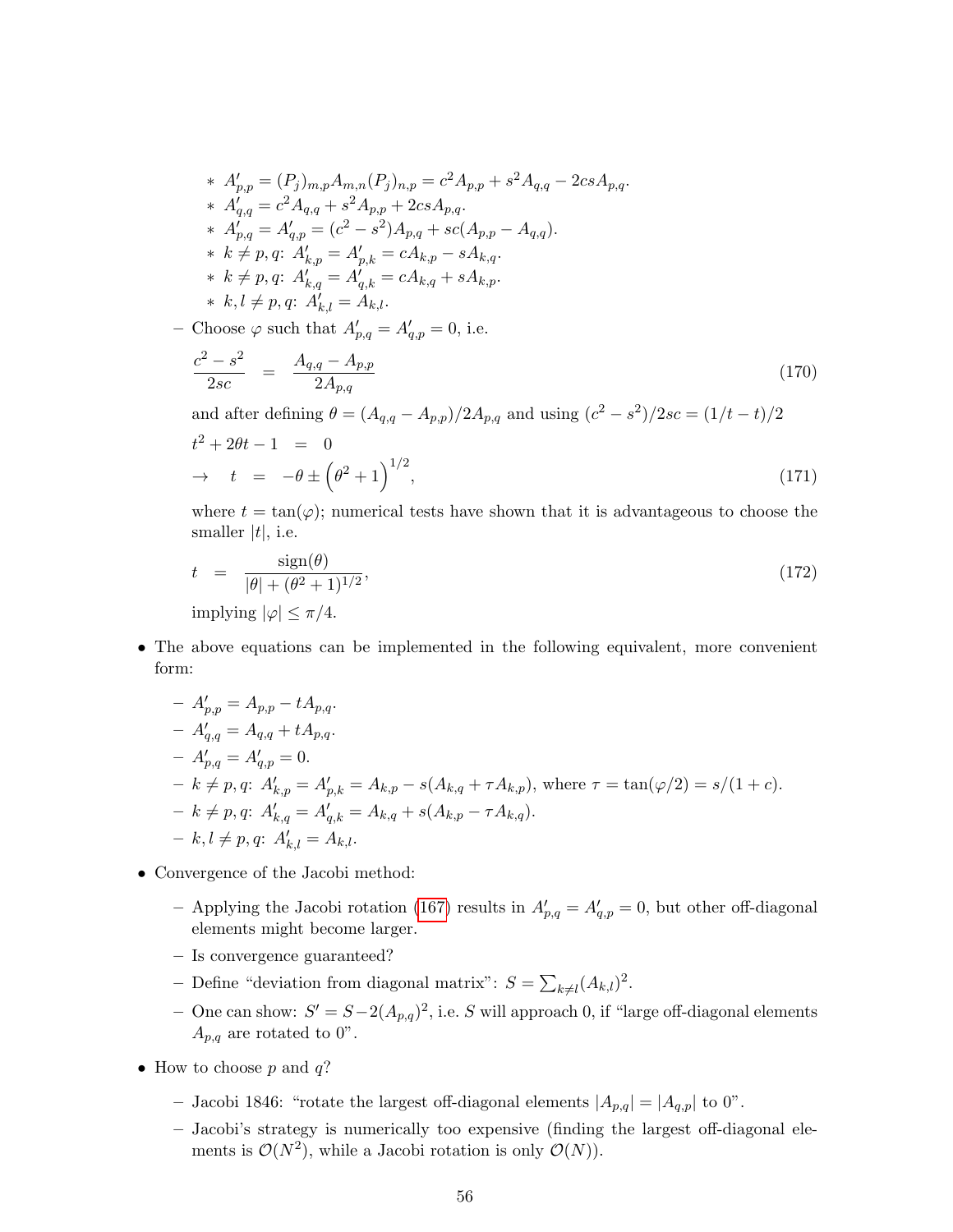- \*  $A'_{p,p} = (P_j)_{m,p} A_{m,n}(P_j)_{n,p} = c^2 A_{p,p} + s^2 A_{q,q} 2cs A_{p,q}.$ \*  $A'_{q,q} = c^2 A_{q,q} + s^2 A_{p,p} + 2cs A_{p,q}.$ \*  $A'_{p,q} = A'_{q,p} = (c^2 - s^2)A_{p,q} + sc(A_{p,p} - A_{q,q}).$ \*  $k \neq p, q$ :  $A'_{k,p} = A'_{p,k} = cA_{k,p} - sA_{k,q}$ . \*  $k \neq p, q$ :  $A'_{k,q} = A'_{q,k} = cA_{k,q} + sA_{k,p}$ . \*  $k, l \neq p, q$ :  $A'_{k,l} = A_{k,l}$ .
- Choose  $\varphi$  such that  $A'_{p,q} = A'_{q,p} = 0$ , i.e.

$$
\frac{c^2 - s^2}{2sc} = \frac{A_{q,q} - A_{p,p}}{2A_{p,q}}
$$
\n(170)

and after defining  $\theta = (A_{q,q} - A_{p,p})/2A_{p,q}$  and using  $(c^2 - s^2)/2sc = (1/t - t)/2$ 

$$
t^{2} + 2\theta t - 1 = 0
$$
  
\n
$$
\to t = -\theta \pm \left(\theta^{2} + 1\right)^{1/2},
$$
\n(171)

where  $t = \tan(\varphi)$ ; numerical tests have shown that it is advantageous to choose the smaller  $|t|$ , i.e.

$$
t = \frac{\text{sign}(\theta)}{|\theta| + (\theta^2 + 1)^{1/2}},
$$
  
implying  $|\varphi| \le \pi/4$ . (172)

• The above equations can be implemented in the following equivalent, more convenient form:

$$
- A'_{p,p} = A_{p,p} - tA_{p,q}.
$$
  
\n
$$
- A'_{q,q} = A_{q,q} + tA_{p,q}.
$$
  
\n
$$
- A'_{p,q} = A'_{q,p} = 0.
$$
  
\n
$$
- k \neq p, q: A'_{k,p} = A'_{p,k} = A_{k,p} - s(A_{k,q} + \tau A_{k,p}), \text{ where } \tau = \tan(\varphi/2) = s/(1+c).
$$
  
\n
$$
- k \neq p, q: A'_{k,q} = A'_{q,k} = A_{k,q} + s(A_{k,p} - \tau A_{k,q}).
$$
  
\n
$$
- k, l \neq p, q: A'_{k,l} = A_{k,l}.
$$

- Convergence of the Jacobi method:
	- Applying the Jacobi rotation [\(167\)](#page-54-0) results in  $A'_{p,q} = A'_{q,p} = 0$ , but other off-diagonal elements might become larger.
	- Is convergence guaranteed?
	- Define "deviation from diagonal matrix":  $S = \sum_{k \neq l} (A_{k,l})^2$ .
	- − One can show:  $S' = S 2(A_{p,q})^2$ , i.e. S will approach 0, if "large off-diagonal elements  $A_{p,q}$  are rotated to 0".
- How to choose  $p$  and  $q$ ?
	- Jacobi 1846: "rotate the largest off-diagonal elements  $|A_{p,q}| = |A_{q,p}|$  to 0".
	- Jacobi's strategy is numerically too expensive (finding the largest off-diagonal elements is  $\mathcal{O}(N^2)$ , while a Jacobi rotation is only  $\mathcal{O}(N)$ ).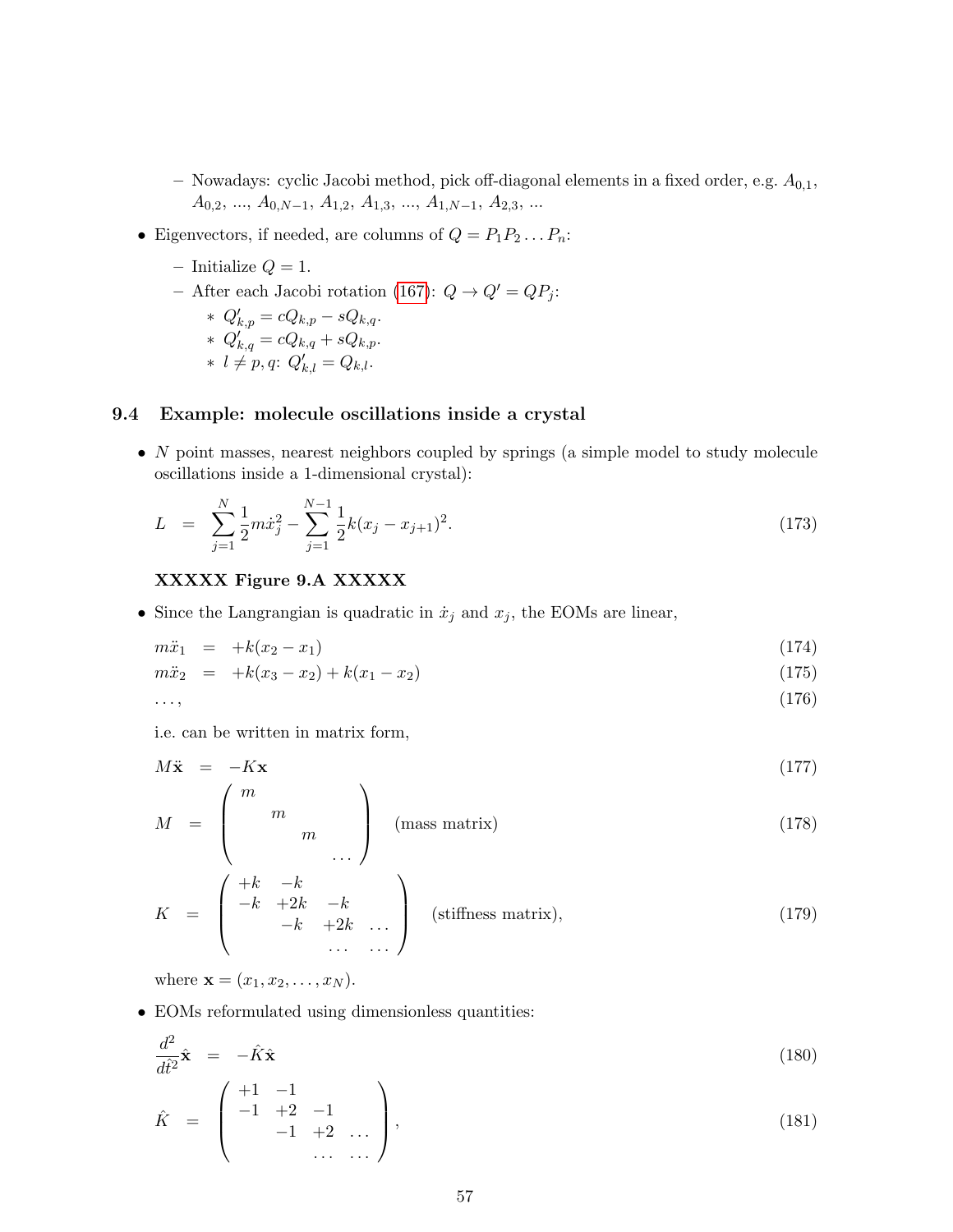- Nowadays: cyclic Jacobi method, pick off-diagonal elements in a fixed order, e.g.  $A_{0,1}$ ,  $A_{0,2}, \ldots, A_{0,N-1}, A_{1,2}, A_{1,3}, \ldots, A_{1,N-1}, A_{2,3}, \ldots$
- Eigenvectors, if needed, are columns of  $Q = P_1 P_2 \dots P_n$ :
	- Initialize  $Q = 1$ .
	- After each Jacobi rotation [\(167\)](#page-54-0):  $Q \rightarrow Q' = QP_j$ :

$$
\ast \ Q'_{k,p} = cQ_{k,p} - sQ_{k,q}.
$$

$$
\ast \ Q'_{k,q} = cQ_{k,q} + sQ_{k,p}.
$$

$$
* l \neq p, q; Q'_{k,l} = Q_{k,l}.
$$

## 9.4 Example: molecule oscillations inside a crystal

 $\bullet$  N point masses, nearest neighbors coupled by springs (a simple model to study molecule oscillations inside a 1-dimensional crystal):

$$
L = \sum_{j=1}^{N} \frac{1}{2} m \dot{x}_j^2 - \sum_{j=1}^{N-1} \frac{1}{2} k (x_j - x_{j+1})^2.
$$
 (173)

### XXXXX Figure 9.A XXXXX

• Since the Langrangian is quadratic in  $\dot{x}_j$  and  $x_j$ , the EOMs are linear,

$$
m\ddot{x}_1 = +k(x_2 - x_1) \tag{174}
$$

$$
m\ddot{x}_2 = +k(x_3 - x_2) + k(x_1 - x_2) \tag{175}
$$

$$
\ldots,\tag{176}
$$

i.e. can be written in matrix form,

$$
M\ddot{\mathbf{x}} = -K\mathbf{x} \tag{177}
$$

$$
M = \begin{pmatrix} m & & \\ & m & \\ & & m \end{pmatrix} \quad \text{(mass matrix)} \tag{178}
$$

$$
K = \begin{pmatrix} +k & -k & & & \\ -k & +2k & -k & & \\ & -k & +2k & \dots & \\ & & \dots & \dots & \end{pmatrix} \quad \text{(stiffness matrix)}, \tag{179}
$$

where  $$ 

• EOMs reformulated using dimensionless quantities:

<span id="page-56-0"></span>
$$
\frac{d^2}{dt^2}\hat{\mathbf{x}} = -\hat{K}\hat{\mathbf{x}} \tag{180}
$$

$$
\hat{K} = \begin{pmatrix} +1 & -1 \\ -1 & +2 & -1 \\ & -1 & +2 & \dots \\ & & \dots & \dots \end{pmatrix}, \tag{181}
$$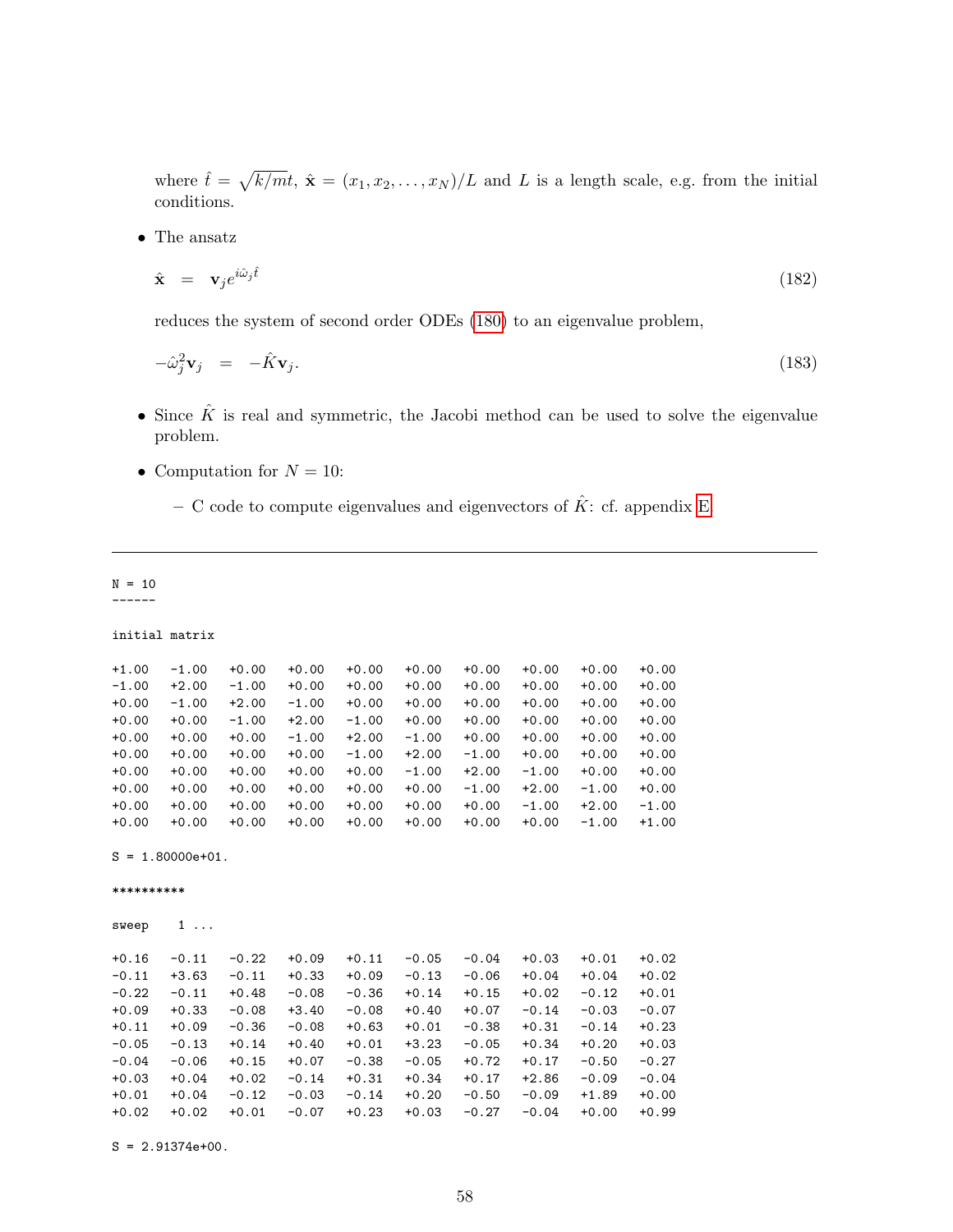where  $\hat{t} = \sqrt{k/mt}$ ,  $\hat{\mathbf{x}} = (x_1, x_2, \dots, x_N)/L$  and L is a length scale, e.g. from the initial conditions.

 $\bullet~$  The ansatz

$$
\hat{\mathbf{x}} = \mathbf{v}_j e^{i\hat{\omega}_j \hat{t}} \tag{182}
$$

reduces the system of second order ODEs [\(180\)](#page-56-0) to an eigenvalue problem,

$$
-\hat{\omega}_j^2 \mathbf{v}_j = -\hat{K} \mathbf{v}_j. \tag{183}
$$

- Since  $\hat{K}$  is real and symmetric, the Jacobi method can be used to solve the eigenvalue problem.
- Computation for  $N = 10$ :
	- C code to compute eigenvalues and eigenvectors of  $\hat{K}$ : cf. appendix [E.](#page-96-0)

## $N = 10$

------

```
initial matrix
```

| $+1.00$ | $-1.00$ | $+0.00$ | $+0.00$ | $+0.00$ | $+0.00$ | $+0.00$ | $+0.00$ | $+0.00$ | $+0.00$ |
|---------|---------|---------|---------|---------|---------|---------|---------|---------|---------|
| $-1.00$ | $+2.00$ | $-1.00$ | $+0.00$ | $+0.00$ | $+0.00$ | $+0.00$ | $+0.00$ | $+0.00$ | $+0.00$ |
| $+0.00$ | $-1.00$ | $+2.00$ | $-1.00$ | $+0.00$ | $+0.00$ | $+0.00$ | $+0.00$ | $+0.00$ | $+0.00$ |
| $+0.00$ | $+0.00$ | $-1.00$ | $+2.00$ | $-1.00$ | $+0.00$ | $+0.00$ | $+0.00$ | $+0.00$ | $+0.00$ |
| $+0.00$ | $+0.00$ | $+0.00$ | $-1.00$ | $+2.00$ | $-1.00$ | $+0.00$ | $+0.00$ | $+0.00$ | $+0.00$ |
| $+0.00$ | $+0.00$ | $+0.00$ | $+0.00$ | $-1.00$ | $+2.00$ | $-1.00$ | $+0.00$ | $+0.00$ | $+0.00$ |
| $+0.00$ | $+0.00$ | $+0.00$ | $+0.00$ | $+0.00$ | $-1.00$ | $+2.00$ | $-1.00$ | $+0.00$ | $+0.00$ |
| $+0.00$ | $+0.00$ | $+0.00$ | $+0.00$ | $+0.00$ | $+0.00$ | $-1.00$ | $+2.00$ | $-1.00$ | $+0.00$ |
| $+0.00$ | $+0.00$ | $+0.00$ | $+0.00$ | $+0.00$ | $+0.00$ | $+0.00$ | $-1.00$ | $+2.00$ | $-1.00$ |
| $+0.00$ | $+0.00$ | $+0.00$ | $+0.00$ | $+0.00$ | $+0.00$ | $+0.00$ | $+0.00$ | $-1.00$ | $+1.00$ |

 $S = 1.80000e+01$ .

\*\*\*\*\*\*\*\*\*\*

sweep 1 ...

| $+0.16$ | $-0.11$ | $-0.22$ | $+0.09$ | $+0.11$ | $-0.05$ | $-0.04$ | $+0.03$ | $+0.01$ | $+0.02$ |
|---------|---------|---------|---------|---------|---------|---------|---------|---------|---------|
| $-0.11$ | $+3.63$ | $-0.11$ | $+0.33$ | $+0.09$ | $-0.13$ | $-0.06$ | $+0.04$ | $+0.04$ | $+0.02$ |
| $-0.22$ | $-0.11$ | $+0.48$ | $-0.08$ | $-0.36$ | $+0.14$ | $+0.15$ | $+0.02$ | $-0.12$ | $+0.01$ |
| $+0.09$ | $+0.33$ | $-0.08$ | $+3.40$ | $-0.08$ | $+0.40$ | $+0.07$ | $-0.14$ | $-0.03$ | $-0.07$ |
| $+0.11$ | $+0.09$ | $-0.36$ | $-0.08$ | $+0.63$ | $+0.01$ | $-0.38$ | $+0.31$ | $-0.14$ | $+0.23$ |
| $-0.05$ | $-0.13$ | $+0.14$ | $+0.40$ | $+0.01$ | $+3.23$ | $-0.05$ | $+0.34$ | $+0.20$ | $+0.03$ |
| $-0.04$ | $-0.06$ | $+0.15$ | $+0.07$ | $-0.38$ | $-0.05$ | $+0.72$ | $+0.17$ | $-0.50$ | $-0.27$ |
| $+0.03$ | $+0.04$ | $+0.02$ | $-0.14$ | $+0.31$ | $+0.34$ | $+0.17$ | $+2.86$ | $-0.09$ | $-0.04$ |
| $+0.01$ | $+0.04$ | $-0.12$ | $-0.03$ | $-0.14$ | $+0.20$ | $-0.50$ | $-0.09$ | $+1.89$ | $+0.00$ |
| $+0.02$ | $+0.02$ | $+0.01$ | $-0.07$ | $+0.23$ | $+0.03$ | $-0.27$ | $-0.04$ | $+0.00$ | $+0.99$ |
|         |         |         |         |         |         |         |         |         |         |

 $S = 2.91374e+00.$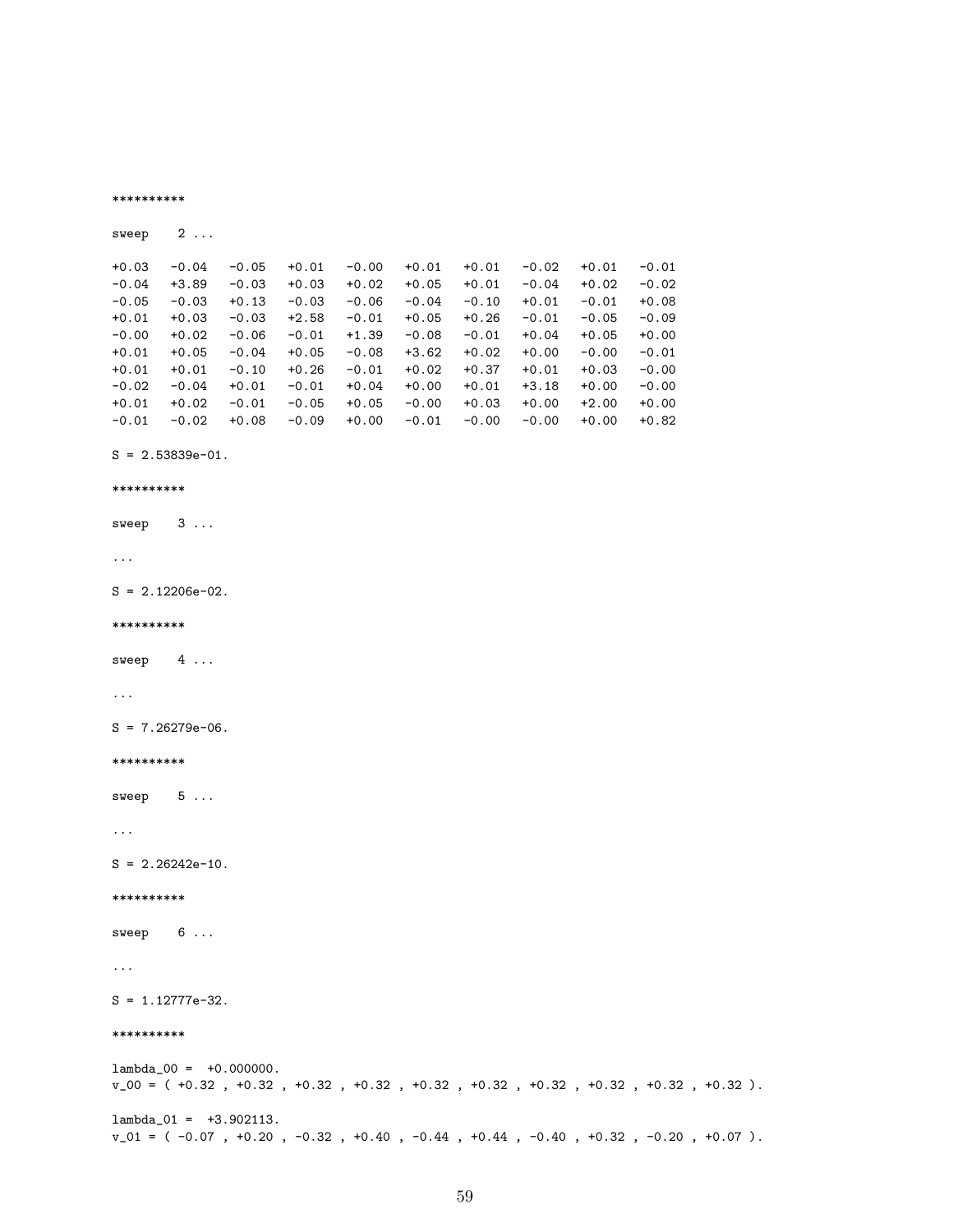```
sweep 2...
+0.03 -0.04 -0.05 +0.01 -0.00 +0.01 +0.01 -0.02 +0.01 -0.01<br>-0.04 +3.89 -0.03 +0.03 +0.02 +0.05 +0.01 -0.04 +0.02 -0.02+3.89 -0.03 +0.03 +0.02-0.05 -0.03 +0.13 -0.03 -0.06 -0.04 -0.10 +0.01 -0.01 +0.08
+0.01 +0.03 -0.03 +2.58 -0.01 +0.05 +0.26 -0.01 -0.05 -0.09<br>-0.00 +0.02 -0.06 -0.01 +1.39 -0.08 -0.01 +0.04 +0.05 +0.00
-0.00 +0.02 -0.06 -0.01 +1.39 -0.08 -0.01 +0.04 +0.05 +0.00
+0.01 +0.05 -0.04 +0.05 -0.08 +3.62 +0.02 +0.00 -0.00 -0.01
+0.01 +0.01 -0.10 +0.26 -0.01 +0.02 +0.37 +0.01 +0.03 -0.00
-0.02 -0.04 +0.01 -0.01 +0.04 +0.00 +0.01 +3.18 +0.00 -0.00
+0.01 +0.02 -0.01 -0.05 +0.05 -0.00 +0.03 +0.00 +2.00 +0.00
-0.01 -0.02 +0.08 -0.09 +0.00 -0.01 -0.00 -0.00 +0.00 +0.82
```
 $S = 2.53839e-01.$ 

```
**********
```
\*\*\*\*\*\*\*\*\*\*

```
sweep 3 ...
```

```
...
```
 $S = 2.12206e-02$ .

```
**********
```
sweep 4 ...

```
...
```
 $S = 7.26279e-06$ .

\*\*\*\*\*\*\*\*\*\*

sweep 5 ...

...

 $S = 2.26242e-10$ .

```
**********
```
sweep 6 ...

...

S = 1.12777e-32.

#### \*\*\*\*\*\*\*\*\*\*

 $lambda_00 = +0.000000$ . v\_00 = ( +0.32 , +0.32 , +0.32 , +0.32 , +0.32 , +0.32 , +0.32 , +0.32 , +0.32 , +0.32 ).  $lambda_01 = +3.902113$ . v\_01 = ( -0.07 , +0.20 , -0.32 , +0.40 , -0.44 , +0.44 , -0.40 , +0.32 , -0.20 , +0.07 ).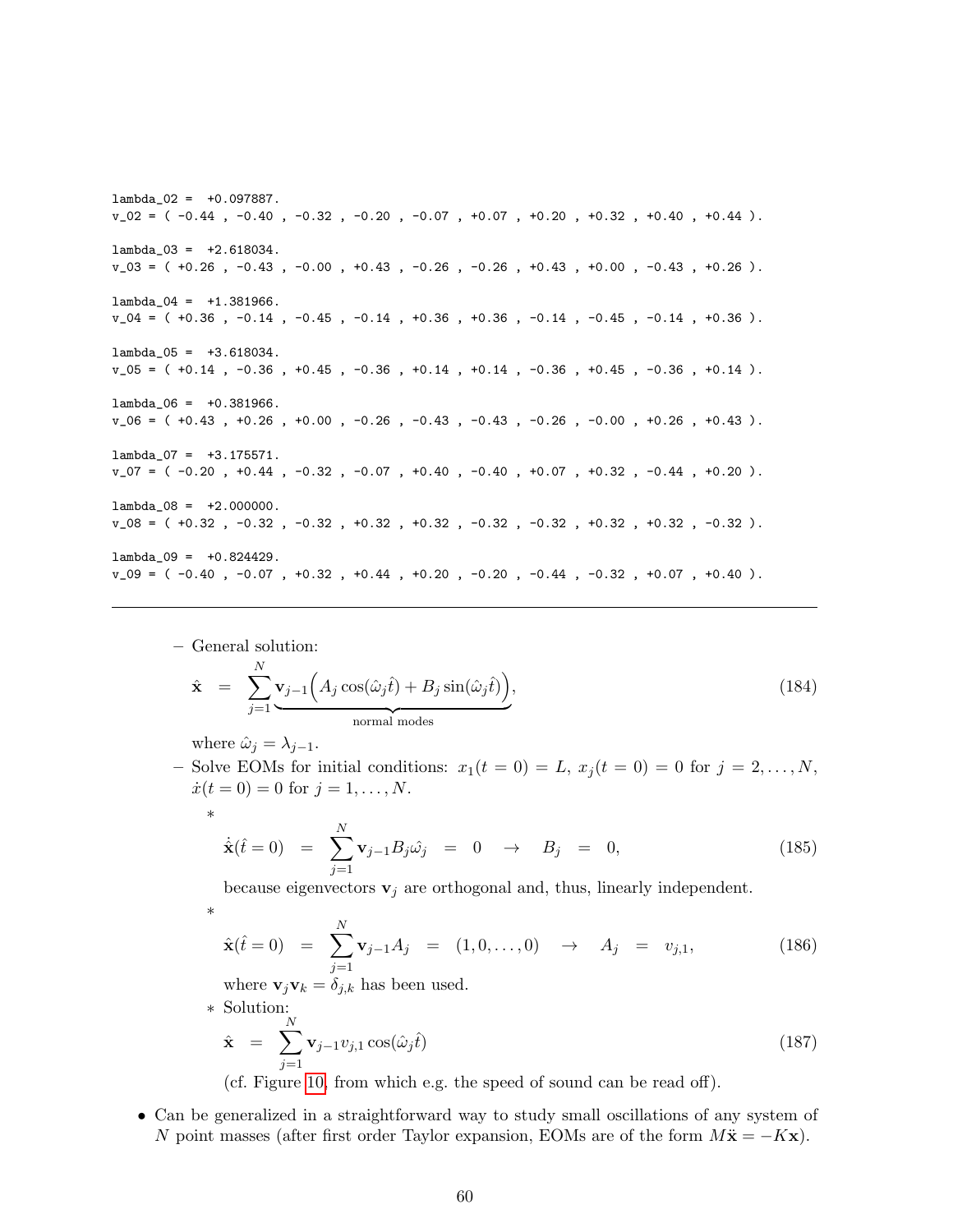lambda\_02 = +0.097887.  $v_02 = ( -0.44, -0.40, -0.32, -0.20, -0.07, +0.07, +0.20, +0.32, +0.40, +0.44).$ lambda\_03 = +2.618034. v\_03 = ( +0.26 , -0.43 , -0.00 , +0.43 , -0.26 , -0.26 , +0.43 , +0.00 , -0.43 , +0.26 ). lambda\_04 = +1.381966. v\_04 = ( +0.36 , -0.14 , -0.45 , -0.14 , +0.36 , +0.36 , -0.14 , -0.45 , -0.14 , +0.36 ). lambda\_05 = +3.618034.  $v_0 = ( +0.14 , -0.36 , +0.45 , -0.36 , +0.14 , +0.14 , -0.36 , +0.45 , -0.36 , +0.14 ).$ lambda\_06 = +0.381966.  $v_0$ 06 = (+0.43 , +0.26 , +0.00 , -0.26 , -0.43 , -0.43 , -0.26 , -0.00 , +0.26 , +0.43 ). lambda\_07 = +3.175571. v\_07 = ( -0.20 , +0.44 , -0.32 , -0.07 , +0.40 , -0.40 , +0.07 , +0.32 , -0.44 , +0.20 ).  $lambda_08 = +2.000000$ . v\_08 = ( +0.32 , -0.32 , -0.32 , +0.32 , +0.32 , -0.32 , -0.32 , +0.32 , +0.32 , -0.32 ). lambda\_09 = +0.824429.  $v_0 = ( -0.40, -0.07, +0.32, +0.44, +0.20, -0.20, -0.44, -0.32, +0.07, +0.40).$ 

- General solution:  
\n
$$
\hat{\mathbf{x}} = \sum_{j=1}^{N} \mathbf{v}_{j-1} \Big( A_j \cos(\hat{\omega}_j \hat{t}) + B_j \sin(\hat{\omega}_j \hat{t}) \Big),
$$
\n
$$
\text{normal modes} \tag{184}
$$

where  $\hat{\omega}_j = \lambda_{j-1}$ .

∗

∗

– Solve EOMs for initial conditions:  $x_1(t=0) = L$ ,  $x_j(t=0) = 0$  for  $j=2,\ldots,N$ ,  $\dot{x}(t=0) = 0$  for  $j = 1, ..., N$ .

$$
\dot{\hat{\mathbf{x}}}(\hat{t}=0) = \sum_{j=1}^{N} \mathbf{v}_{j-1} B_j \hat{\omega}_j = 0 \to B_j = 0,
$$
\n(185)

because eigenvectors  $\mathbf{v}_j$  are orthogonal and, thus, linearly independent.

$$
\hat{\mathbf{x}}(t=0) = \sum_{j=1}^{N} \mathbf{v}_{j-1} A_j = (1,0,\ldots,0) \rightarrow A_j = v_{j,1}, \qquad (186)
$$

where  $\mathbf{v}_j \mathbf{v}_k = \delta_{j,k}$  has been used.

∗ Solution:

$$
\hat{\mathbf{x}} = \sum_{j=1}^{N} \mathbf{v}_{j-1} v_{j,1} \cos(\hat{\omega}_j \hat{t})
$$
\n(187)

(cf. Figure [10,](#page-60-0) from which e.g. the speed of sound can be read off).

• Can be generalized in a straightforward way to study small oscillations of any system of N point masses (after first order Taylor expansion, EOMs are of the form  $M\ddot{\mathbf{x}} = -K\mathbf{x}$ ).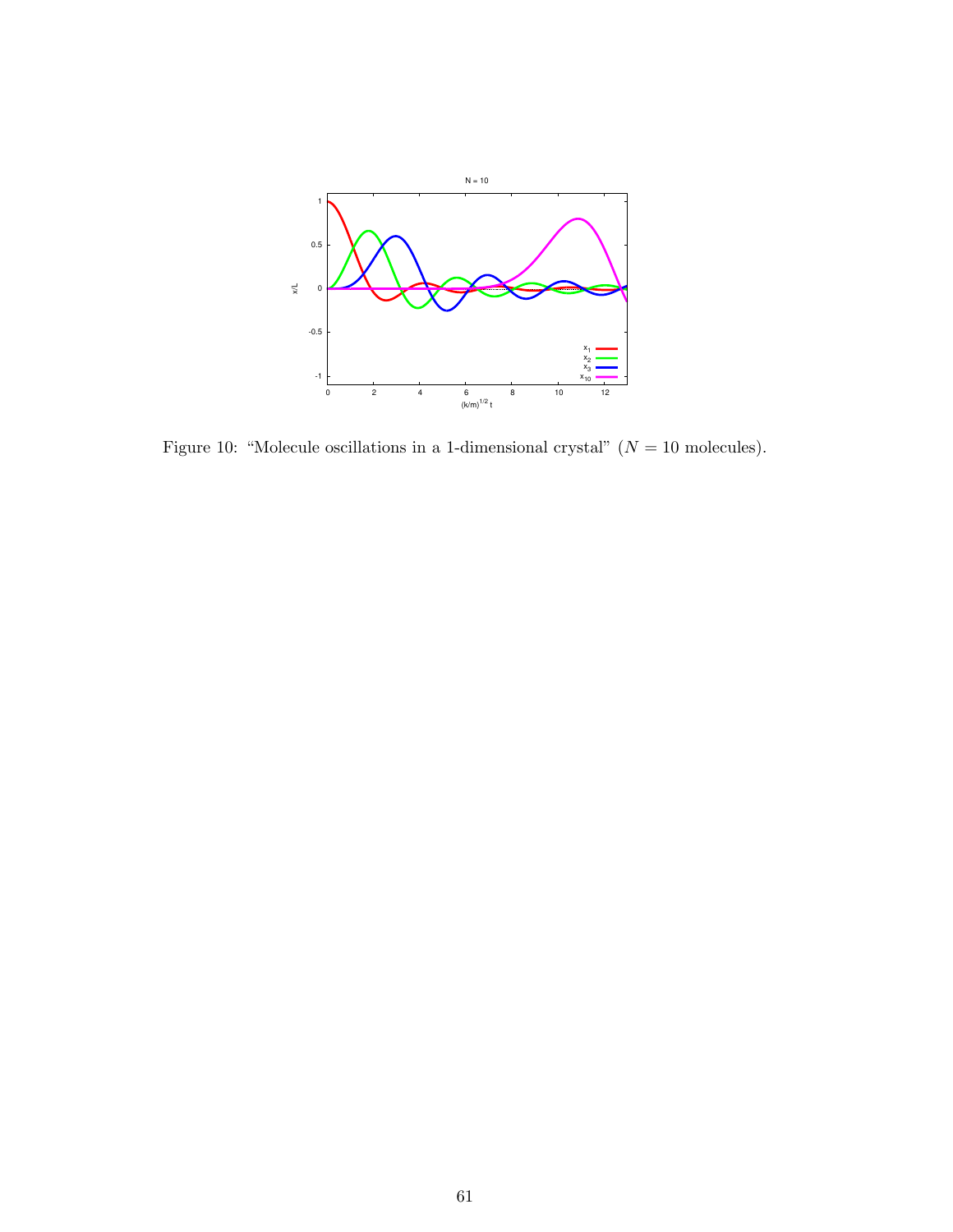

<span id="page-60-0"></span>Figure 10: "Molecule oscillations in a 1-dimensional crystal"  $(N = 10$  molecules).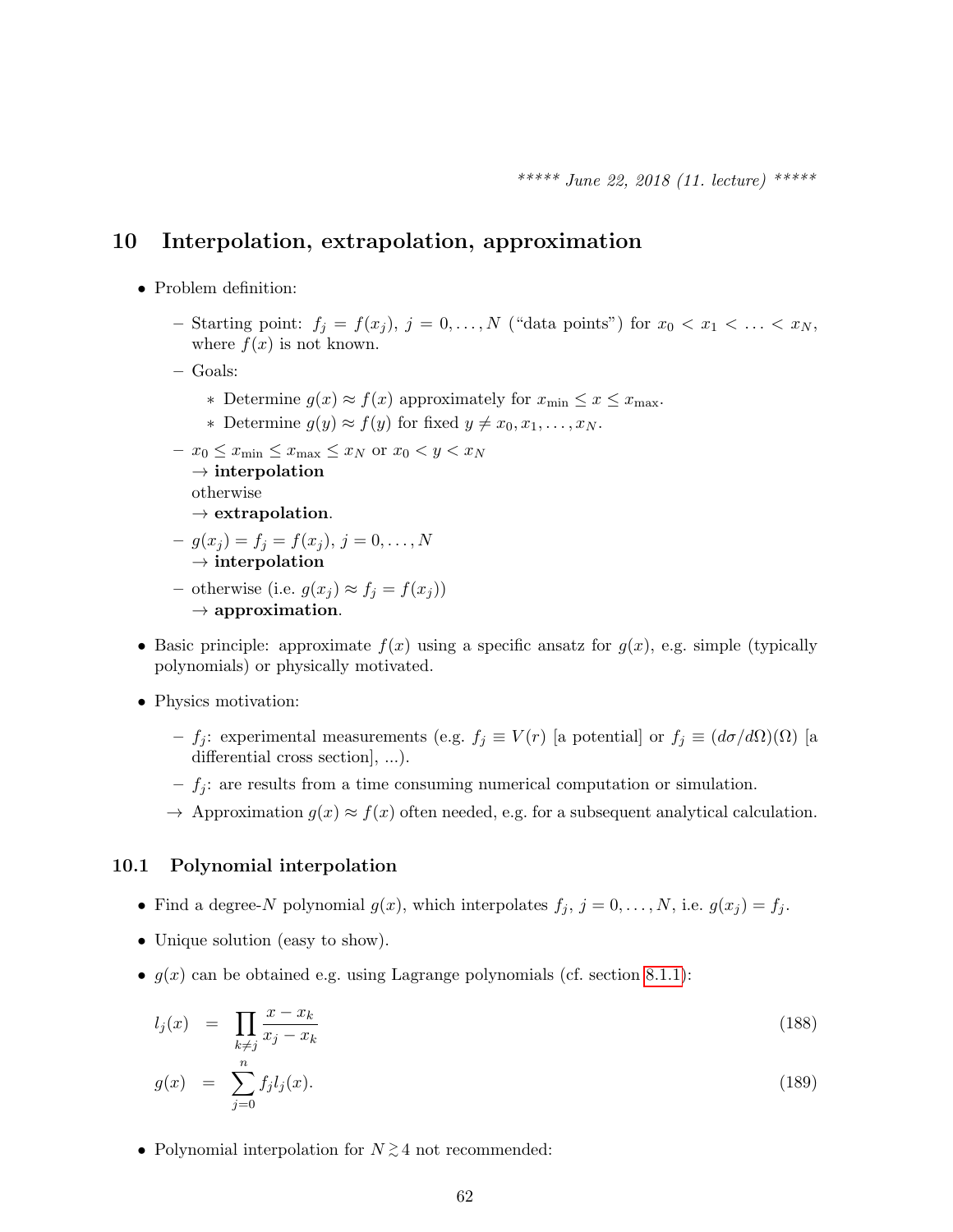## 10 Interpolation, extrapolation, approximation

- $\bullet\,$  Problem definition:
	- Starting point:  $f_j = f(x_j)$ ,  $j = 0, \ldots, N$  ("data points") for  $x_0 < x_1 < \ldots < x_N$ , where  $f(x)$  is not known.
	- Goals:
		- ∗ Determine  $g(x) \approx f(x)$  approximately for  $x_{\min} \leq x \leq x_{\max}$ .
		- ∗ Determine  $g(y) \approx f(y)$  for fixed  $y \neq x_0, x_1, \ldots, x_N$ .
	- $x_0 \leq x_{\min} \leq x_{\max} \leq x_N$  or  $x_0 < y < x_N$  $\rightarrow$  interpolation

otherwise

- $\rightarrow$  extrapolation.
- $-g(x_j) = f_j = f(x_j), j = 0, \ldots, N$  $\rightarrow$  interpolation
- otherwise (i.e.  $g(x_j) \approx f_j = f(x_j)$ )  $\rightarrow$  approximation.
- Basic principle: approximate  $f(x)$  using a specific ansatz for  $g(x)$ , e.g. simple (typically polynomials) or physically motivated.
- Physics motivation:
	- f<sub>j</sub>: experimental measurements (e.g.  $f_j \equiv V(r)$  [a potential] or  $f_j \equiv (d\sigma/d\Omega)(\Omega)$  [a differential cross section], ...).
	- $f_j$ : are results from a time consuming numerical computation or simulation.
	- $\rightarrow$  Approximation  $g(x) \approx f(x)$  often needed, e.g. for a subsequent analytical calculation.

#### <span id="page-61-0"></span>10.1 Polynomial interpolation

- Find a degree-N polynomial  $g(x)$ , which interpolates  $f_j$ ,  $j = 0, \ldots, N$ , i.e.  $g(x_j) = f_j$ .
- Unique solution (easy to show).
- $g(x)$  can be obtained e.g. using Lagrange polynomials (cf. section [8.1.1\)](#page-46-2):

<span id="page-61-1"></span>
$$
l_j(x) = \prod_{k \neq j} \frac{x - x_k}{x_j - x_k} \tag{188}
$$

$$
g(x) = \sum_{j=0}^{n} f_j l_j(x). \tag{189}
$$

• Polynomial interpolation for  $N \gtrsim 4$  not recommended: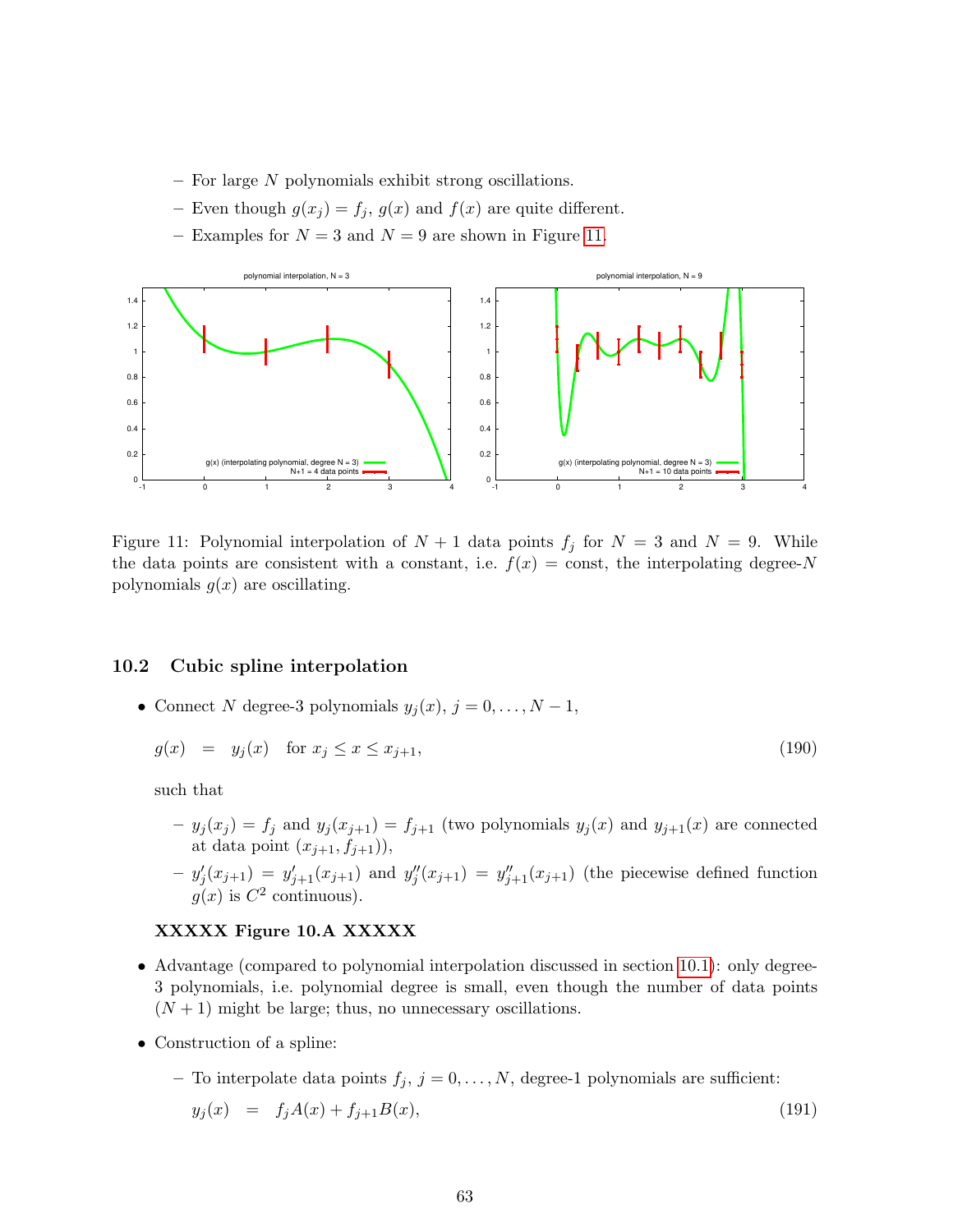- $-$  For large N polynomials exhibit strong oscillations.
- Even though  $g(x_j) = f_j$ ,  $g(x)$  and  $f(x)$  are quite different.
- Examples for  $N = 3$  and  $N = 9$  are shown in Figure [11.](#page-62-0)



<span id="page-62-0"></span>Figure 11: Polynomial interpolation of  $N + 1$  data points  $f_j$  for  $N = 3$  and  $N = 9$ . While the data points are consistent with a constant, i.e.  $f(x) = \text{const}$ , the interpolating degree-N polynomials  $g(x)$  are oscillating.

## 10.2 Cubic spline interpolation

• Connect N degree-3 polynomials  $y_j(x)$ ,  $j = 0, \ldots, N - 1$ ,

$$
g(x) = y_j(x) \quad \text{for } x_j \le x \le x_{j+1},\tag{190}
$$

such that

- $y_j(x_j) = f_j$  and  $y_j(x_{j+1}) = f_{j+1}$  (two polynomials  $y_j(x)$  and  $y_{j+1}(x)$  are connected at data point  $(x_{j+1}, f_{j+1})$ ),
- $-y'_{j}(x_{j+1}) = y'_{j+1}(x_{j+1})$  and  $y''_{j}(x_{j+1}) = y''_{j+1}(x_{j+1})$  (the piecewise defined function  $g(x)$  is  $C^2$  continuous).

#### XXXXX Figure 10.A XXXXX

- Advantage (compared to polynomial interpolation discussed in section [10.1\)](#page-61-0): only degree-3 polynomials, i.e. polynomial degree is small, even though the number of data points  $(N + 1)$  might be large; thus, no unnecessary oscillations.
- Construction of a spline:
	- To interpolate data points  $f_j$ ,  $j = 0, \ldots, N$ , degree-1 polynomials are sufficient:

$$
y_j(x) = f_j A(x) + f_{j+1} B(x), \tag{191}
$$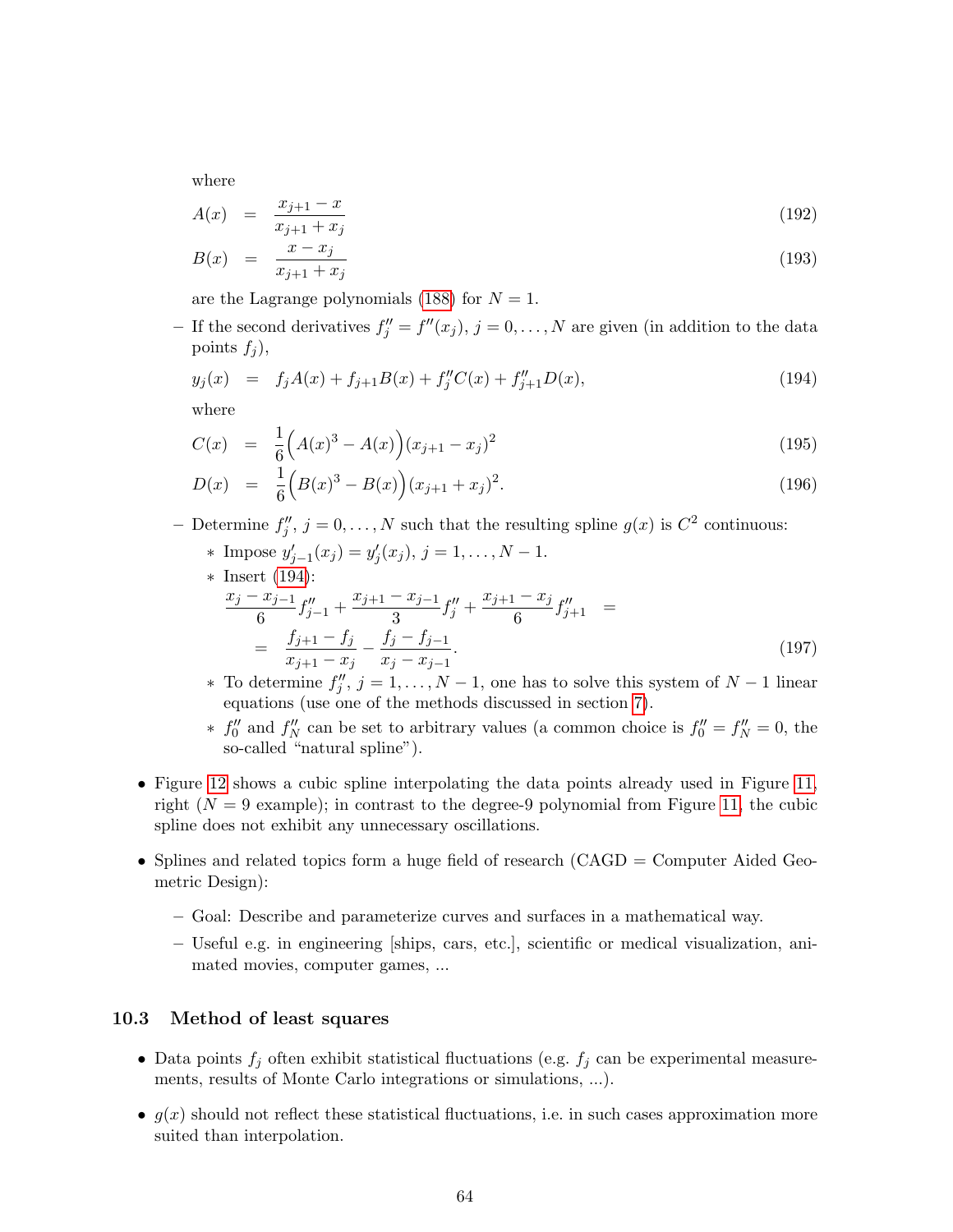where

$$
A(x) = \frac{x_{j+1} - x}{x_{j+1} + x_j} \tag{192}
$$

$$
B(x) = \frac{x - x_j}{x_{j+1} + x_j} \tag{193}
$$

are the Lagrange polynomials [\(188\)](#page-61-1) for  $N = 1$ .

- If the second derivatives  $f''_j = f''(x_j)$ ,  $j = 0, \ldots, N$  are given (in addition to the data points  $f_i$ ,

<span id="page-63-0"></span>
$$
y_j(x) = f_j A(x) + f_{j+1} B(x) + f''_j C(x) + f''_{j+1} D(x), \qquad (194)
$$

where

$$
C(x) = \frac{1}{6} \left( A(x)^3 - A(x) \right) (x_{j+1} - x_j)^2
$$
\n(195)

$$
D(x) = \frac{1}{6} \left( B(x)^3 - B(x) \right) (x_{j+1} + x_j)^2.
$$
 (196)

- Determine  $f''_j$ ,  $j = 0, \ldots, N$  such that the resulting spline  $g(x)$  is  $C^2$  continuous:
	- \* Impose  $y'_{j-1}(x_j) = y'_{j}(x_j), j = 1, ..., N 1.$

\* Insert (194):  
\n
$$
\frac{x_j - x_{j-1}}{6} f''_{j-1} + \frac{x_{j+1} - x_{j-1}}{3} f''_j + \frac{x_{j+1} - x_j}{6} f''_{j+1} =
$$
\n
$$
= \frac{f_{j+1} - f_j}{x_{j+1} - x_j} - \frac{f_j - f_{j-1}}{x_j - x_{j-1}}.
$$
\n(197)

- ∗ To determine  $f''_j$ ,  $j = 1, ..., N 1$ , one has to solve this system of  $N 1$  linear equations (use one of the methods discussed in section [7\)](#page-35-2).
- ∗  $f''_0$  and  $f''_N$  can be set to arbitrary values (a common choice is  $f''_0 = f''_N = 0$ , the so-called "natural spline").
- Figure [12](#page-64-0) shows a cubic spline interpolating the data points already used in Figure [11,](#page-62-0) right  $(N = 9$  example); in contrast to the degree-9 polynomial from Figure [11,](#page-62-0) the cubic spline does not exhibit any unnecessary oscillations.
- Splines and related topics form a huge field of research (CAGD = Computer Aided Geometric Design):
	- Goal: Describe and parameterize curves and surfaces in a mathematical way.
	- Useful e.g. in engineering [ships, cars, etc.], scientific or medical visualization, animated movies, computer games, ...

### <span id="page-63-1"></span>10.3 Method of least squares

- Data points  $f_j$  often exhibit statistical fluctuations (e.g.  $f_j$  can be experimental measurements, results of Monte Carlo integrations or simulations, ...).
- $g(x)$  should not reflect these statistical fluctuations, i.e. in such cases approximation more suited than interpolation.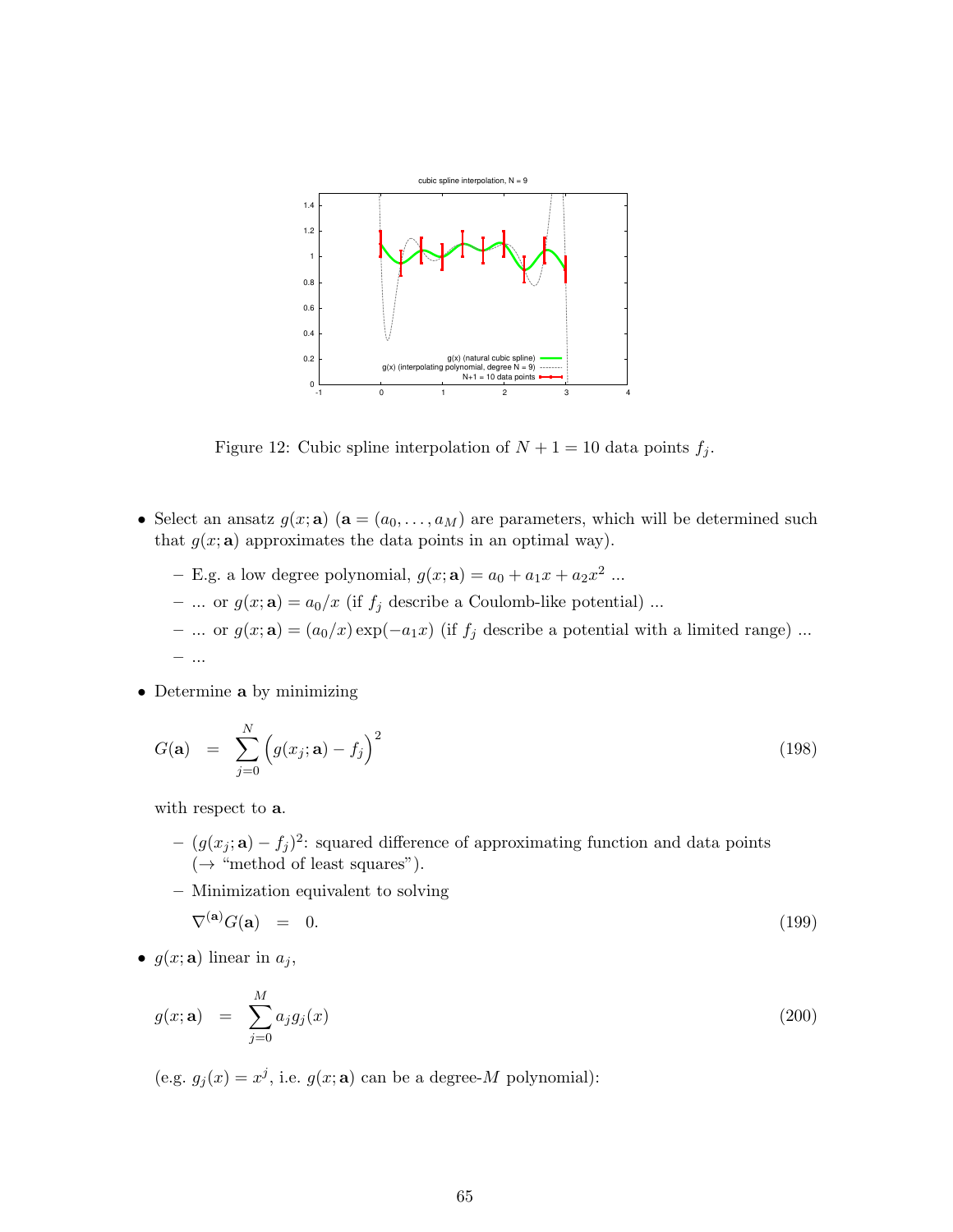

<span id="page-64-0"></span>Figure 12: Cubic spline interpolation of  $N + 1 = 10$  data points  $f_j$ .

- Select an ansatz  $g(x; \mathbf{a})$   $(\mathbf{a} = (a_0, \ldots, a_M)$  are parameters, which will be determined such that  $g(x; \mathbf{a})$  approximates the data points in an optimal way).
	- E.g. a low degree polynomial,  $g(x; \mathbf{a}) = a_0 + a_1x + a_2x^2$  ...
	- ... or  $g(x; \mathbf{a}) = a_0/x$  (if  $f_j$  describe a Coulomb-like potential) ...
	- ... or  $g(x; \mathbf{a}) = (a_0/x) \exp(-a_1x)$  (if  $f_j$  describe a potential with a limited range) ... – ...
- Determine a by minimizing

<span id="page-64-2"></span>
$$
G(\mathbf{a}) = \sum_{j=0}^{N} \left( g(x_j; \mathbf{a}) - f_j \right)^2
$$
\n(198)

with respect to **a**.

- $(g(x_j; \mathbf{a}) f_j)^2$ : squared difference of approximating function and data points  $(\rightarrow$  "method of least squares").
- Minimization equivalent to solving

<span id="page-64-3"></span>
$$
\nabla^{(\mathbf{a})} G(\mathbf{a}) = 0. \tag{199}
$$

•  $g(x; \mathbf{a})$  linear in  $a_j$ ,

<span id="page-64-1"></span>
$$
g(x; \mathbf{a}) = \sum_{j=0}^{M} a_j g_j(x) \tag{200}
$$

(e.g.  $g_j(x) = x^j$ , i.e.  $g(x; \mathbf{a})$  can be a degree-M polynomial):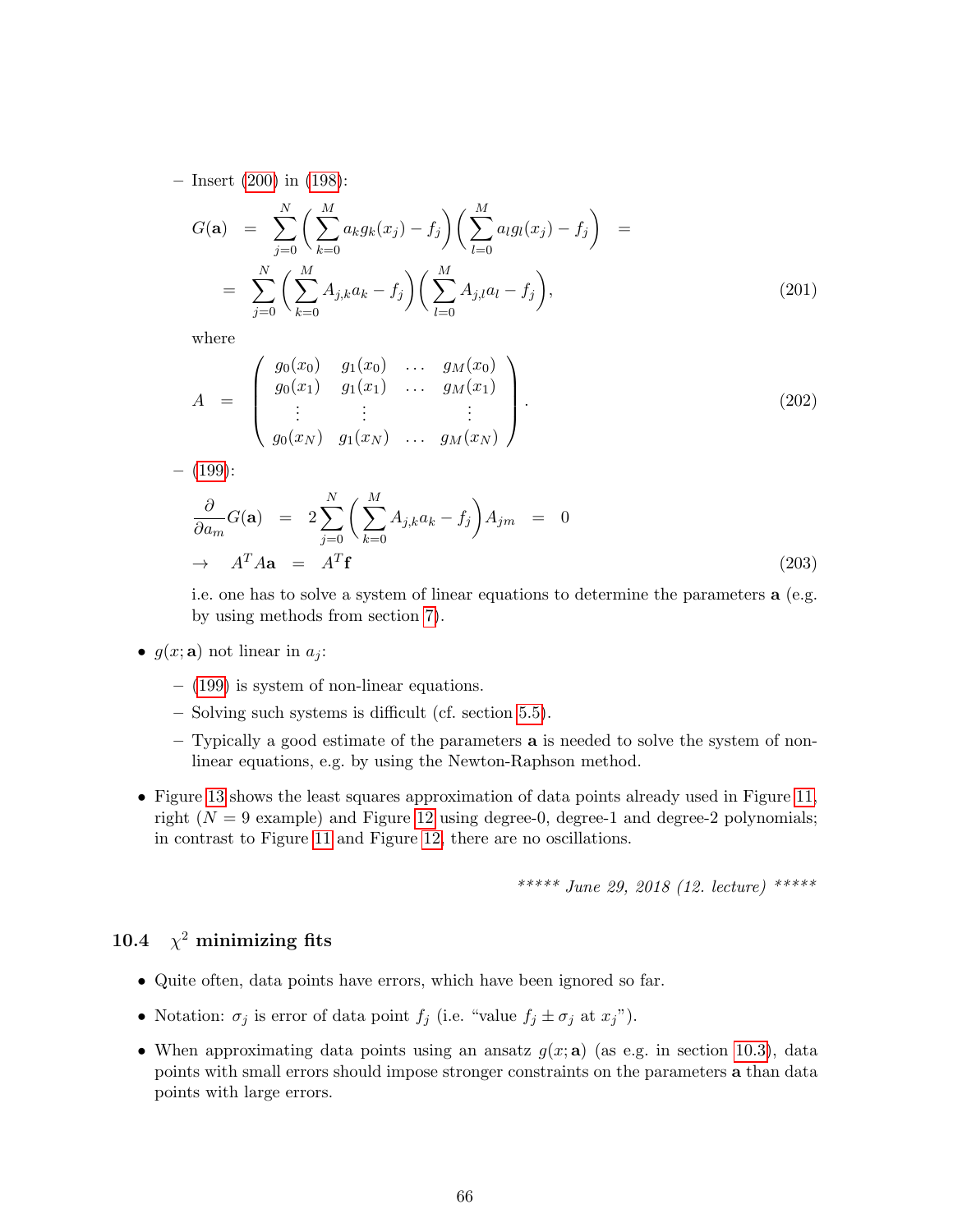– Insert [\(200\)](#page-64-1) in [\(198\)](#page-64-2):

$$
G(\mathbf{a}) = \sum_{j=0}^{N} \left( \sum_{k=0}^{M} a_k g_k(x_j) - f_j \right) \left( \sum_{l=0}^{M} a_l g_l(x_j) - f_j \right) =
$$
  
= 
$$
\sum_{j=0}^{N} \left( \sum_{k=0}^{M} A_{j,k} a_k - f_j \right) \left( \sum_{l=0}^{M} A_{j,l} a_l - f_j \right),
$$
 (201)

where

$$
A = \begin{pmatrix} g_0(x_0) & g_1(x_0) & \dots & g_M(x_0) \\ g_0(x_1) & g_1(x_1) & \dots & g_M(x_1) \\ \vdots & \vdots & & \vdots \\ g_0(x_N) & g_1(x_N) & \dots & g_M(x_N) \end{pmatrix}.
$$
 (202)

 $-$  [\(199\)](#page-64-3):

$$
\frac{\partial}{\partial a_m} G(\mathbf{a}) = 2 \sum_{j=0}^N \left( \sum_{k=0}^M A_{j,k} a_k - f_j \right) A_{jm} = 0
$$
  
\n
$$
\rightarrow A^T A \mathbf{a} = A^T \mathbf{f}
$$
 (203)

i.e. one has to solve a system of linear equations to determine the parameters a (e.g. by using methods from section [7\)](#page-35-2).

- $g(x; \mathbf{a})$  not linear in  $a_j$ :
	- [\(199\)](#page-64-3) is system of non-linear equations.
	- Solving such systems is difficult (cf. section [5.5\)](#page-24-0).
	- $-$  Typically a good estimate of the parameters  $\bf{a}$  is needed to solve the system of nonlinear equations, e.g. by using the Newton-Raphson method.
- Figure [13](#page-66-0) shows the least squares approximation of data points already used in Figure [11,](#page-62-0) right  $(N = 9$  example) and Figure [12](#page-64-0) using degree-0, degree-1 and degree-2 polynomials; in contrast to Figure [11](#page-62-0) and Figure [12,](#page-64-0) there are no oscillations.

\*\*\*\*\* June 29, 2018 (12. lecture) \*\*\*\*\*

## 10.4  $\chi^2$  minimizing fits

- Quite often, data points have errors, which have been ignored so far.
- Notation:  $\sigma_j$  is error of data point  $f_j$  (i.e. "value  $f_j \pm \sigma_j$  at  $x_j$ ").
- When approximating data points using an ansatz  $g(x; a)$  (as e.g. in section [10.3\)](#page-63-1), data points with small errors should impose stronger constraints on the parameters a than data points with large errors.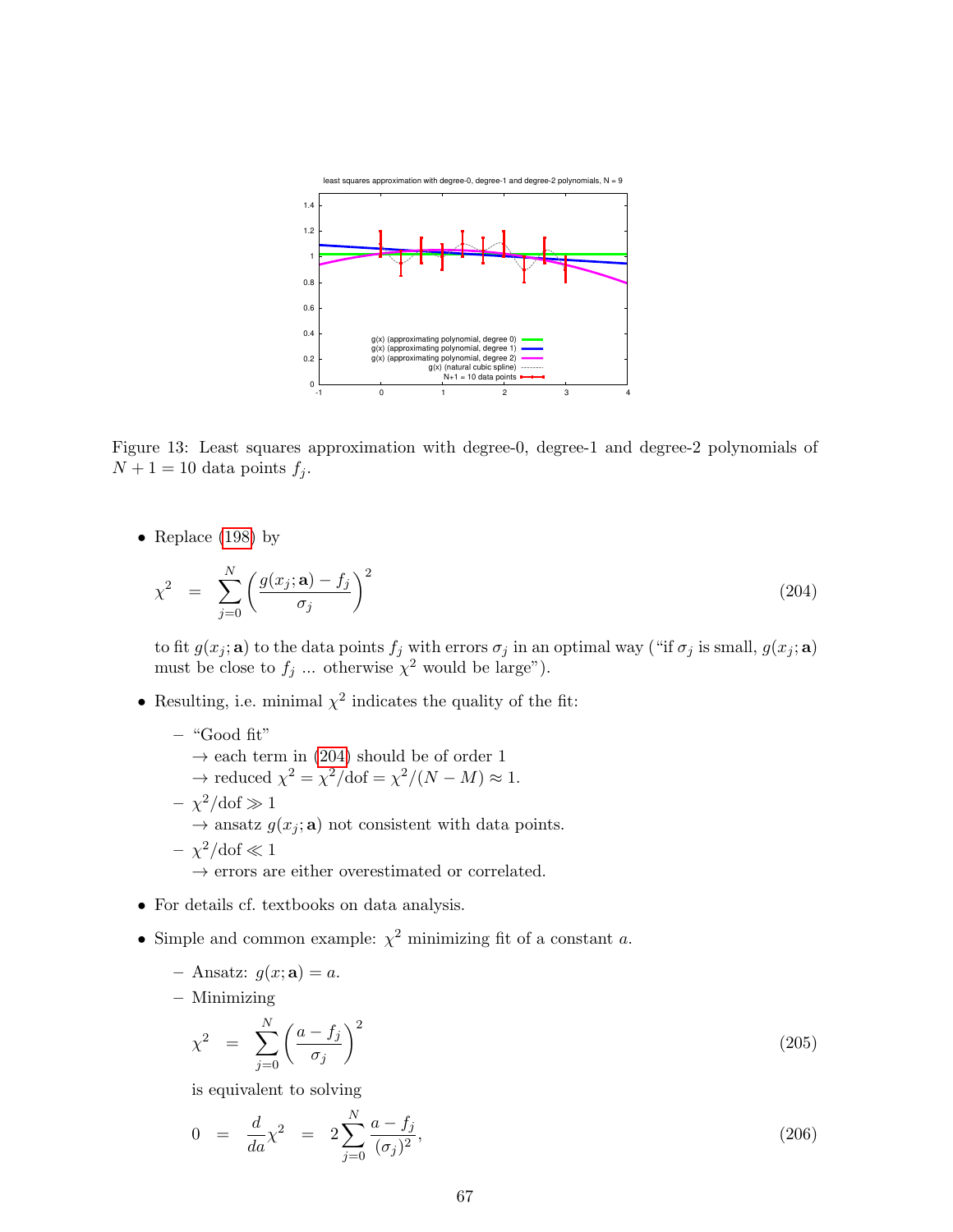

<span id="page-66-0"></span>Figure 13: Least squares approximation with degree-0, degree-1 and degree-2 polynomials of  $N+1=10$  data points  $f_j$ .

• Replace [\(198\)](#page-64-2) by

<span id="page-66-1"></span>
$$
\chi^2 = \sum_{j=0}^N \left( \frac{g(x_j; \mathbf{a}) - f_j}{\sigma_j} \right)^2 \tag{204}
$$

to fit  $g(x_j; \mathbf{a})$  to the data points  $f_j$  with errors  $\sigma_j$  in an optimal way ("if  $\sigma_j$  is small,  $g(x_j; \mathbf{a})$ must be close to  $f_j$  ... otherwise  $\chi^2$  would be large").

- Resulting, i.e. minimal  $\chi^2$  indicates the quality of the fit:
	- "Good fit"  $\rightarrow$  each term in [\(204\)](#page-66-1) should be of order 1  $\rightarrow$  reduced  $\chi^2 = \chi^2/\text{dof} = \chi^2/(N-M) \approx 1$ .  $-\chi^2/\text{dof} \gg 1$  $\rightarrow$  ansatz  $g(x_i; \mathbf{a})$  not consistent with data points.  $- \chi^2/\text{dof} \ll 1$  $\rightarrow$  errors are either overestimated or correlated.
- For details cf. textbooks on data analysis.
- Simple and common example:  $\chi^2$  minimizing fit of a constant a.
	- Ansatz:  $g(x; \mathbf{a}) = a$ .
	- Minimizing

$$
\chi^2 = \sum_{j=0}^{N} \left( \frac{a - f_j}{\sigma_j} \right)^2 \tag{205}
$$

is equivalent to solving

$$
0 = \frac{d}{da}\chi^2 = 2\sum_{j=0}^{N} \frac{a - f_j}{(\sigma_j)^2},
$$
\n(206)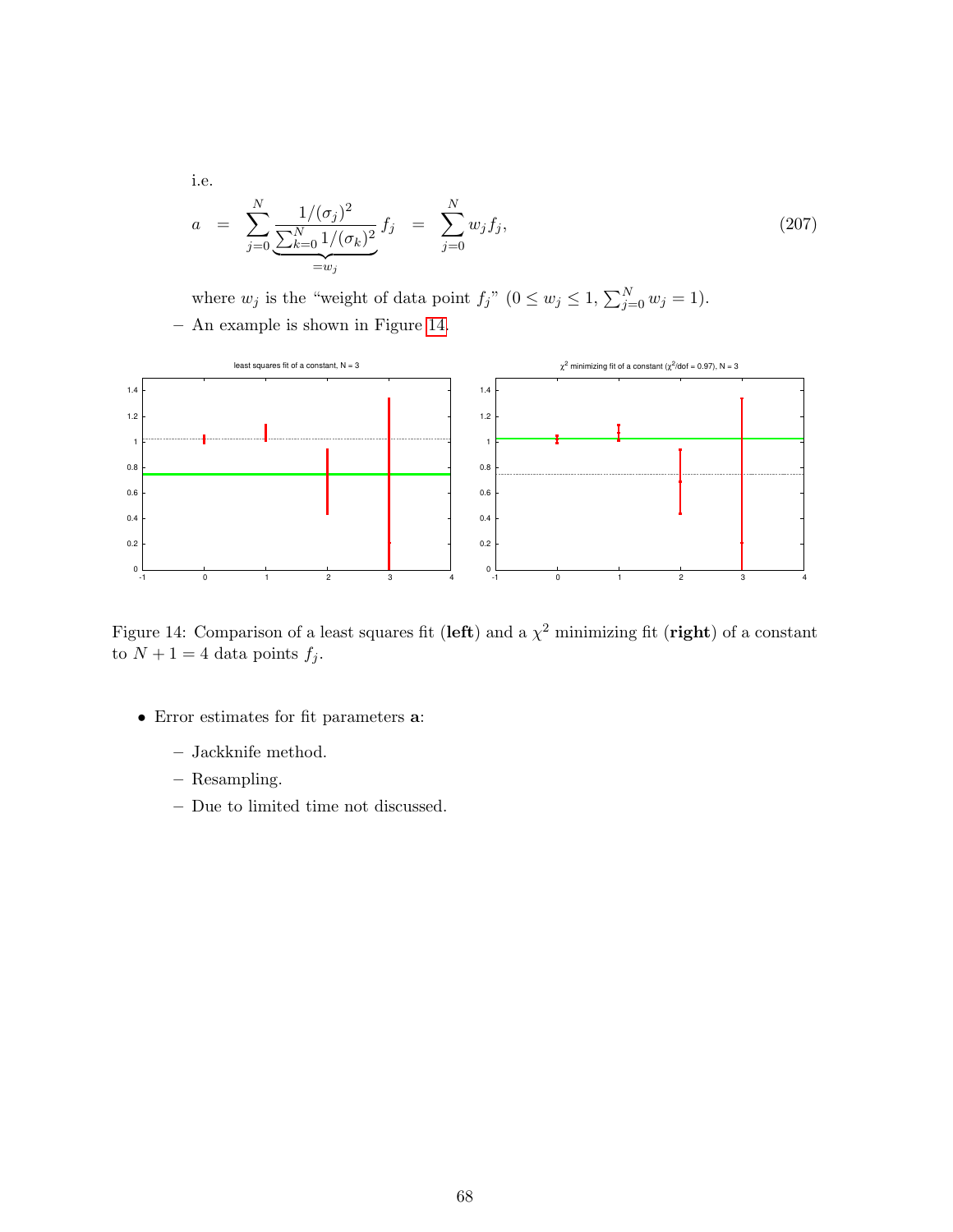i.e.

$$
a = \sum_{j=0}^{N} \underbrace{\frac{1}{( \sigma_j)^2}}_{=w_j} f_j = \sum_{j=0}^{N} w_j f_j, \tag{207}
$$

where  $w_j$  is the "weight of data point  $f_j$ "  $(0 \le w_j \le 1, \sum_{j=0}^N w_j = 1)$ . – An example is shown in Figure [14.](#page-67-0)



<span id="page-67-0"></span>Figure 14: Comparison of a least squares fit (left) and a  $\chi^2$  minimizing fit (right) of a constant to  $N + 1 = 4$  data points  $f_j$ .

- Error estimates for fit parameters a:
	- Jackknife method.
	- Resampling.
	- Due to limited time not discussed.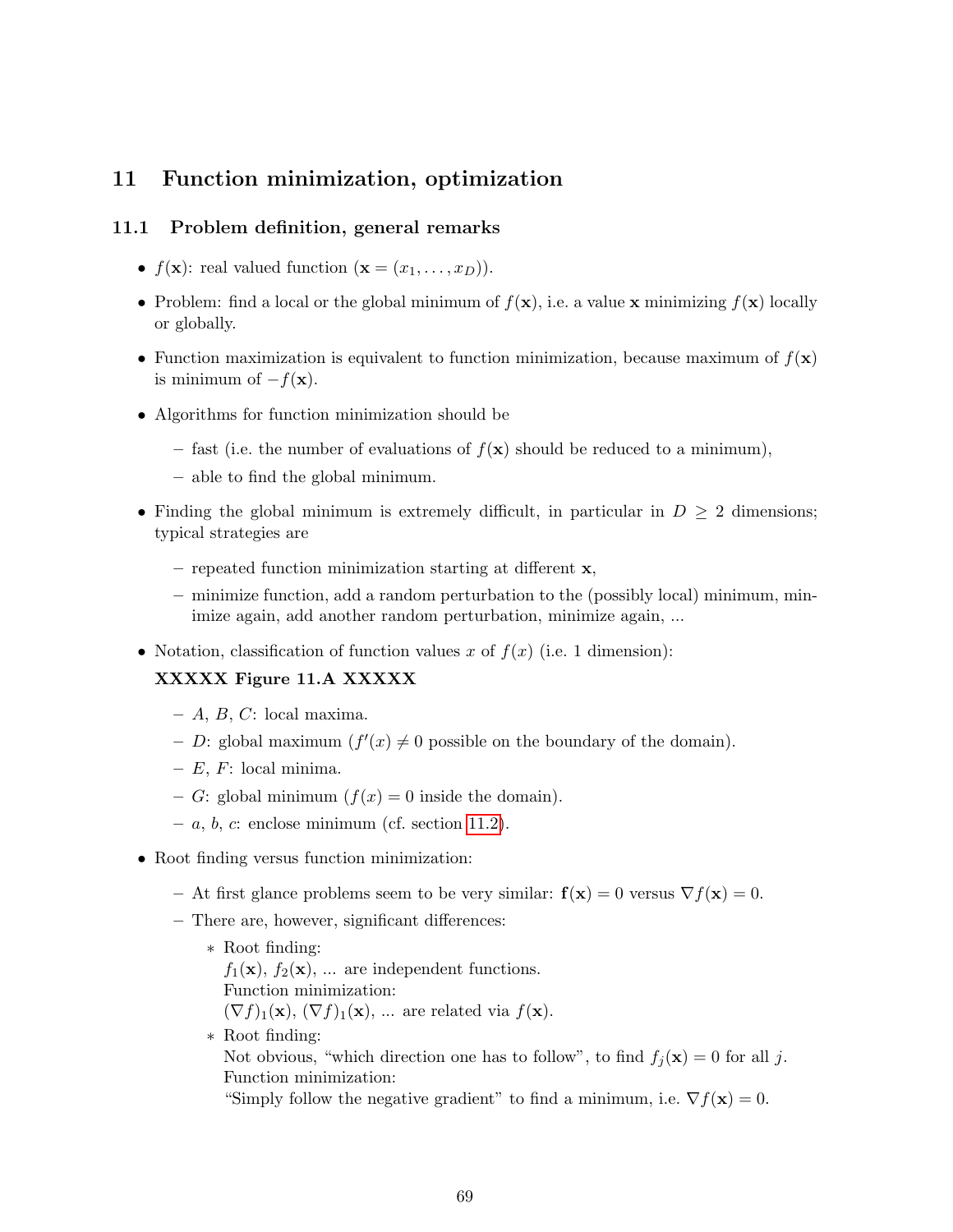# 11 Function minimization, optimization

### 11.1 Problem definition, general remarks

- $f(\mathbf{x})$ : real valued function  $(\mathbf{x} = (x_1, \ldots, x_D)).$
- Problem: find a local or the global minimum of  $f(\mathbf{x})$ , i.e. a value x minimizing  $f(\mathbf{x})$  locally or globally.
- Function maximization is equivalent to function minimization, because maximum of  $f(\mathbf{x})$ is minimum of  $-f(\mathbf{x})$ .
- Algorithms for function minimization should be
	- fast (i.e. the number of evaluations of  $f(\mathbf{x})$  should be reduced to a minimum),
	- able to find the global minimum.
- Finding the global minimum is extremely difficult, in particular in  $D \geq 2$  dimensions; typical strategies are
	- repeated function minimization starting at different  $x$ ,
	- minimize function, add a random perturbation to the (possibly local) minimum, minimize again, add another random perturbation, minimize again, ...
- Notation, classification of function values x of  $f(x)$  (i.e. 1 dimension):

## XXXXX Figure 11.A XXXXX

- $A, B, C: local maxima.$
- D: global maximum  $(f'(x) \neq 0)$  possible on the boundary of the domain).
- $E, F: local minima.$
- G: global minimum  $(f(x) = 0$  inside the domain).
- $-a, b, c$ : enclose minimum (cf. section [11.2\)](#page-69-0).
- Root finding versus function minimization:
	- At first glance problems seem to be very similar:  $f(x) = 0$  versus  $\nabla f(x) = 0$ .
	- There are, however, significant differences:
		- ∗ Root finding:  $f_1(\mathbf{x}), f_2(\mathbf{x}), \dots$  are independent functions. Function minimization:  $(\nabla f)_1(\mathbf{x}), (\nabla f)_1(\mathbf{x}), \dots$  are related via  $f(\mathbf{x})$ . ∗ Root finding: Not obvious, "which direction one has to follow", to find  $f_i(\mathbf{x}) = 0$  for all j. Function minimization:

"Simply follow the negative gradient" to find a minimum, i.e.  $\nabla f(\mathbf{x}) = 0$ .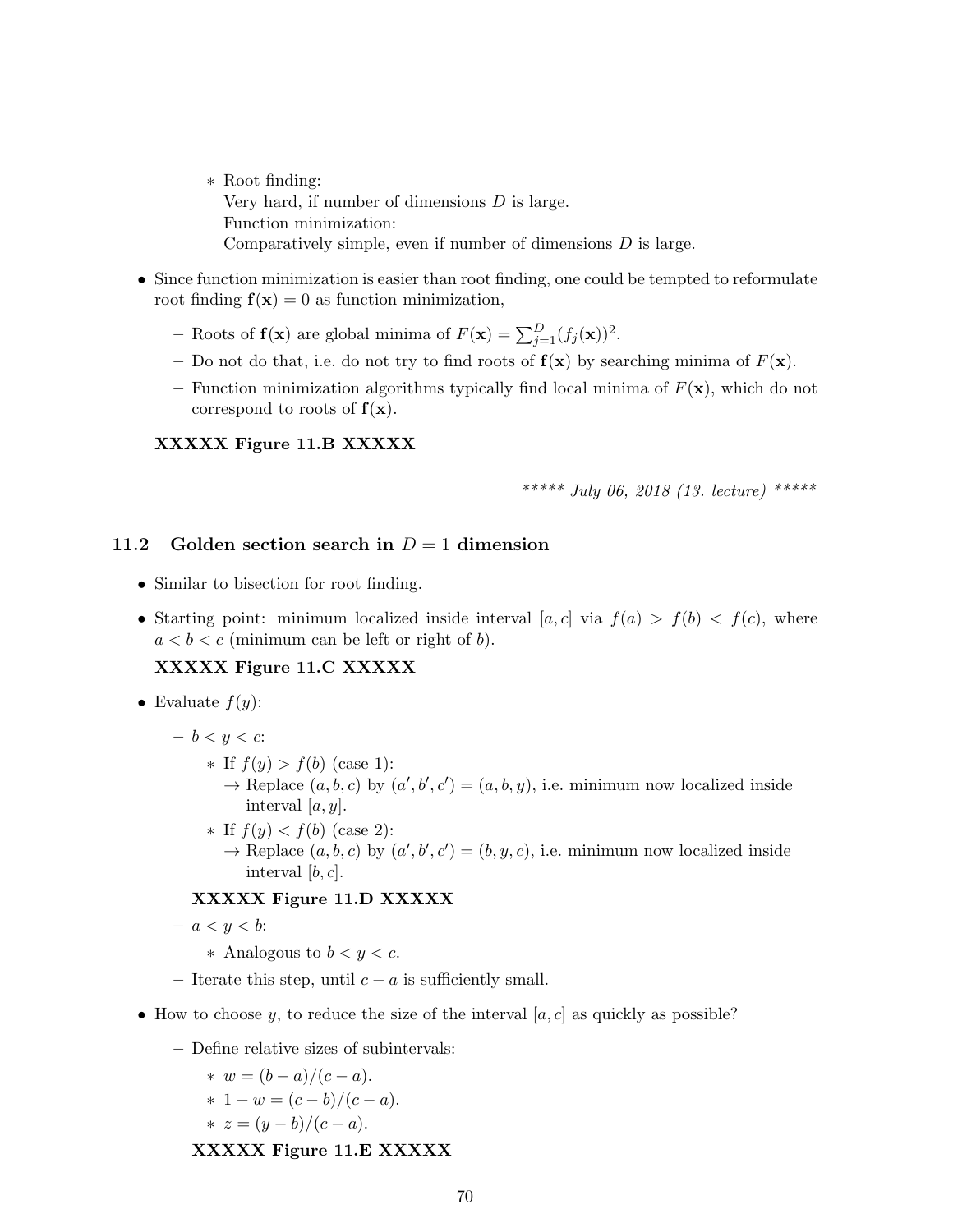- ∗ Root finding: Very hard, if number of dimensions D is large. Function minimization: Comparatively simple, even if number of dimensions  $D$  is large.
- Since function minimization is easier than root finding, one could be tempted to reformulate root finding  $f(x) = 0$  as function minimization,
	- Roots of  $f(x)$  are global minima of  $F(x) = \sum_{j=1}^{D} (f_j(x))^2$ .
	- Do not do that, i.e. do not try to find roots of  $f(x)$  by searching minima of  $F(x)$ .
	- Function minimization algorithms typically find local minima of  $F(\mathbf{x})$ , which do not correspond to roots of  $f(x)$ .

### XXXXX Figure 11.B XXXXX

\*\*\*\*\* July 06, 2018 (13. lecture) \*\*\*\*\*

#### <span id="page-69-0"></span>11.2 Golden section search in  $D = 1$  dimension

- Similar to bisection for root finding.
- Starting point: minimum localized inside interval  $[a, c]$  via  $f(a) > f(b) < f(c)$ , where  $a < b < c$  (minimum can be left or right of b).

### XXXXX Figure 11.C XXXXX

- Evaluate  $f(y)$ :
	- $b < y < c$ :
		- ∗ If f(y) > f(b) (case 1):
			- $\rightarrow$  Replace  $(a, b, c)$  by  $(a', b', c') = (a, b, y)$ , i.e. minimum now localized inside interval  $[a, y]$ .
		- ∗ If f(y) < f(b) (case 2):
			- $\rightarrow$  Replace  $(a, b, c)$  by  $(a', b', c') = (b, y, c)$ , i.e. minimum now localized inside interval  $[b, c]$ .

#### XXXXX Figure 11.D XXXXX

 $- a < y < b$ :

- ∗ Analogous to b < y < c.
- Iterate this step, until  $c a$  is sufficiently small.
- How to choose y, to reduce the size of the interval  $[a, c]$  as quickly as possible?
	- Define relative sizes of subintervals:

\* 
$$
w = (b - a)/(c - a)
$$
.  
\n\*  $1 - w = (c - b)/(c - a)$ .  
\n\*  $c = (a - b)/(a - a)$ 

\* 
$$
z = (y - b)/(c - a)
$$
.

XXXXX Figure 11.E XXXXX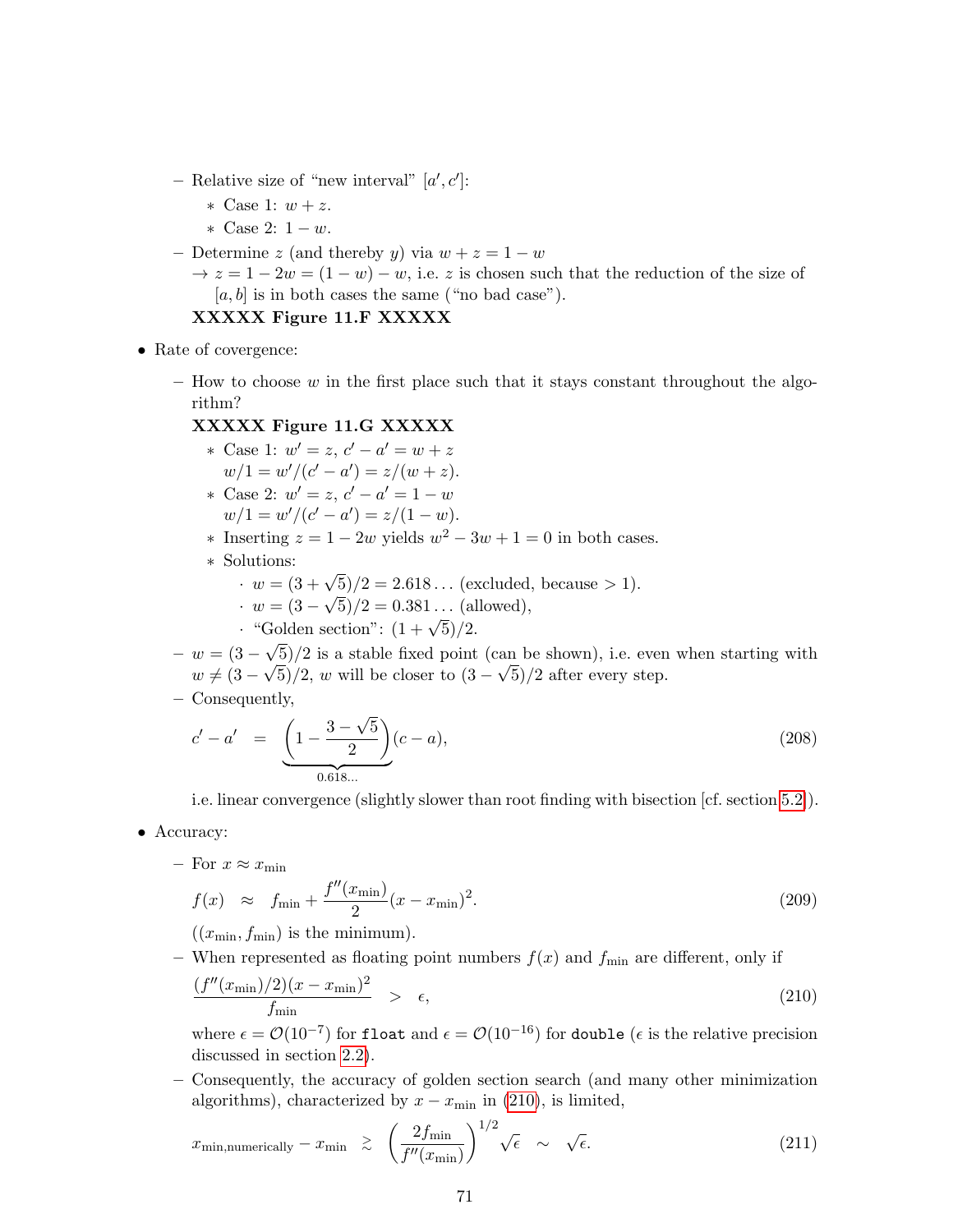- Relative size of "new interval"  $[a', c']$ :
	- ∗ Case 1: w + z.
	- ∗ Case 2: 1 − w.
- Determine z (and thereby y) via  $w + z = 1 w$ 
	- $\rightarrow z = 1 2w = (1 w) w$ , i.e. z is chosen such that the reduction of the size of  $[a, b]$  is in both cases the same ("no bad case").

#### XXXXX Figure 11.F XXXXX

- Rate of covergence:
	- $-$  How to choose  $w$  in the first place such that it stays constant throughout the algorithm?

#### XXXXX Figure 11.G XXXXX

- \* Case 1:  $w' = z$ ,  $c' a' = w + z$  $w/1 = w'/(c' - a') = z/(w + z).$ \* Case 2:  $w' = z, c' - a' = 1 - w$  $w/1 = w'/(c' - a') = z/(1 - w).$ \* Inserting  $z = 1 - 2w$  yields  $w^2 - 3w + 1 = 0$  in both cases. ∗ Solutions:  $\cdot w = (3 + \sqrt{5})/2 = 2.618...$  (excluded, because > 1).
	- $\cdot w = (3 \sqrt{5})/2 = 0.381...$  (allowed),
	- $\cdot w = (3 \sqrt{3})/2 = 0.381...$  (and  $\cdot$  "Golden section":  $(1 + \sqrt{5})/2$ . √
- $w = (3 -$ 5)/2 is a stable fixed point (can be shown), i.e. even when starting with  $w \neq (3 \mathcal{N}_{g}$  $(5)/2$ , w will be closer to  $(3 -$ √ 5)/2 after every step.
- Consequently,

$$
c' - a' = \underbrace{\left(1 - \frac{3 - \sqrt{5}}{2}\right)}_{0.618...}(c - a),
$$
\n(208)

i.e. linear convergence (slightly slower than root finding with bisection [cf. section [5.2\]](#page-22-0)).

- Accuracy:
	- For  $x \approx x_{\text{min}}$

$$
f(x) \approx f_{\min} + \frac{f''(x_{\min})}{2}(x - x_{\min})^2.
$$
 (209)

 $((x_{\min}, f_{\min})$  is the minimum).

– When represented as floating point numbers  $f(x)$  and  $f_{\text{min}}$  are different, only if

<span id="page-70-0"></span>
$$
\frac{(f''(x_{\min})/2)(x - x_{\min})^2}{f_{\min}} > \epsilon,
$$
\n(210)

where  $\epsilon = \mathcal{O}(10^{-7})$  for float and  $\epsilon = \mathcal{O}(10^{-16})$  for double ( $\epsilon$  is the relative precision discussed in section [2.2\)](#page-6-0).

– Consequently, the accuracy of golden section search (and many other minimization algorithms), characterized by  $x - x_{\text{min}}$  in [\(210\)](#page-70-0), is limited,

$$
x_{\min,\text{numerically}} - x_{\min} \ge \left(\frac{2f_{\min}}{f''(x_{\min})}\right)^{1/2} \sqrt{\epsilon} \sim \sqrt{\epsilon}.
$$
 (211)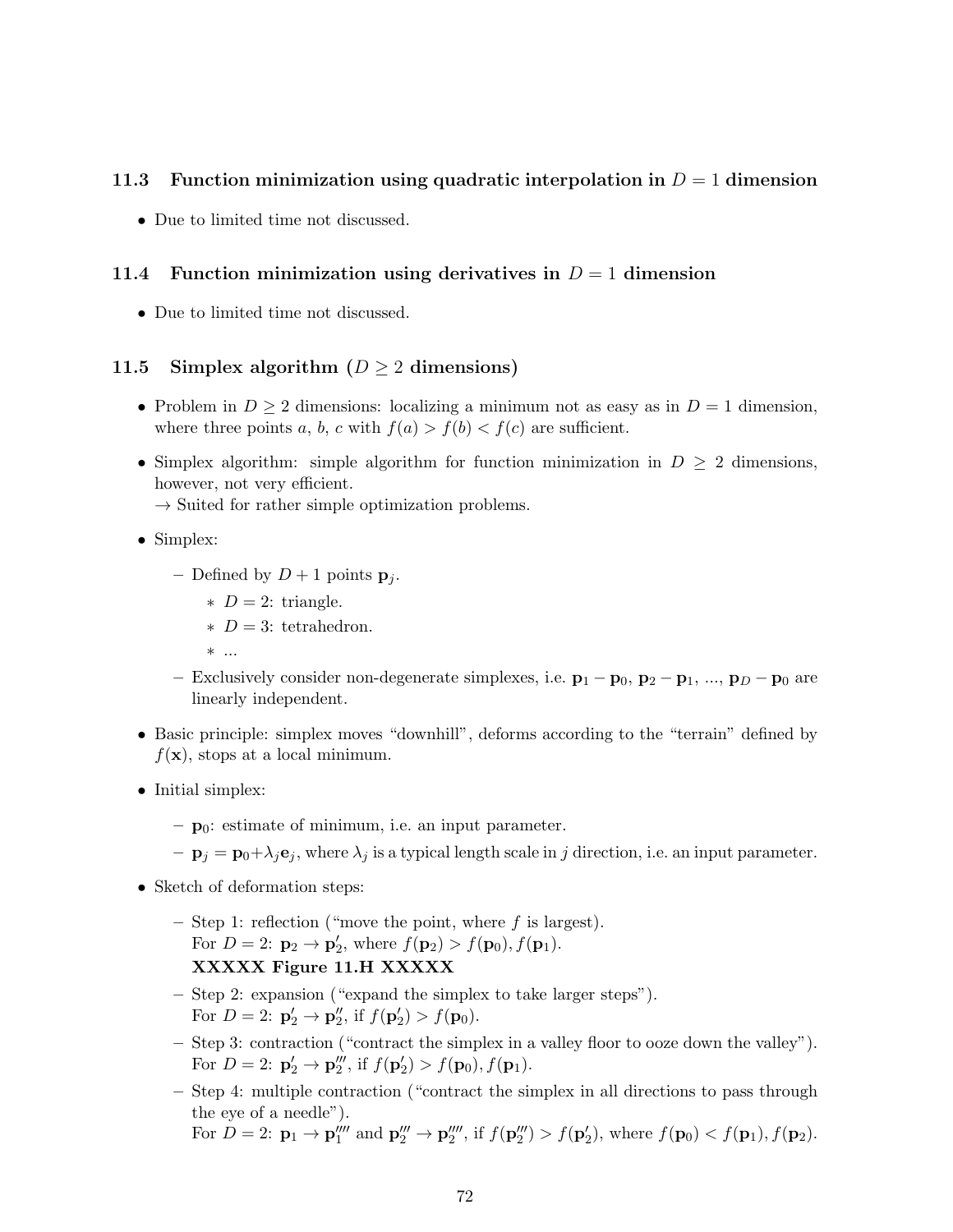## 11.3 Function minimization using quadratic interpolation in  $D = 1$  dimension

• Due to limited time not discussed.

### 11.4 Function minimization using derivatives in  $D = 1$  dimension

• Due to limited time not discussed.

## 11.5 Simplex algorithm ( $D \ge 2$  dimensions)

- Problem in  $D \geq 2$  dimensions: localizing a minimum not as easy as in  $D = 1$  dimension, where three points a, b, c with  $f(a) > f(b) < f(c)$  are sufficient.
- Simplex algorithm: simple algorithm for function minimization in  $D \geq 2$  dimensions, however, not very efficient.  $\rightarrow$  Suited for rather simple optimization problems.

- Simplex:
	- Defined by  $D+1$  points  $\mathbf{p}_i$ .
		- $\ast$  D = 2: triangle.
		- $\ast$  D = 3: tetrahedron.
		- ∗ ...
	- Exclusively consider non-degenerate simplexes, i.e.  $\mathbf{p}_1 \mathbf{p}_0$ ,  $\mathbf{p}_2 \mathbf{p}_1$ , ...,  $\mathbf{p}_D \mathbf{p}_0$  are linearly independent.
- Basic principle: simplex moves "downhill", deforms according to the "terrain" defined by  $f(\mathbf{x})$ , stops at a local minimum.
- Initial simplex:
	- $\mathbf{p}_0$ : estimate of minimum, i.e. an input parameter.
	- $-\mathbf{p}_j = \mathbf{p}_0 + \lambda_j \mathbf{e}_j$ , where  $\lambda_j$  is a typical length scale in j direction, i.e. an input parameter.
- Sketch of deformation steps:
	- Step 1: reflection ("move the point, where  $f$  is largest). For  $D = 2$ :  ${\bf p}_2 \to {\bf p}'_2$ , where  $f({\bf p}_2) > f({\bf p}_0), f({\bf p}_1)$ . XXXXX Figure 11.H XXXXX
	- Step 2: expansion ("expand the simplex to take larger steps"). For  $D = 2$ :  $\mathbf{p}'_2 \to \mathbf{p}''_2$ , if  $f(\mathbf{p}'_2) > f(\mathbf{p}_0)$ .
	- Step 3: contraction ("contract the simplex in a valley floor to ooze down the valley"). For  $D = 2$ :  $\mathbf{p}'_2 \to \mathbf{p}'''_2$ , if  $f(\mathbf{p}'_2) > f(\mathbf{p}_0), f(\mathbf{p}_1)$ .
	- Step 4: multiple contraction ("contract the simplex in all directions to pass through the eye of a needle"). For  $D = 2$ :  $\mathbf{p}_1 \to \mathbf{p}_1''''$  and  $\mathbf{p}_2''' \to \mathbf{p}_2'''$ , if  $f(\mathbf{p}_2''') > f(\mathbf{p}_2')$ , where  $f(\mathbf{p}_0) < f(\mathbf{p}_1)$ ,  $f(\mathbf{p}_2)$ .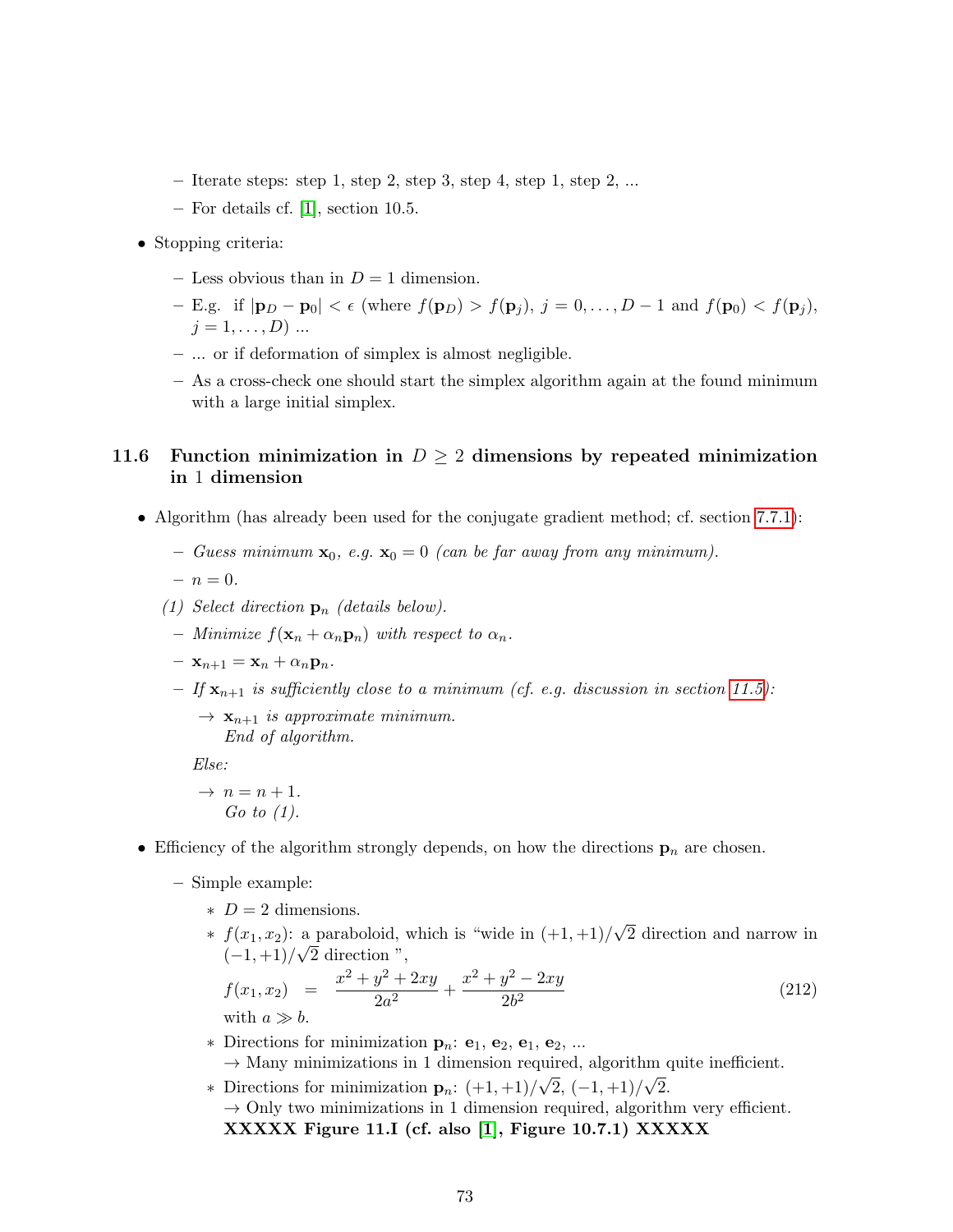- $-$  Iterate steps: step 1, step 2, step 3, step 4, step 1, step 2, ...
- For details cf. [\[1\]](#page-100-0), section 10.5.
- Stopping criteria:
	- Less obvious than in  $D = 1$  dimension.
	- E.g. if  $|\mathbf{p}_D \mathbf{p}_0| < \epsilon$  (where  $f(\mathbf{p}_D) > f(\mathbf{p}_j)$ ,  $j = 0, \ldots, D-1$  and  $f(\mathbf{p}_0) < f(\mathbf{p}_j)$ ,  $j = 1, \ldots, D) \ldots$
	- ... or if deformation of simplex is almost negligible.
	- As a cross-check one should start the simplex algorithm again at the found minimum with a large initial simplex.

#### 11.6 Function minimization in  $D \geq 2$  dimensions by repeated minimization in 1 dimension

- Algorithm (has already been used for the conjugate gradient method; cf. section [7.7.1\)](#page-43-0):
	- Guess minimum  $\mathbf{x}_0$ , e.g.  $\mathbf{x}_0 = 0$  (can be far away from any minimum).
	- $n = 0.$
	- (1) Select direction  $\mathbf{p}_n$  (details below).
	- Minimize  $f(\mathbf{x}_n + \alpha_n \mathbf{p}_n)$  with respect to  $\alpha_n$ .
	- $\mathbf{x}_{n+1} = \mathbf{x}_n + \alpha_n \mathbf{p}_n.$
	- If  $\mathbf{x}_{n+1}$  is sufficiently close to a minimum (cf. e.g. discussion in section [11.5\)](#page-71-0):
		- $\rightarrow$   $\mathbf{x}_{n+1}$  is approximate minimum. End of algorithm.

Else:

- $\rightarrow$   $n = n + 1$ . Go to  $(1)$ .
- Efficiency of the algorithm strongly depends, on how the directions  $\mathbf{p}_n$  are chosen.
	- Simple example:
		- $\ast$  D = 2 dimensions.
		- \*  $f(x_1, x_2)$ : a paraboloid, which is "wide in  $(+1, +1)/$ √ a paraboloid, which is "wide in  $(+1,+1)/\sqrt{2}$  direction and narrow in  $(-1,+1)/\sqrt{2}$  direction ",

$$
f(x_1, x_2) = \frac{x^2 + y^2 + 2xy}{2a^2} + \frac{x^2 + y^2 - 2xy}{2b^2}
$$
\n
$$
f(x_1, x_2) = \frac{x^2 + y^2 + 2xy}{2a^2} + \frac{x^2 + y^2 - 2xy}{2b^2}
$$
\n(212)

- \* Directions for minimization  $\mathbf{p}_n$ :  $\mathbf{e}_1$ ,  $\mathbf{e}_2$ ,  $\mathbf{e}_1$ ,  $\mathbf{e}_2$ , ...  $\rightarrow$  Many minimizations in 1 dimension required, algorithm quite inefficient.
- \* Directions for minimization  $\mathbf{p}_n$ :  $(+1,+1)/\sqrt{2}$ ,  $(-1,+1)/\sqrt{2}$ .  $\rightarrow$  Only two minimizations in 1 dimension required, algorithm very efficient. XXXXX Figure 11.I (cf. also [\[1\]](#page-100-0), Figure 10.7.1) XXXXX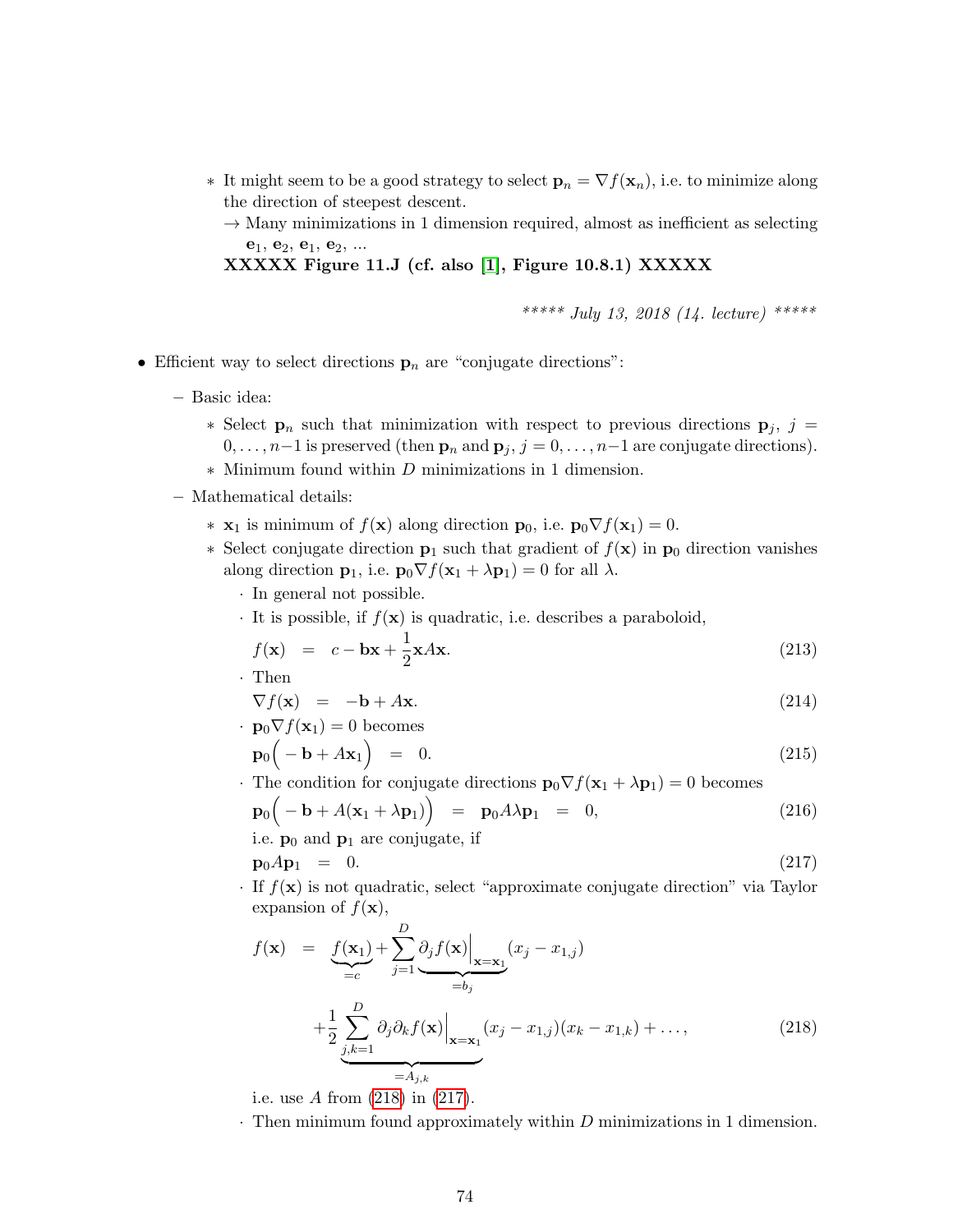- ∗ It might seem to be a good strategy to select  $\mathbf{p}_n = \nabla f(\mathbf{x}_n)$ , i.e. to minimize along the direction of steepest descent.
	- $\rightarrow$  Many minimizations in 1 dimension required, almost as inefficient as selecting  $e_1, e_2, e_1, e_2, ...$

XXXXX Figure 11.J (cf. also [\[1\]](#page-100-0), Figure 10.8.1) XXXXX

\*\*\*\*\* July 13, 2018 (14. lecture) \*\*\*\*\*

- Efficient way to select directions  $\mathbf{p}_n$  are "conjugate directions":
	- Basic idea:
		- ∗ Select  $\mathbf{p}_n$  such that minimization with respect to previous directions  $\mathbf{p}_j$ , j =  $0, \ldots, n-1$  is preserved (then  $\mathbf{p}_n$  and  $\mathbf{p}_j$ ,  $j = 0, \ldots, n-1$  are conjugate directions).
		- ∗ Minimum found within D minimizations in 1 dimension.
	- Mathematical details:
		- **∗**  $\mathbf{x}_1$  is minimum of  $f(\mathbf{x})$  along direction  $\mathbf{p}_0$ , i.e.  $\mathbf{p}_0 \nabla f(\mathbf{x}_1) = 0$ .
		- ∗ Select conjugate direction **p**<sub>1</sub> such that gradient of  $f(\mathbf{x})$  in **p**<sub>0</sub> direction vanishes along direction  $\mathbf{p}_1$ , i.e.  $\mathbf{p}_0 \nabla f(\mathbf{x}_1 + \lambda \mathbf{p}_1) = 0$  for all  $\lambda$ .
			- · In general not possible.
			- $\cdot$  It is possible, if  $f(\mathbf{x})$  is quadratic, i.e. describes a paraboloid,

$$
f(\mathbf{x}) = c - \mathbf{b}\mathbf{x} + \frac{1}{2}\mathbf{x}A\mathbf{x}.\tag{213}
$$

· Then

$$
\nabla f(\mathbf{x}) = -\mathbf{b} + A\mathbf{x}.\tag{214}
$$

- $\cdot$  **p**<sub>0</sub> $\nabla f(\mathbf{x}_1) = 0$  becomes  $\mathbf{p}_0(-\mathbf{b}+A\mathbf{x}_1)$  $= 0.$  (215)
- The condition for conjugate directions  $\mathbf{p}_0 \nabla f(\mathbf{x}_1 + \lambda \mathbf{p}_1) = 0$  becomes

$$
\mathbf{p}_0(-\mathbf{b} + A(\mathbf{x}_1 + \lambda \mathbf{p}_1)) = \mathbf{p}_0 A \lambda \mathbf{p}_1 = 0,
$$
\ni.e.  $\mathbf{p}_0$  and  $\mathbf{p}_1$  are conjugate, if

\n
$$
\mathbf{p}_0 = \begin{bmatrix} 216 \\ 0 \end{bmatrix}
$$

<span id="page-73-1"></span> $\mathbf{p}_0 A \mathbf{p}_1 = 0.$  (217)

 $\cdot$  If  $f(\mathbf{x})$  is not quadratic, select "approximate conjugate direction" via Taylor expansion of  $f(\mathbf{x})$ ,

<span id="page-73-0"></span>
$$
f(\mathbf{x}) = \underbrace{f(\mathbf{x}_1)}_{=c} + \sum_{j=1}^{D} \underbrace{\partial_j f(\mathbf{x}) \Big|_{\mathbf{x}=\mathbf{x}_1}}_{=b_j} (x_j - x_{1,j})
$$
  
+ 
$$
\underbrace{\frac{1}{2} \sum_{j,k=1}^{D} \partial_j \partial_k f(\mathbf{x}) \Big|_{\mathbf{x}=\mathbf{x}_1}}_{=A_{j,k}} (x_j - x_{1,j})(x_k - x_{1,k}) + \dots,
$$
 (218)

i.e. use A from [\(218\)](#page-73-0) in [\(217\)](#page-73-1).

 $\cdot$  Then minimum found approximately within  $D$  minimizations in 1 dimension.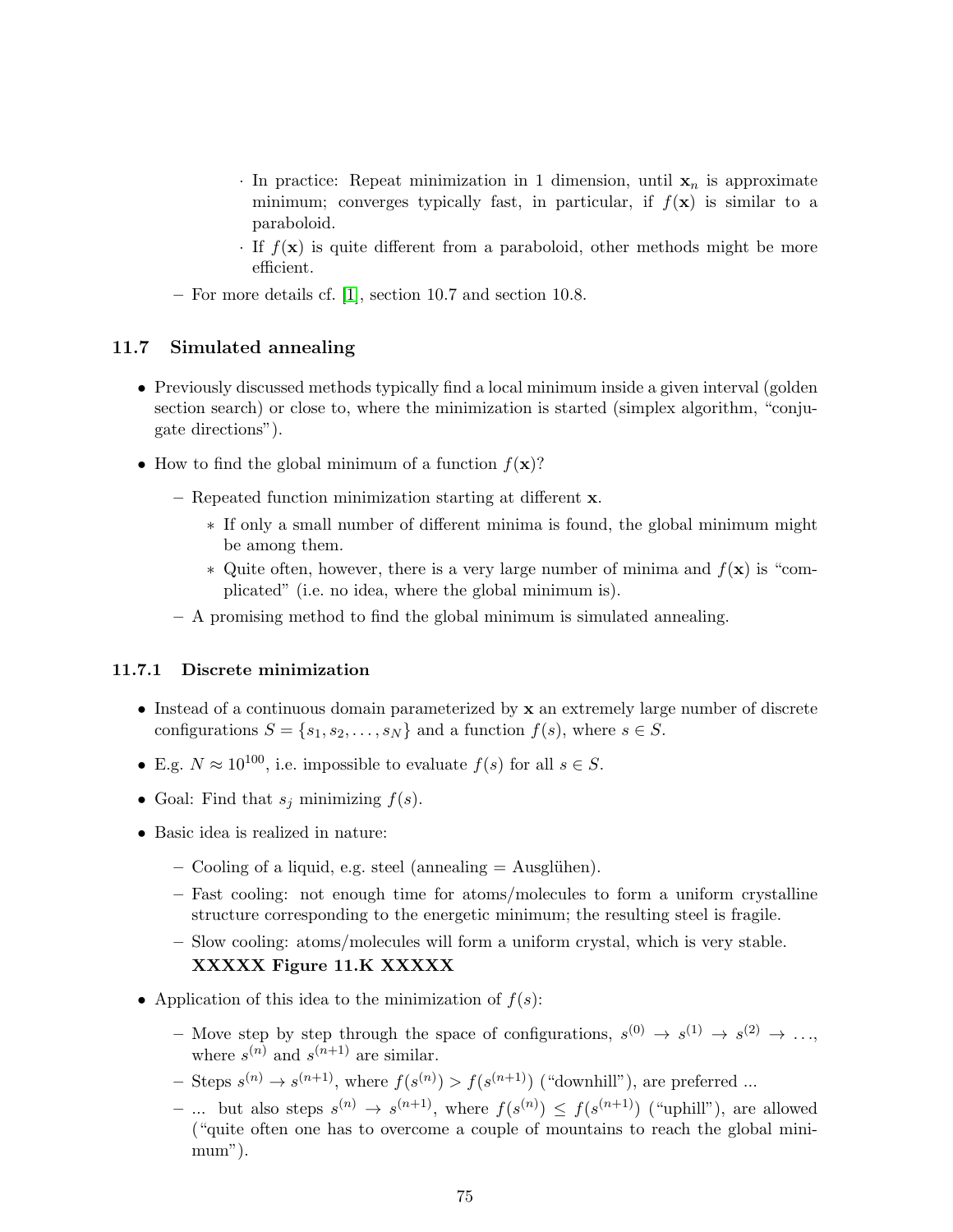- $\cdot$  In practice: Repeat minimization in 1 dimension, until  $x_n$  is approximate minimum; converges typically fast, in particular, if  $f(\mathbf{x})$  is similar to a paraboloid.
- $\cdot$  If  $f(\mathbf{x})$  is quite different from a paraboloid, other methods might be more efficient.
- For more details cf. [\[1\]](#page-100-0), section 10.7 and section 10.8.

#### 11.7 Simulated annealing

- Previously discussed methods typically find a local minimum inside a given interval (golden section search) or close to, where the minimization is started (simplex algorithm, "conjugate directions").
- How to find the global minimum of a function  $f(\mathbf{x})$ ?
	- Repeated function minimization starting at different x.
		- ∗ If only a small number of different minima is found, the global minimum might be among them.
		- $\ast$  Quite often, however, there is a very large number of minima and  $f(\mathbf{x})$  is "complicated" (i.e. no idea, where the global minimum is).
	- A promising method to find the global minimum is simulated annealing.

#### 11.7.1 Discrete minimization

- Instead of a continuous domain parameterized by x an extremely large number of discrete configurations  $S = \{s_1, s_2, \ldots, s_N\}$  and a function  $f(s)$ , where  $s \in S$ .
- E.g.  $N \approx 10^{100}$ , i.e. impossible to evaluate  $f(s)$  for all  $s \in S$ .
- Goal: Find that  $s_j$  minimizing  $f(s)$ .
- Basic idea is realized in nature:
	- $-$  Cooling of a liquid, e.g. steel (annealing  $=$  Ausglühen).
	- Fast cooling: not enough time for atoms/molecules to form a uniform crystalline structure corresponding to the energetic minimum; the resulting steel is fragile.
	- Slow cooling: atoms/molecules will form a uniform crystal, which is very stable. XXXXX Figure 11.K XXXXX
- Application of this idea to the minimization of  $f(s)$ :
	- Move step by step through the space of configurations,  $s^{(0)} \rightarrow s^{(1)} \rightarrow s^{(2)} \rightarrow \ldots$ where  $s^{(n)}$  and  $s^{(n+1)}$  are similar.
	- Steps  $s^{(n)} \to s^{(n+1)}$ , where  $f(s^{(n)}) > f(s^{(n+1)})$  ("downhill"), are preferred ...
	- ... but also steps  $s^{(n)} \to s^{(n+1)}$ , where  $f(s^{(n)}) \leq f(s^{(n+1)})$  ("uphill"), are allowed ("quite often one has to overcome a couple of mountains to reach the global minimum").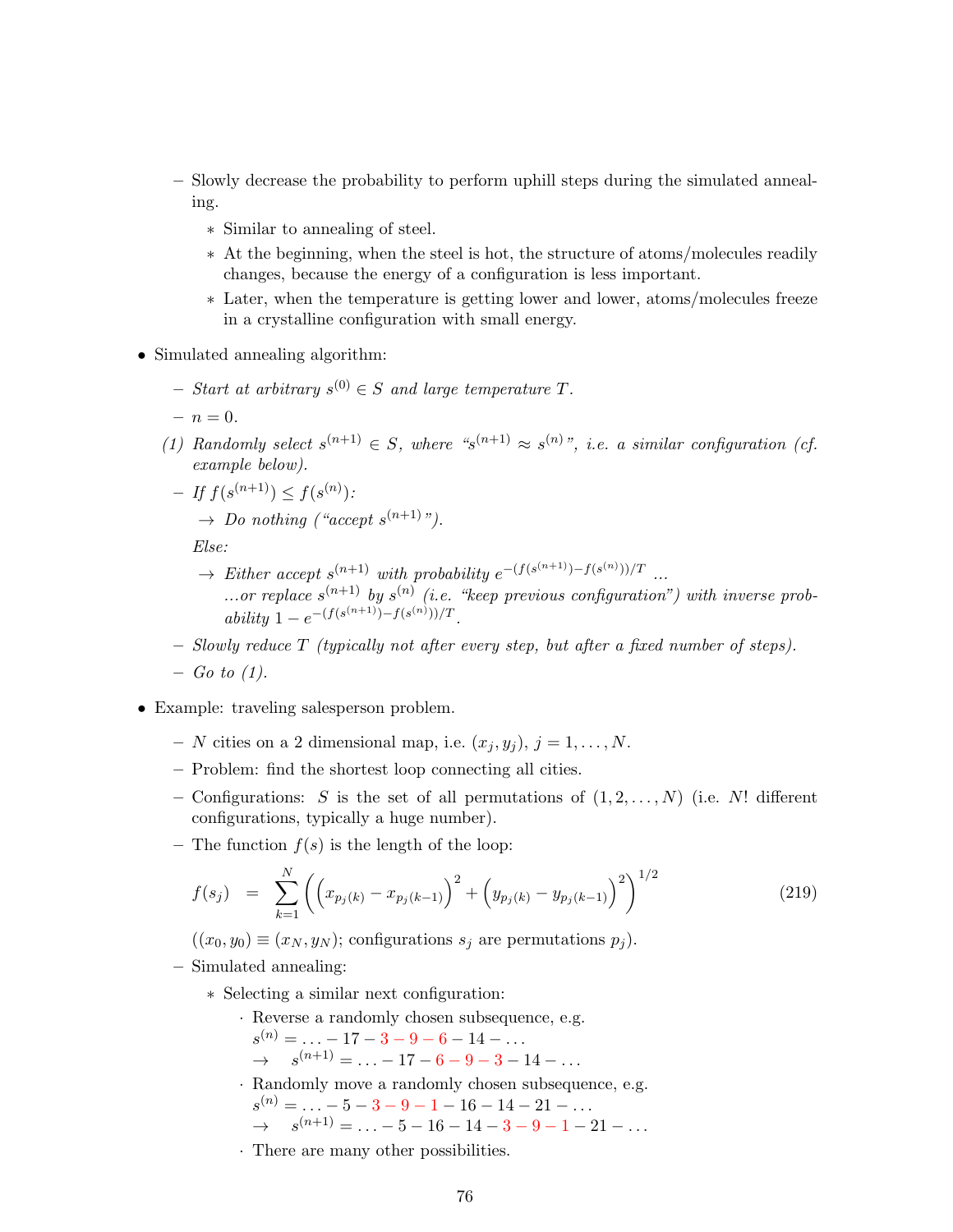- Slowly decrease the probability to perform uphill steps during the simulated annealing.
	- ∗ Similar to annealing of steel.
	- ∗ At the beginning, when the steel is hot, the structure of atoms/molecules readily changes, because the energy of a configuration is less important.
	- ∗ Later, when the temperature is getting lower and lower, atoms/molecules freeze in a crystalline configuration with small energy.
- Simulated annealing algorithm:
	- $-$  Start at arbitrary  $s^{(0)} \in S$  and large temperature T.
	- $n = 0.$
	- (1) Randomly select  $s^{(n+1)} \in S$ , where " $s^{(n+1)} \approx s^{(n)}$ ", i.e. a similar configuration (cf. example below).

$$
- If f(s^{(n+1)}) \le f(s^{(n)})
$$
  

$$
\rightarrow Do nothing ("accept s^{(n+1)"}).
$$

Else:

- $\rightarrow$  Either accept  $s^{(n+1)}$  with probability  $e^{-(f(s^{(n+1)})-f(s^{(n)}))/T}$ ... ...or replace  $s^{(n+1)}$  by  $s^{(n)}$  (i.e. "keep previous configuration") with inverse prob $ability\ 1-e^{-(f(s^{(n+1)})-f(s^{(n)}))/T}.$
- Slowly reduce T (typically not after every step, but after a fixed number of steps).
- $-$  Go to (1).
- Example: traveling salesperson problem.
	- N cities on a 2 dimensional map, i.e.  $(x_j, y_j)$ ,  $j = 1, \ldots, N$ .
	- Problem: find the shortest loop connecting all cities.
	- Configurations: S is the set of all permutations of  $(1, 2, \ldots, N)$  (i.e. N! different configurations, typically a huge number).
	- The function  $f(s)$  is the length of the loop:

$$
f(s_j) = \sum_{k=1}^{N} \left( \left( x_{p_j(k)} - x_{p_j(k-1)} \right)^2 + \left( y_{p_j(k)} - y_{p_j(k-1)} \right)^2 \right)^{1/2}
$$
(219)

 $((x_0, y_0) \equiv (x_N, y_N);$  configurations  $s_j$  are permutations  $p_j$ ).

- Simulated annealing:
	- ∗ Selecting a similar next configuration:
		- · Reverse a randomly chosen subsequence, e.g.  $s^{(n)} = \ldots -17 -3 -9 -6 -14 - \ldots$  $\rightarrow$   $s^{(n+1)} = \ldots -17 - 6 - 9 - 3 - 14 - \ldots$ · Randomly move a randomly chosen subsequence, e.g.  $s^{(n)} = \ldots -5 -3 -9 -1 -16 -14 -21 -\ldots$  $\rightarrow$   $s^{(n+1)} = \ldots -5 - 16 - 14 - 3 - 9 - 1 - 21 - \ldots$
		- · There are many other possibilities.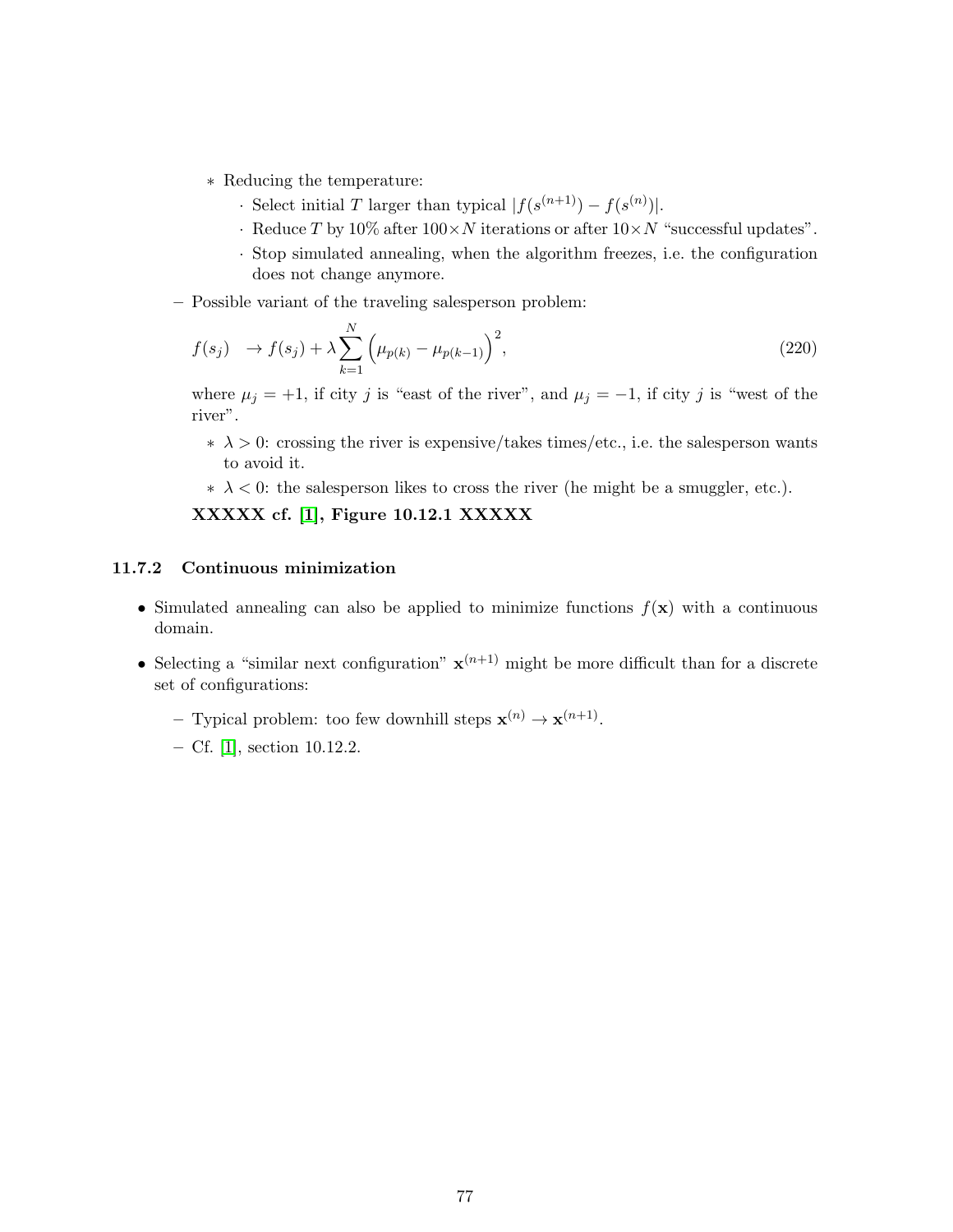- ∗ Reducing the temperature:
	- Select initial T larger than typical  $|f(s^{(n+1)}) f(s^{(n)})|$ .
	- · Reduce T by 10% after  $100 \times N$  iterations or after  $10 \times N$  "successful updates".
	- · Stop simulated annealing, when the algorithm freezes, i.e. the configuration does not change anymore.
- Possible variant of the traveling salesperson problem:

$$
f(s_j) \to f(s_j) + \lambda \sum_{k=1}^{N} \left( \mu_{p(k)} - \mu_{p(k-1)} \right)^2,
$$
\n(220)

where  $\mu_j = +1$ , if city j is "east of the river", and  $\mu_j = -1$ , if city j is "west of the river".

- $\star \lambda > 0$ : crossing the river is expensive/takes times/etc., i.e. the salesperson wants to avoid it.
- $\star \lambda < 0$ : the salesperson likes to cross the river (he might be a smuggler, etc.).

XXXXX cf. [\[1\]](#page-100-0), Figure 10.12.1 XXXXX

#### 11.7.2 Continuous minimization

- Simulated annealing can also be applied to minimize functions  $f(\mathbf{x})$  with a continuous domain.
- Selecting a "similar next configuration"  $\mathbf{x}^{(n+1)}$  might be more difficult than for a discrete set of configurations:
	- Typical problem: too few downhill steps  $\mathbf{x}^{(n)} \to \mathbf{x}^{(n+1)}$ .
	- Cf. [\[1\]](#page-100-0), section 10.12.2.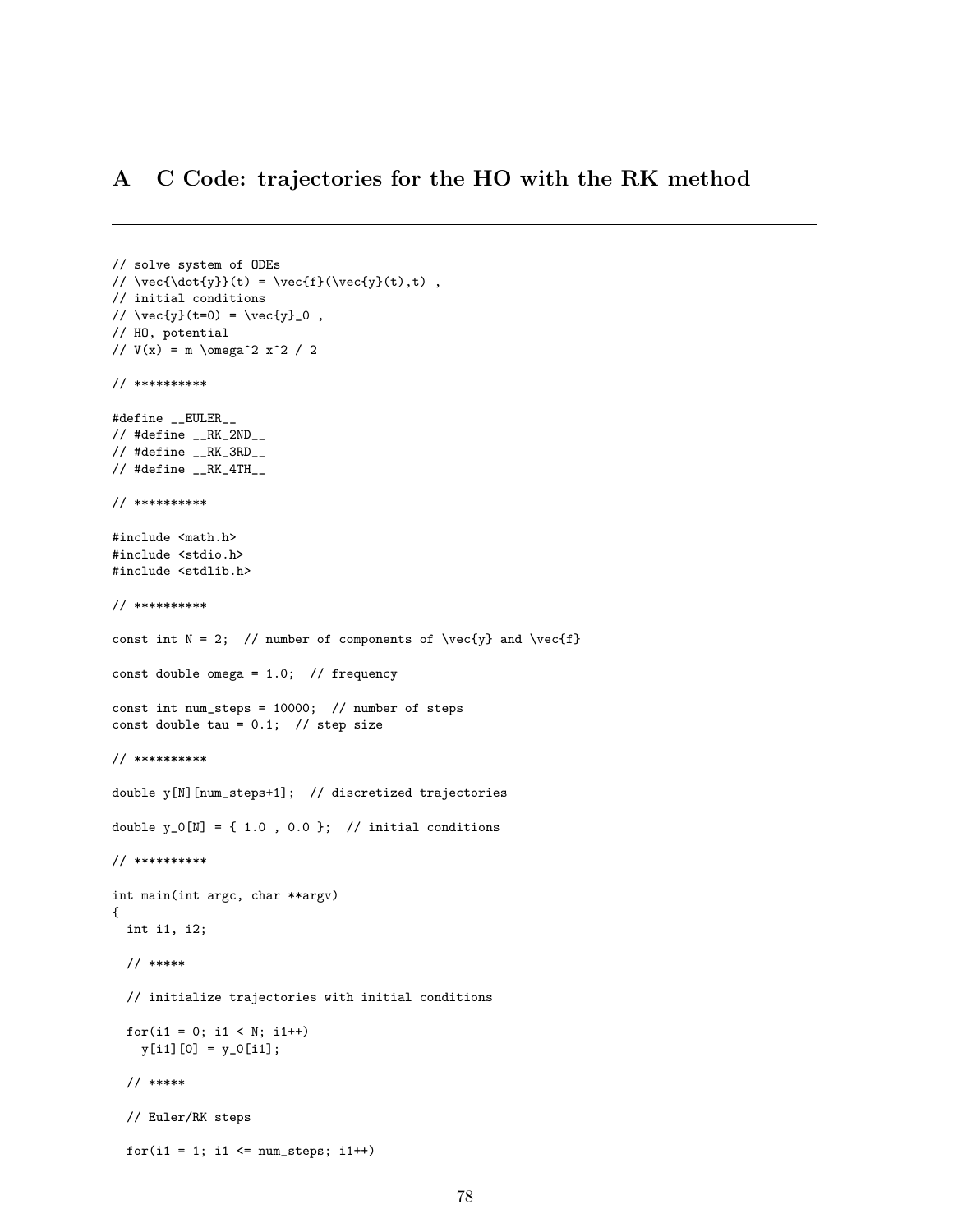#### A C Code: trajectories for the HO with the RK method

```
// solve system of ODEs
// \vec{\dot{y}}(t) = \vec{f}(\vec{y}(t),t),
// initial conditions
// \vec{y}(t=0) = \vec{y}_0,
// HO, potential
// V(x) = m \omega^2 x^2 / 2// **********
#define __EULER__
// #define __RK_2ND__
\frac{1}{2} #define _{--}RK_3RD__
\frac{1}{4} #define _{-}RK_4TH_{-}// **********
#include <math.h>
#include <stdio.h>
#include <stdlib.h>
// **********
const int N = 2; // number of components of \vec{y} and \vec{f}const double omega = 1.0; // frequency
const int num_steps = 10000; // number of steps
const double tau = 0.1; // step size
// **********
double y[N][num_steps+1]; // discretized trajectories
double y_0[N] = \{ 1.0, 0.0 \}; // initial conditions
// **********
int main(int argc, char **argv)
{
 int i1, i2;
  // *****
  // initialize trajectories with initial conditions
 for(i1 = 0; i1 < N; i1++)
    y[i1][0] = y_0[i1];// *****
  // Euler/RK steps
 for(i1 = 1; i1 \le num_steps; i1++)
```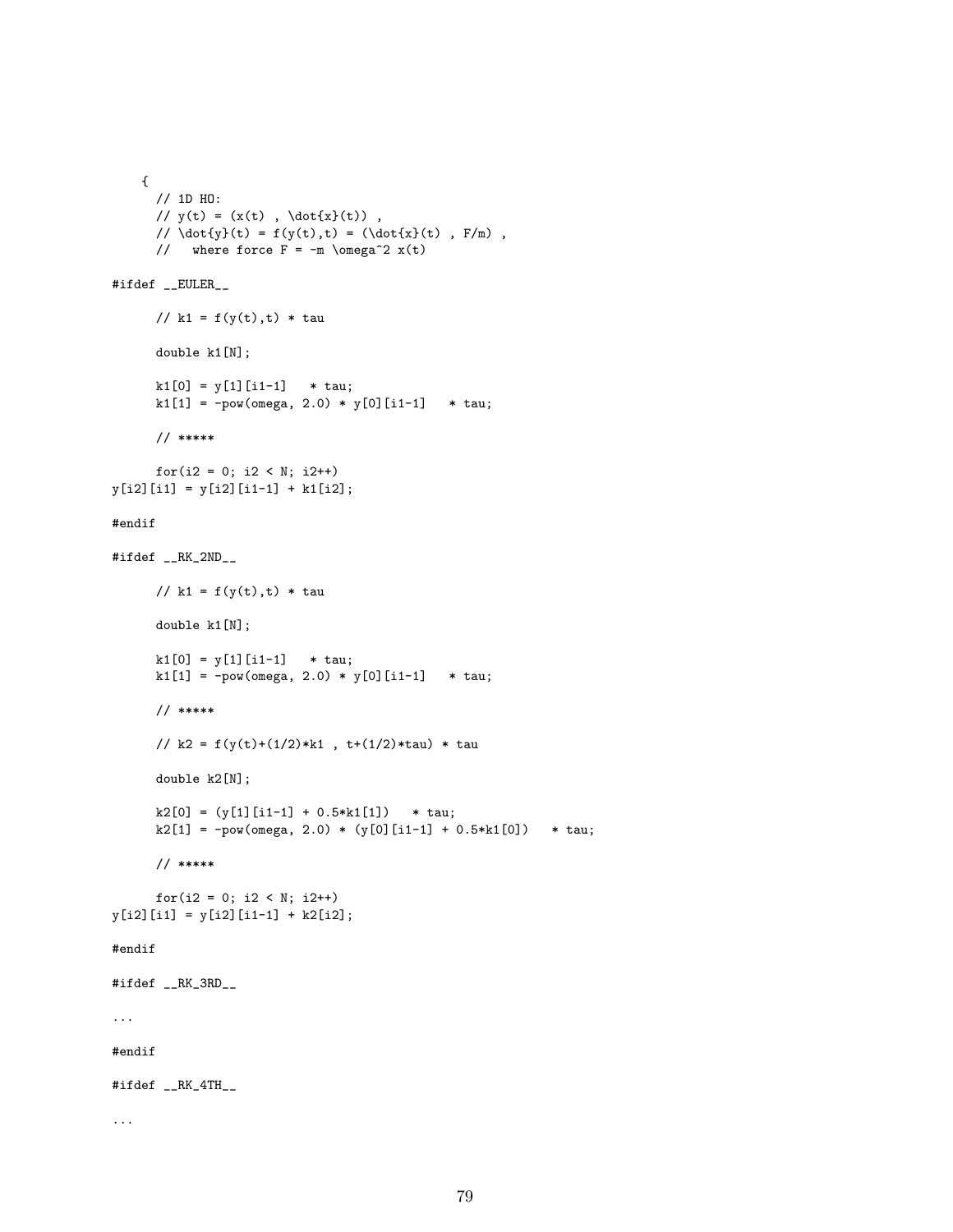```
{
     // 1D HO:
     // y(t) = (x(t), \dot{\xi}(t)),
     // \dot{y}(t) = f(y(t), t) = (\dot{x}(t), F/m),
     // where force F = -m \omega^2 x(t)#ifdef __EULER__
     // k1 = f(y(t),t) * taudouble k1[N];
     k1[0] = y[1][i1-1] * tau;
     k1[1] = -pow(omega, 2.0) * y[0][i1-1] * tau;// *****
     for(i2 = 0; i2 < N; i2++)y[i2][i1] = y[i2][i1-1] + k1[i2];#endif
#ifdef __RK_2ND__
     // k1 = f(y(t),t) * taudouble k1[N];
     k1[0] = y[1][i1-1] * tau;
     k1[1] = -pow(\text{omega}, 2.0) * y[0][i1-1] * tau;// *****
     // k2 = f(y(t)+(1/2)*k1, t+(1/2)*tau) * tau
     double k2[N];
     k2[0] = (y[1][i1-1] + 0.5*k1[1]) * tau;
     k2[1] = -pow(omega, 2.0) * (y[0][i1-1] + 0.5*k1[0]) * tau;// *****
     for(i2 = 0; i2 < N; i2++)
y[i2][i1] = y[i2][i1-1] + k2[i2];#endif
#ifdef __RK_3RD__
...
#endif
#ifdef __RK_4TH__
...
```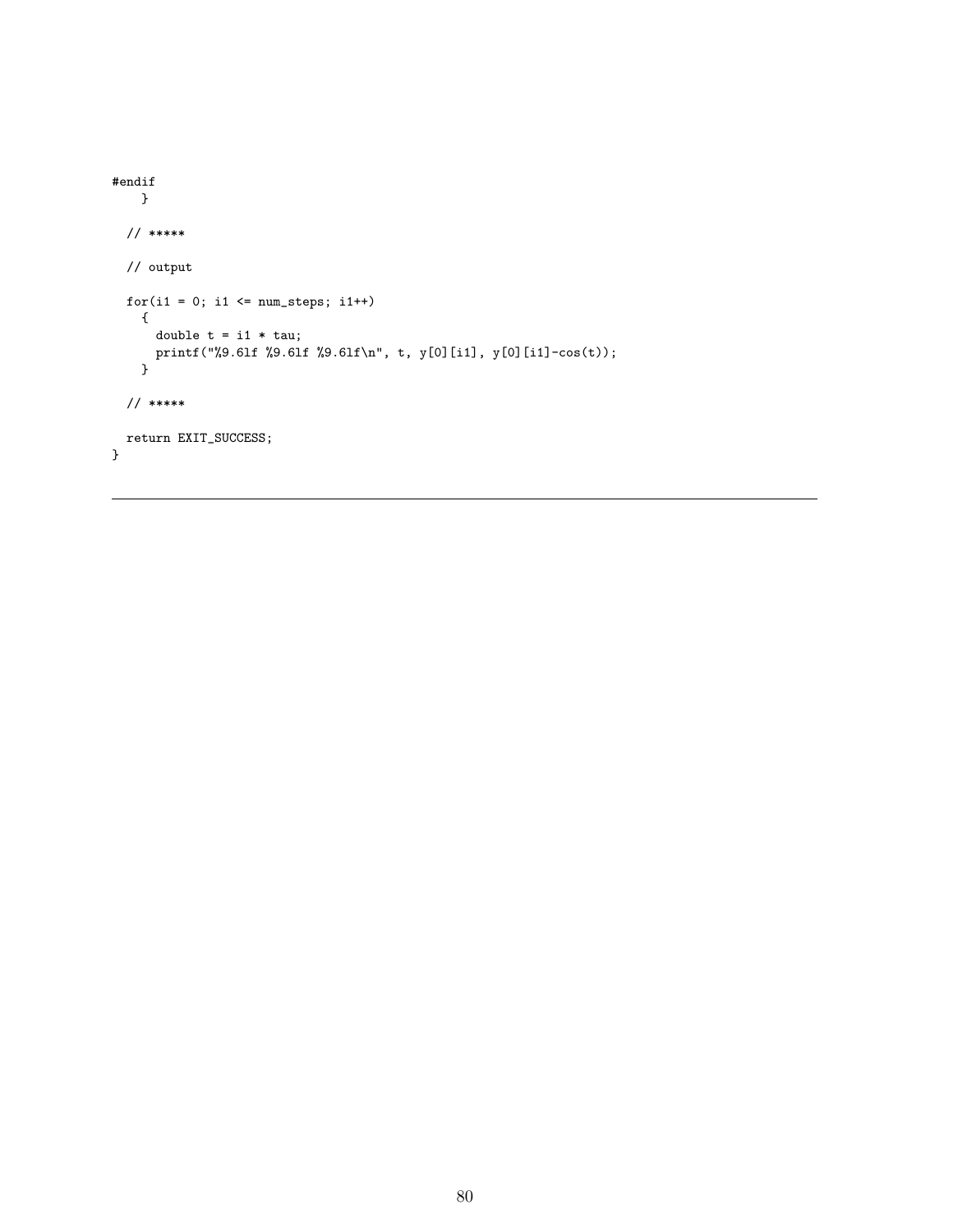```
#endif
   }
 // *****
 // output
 for(i1 = 0; i1 \le num\_steps; i1++){
      double t = i1 * tau;printf("%9.6lf %9.6lf %9.6lf\n", t, y[0][i1], y[0][i1]-cos(t));
    }
 // *****
 return EXIT_SUCCESS;
}
```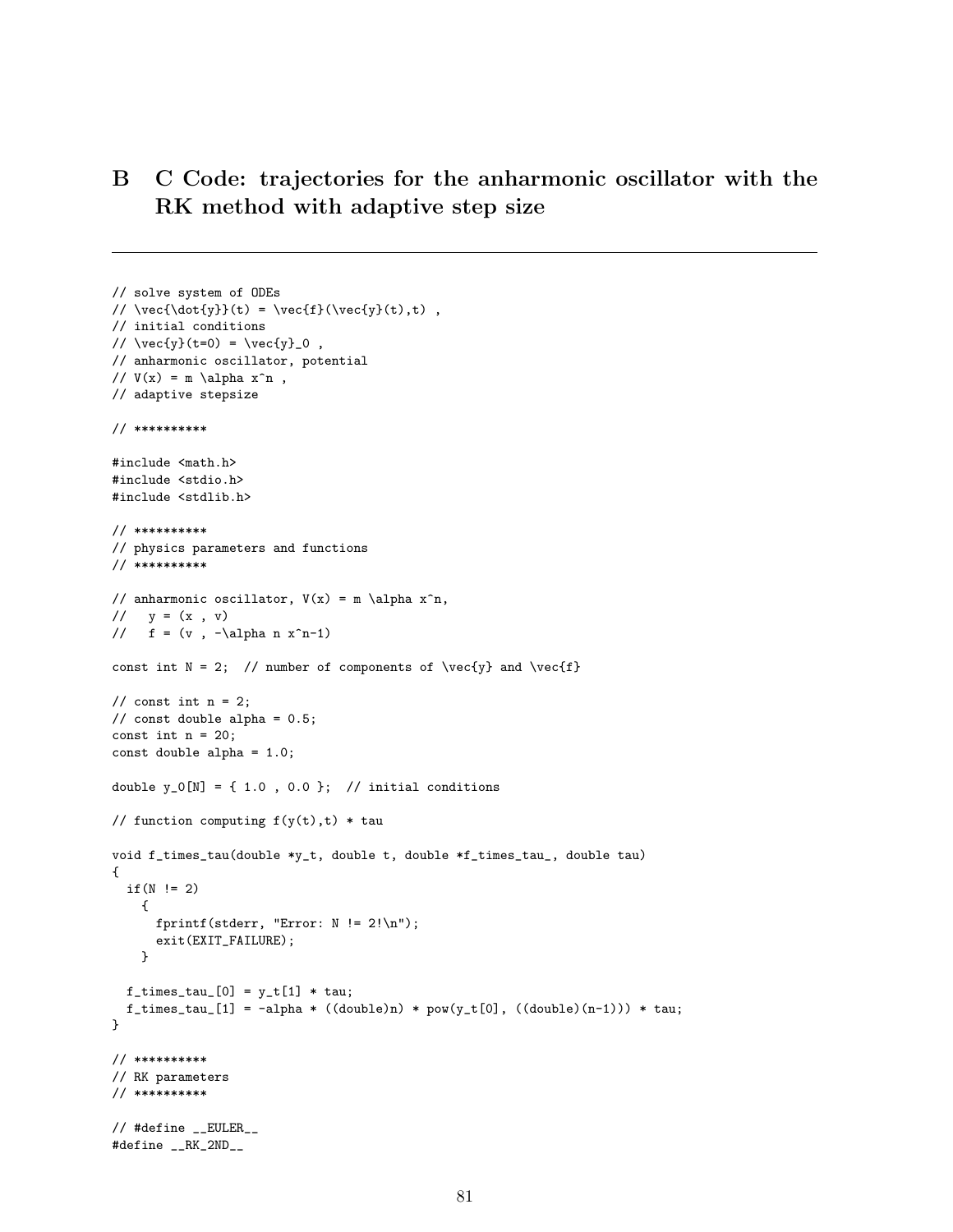# B C Code: trajectories for the anharmonic oscillator with the RK method with adaptive step size

```
// solve system of ODEs
// \vec{\dot{y}}(t) = \vec{f}(\vec{y}(t),t),
// initial conditions
// \vec{y}(t=0) = \vec{y}_0,
// anharmonic oscillator, potential
// V(x) = m \alpha x^n,
// adaptive stepsize
// **********
#include <math.h>
#include <stdio.h>
#include <stdlib.h>
// **********
// physics parameters and functions
// **********
// anharmonic oscillator, V(x) = m \alpha x^n,
// y = (x, v)// f = (v, -\alpha n x^n-1)const int N = 2; // number of components of \vec{y} and \vec{f}// const int n = 2;
// const double alpha = 0.5;
const int n = 20;
const double alpha = 1.0;
double y_0[N] = \{ 1.0, 0.0 \}; // initial conditions
// function computing f(y(t),t) * tauvoid f_times_tau(double *y_t, double t, double *f_times_tau_, double tau)
{
 if(N |= 2){
     fprintf(stderr, "Error: N != 2!\n\times);
     exit(EXIT_FAILURE);
   }
 f_times_tau_{0}] = y_t[1] * tau;f_times_tau_[1] = -alpha * ((double)n) * pow(y_t[0], ((double)(n-1))) * tau;
}
// **********
// RK parameters
// **********
// #define __EULER__
#define __RK_2ND__
```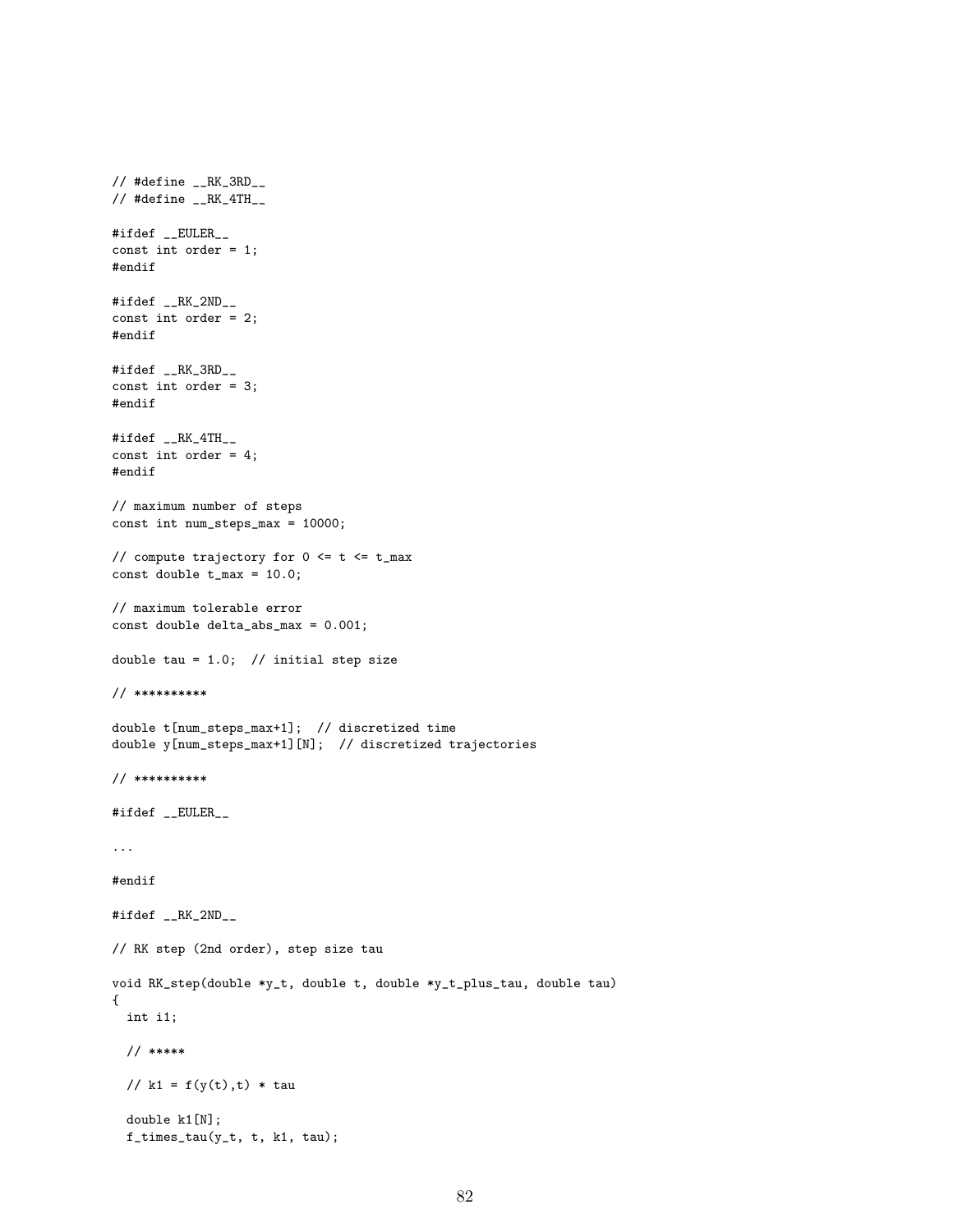```
\frac{1}{2} #define _{--}RK_3RD__
\frac{1}{4} #define _{-}RK_4TH_{-}#ifdef __EULER__
const int order = 1;
#endif
#ifdef __RK_2ND__
const int order = 2;
#endif
#ifdef __RK_3RD__
const int order = 3;
#endif
#ifdef __RK_4TH__
const int order = 4;
#endif
// maximum number of steps
const int num_steps_max = 10000;
// compute trajectory for 0 \leq t \leq t_{\text{max}}const double t_max = 10.0;
// maximum tolerable error
const double delta_abs_max = 0.001;
double tau = 1.0; // initial step size
// **********
double t[num_steps_max+1]; // discretized time
double y[num_steps_max+1][N]; // discretized trajectories
// **********
#ifdef __EULER__
...
#endif
#ifdef __RK_2ND__
// RK step (2nd order), step size tau
void RK_step(double *y_t, double t, double *y_t_plus_tau, double tau)
{
  int i1;
  // *****
  // k1 = f(y(t), t) * taudouble k1[N];
  f_times_tau(y_t, t, k1, tau);
```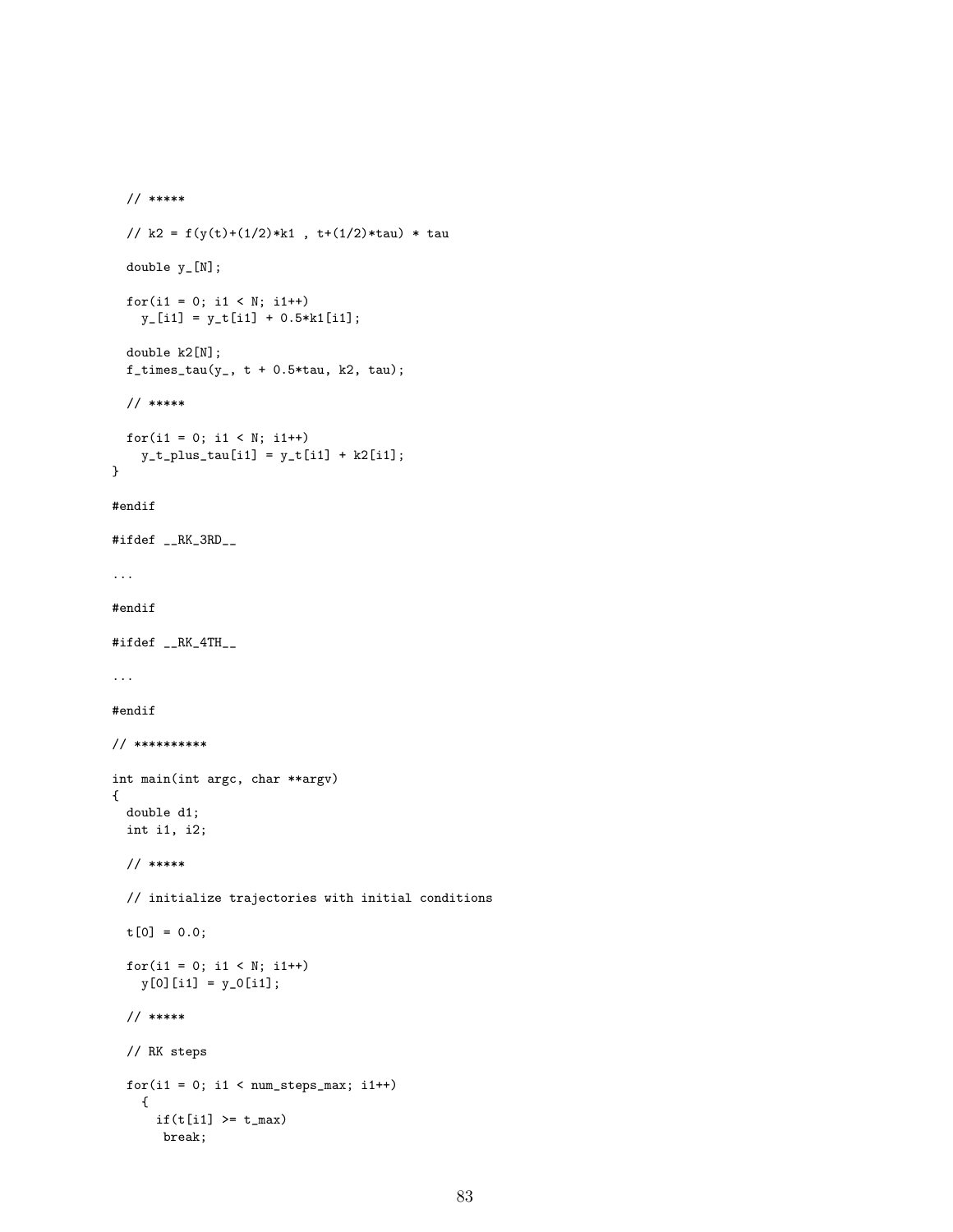```
// *****
 // k2 = f(y(t)+(1/2)*k1, t+(1/2)*tau) * taudouble y_[N];
 for(i1 = 0; i1 < N; i1++)
   y_{-}[i1] = y_{-}[i1] + 0.5*k1[i1];double k2[N];
 f_times_tau(y_, t + 0.5*tau, k2, tau);
 // *****
 for(i1 = 0; i1 < N; i1++)
    y_t_p_t_plus_tau[i1] = y_t[i1] + k2[i1];}
#endif
#ifdef __RK_3RD__
...
#endif
#ifdef __RK_4TH__
...
#endif
// **********
int main(int argc, char **argv)
{
 double d1;
 int i1, i2;
 // *****
 // initialize trajectories with initial conditions
 t[0] = 0.0;
 for(i1 = 0; i1 < N; i1++)
   y[0][i1] = y_0[i1];// *****
 // RK steps
 for(i1 = 0; i1 < num\_steps\_max; i1++){
     if(t[i1] \geq t_max)break;
```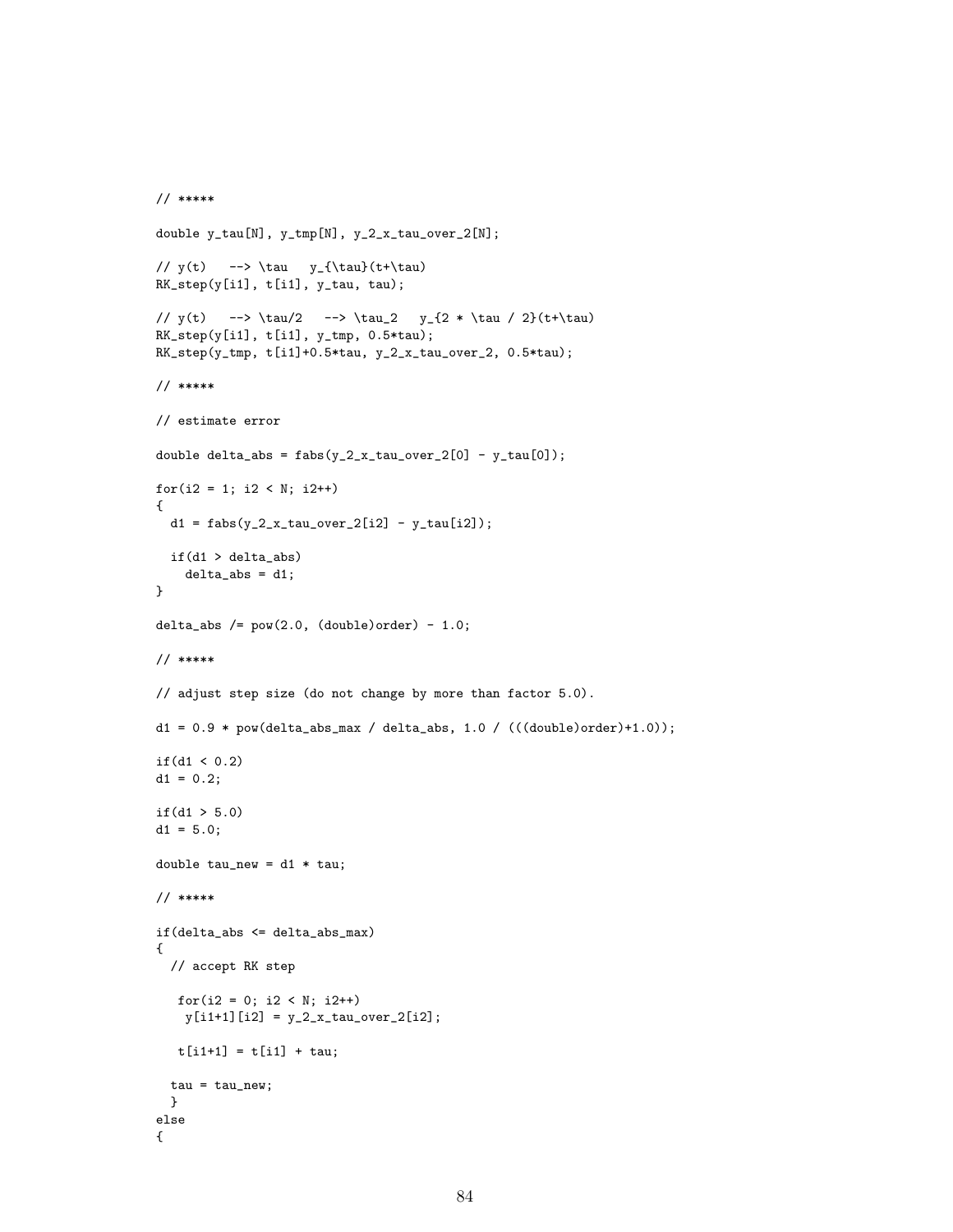```
// *****
double y_tau[N], y_tmp[N], y_2_x_tau_over_2[N];
// y(t) --> \tau y_{\tau}(t+\tau)RK_step(y[i1], t[i1], y_tau, tau);
// y(t) --> \tau/2 --> \tau_2 y_{2} + \tau / 2}(t+\tau)
RK\_step(y[i1], t[i1], y\_tmp, 0.5*tau);RK_step(y_tmp, t[i1]+0.5*tau, y_2_x_tau_over_2, 0.5*tau);
// *****
// estimate error
double delta_abs = fabs(y_2_x_ttau_0) = (0) - y_tau[0]);
for(i2 = 1; i2 < N; i2++){
 d1 = fabs(y_2_x_t_tau_over_2[i2] - y_ttau[i2]);if(d1 > delta_abs)
   delta\_abs = d1;}
delta_abs /= pow(2.0, (double)order) - 1.0;
// *****
// adjust step size (do not change by more than factor 5.0).
d1 = 0.9 * pow(delta_abs_max / delta_abs, 1.0 / (((double)order) + 1.0));if(d1 < 0.2)d1 = 0.2;if(d1 > 5.0)d1 = 5.0;
double tau_new = d1 * tau;// *****
if(delta_abs <= delta_abs_max)
{
 // accept RK step
  for(i2 = 0; i2 < N; i2++)y[i1+1][i2] = y_2_x_t_tau_0ver_2[i2];t[i1+1] = t[i1] + tau;tau = tau_new;}
else
{
```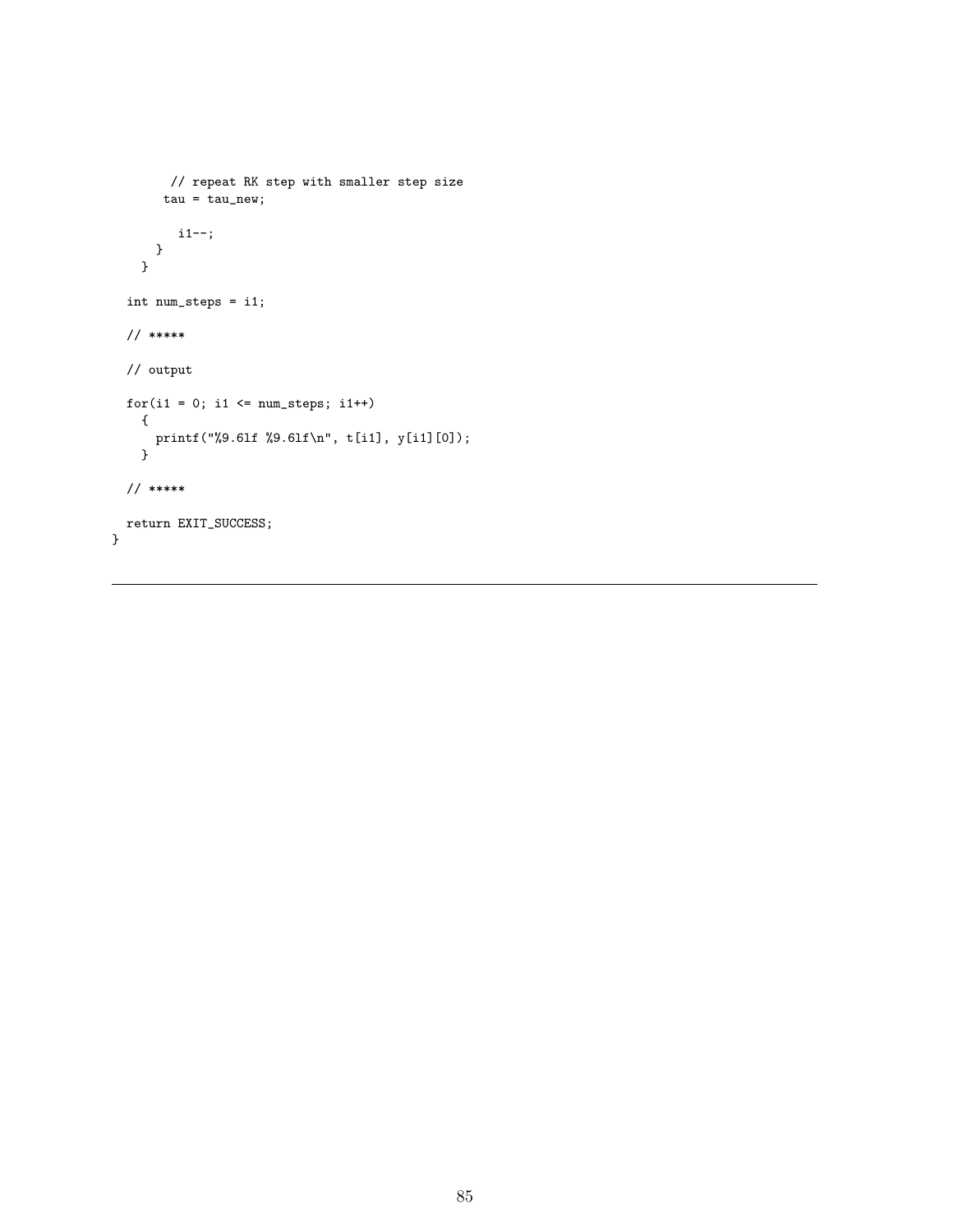```
// repeat RK step with smaller step size
       tau = \tau tau_new;i1--;
     }
   }
 int num_steps = i1;
 // *****
 // output
 for(i1 = 0; i1 \le num\_steps; i1++){
      printf("%9.6lf %9.6lf\n", t[i1], y[i1][0]);
    }
 // *****
 return EXIT_SUCCESS;
}
```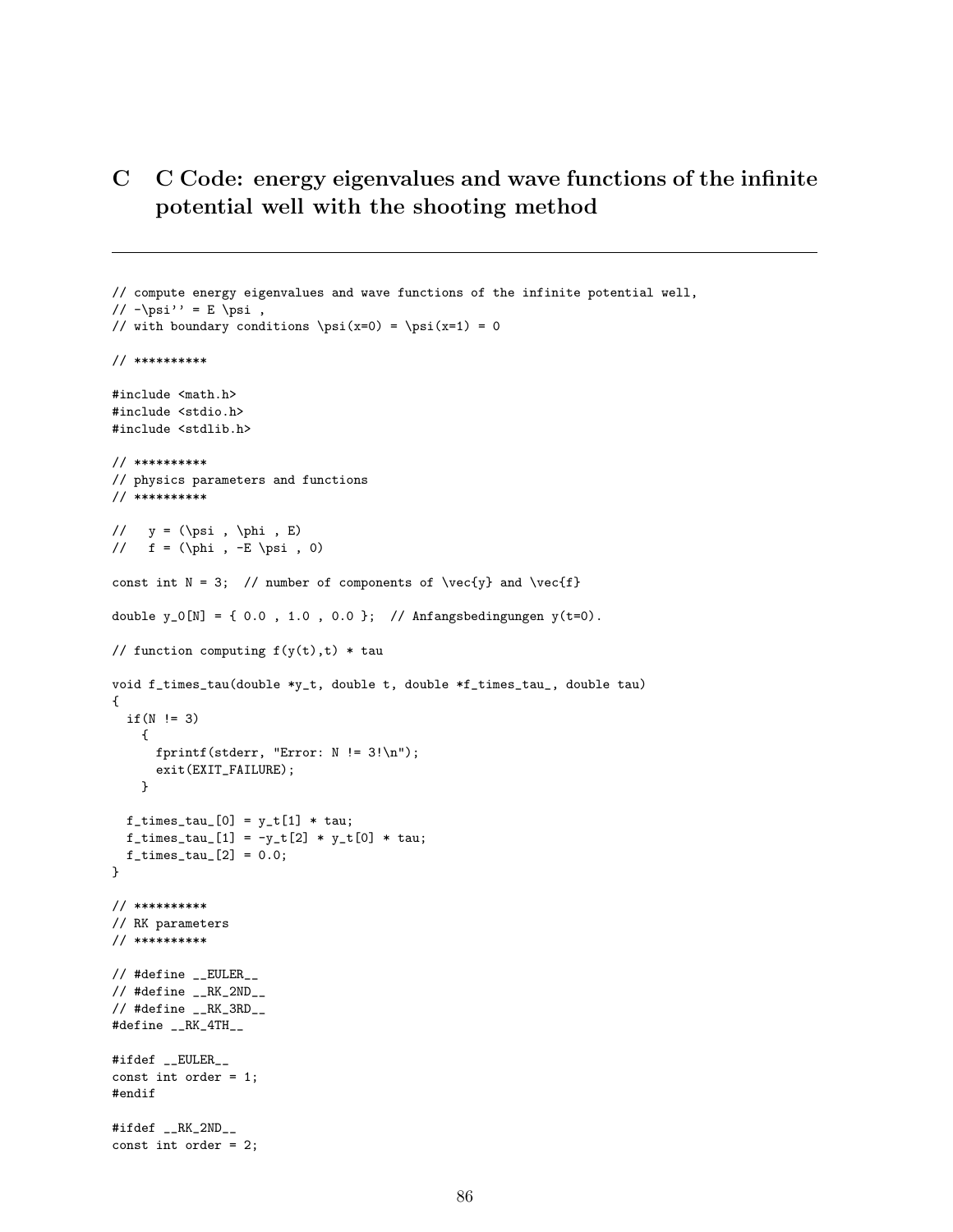# C C Code: energy eigenvalues and wave functions of the infinite potential well with the shooting method

```
// compute energy eigenvalues and wave functions of the infinite potential well,
// -\psi' = E \psi,
// with boundary conditions \psi(x=0) = \psi(x=1) = 0// **********
#include <math.h>
#include <stdio.h>
#include <stdlib.h>
// **********
// physics parameters and functions
// **********
// y = (\psi, \phi, E)// f = (\phi, -E \psi, 0)const int N = 3; // number of components of \vec{y} and \vec{f}double y_0[N] = \{ 0.0, 1.0, 0.0 \}; // Anfangsbedingungen y(t=0).
// function computing f(y(t),t) * tauvoid f_times_tau(double *y_t, double t, double *f_times_tau_, double tau)
{
  if(N != 3){
     fprintf(stderr, "Error: N != 3!\n\times);
      exit(EXIT_FAILURE);
    }
  f_times_tau_{0}] = y_t[1] * tau;f_{\text{times\_tau}}[1] = -y_{\text{in}}[2] * y_{\text{in}}[0] * \text{tau};f_times_tau_{2}[2] = 0.0;}
// **********
// RK parameters
// **********
// #define __EULER__
// #define __RK_2ND__
// #define __RK_3RD__
#define __RK_4TH__
#ifdef __EULER__
const int order = 1;
#endif
#ifdef __RK_2ND__
const int order = 2;
```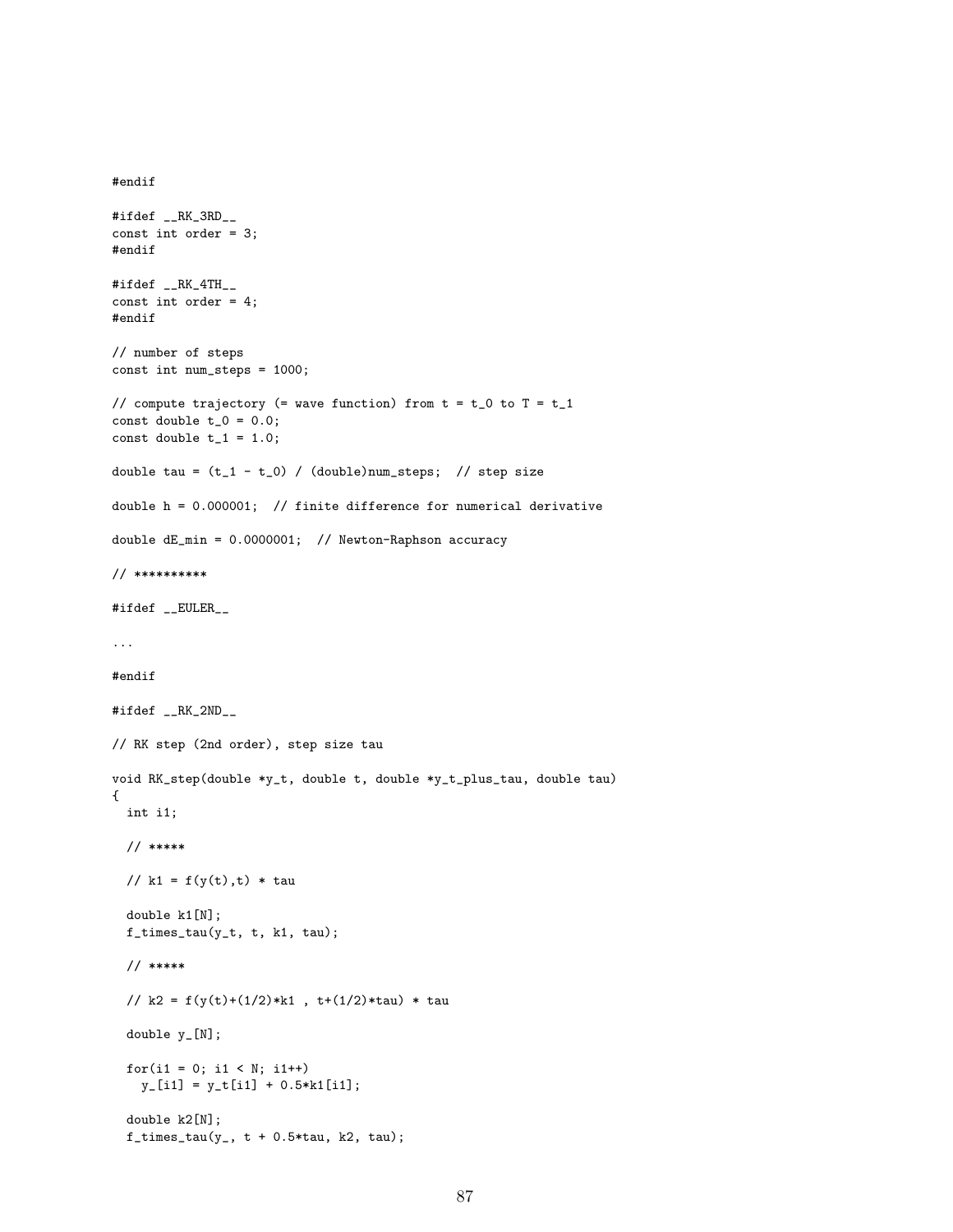```
#ifdef __RK_3RD__
const int order = 3;
#endif
#ifdef __RK_4TH__
const int order = 4;
#endif
// number of steps
const int num_steps = 1000;
// compute trajectory (= wave function) from t = t_0 to T = t_1const double t_0 = 0.0;
const double t_1 = 1.0;
double tau = (t_1 - t_0) / (double)num_steps; // step size
double h = 0.000001; // finite difference for numerical derivative
double dE_min = 0.0000001; // Newton-Raphson accuracy
// **********
#ifdef __EULER__
...
#endif
#ifdef __RK_2ND__
// RK step (2nd order), step size tau
void RK_step(double *y_t, double t, double *y_t_plus_tau, double tau)
{
 int i1;
 // *****
 // k1 = f(y(t), t) * taudouble k1[N];
 f_times_tau(y_t, t, k1, tau);
 // *****
 // k2 = f(y(t)+(1/2)*k1, t+(1/2)*tau) * tau
  double y_[N];
 for(i1 = 0; i1 < N; i1++)
    y_{-}[i1] = y_{-}[i1] + 0.5*k1[i1];double k2[N];
  f_times_tau(y_-, t + 0.5*tau, k2, tau);
```
#endif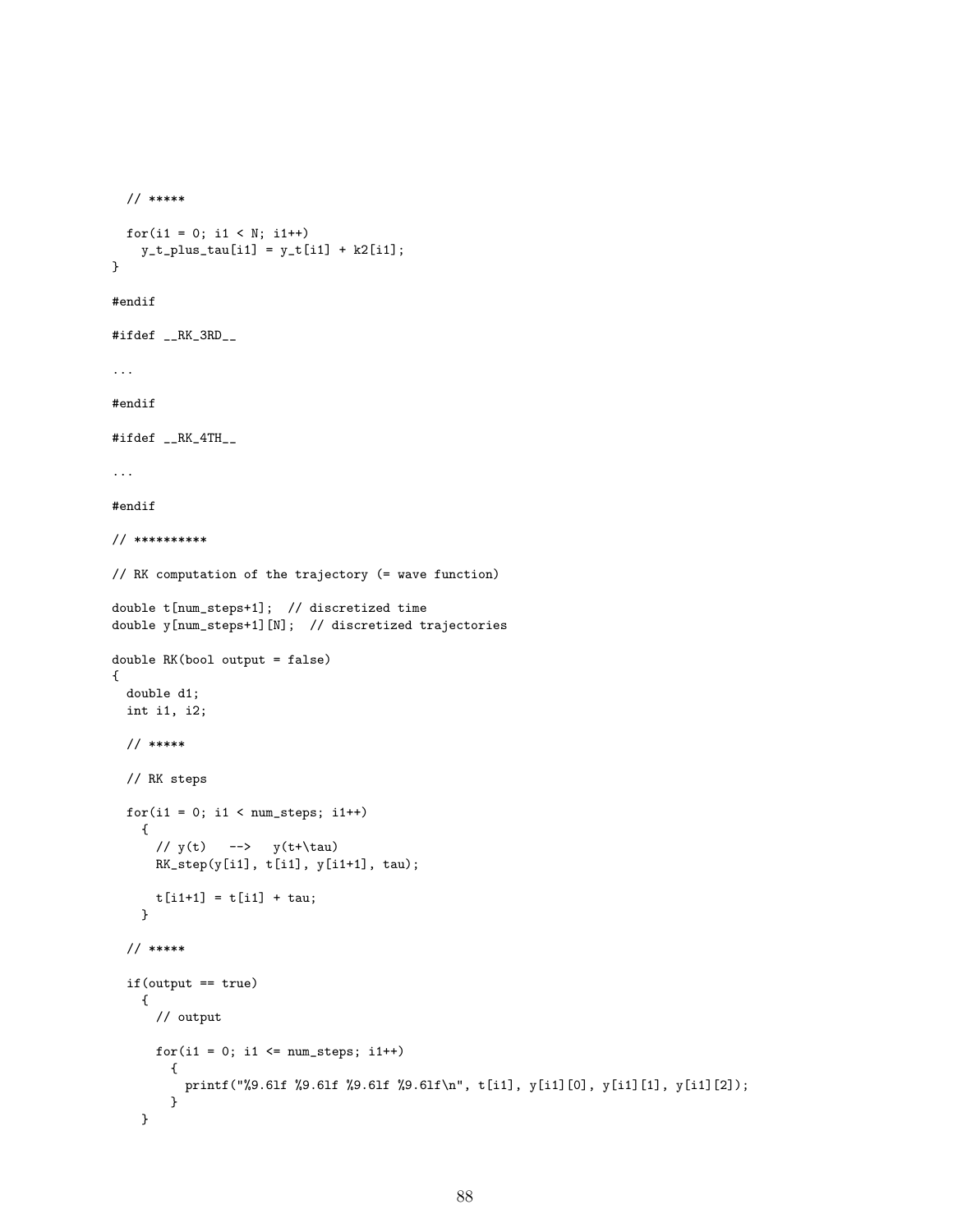```
// *****
 for(i1 = 0; i1 < N; i1++)
   y_t_plus_tau[i1] = y_t[i1] + k2[i1];
}
#endif
#ifdef __RK_3RD__
...
#endif
#ifdef __RK_4TH__
...
#endif
// **********
// RK computation of the trajectory (= wave function)
double t[num_steps+1]; // discretized time
double y[num_steps+1][N]; // discretized trajectories
double RK(bool output = false)
{
 double d1;
 int i1, i2;
 // *****
 // RK steps
  for(i1 = 0; i1 < num\_steps; i1++){
     // y(t) --> y(t+\tau)RK_step(y[i1], t[i1], y[i1+1], tau);
     t[i1+1] = t[i1] + tau;}
  // *****
  if(output == true)
   {
     // output
     for(i1 = 0; i1 \le num\_steps; i1++){
         printf("%9.6lf %9.6lf %9.6lf %9.6lf\n", t[i1], y[i1][0], y[i1][1], y[i1][2]);
       }
   }
```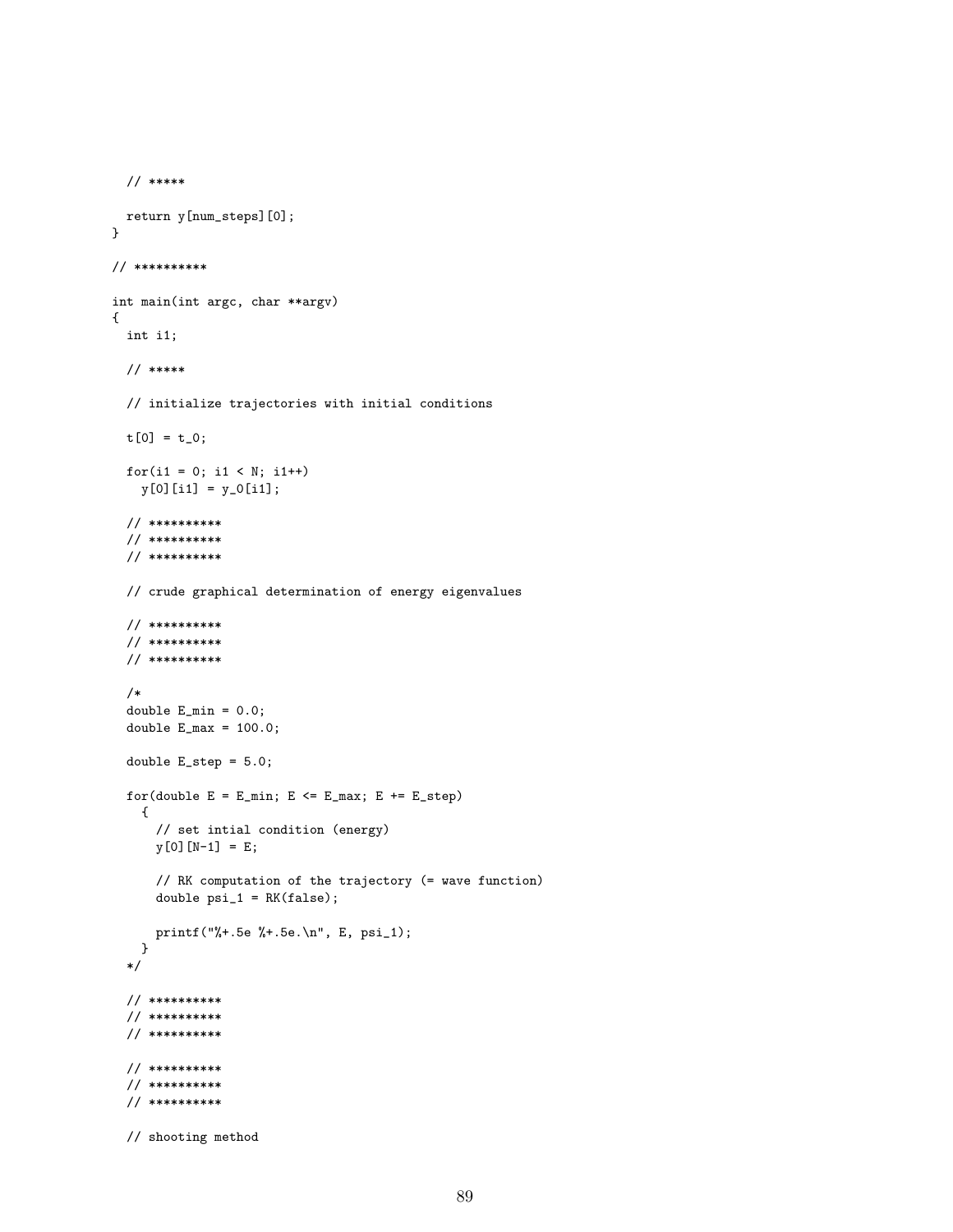```
// *****
 return y[num_steps][0];
}
// **********
int main(int argc, char **argv)
{
 int i1;
 // *****
 // initialize trajectories with initial conditions
 t[0] = t_0;for(i1 = 0; i1 < N; i1++)
   y[0][i1] = y_0[i1];// **********
  // **********
 // **********
 // crude graphical determination of energy eigenvalues
  // **********
  // **********
  // **********
  /*
  double E_min = 0.0;
  double E_{max} = 100.0;
 double E_step = 5.0;
  for(double E = E_{min}; E \le E_{max}; E \ne E_{step})
    {
      // set intial condition (energy)
      y[0][N-1] = E;// RK computation of the trajectory (= wave function)
      double psi_1 = RK(false);
     printf("%+.5e %+.5e.\n", E, psi_1);
   }
  */
 // **********
  // **********
  // **********
  // **********
  // **********
  // **********
  // shooting method
```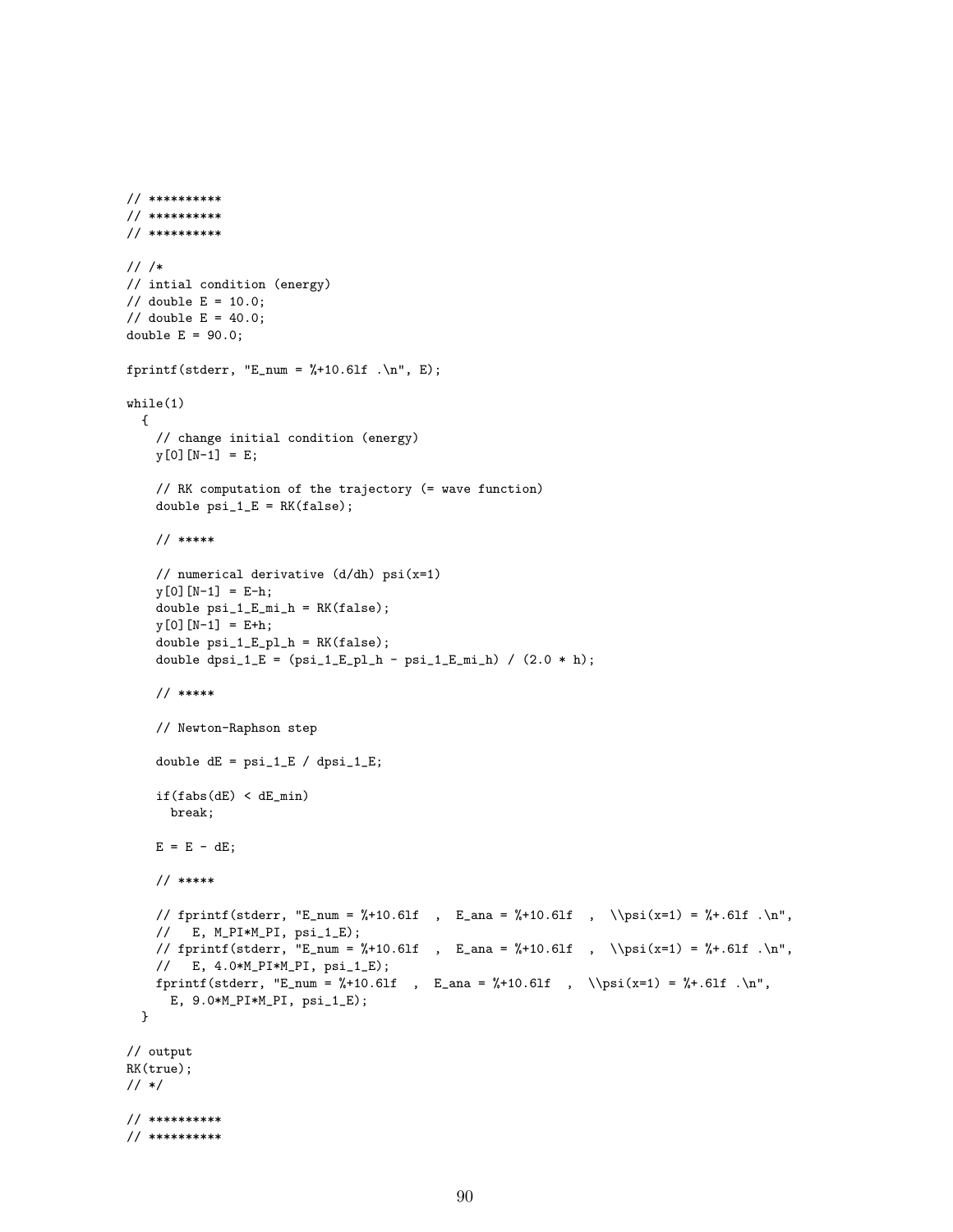```
// **********
// **********
// /*
// intial condition (energy)
// double E = 10.0;
// double E = 40.0;double E = 90.0;
fprintf(stderr, "E_num = */10.61f \cdot \ln", E);
while(1)
  {
    // change initial condition (energy)
   y[0][N-1] = E;// RK computation of the trajectory (= wave function)
    double psi_1_1_E = RK(false);
    // *****
    // numerical derivative (d/dh) psi(x=1)
    y[0][N-1] = E-h;double psi_1_E_mi_h = RK(false);
    y[0][N-1] = E+h;double psi_1_E_pl_h = RK(false);
    double dpsi_1_E = (psi_1_E_p_l_h - psi_1_E_m_i) / (2.0 * h);// *****
    // Newton-Raphson step
    double dE = psi_1_E / dpsi_1_E;
    if(fabs(dE) < dE-min)break;
    E = E - dE;// *****
    // fprintf(stderr, "E_num = %+10.61f , E_ana = %+10.61f , \\psi(x=1) = %+.61f .\n",
    // E, M_PI*M_PI, psi_1_E);
    // fprintf(stderr, "E_num = %+10.6lf , E_ana = %+10.6lf , \\psi(x=1) = %+.6lf .\n",
   // E, 4.0*M_PI*M_PI, psi_1_E);
   fprintf(stderr, "E_num = %+10.61f , E_ana = %+10.61f , \\psi(x=1) = %+.61f .\n",
     E, 9.0*M_PI*M_PI, psi_1_E);
  }
// output
RK(true);
// */
// **********
// **********
```
// \*\*\*\*\*\*\*\*\*\*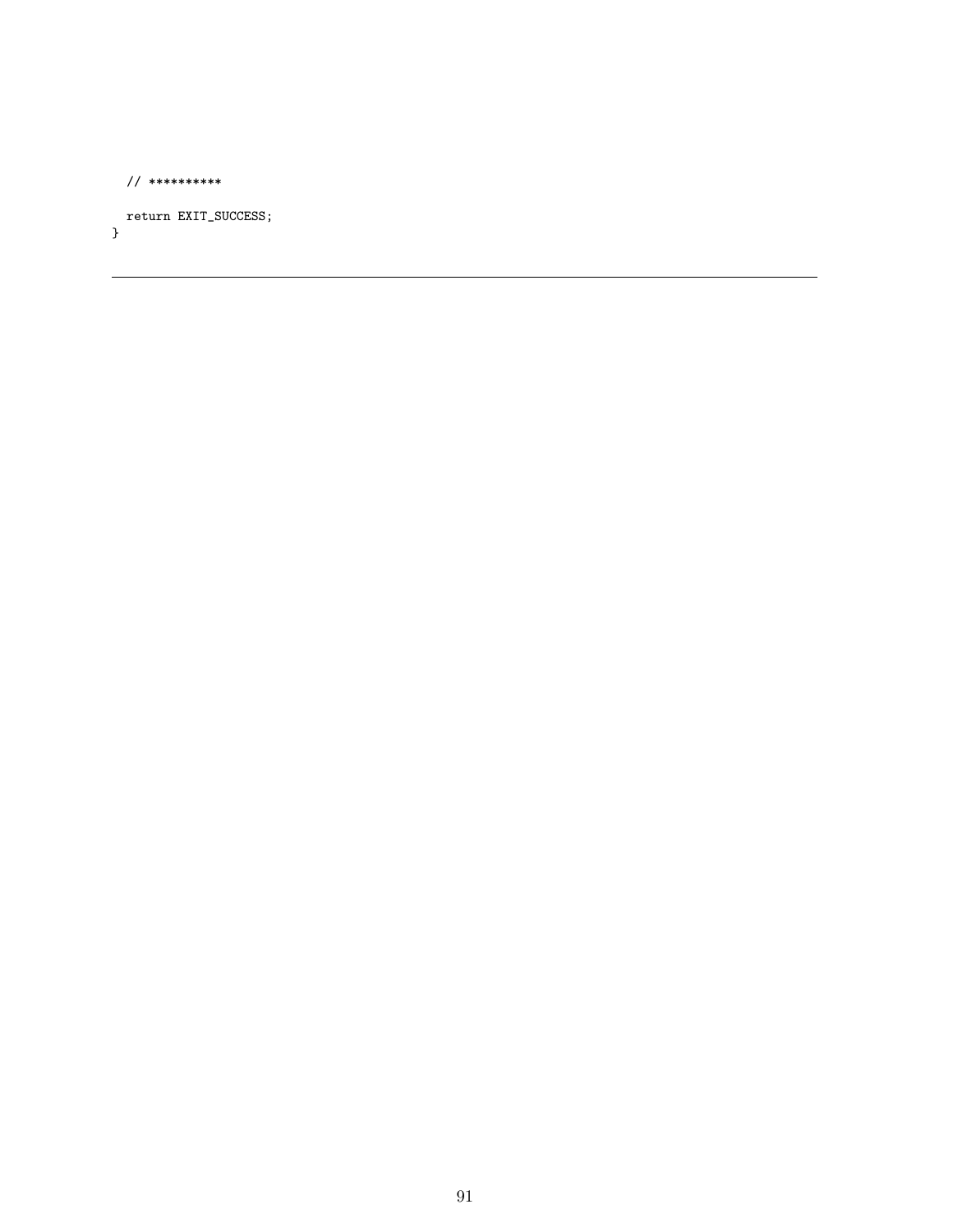```
// **********
```
return EXIT\_SUCCESS; }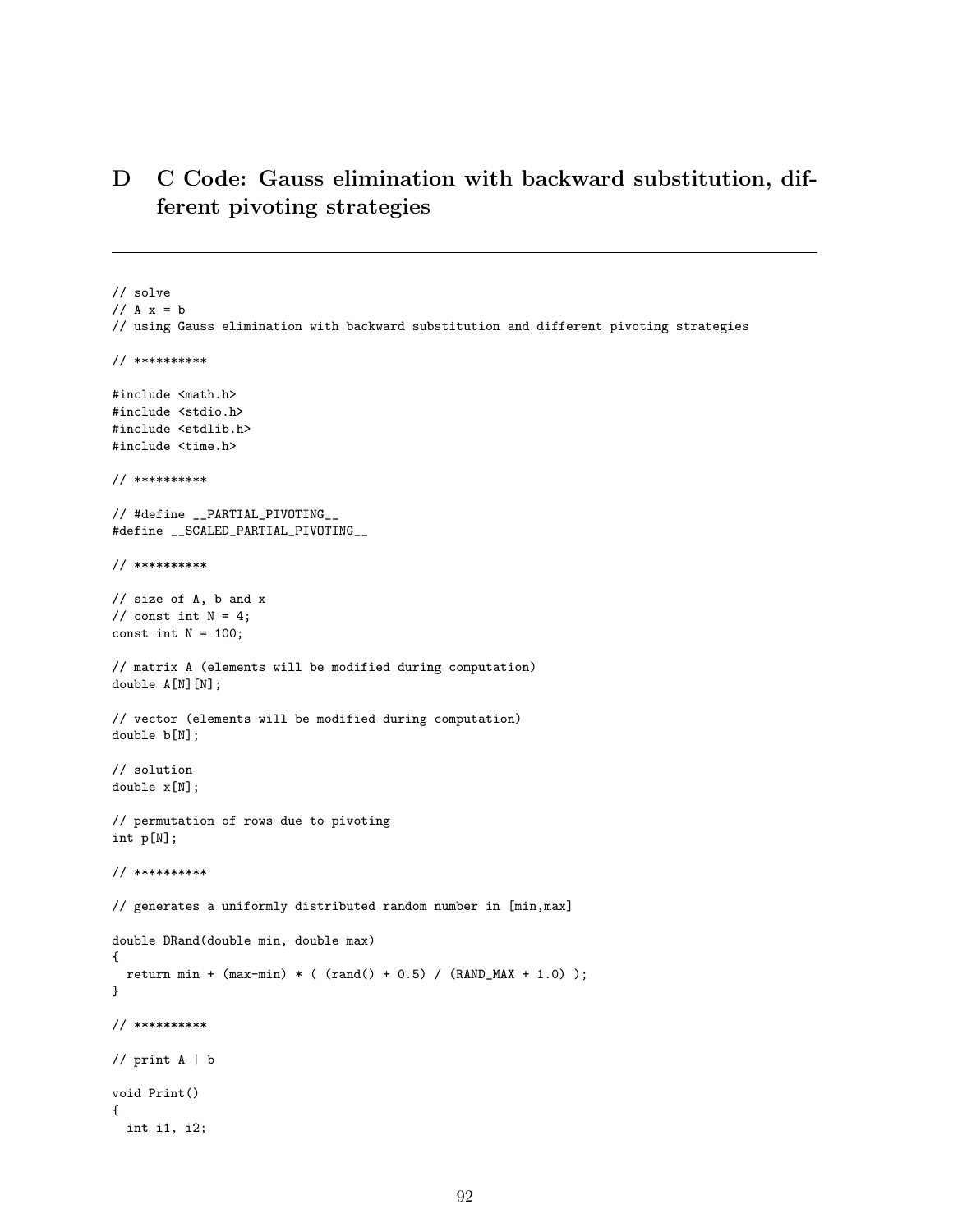# D C Code: Gauss elimination with backward substitution, different pivoting strategies

// solve //  $A x = b$ // using Gauss elimination with backward substitution and different pivoting strategies // \*\*\*\*\*\*\*\*\*\* #include <math.h> #include <stdio.h> #include <stdlib.h> #include <time.h> // \*\*\*\*\*\*\*\*\*\* // #define \_\_PARTIAL\_PIVOTING\_\_ #define \_\_SCALED\_PARTIAL\_PIVOTING\_\_ // \*\*\*\*\*\*\*\*\*\* // size of A, b and x // const int  $N = 4$ ; const int  $N = 100$ ; // matrix A (elements will be modified during computation) double A[N][N]; // vector (elements will be modified during computation) double b[N]; // solution double x[N]; // permutation of rows due to pivoting int p[N]; // \*\*\*\*\*\*\*\*\*\* // generates a uniformly distributed random number in [min,max] double DRand(double min, double max) { return min +  $(max-min) * ( rand() + 0.5) / (RAND_MAX + 1.0)$ ; } // \*\*\*\*\*\*\*\*\*\* // print A | b void Print() { int i1, i2;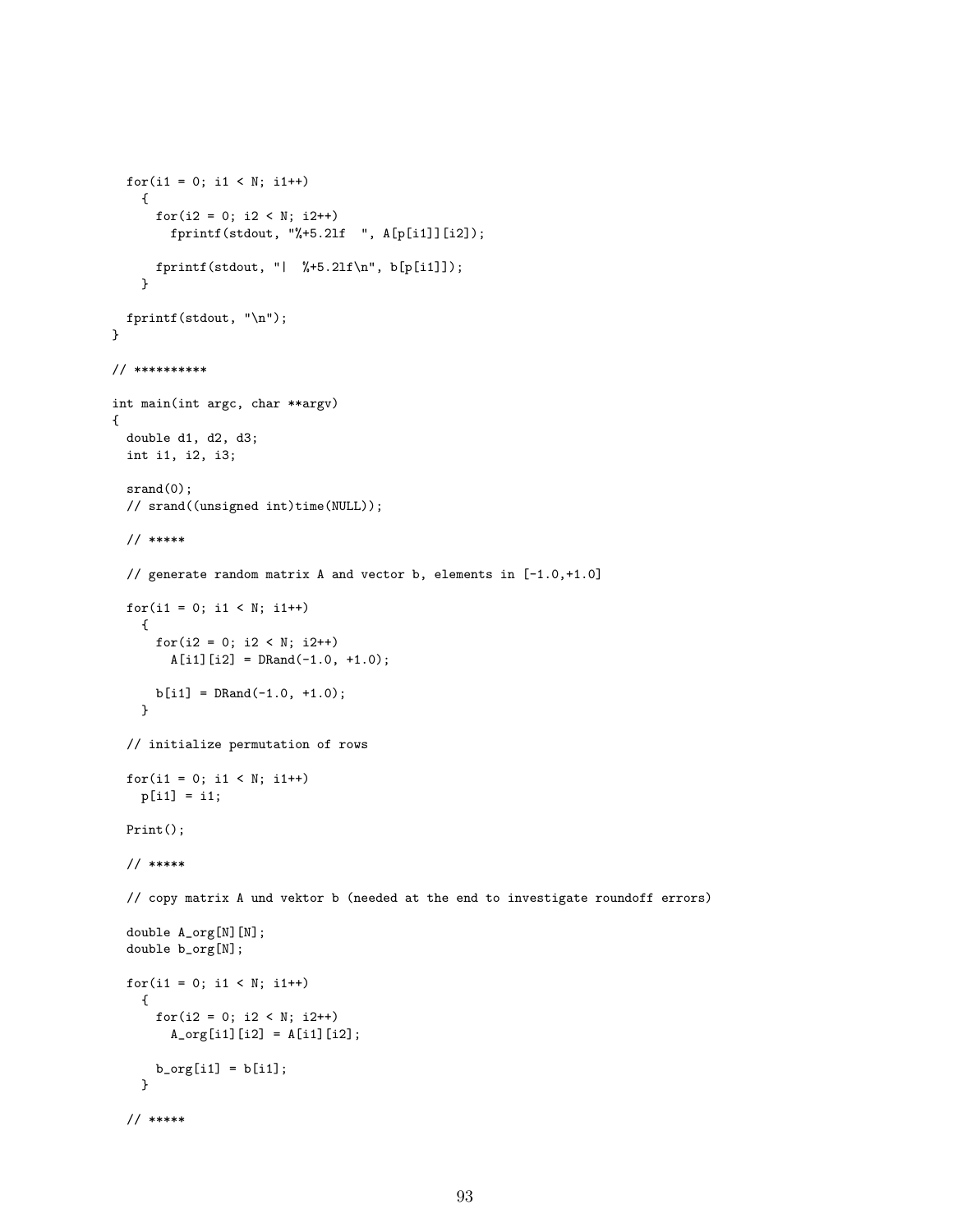```
for(i1 = 0; i1 < N; i1++)
    {
      for(i2 = 0; i2 < N; i2++){\tt fprint({\tt stdout, "%+5.2lf " , A[p[i1]][i2]});}fprintf(stdout, "| %+5.2lf\n", b[p[i1]]);
    }
 fprintf(stdout, "\n");
}
// **********
int main(int argc, char **argv)
{
 double d1, d2, d3;
 int i1, i2, i3;
 srand(0);
 // srand((unsigned int)time(NULL));
 // *****
 // generate random matrix A and vector b, elements in [-1.0,+1.0]
 for(i1 = 0; i1 < N; i1++)
    {
     for(i2 = 0; i2 < N; i2++)A[i1][i2] = DRand(-1.0, +1.0);b[i1] = DRand(-1.0, +1.0);}
  // initialize permutation of rows
 for(i1 = 0; i1 < N; i1++)
   p[i1] = i1;
 Print();
 // *****
  // copy matrix A und vektor b (needed at the end to investigate roundoff errors)
  double A_org[N][N];
  double b_org[N];
  for(i1 = 0; i1 < N; i1++){
     for(i2 = 0; i2 < N; i2++)A_{org}[i1][i2] = A[i1][i2];b_{\text{org}}[i1] = b[i1];}
  // *****
```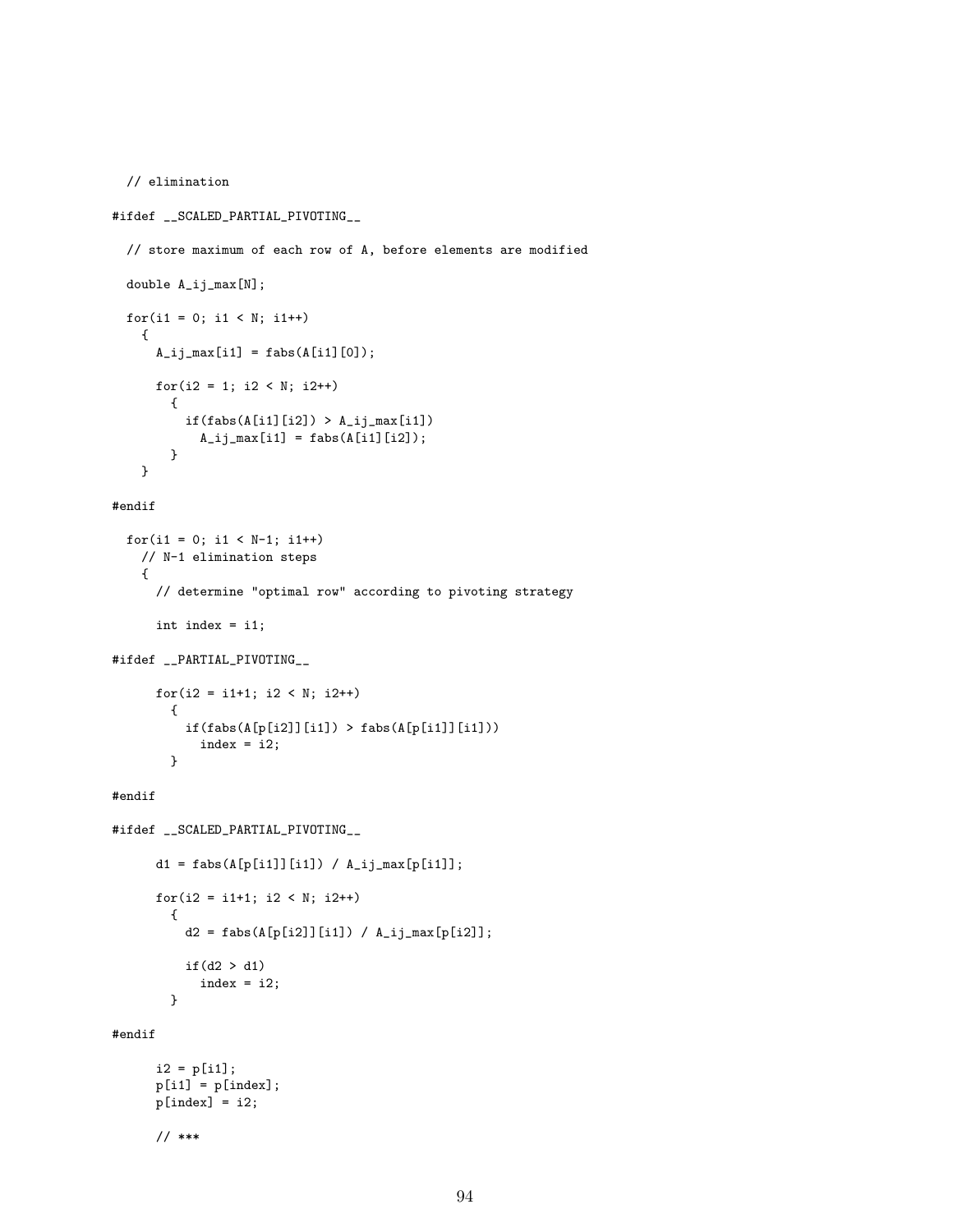```
// elimination
#ifdef __SCALED_PARTIAL_PIVOTING__
  // store maximum of each row of A, before elements are modified
 double A_ij_max[N];
  for(i1 = 0; i1 < N; i1++){
     A_i j max[i1] = f abs(A[i1][0]);for(i2 = 1; i2 < N; i2++){
         if(fabs(A[i1][i2]) > A_i j_max[i1])A_i_j_max[i1] = fabs(A[i1][i2]);}
    }
```

```
#endif
```

```
for(i1 = 0; i1 < N-1; i1 ++)
    // N-1 elimination steps
    {
      // determine "optimal row" according to pivoting strategy
     int index = i1;
#ifdef __PARTIAL_PIVOTING__
     for(i2 = i1+1; i2 < N; i2++)
        {
          if(fabs(A[p[i2]][i1]) > fabs(A[p[i1]][i1]))index = i2;
```

```
#endif
```
}

```
#ifdef __SCALED_PARTIAL_PIVOTING__
     d1 = fabs(A[p[i1]][i1]) / A_i[j_max[p[i1]];for(i2 = i1+1; i2 < N; i2++)
       {
         d2 = fabs(A[p[i2]][i1]) / A_i[j_max[p[i2]];if(d2 > d1)index = i2;
       }
```
#endif

```
i2 = p[i1];
p[i1] = p[index];p[index] = i2;
```

```
// ***
```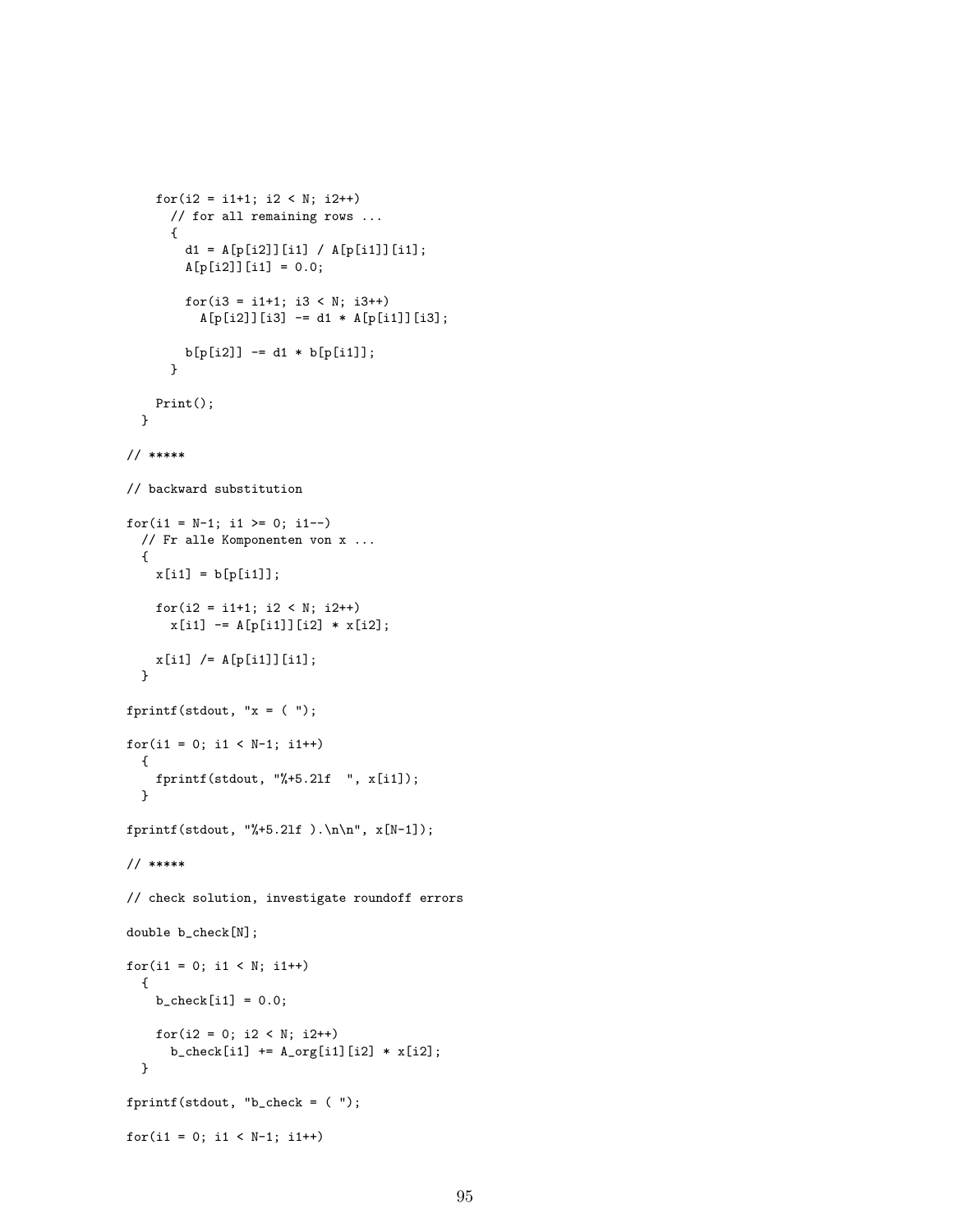```
for(i2 = i1+1; i2 < N; i2++)
      // for all remaining rows ...
      {
        d1 = A[p[i2]][i1] / A[p[i1]][i1];A[p[i2]][i1] = 0.0;for(i3 = i1+1; i3 < N; i3++)A[p[i2]][i3] -= d1 * A[p[i1]][i3];
       b[p[i2]] -= d1 * b[p[i1]];
      }
   Print();
  }
// *****
// backward substitution
for(i1 = N-1; i1 >= 0; i1--)
  // Fr alle Komponenten von x ...
  {
    x[i1] = b[p[i1]];for(i2 = i1+1; i2 < N; i2++)
      x[i1] -= A[p[i1]][i2] * x[i2];x[i1] /= A[p[i1]][i1];
  }
fprintf(stdout, "x = (");
for(i1 = 0; i1 < N-1; i1++){
   fprintf(stdout, "%+5.2lf ", x[i1]);
  }
fprintf(stdout, "%+5.21f ).\n\n", x[N-1]);
// *****
// check solution, investigate roundoff errors
double b_check[N];
for(i1 = 0; i1 < N; i1++){
   b_{\text{check}[i1]} = 0.0;for(i2 = 0; i2 < N; i2++)b_{\text{check}[i1]} := A_{\text{orig}[i1][i2]} * x[i2];}
fprintf(stdout, "b_check = ( ");
for(i1 = 0; i1 < N-1; i1++)
```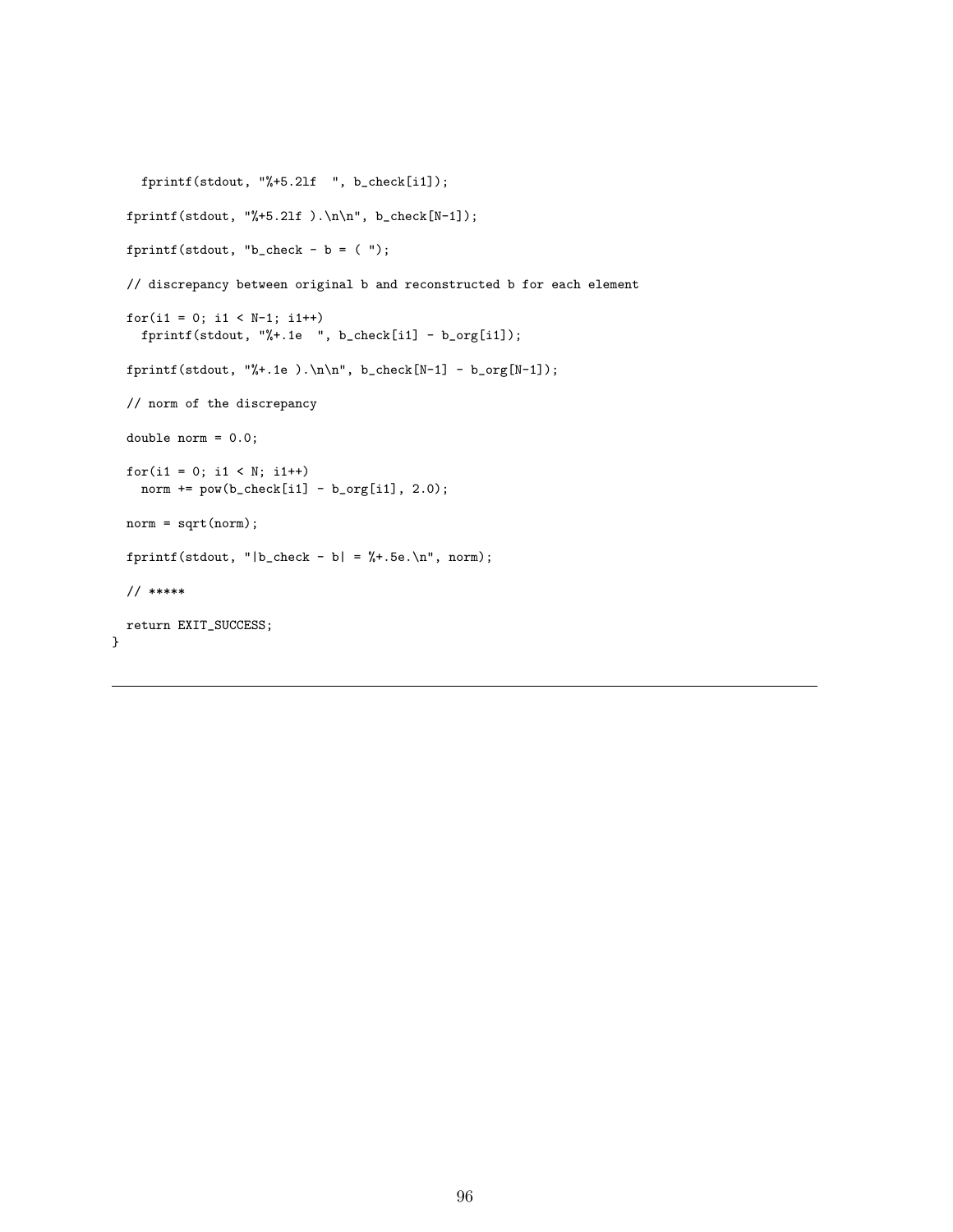```
fprintf(stdout, "%+5.21f ", b_check[i1]);
fprintf(stdout, "%+5.2lf).\n\lambda", b_check[N-1]);
fprintf(stdout, "b_check - b = (");
// discrepancy between original b and reconstructed b for each element
for(i1 = 0; i1 < N-1; i1 ++)
  fprintf(stdout, "%+.1e ", b_check[i1] - b_org[i1]);
fprintf(stdout, "%+.1e).\n\lambda", b_check[N-1] - b_org[N-1]);
// norm of the discrepancy
double norm = 0.0;
for(i1 = 0; i1 < N; i1++)
  norm += pow(b\_check[i1] - b\_org[i1], 2.0);norm = sqrt(norm);
fprintf(stdout, "|b_{\text{check}} - b| = % + .5e. \n\pi, norm);
// *****
return EXIT_SUCCESS;
```
}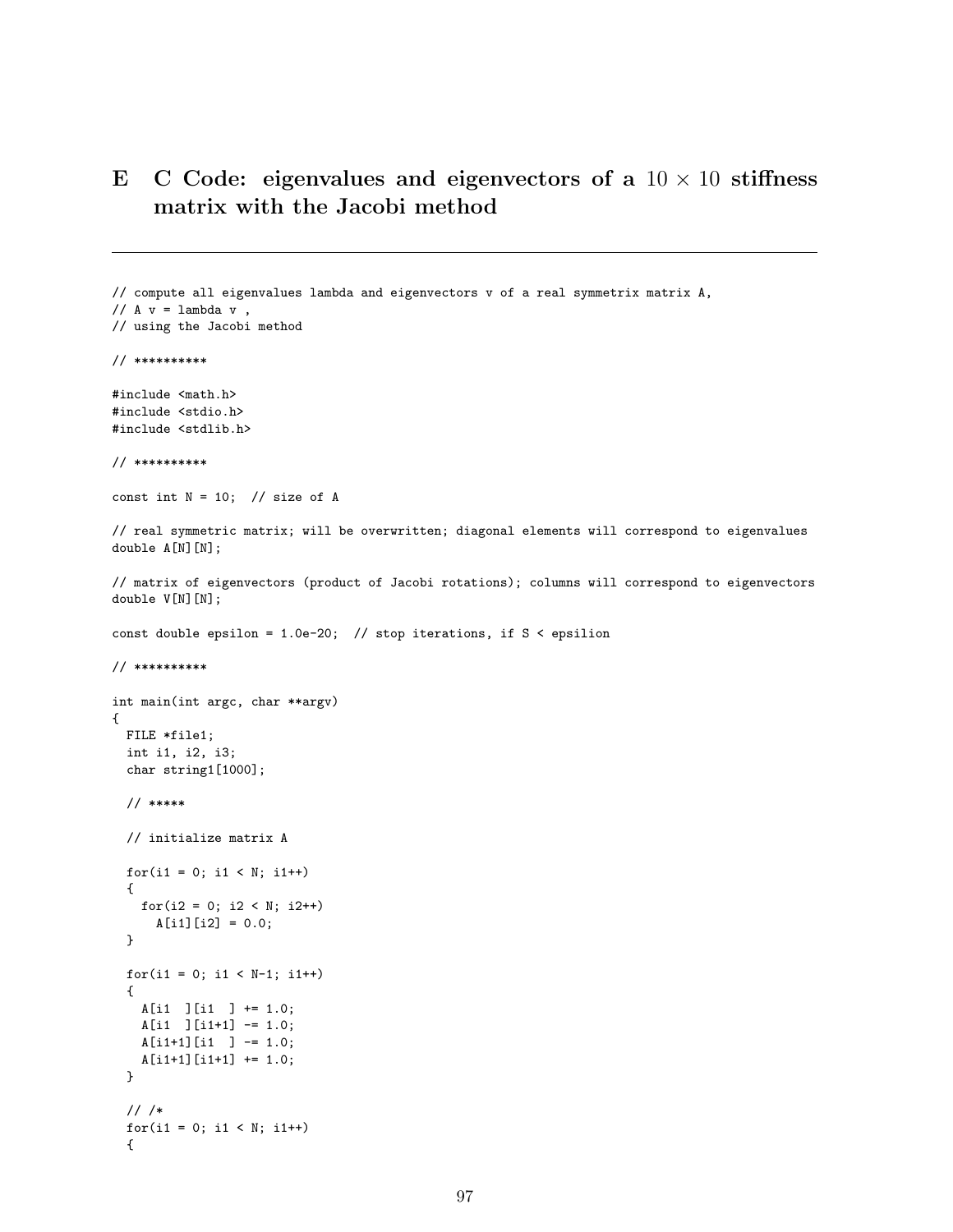# E C Code: eigenvalues and eigenvectors of a  $10 \times 10$  stiffness matrix with the Jacobi method

```
// compute all eigenvalues lambda and eigenvectors v of a real symmetrix matrix A,
// A v = lambda v,
// using the Jacobi method
// **********
#include <math.h>
#include <stdio.h>
#include <stdlib.h>
// **********
const int N = 10; // size of A
// real symmetric matrix; will be overwritten; diagonal elements will correspond to eigenvalues
double A[N][N];
// matrix of eigenvectors (product of Jacobi rotations); columns will correspond to eigenvectors
double V[N][N];
const double epsilon = 1.0e-20; // stop iterations, if S < epsilion
// **********
int main(int argc, char **argv)
{
 FILE *file1;
 int i1, i2, i3;
 char string1[1000];
 // *****
 // initialize matrix A
 for(i1 = 0; i1 < N; i1++){
   for(i2 = 0; i2 < N; i2++)
     A[i1][i2] = 0.0;}
 for(i1 = 0; i1 < N-1; i1++){
   A[i1 ][i1 ] += 1.0;
   A[i1 ][i1+1] -= 1.0;
   A[i1+1][i1] ] -= 1.0;
   A[i1+1][i1+1] += 1.0;
 }
 // /*
 for(i1 = 0; i1 < N; i1++)
```
{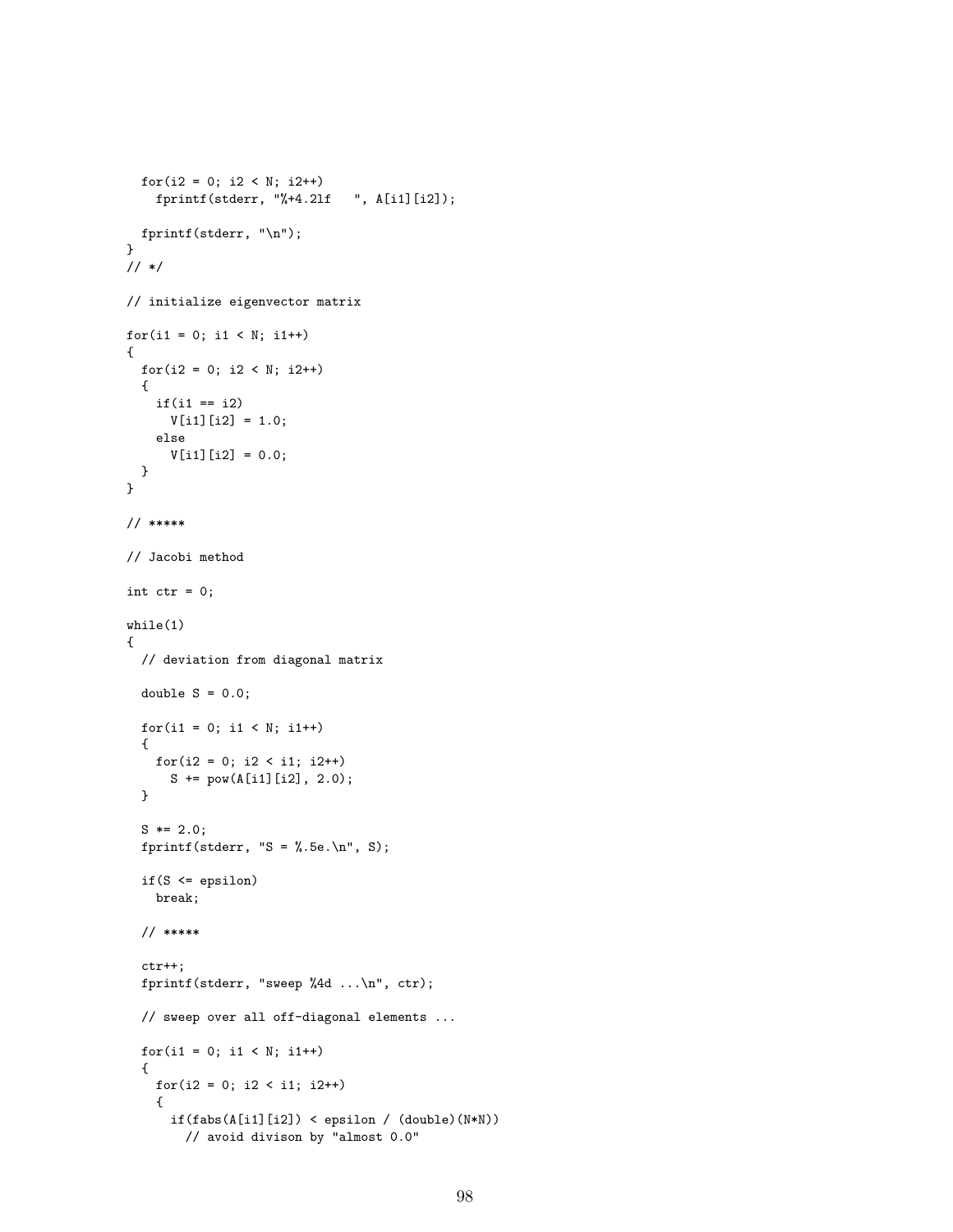```
for(i2 = 0; i2 < N; i2++)fprintf(stderr, "%+4.2lf ", A[i1][i2]);
  fprintf(stderr, "\n");
}
// */
// initialize eigenvector matrix
for(i1 = 0; i1 < N; i1++)
{
  for(i2 = 0; i2 < N; i2++){
    if(i1 == i2)V[i1][i2] = 1.0;else
      V[i1][i2] = 0.0;}
}
// *****
// Jacobi method
int ctr = 0;
while(1)
{
  // deviation from diagonal matrix
  double S = 0.0;
  for(i1 = 0; i1 < N; i1++)
  {
    for(i2 = 0; i2 < i1; i2++)
      S += pow(A[i1][i2], 2.0);}
  S \equiv 2.0;fprintf(stderr, "S = \angle.5e.\n\timesn", S);
  if(S <= epsilon)
   break;
  // *****
  ctr++;
  fprintf(stderr, "sweep %4d ...\n", ctr);
  // sweep over all off-diagonal elements ...
  for(i1 = 0; i1 < N; i1++)
  {
    for(i2 = 0; i2 < i1; i2++)
    {
      if(fabs(A[i1][i2]) < epsilon / (double)(N*N))
        // avoid divison by "almost 0.0"
```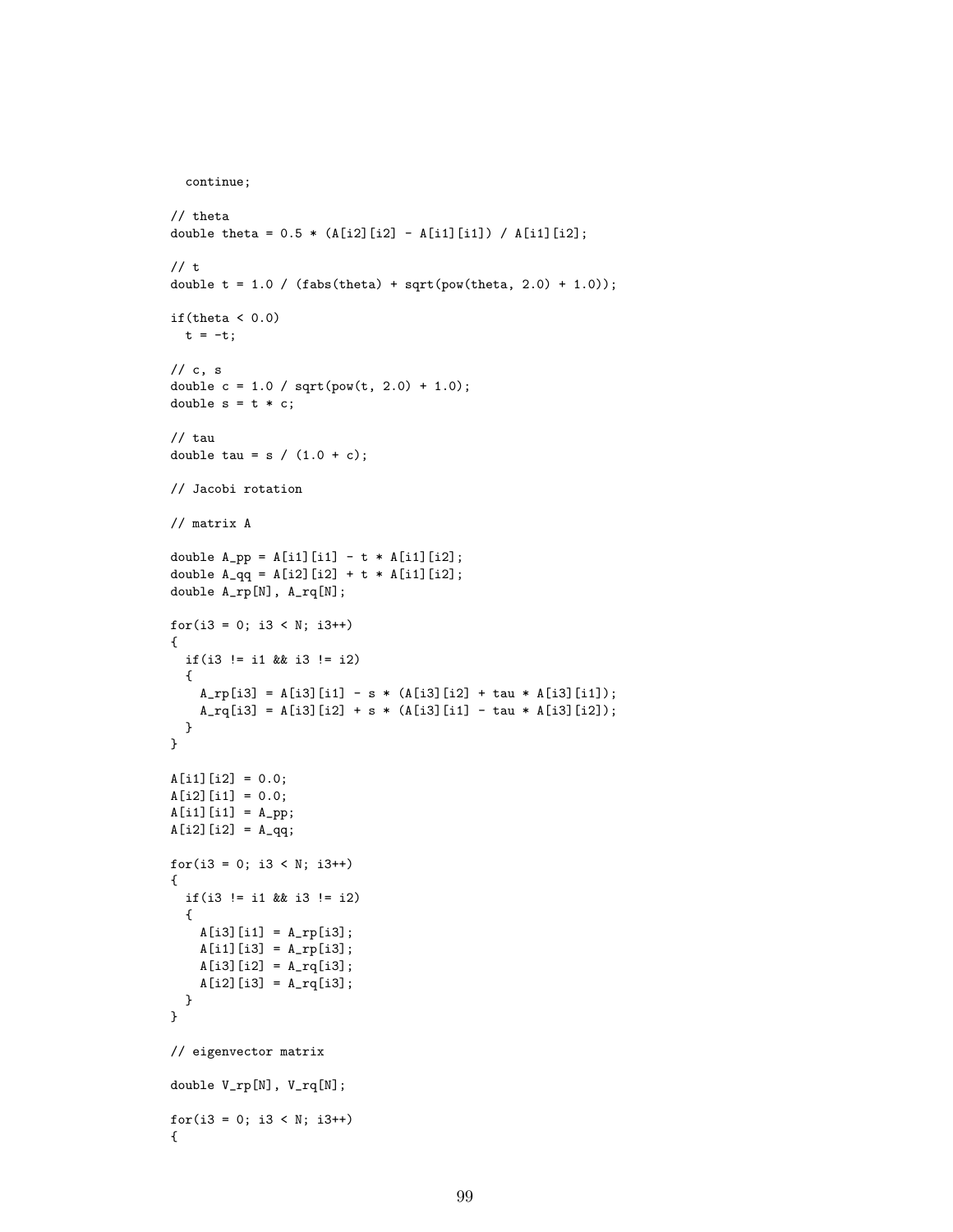```
continue;
```

```
// theta
double theta = 0.5 * (A[i2][i2] - A[i1][i1]) / A[i1][i2];// t
double t = 1.0 / (fabs(theta) + sqrt(pow(theta, 2.0) + 1.0));
if(theta <0.0)
  t = -t;
// c, s
double c = 1.0 / sqrt(pow(t, 2.0) + 1.0);double s = t * c;
// tau
double tau = s / (1.0 + c);
// Jacobi rotation
// matrix A
double A_{pp} = A[i1][i1] - t * A[i1][i2];double A_qq = A[i2][i2] + t * A[i1][i2];double A_rp[N], A_rq[N];
for(i3 = 0; i3 < N; i3++){
 if(i3 != i1 && i3 != i2)
  {
   A_rp[i3] = A[i3][i1] - s * (A[i3][i2] + tau * A[i3][i1]);A_{rq}[i3] = A[i3][i2] + s * (A[i3][i1] - tau * A[i3][i2]);}
}
A[i1][i2] = 0.0;A[i2][i1] = 0.0;A[i1][i1] = A(pp;A[i2][i2] = A_qq;for(i3 = 0; i3 < N; i3++){
  if(i3 != i1 && i3 != i2)
  {
   A[i3][i1] = A_r[p[i3];A[i1][i3] = A_r[p[i3];A[i3][i2] = A_rq[i3];A[i2][i3] = A_rq[i3];}
}
// eigenvector matrix
double V_rp[N], V_rq[N];
for(i3 = 0; i3 < N; i3++){
```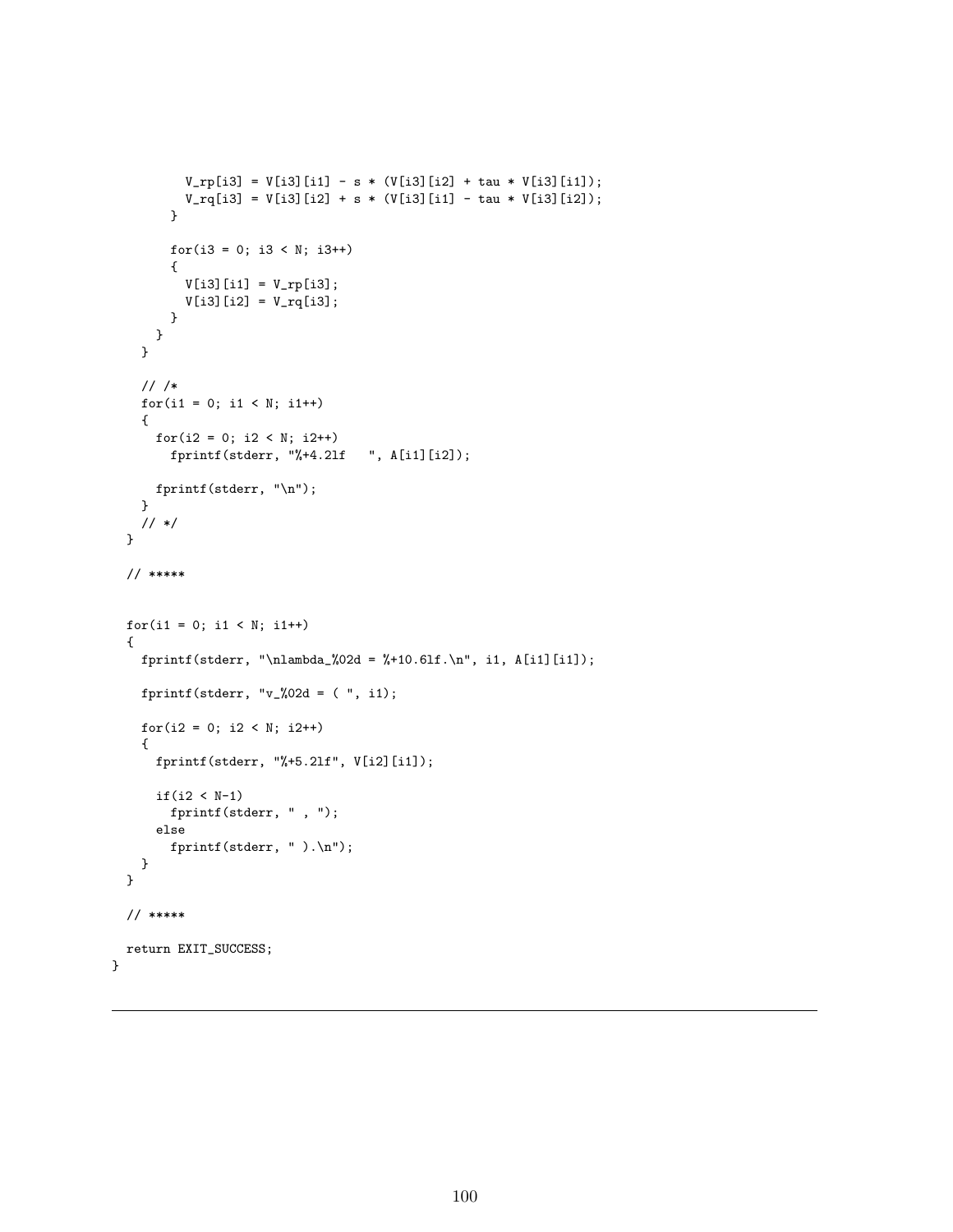```
V_r[p[i3] = V[i3][i1] - s * (V[i3][i2] + tau * V[i3][i1]);V_{\text{rq}}[i3] = V[i3][i2] + s * (V[i3][i1] - tau * V[i3][i2]);}
      for(i3 = 0; i3 < N; i3++){
        V[i3][i1] = V_r[p[i3];V[i3][i2] = V_{rq}[i3];}
    }
  }
  // /*
  for(i1 = 0; i1 < N; i1++){
    for(i2 = 0; i2 < N; i2++)fprintf(stderr, "%+4.2lf ", A[i1][i2]);
   fprintf(stderr, "\n");
  }
  // */
}
// *****
for(i1 = 0; i1 < N; i1++)
{
  fprintf(stderr, "\nlambda_%02d = %+10.6lf.\n", i1, A[i1][i1]);
  fprintf(stderr, "v_%02d = ( ", i1);
  for(i2 = 0; i2 < N; i2++)
  {
    fprintf(stderr, "%+5.21f", V[i2][i1]);
    if(i2 < N-1)fprintf(stderr, " , ");
    else
      fprintf(stderr, " ).\n");
  }
}
// *****
return EXIT_SUCCESS;
```
}